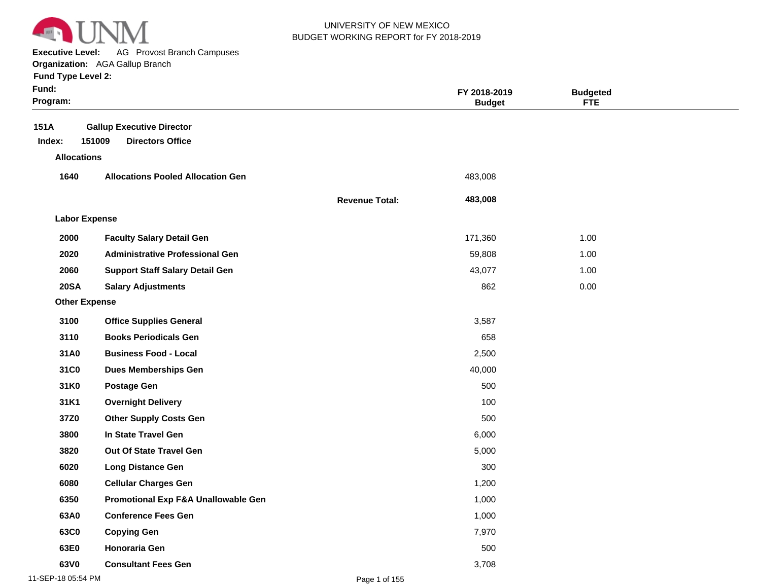

**Executive Level:** AG Provost Branch Campuses

#### **Organization:**  AGA Gallup Branch

| <b>Fund Type Level 2:</b> |  |  |  |
|---------------------------|--|--|--|
|---------------------------|--|--|--|

| Fund:<br>Program:    |                                                                       |                       | FY 2018-2019<br><b>Budget</b> | <b>Budgeted</b><br><b>FTE</b> |  |
|----------------------|-----------------------------------------------------------------------|-----------------------|-------------------------------|-------------------------------|--|
| 151A<br>Index:       | <b>Gallup Executive Director</b><br>151009<br><b>Directors Office</b> |                       |                               |                               |  |
| <b>Allocations</b>   |                                                                       |                       |                               |                               |  |
| 1640                 | <b>Allocations Pooled Allocation Gen</b>                              |                       | 483,008                       |                               |  |
|                      |                                                                       |                       |                               |                               |  |
|                      |                                                                       | <b>Revenue Total:</b> | 483,008                       |                               |  |
| <b>Labor Expense</b> |                                                                       |                       |                               |                               |  |
| 2000                 | <b>Faculty Salary Detail Gen</b>                                      |                       | 171,360                       | 1.00                          |  |
| 2020                 | <b>Administrative Professional Gen</b>                                |                       | 59,808                        | 1.00                          |  |
| 2060                 | <b>Support Staff Salary Detail Gen</b>                                |                       | 43,077                        | 1.00                          |  |
| <b>20SA</b>          | <b>Salary Adjustments</b>                                             |                       | 862                           | 0.00                          |  |
| <b>Other Expense</b> |                                                                       |                       |                               |                               |  |
| 3100                 | <b>Office Supplies General</b>                                        |                       | 3,587                         |                               |  |
| 3110                 | <b>Books Periodicals Gen</b>                                          |                       | 658                           |                               |  |
| 31A0                 | <b>Business Food - Local</b>                                          |                       | 2,500                         |                               |  |
| 31C0                 | <b>Dues Memberships Gen</b>                                           |                       | 40,000                        |                               |  |
| 31K0                 | <b>Postage Gen</b>                                                    |                       | 500                           |                               |  |
| 31K1                 | <b>Overnight Delivery</b>                                             |                       | 100                           |                               |  |
| 37Z0                 | <b>Other Supply Costs Gen</b>                                         |                       | 500                           |                               |  |
| 3800                 | In State Travel Gen                                                   |                       | 6,000                         |                               |  |
| 3820                 | Out Of State Travel Gen                                               |                       | 5,000                         |                               |  |
| 6020                 | <b>Long Distance Gen</b>                                              |                       | 300                           |                               |  |
| 6080                 | <b>Cellular Charges Gen</b>                                           |                       | 1,200                         |                               |  |
| 6350                 | Promotional Exp F&A Unallowable Gen                                   |                       | 1,000                         |                               |  |
| 63A0                 | <b>Conference Fees Gen</b>                                            |                       | 1,000                         |                               |  |
| 63C0                 | <b>Copying Gen</b>                                                    |                       | 7,970                         |                               |  |
| 63E0                 | <b>Honoraria Gen</b>                                                  |                       | 500                           |                               |  |
| 63V0                 | <b>Consultant Fees Gen</b>                                            |                       | 3,708                         |                               |  |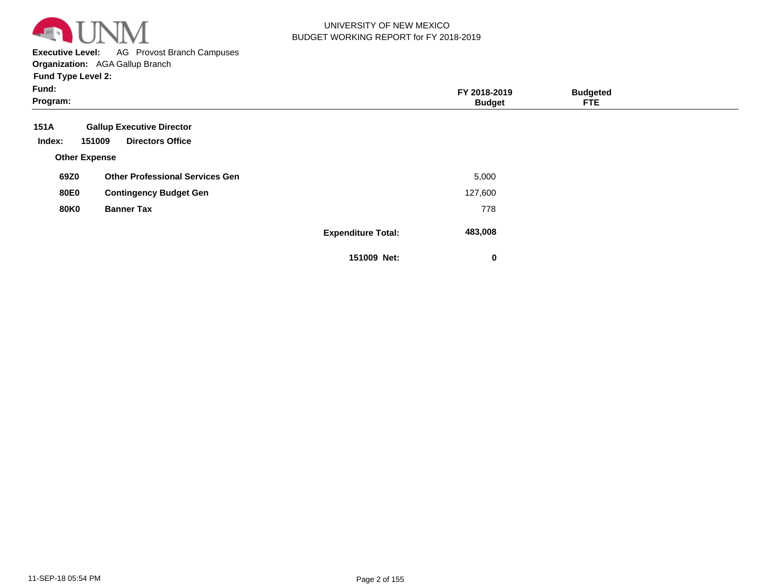

**Executive Level:** AG Provost Branch Campuses

**Organization:**  AGA Gallup Branch

| Fund:<br>Program:    |                                        |                           | FY 2018-2019<br><b>Budget</b> | <b>Budgeted</b><br><b>FTE</b> |  |
|----------------------|----------------------------------------|---------------------------|-------------------------------|-------------------------------|--|
| 151A                 | <b>Gallup Executive Director</b>       |                           |                               |                               |  |
| Index:               | 151009<br><b>Directors Office</b>      |                           |                               |                               |  |
| <b>Other Expense</b> |                                        |                           |                               |                               |  |
| 69Z0                 | <b>Other Professional Services Gen</b> |                           | 5,000                         |                               |  |
| <b>80E0</b>          | <b>Contingency Budget Gen</b>          |                           | 127,600                       |                               |  |
| <b>80K0</b>          | <b>Banner Tax</b>                      |                           | 778                           |                               |  |
|                      |                                        | <b>Expenditure Total:</b> | 483,008                       |                               |  |
|                      |                                        | 151009 Net:               | 0                             |                               |  |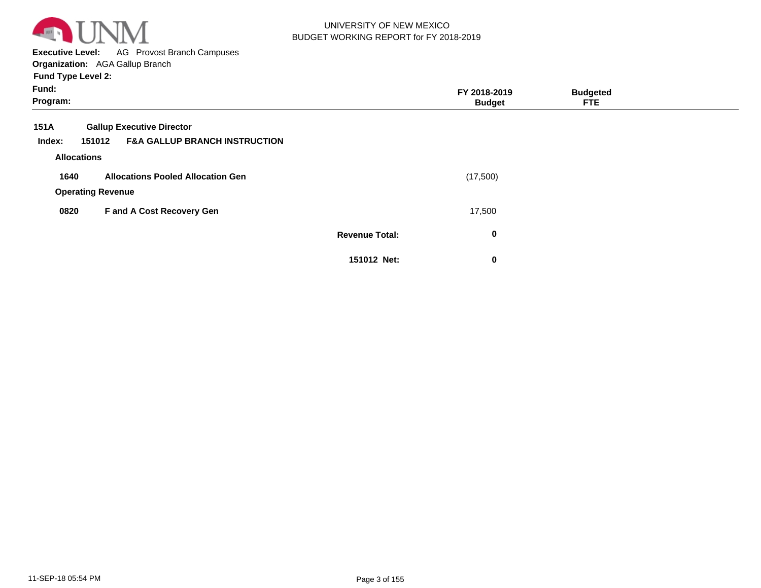

**Executive Level:** AG Provost Branch Campuses **Organization:**  AGA Gallup Branch

| Fund:<br>Program:  |                                                    |                       | FY 2018-2019<br><b>Budget</b> | <b>Budgeted</b><br>FTE. |  |
|--------------------|----------------------------------------------------|-----------------------|-------------------------------|-------------------------|--|
| 151A               | <b>Gallup Executive Director</b>                   |                       |                               |                         |  |
| Index:             | <b>F&amp;A GALLUP BRANCH INSTRUCTION</b><br>151012 |                       |                               |                         |  |
| <b>Allocations</b> |                                                    |                       |                               |                         |  |
| 1640               | <b>Allocations Pooled Allocation Gen</b>           |                       | (17,500)                      |                         |  |
|                    | <b>Operating Revenue</b>                           |                       |                               |                         |  |
| 0820               | F and A Cost Recovery Gen                          |                       | 17,500                        |                         |  |
|                    |                                                    | <b>Revenue Total:</b> | $\bf{0}$                      |                         |  |
|                    |                                                    | 151012 Net:           | $\mathbf 0$                   |                         |  |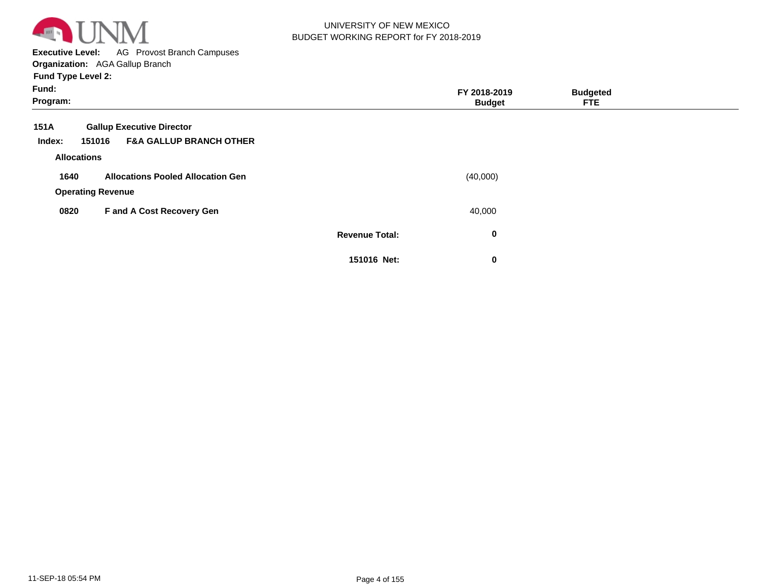

**Executive Level:** AG Provost Branch Campuses

| Fund:<br>Program:  |                                              |                       | FY 2018-2019<br><b>Budget</b> | <b>Budgeted</b><br><b>FTE</b> |  |
|--------------------|----------------------------------------------|-----------------------|-------------------------------|-------------------------------|--|
| 151A               | <b>Gallup Executive Director</b>             |                       |                               |                               |  |
| Index:             | <b>F&amp;A GALLUP BRANCH OTHER</b><br>151016 |                       |                               |                               |  |
| <b>Allocations</b> |                                              |                       |                               |                               |  |
| 1640               | <b>Allocations Pooled Allocation Gen</b>     |                       | (40,000)                      |                               |  |
|                    | <b>Operating Revenue</b>                     |                       |                               |                               |  |
| 0820               | F and A Cost Recovery Gen                    |                       | 40,000                        |                               |  |
|                    |                                              | <b>Revenue Total:</b> | 0                             |                               |  |
|                    |                                              | 151016 Net:           | 0                             |                               |  |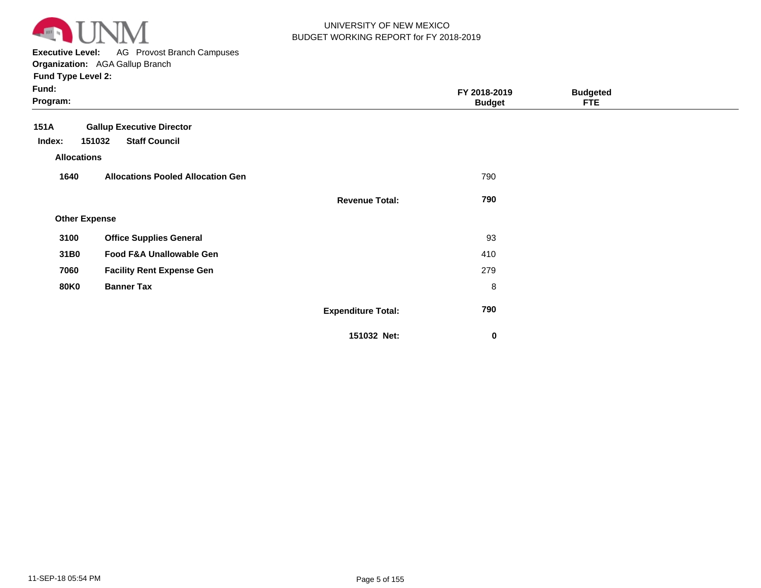

**Executive Level:** AG Provost Branch Campuses

| Fund:<br>Program:    |                                          |                           | FY 2018-2019<br><b>Budget</b> | <b>Budgeted</b><br><b>FTE</b> |  |
|----------------------|------------------------------------------|---------------------------|-------------------------------|-------------------------------|--|
| 151A                 | <b>Gallup Executive Director</b>         |                           |                               |                               |  |
| Index:               | <b>Staff Council</b><br>151032           |                           |                               |                               |  |
| <b>Allocations</b>   |                                          |                           |                               |                               |  |
| 1640                 | <b>Allocations Pooled Allocation Gen</b> |                           | 790                           |                               |  |
|                      |                                          | <b>Revenue Total:</b>     | 790                           |                               |  |
| <b>Other Expense</b> |                                          |                           |                               |                               |  |
| 3100                 | <b>Office Supplies General</b>           |                           | 93                            |                               |  |
| 31B0                 | Food F&A Unallowable Gen                 |                           | 410                           |                               |  |
| 7060                 | <b>Facility Rent Expense Gen</b>         |                           | 279                           |                               |  |
| <b>80K0</b>          | <b>Banner Tax</b>                        |                           | 8                             |                               |  |
|                      |                                          | <b>Expenditure Total:</b> | 790                           |                               |  |
|                      |                                          | 151032 Net:               | $\bf{0}$                      |                               |  |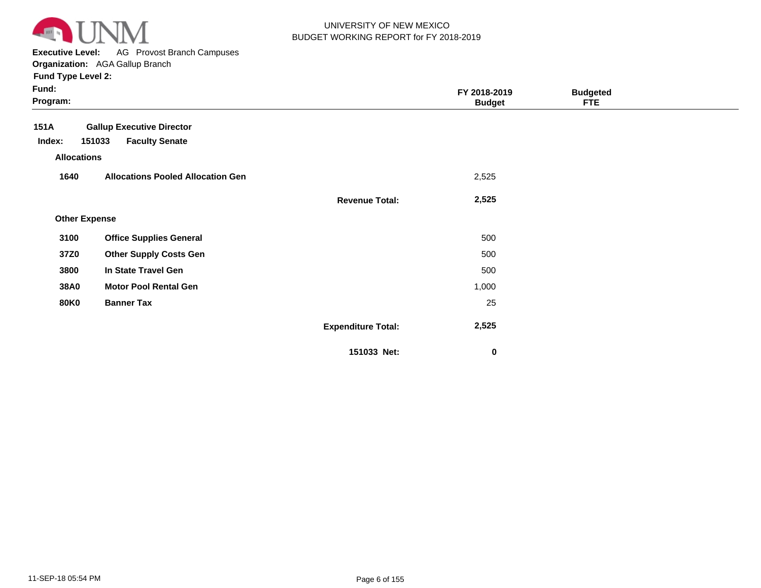

**Executive Level:** AG Provost Branch Campuses

| Fund:<br>Program:    |                                          |                           | FY 2018-2019<br><b>Budget</b> | <b>Budgeted</b><br><b>FTE</b> |  |
|----------------------|------------------------------------------|---------------------------|-------------------------------|-------------------------------|--|
| 151A                 | <b>Gallup Executive Director</b>         |                           |                               |                               |  |
| Index:               | 151033<br><b>Faculty Senate</b>          |                           |                               |                               |  |
| <b>Allocations</b>   |                                          |                           |                               |                               |  |
| 1640                 | <b>Allocations Pooled Allocation Gen</b> |                           | 2,525                         |                               |  |
|                      |                                          | <b>Revenue Total:</b>     | 2,525                         |                               |  |
| <b>Other Expense</b> |                                          |                           |                               |                               |  |
| 3100                 | <b>Office Supplies General</b>           |                           | 500                           |                               |  |
| 37Z0                 | <b>Other Supply Costs Gen</b>            |                           | 500                           |                               |  |
| 3800                 | In State Travel Gen                      |                           | 500                           |                               |  |
| <b>38A0</b>          | <b>Motor Pool Rental Gen</b>             |                           | 1,000                         |                               |  |
| <b>80K0</b>          | <b>Banner Tax</b>                        |                           | 25                            |                               |  |
|                      |                                          | <b>Expenditure Total:</b> | 2,525                         |                               |  |
|                      |                                          | 151033 Net:               | $\bf{0}$                      |                               |  |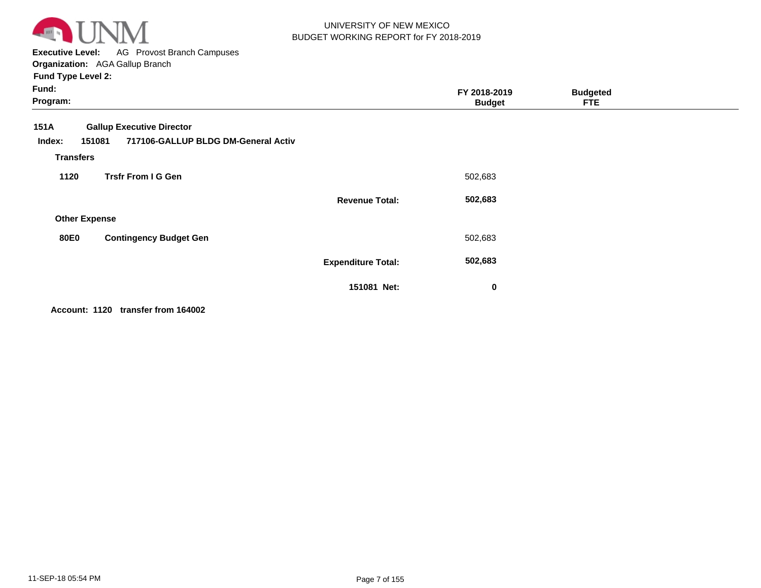

**Executive Level:** AG Provost Branch Campuses **Organization:**  AGA Gallup Branch

**Fund Type Level 2:**

| Fund:<br>Program:        |                                                                         |                           | FY 2018-2019<br><b>Budget</b> | <b>Budgeted</b><br><b>FTE</b> |  |
|--------------------------|-------------------------------------------------------------------------|---------------------------|-------------------------------|-------------------------------|--|
| 151A<br>151081<br>Index: | <b>Gallup Executive Director</b><br>717106-GALLUP BLDG DM-General Activ |                           |                               |                               |  |
| <b>Transfers</b>         |                                                                         |                           |                               |                               |  |
| 1120                     | <b>Trsfr From I G Gen</b>                                               |                           | 502,683                       |                               |  |
|                          |                                                                         | <b>Revenue Total:</b>     | 502,683                       |                               |  |
| <b>Other Expense</b>     |                                                                         |                           |                               |                               |  |
| <b>80E0</b>              | <b>Contingency Budget Gen</b>                                           |                           | 502,683                       |                               |  |
|                          |                                                                         | <b>Expenditure Total:</b> | 502,683                       |                               |  |
|                          |                                                                         | 151081 Net:               | $\mathbf 0$                   |                               |  |

**Account: 1120 transfer from 164002**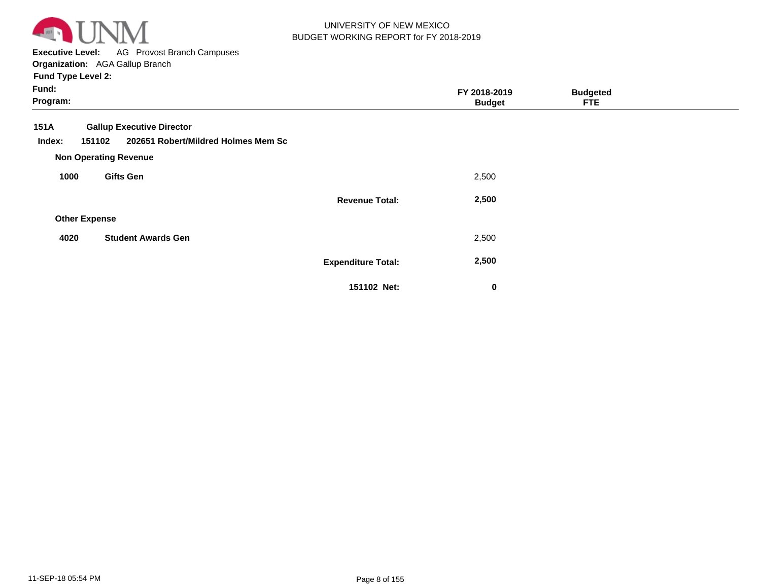

**Executive Level:** AG Provost Branch Campuses **Organization:**  AGA Gallup Branch

| Fund:<br>Program:    |                                                                                   |                           | FY 2018-2019<br><b>Budget</b> | <b>Budgeted</b><br><b>FTE</b> |  |
|----------------------|-----------------------------------------------------------------------------------|---------------------------|-------------------------------|-------------------------------|--|
| 151A<br>Index:       | <b>Gallup Executive Director</b><br>202651 Robert/Mildred Holmes Mem Sc<br>151102 |                           |                               |                               |  |
|                      | <b>Non Operating Revenue</b>                                                      |                           |                               |                               |  |
| 1000                 | <b>Gifts Gen</b>                                                                  |                           | 2,500                         |                               |  |
|                      |                                                                                   | <b>Revenue Total:</b>     | 2,500                         |                               |  |
| <b>Other Expense</b> |                                                                                   |                           |                               |                               |  |
| 4020                 | <b>Student Awards Gen</b>                                                         |                           | 2,500                         |                               |  |
|                      |                                                                                   | <b>Expenditure Total:</b> | 2,500                         |                               |  |
|                      |                                                                                   | 151102 Net:               | 0                             |                               |  |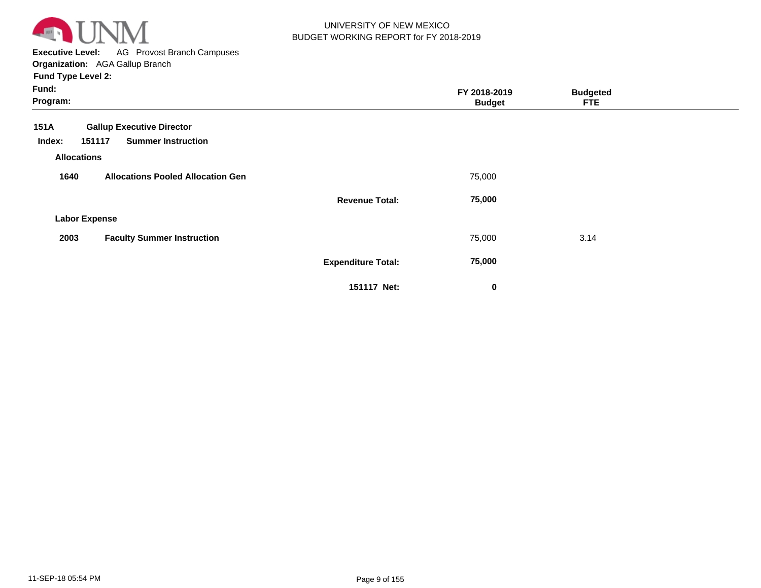

**Executive Level:** AG Provost Branch Campuses **Organization:**  AGA Gallup Branch

| Fund:<br>Program:                                |                           | FY 2018-2019<br><b>Budget</b> | <b>Budgeted</b><br><b>FTE</b> |  |
|--------------------------------------------------|---------------------------|-------------------------------|-------------------------------|--|
| 151A<br><b>Gallup Executive Director</b>         |                           |                               |                               |  |
| <b>Summer Instruction</b><br>151117<br>Index:    |                           |                               |                               |  |
| <b>Allocations</b>                               |                           |                               |                               |  |
| 1640<br><b>Allocations Pooled Allocation Gen</b> |                           | 75,000                        |                               |  |
|                                                  | <b>Revenue Total:</b>     | 75,000                        |                               |  |
| <b>Labor Expense</b>                             |                           |                               |                               |  |
| <b>Faculty Summer Instruction</b><br>2003        |                           | 75,000                        | 3.14                          |  |
|                                                  | <b>Expenditure Total:</b> | 75,000                        |                               |  |
|                                                  | 151117 Net:               | 0                             |                               |  |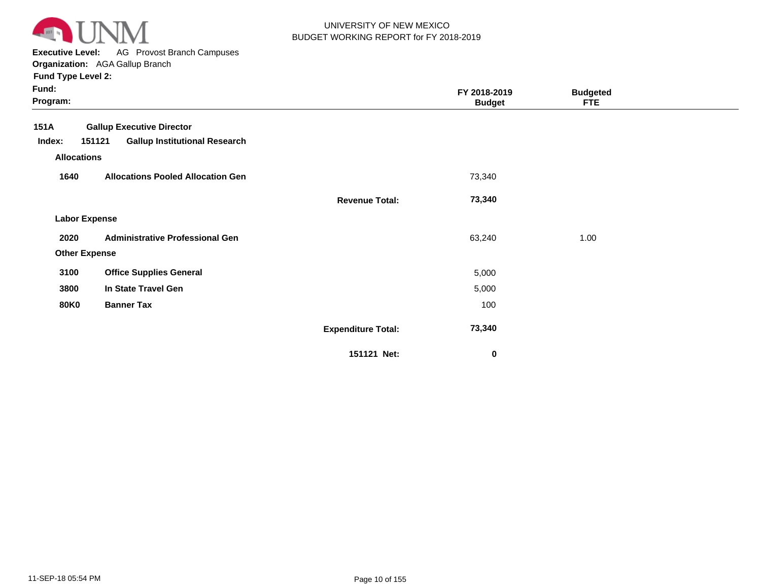

**Executive Level:** AG Provost Branch Campuses

**Organization:**  AGA Gallup Branch

| Fund:<br>Program:    |                                                                                    |                           | FY 2018-2019<br><b>Budget</b> | <b>Budgeted</b><br><b>FTE</b> |  |
|----------------------|------------------------------------------------------------------------------------|---------------------------|-------------------------------|-------------------------------|--|
| 151A<br>Index:       | <b>Gallup Executive Director</b><br>151121<br><b>Gallup Institutional Research</b> |                           |                               |                               |  |
| <b>Allocations</b>   |                                                                                    |                           |                               |                               |  |
| 1640                 | <b>Allocations Pooled Allocation Gen</b>                                           |                           | 73,340                        |                               |  |
|                      |                                                                                    | <b>Revenue Total:</b>     | 73,340                        |                               |  |
| <b>Labor Expense</b> |                                                                                    |                           |                               |                               |  |
| 2020                 | <b>Administrative Professional Gen</b>                                             |                           | 63,240                        | 1.00                          |  |
| <b>Other Expense</b> |                                                                                    |                           |                               |                               |  |
| 3100                 | <b>Office Supplies General</b>                                                     |                           | 5,000                         |                               |  |
| 3800                 | In State Travel Gen                                                                |                           | 5,000                         |                               |  |
| <b>80K0</b>          | <b>Banner Tax</b>                                                                  |                           | 100                           |                               |  |
|                      |                                                                                    | <b>Expenditure Total:</b> | 73,340                        |                               |  |
|                      |                                                                                    | 151121 Net:               | 0                             |                               |  |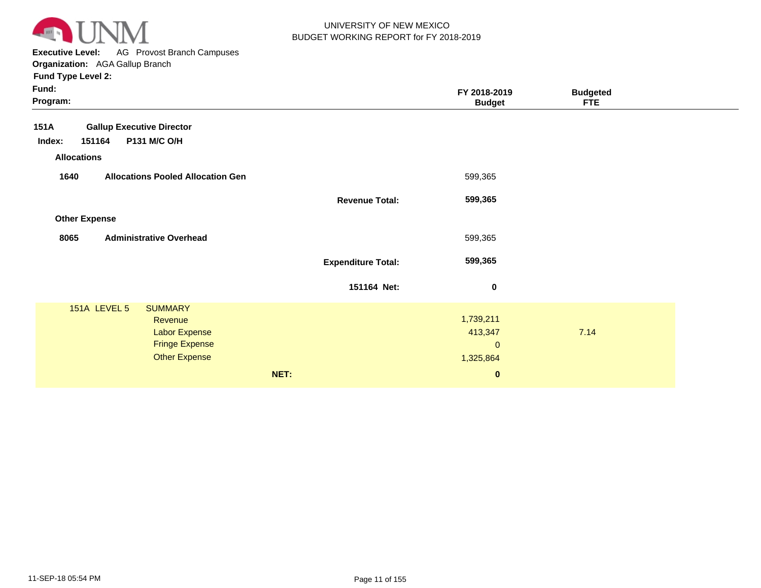

**Executive Level:** AG Provost Branch Campuses **Organization:**  AGA Gallup Branch

|                                                                                                            |                                                                   | <b>FTE</b>                                                                                                     |                 |
|------------------------------------------------------------------------------------------------------------|-------------------------------------------------------------------|----------------------------------------------------------------------------------------------------------------|-----------------|
| <b>Gallup Executive Director</b><br>P131 M/C O/H                                                           |                                                                   |                                                                                                                |                 |
| <b>Allocations Pooled Allocation Gen</b>                                                                   |                                                                   |                                                                                                                |                 |
|                                                                                                            |                                                                   |                                                                                                                |                 |
|                                                                                                            |                                                                   |                                                                                                                |                 |
| <b>Administrative Overhead</b>                                                                             |                                                                   |                                                                                                                |                 |
|                                                                                                            |                                                                   |                                                                                                                |                 |
|                                                                                                            | $\pmb{0}$                                                         |                                                                                                                |                 |
| <b>SUMMARY</b><br>Revenue<br><b>Labor Expense</b><br><b>Fringe Expense</b><br><b>Other Expense</b><br>NET: | $\mathbf{0}$<br>$\bf{0}$                                          | 7.14                                                                                                           |                 |
|                                                                                                            | <b>Revenue Total:</b><br><b>Expenditure Total:</b><br>151164 Net: | FY 2018-2019<br><b>Budget</b><br>599,365<br>599,365<br>599,365<br>599,365<br>1,739,211<br>413,347<br>1,325,864 | <b>Budgeted</b> |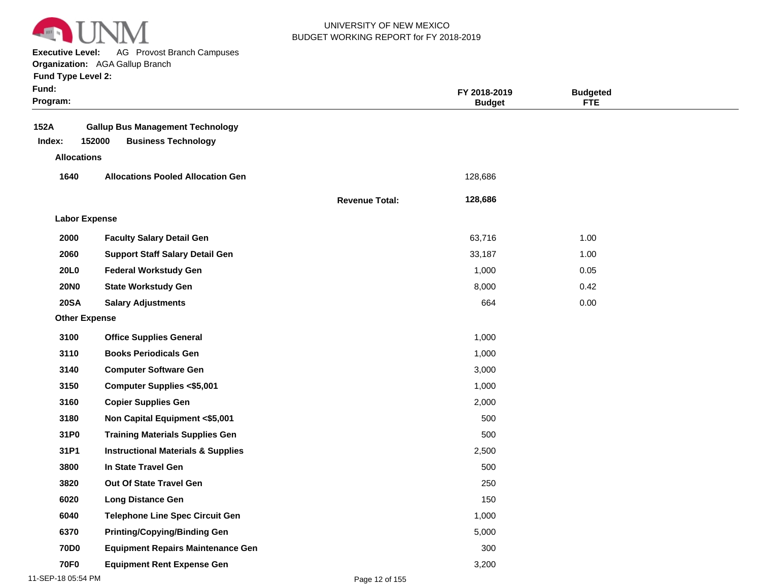

**Executive Level:** AG Provost Branch Campuses

**Organization:**  AGA Gallup Branch

| <b>Fund Type Level 2:</b> |  |
|---------------------------|--|
|---------------------------|--|

| Fund:<br>Program: |                      |                                                                       |                       | FY 2018-2019<br><b>Budget</b> | <b>Budgeted</b><br><b>FTE</b> |  |
|-------------------|----------------------|-----------------------------------------------------------------------|-----------------------|-------------------------------|-------------------------------|--|
| 152A<br>Index:    | 152000               | <b>Gallup Bus Management Technology</b><br><b>Business Technology</b> |                       |                               |                               |  |
|                   | <b>Allocations</b>   |                                                                       |                       |                               |                               |  |
| 1640              |                      | <b>Allocations Pooled Allocation Gen</b>                              |                       | 128,686                       |                               |  |
|                   |                      |                                                                       | <b>Revenue Total:</b> | 128,686                       |                               |  |
|                   | <b>Labor Expense</b> |                                                                       |                       |                               |                               |  |
| 2000              |                      | <b>Faculty Salary Detail Gen</b>                                      |                       | 63,716                        | 1.00                          |  |
| 2060              |                      | <b>Support Staff Salary Detail Gen</b>                                |                       | 33,187                        | 1.00                          |  |
| <b>20L0</b>       |                      | <b>Federal Workstudy Gen</b>                                          |                       | 1,000                         | 0.05                          |  |
| <b>20NO</b>       |                      | <b>State Workstudy Gen</b>                                            |                       | 8,000                         | 0.42                          |  |
| <b>20SA</b>       |                      | <b>Salary Adjustments</b>                                             |                       | 664                           | 0.00                          |  |
|                   | <b>Other Expense</b> |                                                                       |                       |                               |                               |  |
| 3100              |                      | <b>Office Supplies General</b>                                        |                       | 1,000                         |                               |  |
| 3110              |                      | <b>Books Periodicals Gen</b>                                          |                       | 1,000                         |                               |  |
| 3140              |                      | <b>Computer Software Gen</b>                                          |                       | 3,000                         |                               |  |
| 3150              |                      | <b>Computer Supplies &lt;\$5,001</b>                                  |                       | 1,000                         |                               |  |
| 3160              |                      | <b>Copier Supplies Gen</b>                                            |                       | 2,000                         |                               |  |
| 3180              |                      | Non Capital Equipment <\$5,001                                        |                       | 500                           |                               |  |
| 31P0              |                      | <b>Training Materials Supplies Gen</b>                                |                       | 500                           |                               |  |
| 31P1              |                      | <b>Instructional Materials &amp; Supplies</b>                         |                       | 2,500                         |                               |  |
| 3800              |                      | In State Travel Gen                                                   |                       | 500                           |                               |  |
| 3820              |                      | <b>Out Of State Travel Gen</b>                                        |                       | 250                           |                               |  |
| 6020              |                      | <b>Long Distance Gen</b>                                              |                       | 150                           |                               |  |
| 6040              |                      | <b>Telephone Line Spec Circuit Gen</b>                                |                       | 1,000                         |                               |  |
| 6370              |                      | <b>Printing/Copying/Binding Gen</b>                                   |                       | 5,000                         |                               |  |
| <b>70D0</b>       |                      | <b>Equipment Repairs Maintenance Gen</b>                              |                       | 300                           |                               |  |
| <b>70F0</b>       |                      | <b>Equipment Rent Expense Gen</b>                                     |                       | 3,200                         |                               |  |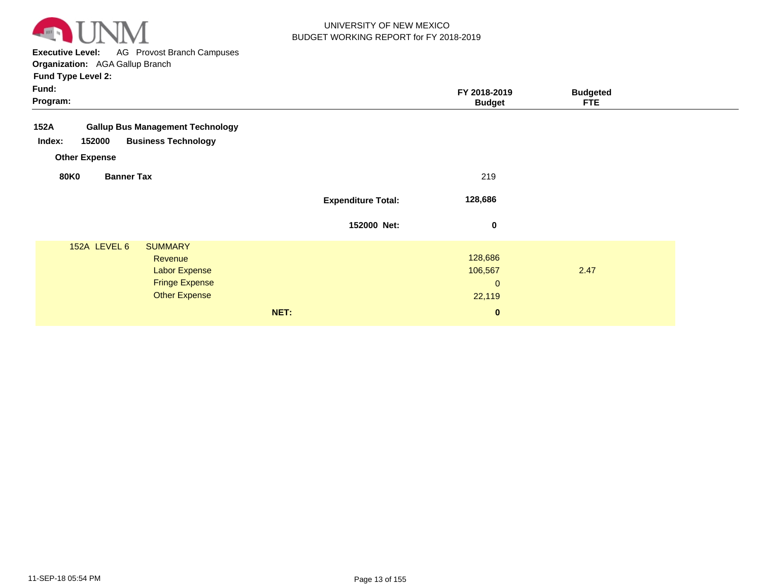

**Executive Level:** AG Provost Branch Campuses

| Fund:<br>Program:                                                                           |                                                                                  | FY 2018-2019<br><b>Budget</b>               | <b>Budgeted</b><br><b>FTE</b> |  |
|---------------------------------------------------------------------------------------------|----------------------------------------------------------------------------------|---------------------------------------------|-------------------------------|--|
| 152A<br><b>Gallup Bus Management Technology</b><br>152000<br>Index:<br><b>Other Expense</b> | <b>Business Technology</b>                                                       |                                             |                               |  |
| <b>Banner Tax</b><br><b>80K0</b>                                                            |                                                                                  | 219                                         |                               |  |
|                                                                                             | <b>Expenditure Total:</b>                                                        | 128,686                                     |                               |  |
|                                                                                             | 152000 Net:                                                                      | $\pmb{0}$                                   |                               |  |
| 152A LEVEL 6<br><b>SUMMARY</b>                                                              | Revenue<br><b>Labor Expense</b><br><b>Fringe Expense</b><br><b>Other Expense</b> | 128,686<br>106,567<br>$\mathbf 0$<br>22,119 | 2.47                          |  |
|                                                                                             | NET:                                                                             | $\bf{0}$                                    |                               |  |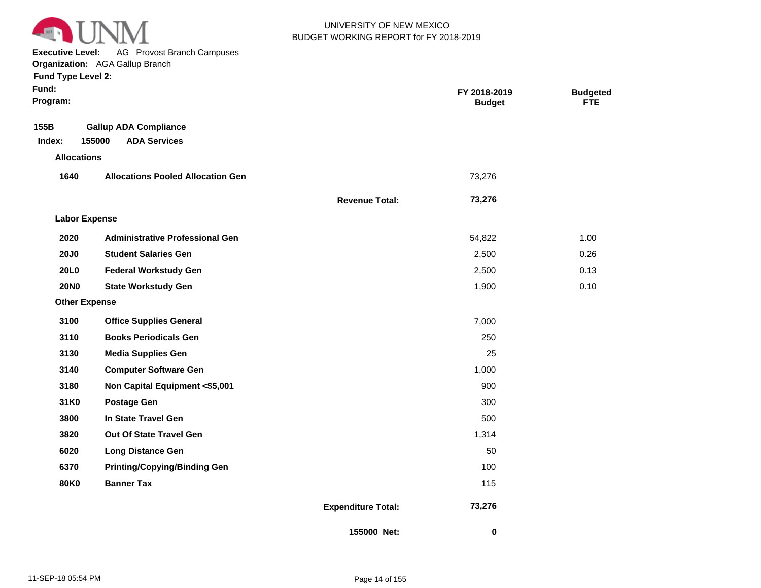

**Executive Level:** AG Provost Branch Campuses

#### **Organization:**  AGA Gallup Branch

| <b>Fund Type Level 2:</b> |  |
|---------------------------|--|
|---------------------------|--|

| Fund:<br>Program:    |                                          |                           | FY 2018-2019<br><b>Budget</b> | <b>Budgeted</b><br><b>FTE</b> |  |
|----------------------|------------------------------------------|---------------------------|-------------------------------|-------------------------------|--|
| 155B                 | <b>Gallup ADA Compliance</b>             |                           |                               |                               |  |
| Index:               | 155000<br><b>ADA Services</b>            |                           |                               |                               |  |
| <b>Allocations</b>   |                                          |                           |                               |                               |  |
| 1640                 | <b>Allocations Pooled Allocation Gen</b> |                           | 73,276                        |                               |  |
|                      |                                          | <b>Revenue Total:</b>     | 73,276                        |                               |  |
| <b>Labor Expense</b> |                                          |                           |                               |                               |  |
| 2020                 | <b>Administrative Professional Gen</b>   |                           | 54,822                        | 1.00                          |  |
| <b>20J0</b>          | <b>Student Salaries Gen</b>              |                           | 2,500                         | 0.26                          |  |
| <b>20L0</b>          | <b>Federal Workstudy Gen</b>             |                           | 2,500                         | 0.13                          |  |
| <b>20NO</b>          | <b>State Workstudy Gen</b>               |                           | 1,900                         | 0.10                          |  |
| <b>Other Expense</b> |                                          |                           |                               |                               |  |
| 3100                 | <b>Office Supplies General</b>           |                           | 7,000                         |                               |  |
| 3110                 | <b>Books Periodicals Gen</b>             |                           | 250                           |                               |  |
| 3130                 | <b>Media Supplies Gen</b>                |                           | 25                            |                               |  |
| 3140                 | <b>Computer Software Gen</b>             |                           | 1,000                         |                               |  |
| 3180                 | Non Capital Equipment <\$5,001           |                           | 900                           |                               |  |
| 31K0                 | <b>Postage Gen</b>                       |                           | 300                           |                               |  |
| 3800                 | In State Travel Gen                      |                           | 500                           |                               |  |
| 3820                 | Out Of State Travel Gen                  |                           | 1,314                         |                               |  |
| 6020                 | <b>Long Distance Gen</b>                 |                           | 50                            |                               |  |
| 6370                 | <b>Printing/Copying/Binding Gen</b>      |                           | 100                           |                               |  |
| <b>80K0</b>          | <b>Banner Tax</b>                        |                           | 115                           |                               |  |
|                      |                                          | <b>Expenditure Total:</b> | 73,276                        |                               |  |
|                      |                                          | 155000 Net:               | 0                             |                               |  |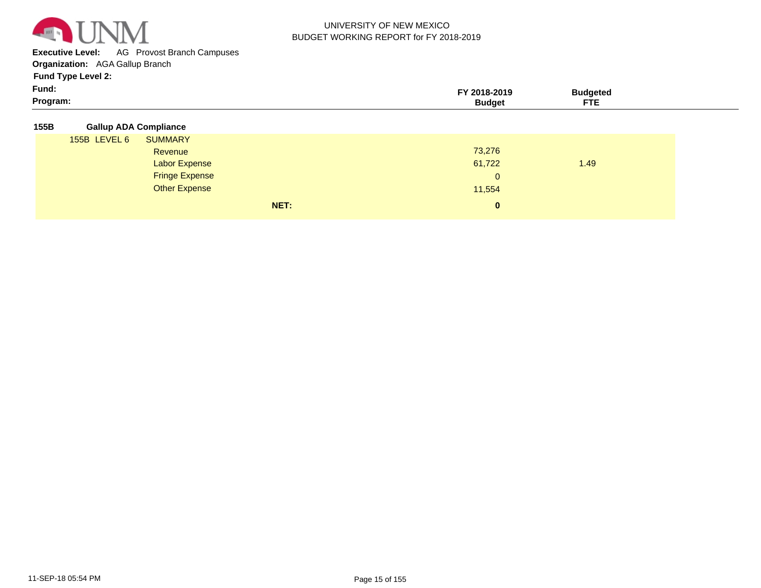

**Executive Level:** AG Provost Branch Campuses

**Organization:**  AGA Gallup Branch

| Fund:   | <b>2016</b><br>,,,,, | uclcu |  |
|---------|----------------------|-------|--|
| Program |                      | ---   |  |

|  | 155B | <b>Gallup ADA Compliance</b> |
|--|------|------------------------------|
|--|------|------------------------------|

| 155B LEVEL 6 | <b>SUMMARY</b>        |              |      |
|--------------|-----------------------|--------------|------|
|              | Revenue               | 73,276       |      |
|              | <b>Labor Expense</b>  | 61,722       | 1.49 |
|              | <b>Fringe Expense</b> | $\mathbf{0}$ |      |
|              | <b>Other Expense</b>  | 11,554       |      |
|              | NET:                  | $\mathbf{0}$ |      |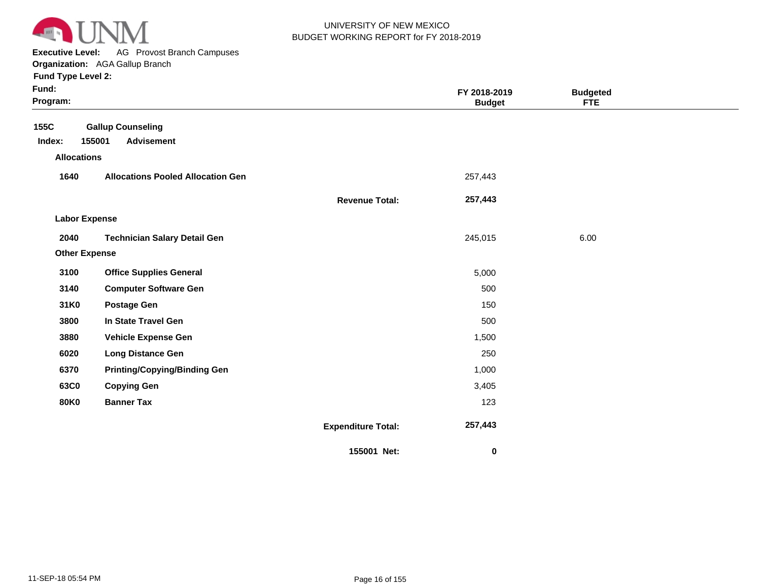

**Executive Level:** AG Provost Branch Campuses

**Organization:**  AGA Gallup Branch

| Fund:<br>Program:                    |                                                         |                           | FY 2018-2019<br><b>Budget</b> | <b>Budgeted</b><br><b>FTE</b> |  |
|--------------------------------------|---------------------------------------------------------|---------------------------|-------------------------------|-------------------------------|--|
| 155C<br>Index:<br><b>Allocations</b> | <b>Gallup Counseling</b><br>155001<br><b>Advisement</b> |                           |                               |                               |  |
| 1640                                 | <b>Allocations Pooled Allocation Gen</b>                |                           | 257,443                       |                               |  |
|                                      |                                                         | <b>Revenue Total:</b>     | 257,443                       |                               |  |
| <b>Labor Expense</b>                 |                                                         |                           |                               |                               |  |
| 2040                                 | <b>Technician Salary Detail Gen</b>                     |                           | 245,015                       | 6.00                          |  |
| <b>Other Expense</b>                 |                                                         |                           |                               |                               |  |
| 3100                                 | <b>Office Supplies General</b>                          |                           | 5,000                         |                               |  |
| 3140                                 | <b>Computer Software Gen</b>                            |                           | 500                           |                               |  |
| 31K0                                 | <b>Postage Gen</b>                                      |                           | 150                           |                               |  |
| 3800                                 | In State Travel Gen                                     |                           | 500                           |                               |  |
| 3880                                 | <b>Vehicle Expense Gen</b>                              |                           | 1,500                         |                               |  |
| 6020                                 | <b>Long Distance Gen</b>                                |                           | 250                           |                               |  |
| 6370                                 | <b>Printing/Copying/Binding Gen</b>                     |                           | 1,000                         |                               |  |
| 63C0                                 | <b>Copying Gen</b>                                      |                           | 3,405                         |                               |  |
| <b>80K0</b>                          | <b>Banner Tax</b>                                       |                           | 123                           |                               |  |
|                                      |                                                         | <b>Expenditure Total:</b> | 257,443                       |                               |  |
|                                      |                                                         | 155001 Net:               | 0                             |                               |  |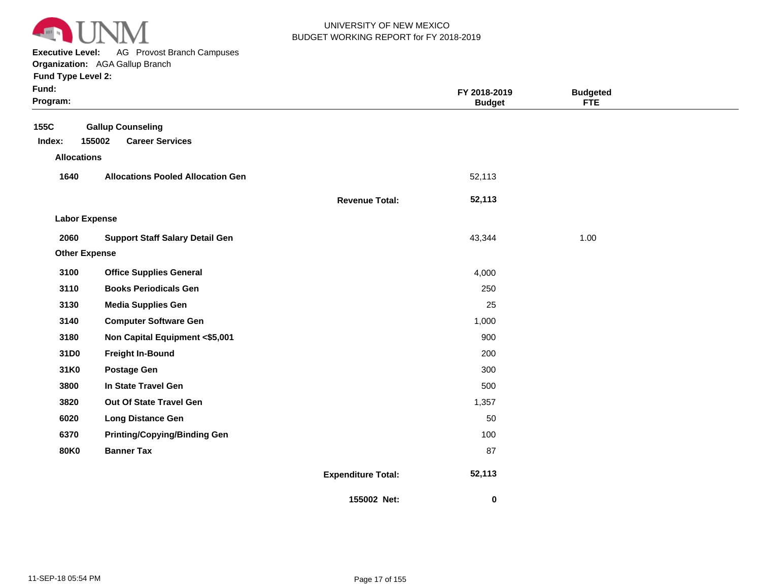

**Executive Level:** AG Provost Branch Campuses

**Organization:**  AGA Gallup Branch

| Fund:<br>Program:    |                                          |                           | FY 2018-2019<br><b>Budget</b> | <b>Budgeted</b><br><b>FTE</b> |  |
|----------------------|------------------------------------------|---------------------------|-------------------------------|-------------------------------|--|
| 155C                 | <b>Gallup Counseling</b>                 |                           |                               |                               |  |
| Index:               | 155002<br><b>Career Services</b>         |                           |                               |                               |  |
| <b>Allocations</b>   |                                          |                           |                               |                               |  |
| 1640                 | <b>Allocations Pooled Allocation Gen</b> |                           | 52,113                        |                               |  |
|                      |                                          | <b>Revenue Total:</b>     | 52,113                        |                               |  |
| <b>Labor Expense</b> |                                          |                           |                               |                               |  |
| 2060                 | <b>Support Staff Salary Detail Gen</b>   |                           | 43,344                        | 1.00                          |  |
| <b>Other Expense</b> |                                          |                           |                               |                               |  |
| 3100                 | <b>Office Supplies General</b>           |                           | 4,000                         |                               |  |
| 3110                 | <b>Books Periodicals Gen</b>             |                           | 250                           |                               |  |
| 3130                 | <b>Media Supplies Gen</b>                |                           | 25                            |                               |  |
| 3140                 | <b>Computer Software Gen</b>             |                           | 1,000                         |                               |  |
| 3180                 | Non Capital Equipment <\$5,001           |                           | 900                           |                               |  |
| 31D0                 | <b>Freight In-Bound</b>                  |                           | 200                           |                               |  |
| 31K0                 | <b>Postage Gen</b>                       |                           | 300                           |                               |  |
| 3800                 | In State Travel Gen                      |                           | 500                           |                               |  |
| 3820                 | Out Of State Travel Gen                  |                           | 1,357                         |                               |  |
| 6020                 | <b>Long Distance Gen</b>                 |                           | 50                            |                               |  |
| 6370                 | <b>Printing/Copying/Binding Gen</b>      |                           | 100                           |                               |  |
| <b>80K0</b>          | <b>Banner Tax</b>                        |                           | 87                            |                               |  |
|                      |                                          | <b>Expenditure Total:</b> | 52,113                        |                               |  |
|                      |                                          | 155002 Net:               | 0                             |                               |  |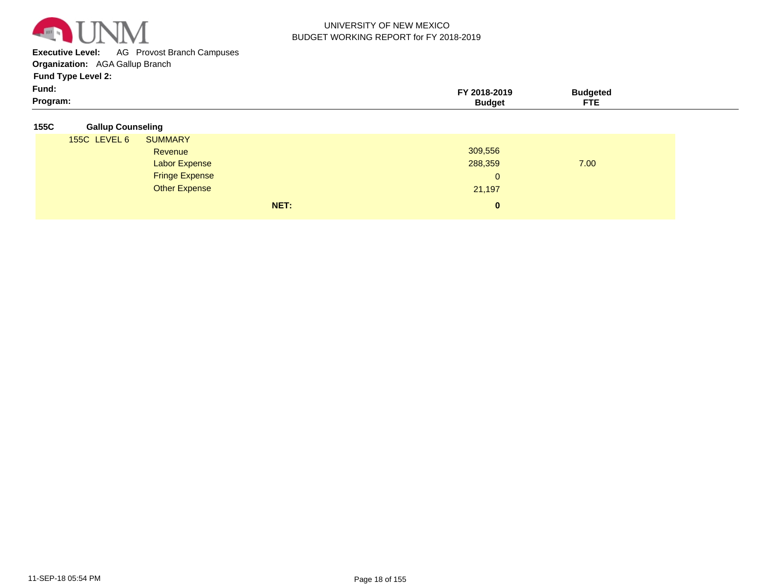

**Executive Level:** AG Provost Branch Campuses

**Organization:**  AGA Gallup Branch

| - -<br>Fund:<br>Program: | 2018-2019<br><b>Budget</b> | ™dgetea<br>ETE<br>FIE. |  |
|--------------------------|----------------------------|------------------------|--|
|                          |                            |                        |  |

| 155C | <b>Gallup Counseling</b> |
|------|--------------------------|
|      |                          |

| <b>155C LEVEL 6</b> | <b>SUMMARY</b>        |      |              |      |  |
|---------------------|-----------------------|------|--------------|------|--|
|                     | Revenue               |      | 309,556      |      |  |
|                     | <b>Labor Expense</b>  |      | 288,359      | 7.00 |  |
|                     | <b>Fringe Expense</b> |      | $\mathbf{0}$ |      |  |
|                     | <b>Other Expense</b>  |      | 21,197       |      |  |
|                     |                       | NET: | $\mathbf{0}$ |      |  |
|                     |                       |      |              |      |  |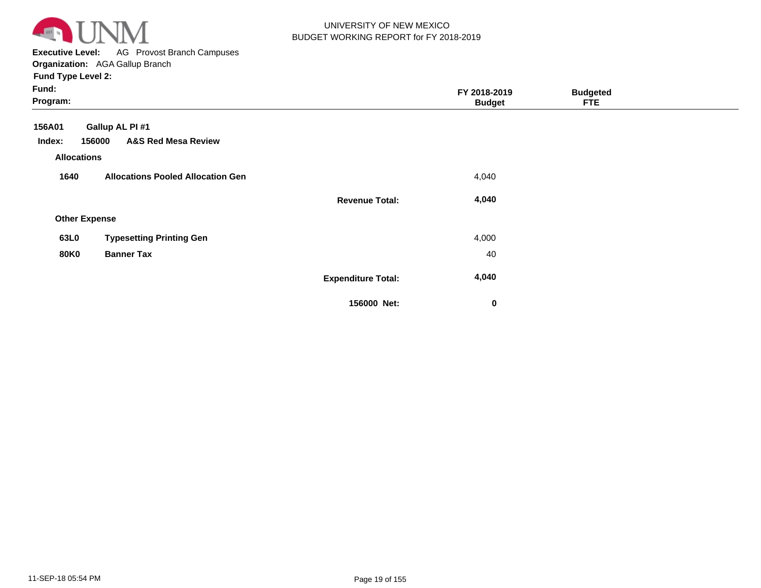

**Executive Level:** AG Provost Branch Campuses **Organization:**  AGA Gallup Branch

| Fund:<br>Program:                                                               |                           | FY 2018-2019<br><b>Budget</b> | <b>Budgeted</b><br><b>FTE</b> |  |
|---------------------------------------------------------------------------------|---------------------------|-------------------------------|-------------------------------|--|
| 156A01<br>Gallup AL PI #1<br><b>A&amp;S Red Mesa Review</b><br>156000<br>Index: |                           |                               |                               |  |
| <b>Allocations</b>                                                              |                           |                               |                               |  |
| <b>Allocations Pooled Allocation Gen</b><br>1640                                |                           | 4,040                         |                               |  |
|                                                                                 | <b>Revenue Total:</b>     | 4,040                         |                               |  |
| <b>Other Expense</b>                                                            |                           |                               |                               |  |
| <b>Typesetting Printing Gen</b><br>63L0                                         |                           | 4,000                         |                               |  |
| <b>80K0</b><br><b>Banner Tax</b>                                                |                           | 40                            |                               |  |
|                                                                                 | <b>Expenditure Total:</b> | 4,040                         |                               |  |
|                                                                                 | 156000 Net:               | $\mathbf 0$                   |                               |  |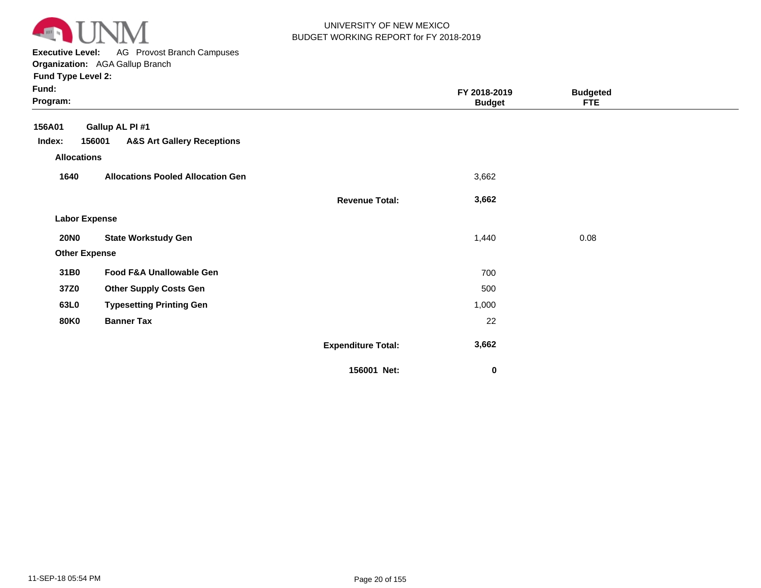

**Executive Level:** AG Provost Branch Campuses

**Organization:**  AGA Gallup Branch

| Fund:<br>Program:    |                                                 |                           | FY 2018-2019<br><b>Budget</b> | <b>Budgeted</b><br><b>FTE</b> |  |
|----------------------|-------------------------------------------------|---------------------------|-------------------------------|-------------------------------|--|
| 156A01               | Gallup AL PI #1                                 |                           |                               |                               |  |
| Index:               | <b>A&amp;S Art Gallery Receptions</b><br>156001 |                           |                               |                               |  |
| <b>Allocations</b>   |                                                 |                           |                               |                               |  |
| 1640                 | <b>Allocations Pooled Allocation Gen</b>        |                           | 3,662                         |                               |  |
|                      |                                                 | <b>Revenue Total:</b>     | 3,662                         |                               |  |
| <b>Labor Expense</b> |                                                 |                           |                               |                               |  |
| <b>20NO</b>          | <b>State Workstudy Gen</b>                      |                           | 1,440                         | 0.08                          |  |
| <b>Other Expense</b> |                                                 |                           |                               |                               |  |
| 31B0                 | Food F&A Unallowable Gen                        |                           | 700                           |                               |  |
| 37Z0                 | <b>Other Supply Costs Gen</b>                   |                           | 500                           |                               |  |
| 63L0                 | <b>Typesetting Printing Gen</b>                 |                           | 1,000                         |                               |  |
| <b>80K0</b>          | <b>Banner Tax</b>                               |                           | 22                            |                               |  |
|                      |                                                 | <b>Expenditure Total:</b> | 3,662                         |                               |  |
|                      |                                                 | 156001 Net:               | 0                             |                               |  |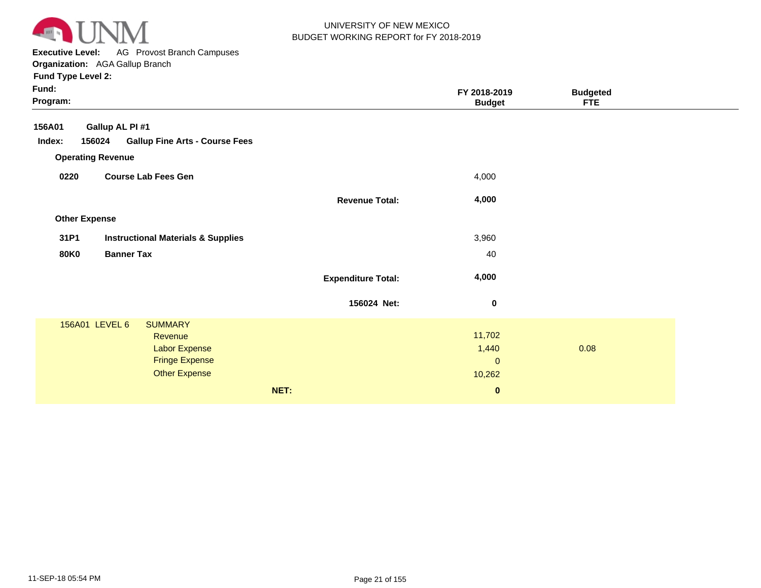

**Executive Level:** AG Provost Branch Campuses **Organization:**  AGA Gallup Branch

| Fund:<br>Program:                                         |                           | FY 2018-2019<br><b>Budget</b> | <b>Budgeted</b><br><b>FTE</b> |  |
|-----------------------------------------------------------|---------------------------|-------------------------------|-------------------------------|--|
| Gallup AL PI #1<br>156A01                                 |                           |                               |                               |  |
| Index:<br>156024<br><b>Gallup Fine Arts - Course Fees</b> |                           |                               |                               |  |
| <b>Operating Revenue</b>                                  |                           |                               |                               |  |
| 0220<br><b>Course Lab Fees Gen</b>                        |                           | 4,000                         |                               |  |
|                                                           | <b>Revenue Total:</b>     | 4,000                         |                               |  |
| <b>Other Expense</b>                                      |                           |                               |                               |  |
| 31P1<br><b>Instructional Materials &amp; Supplies</b>     |                           | 3,960                         |                               |  |
| <b>80K0</b><br><b>Banner Tax</b>                          |                           | 40                            |                               |  |
|                                                           | <b>Expenditure Total:</b> | 4,000                         |                               |  |
|                                                           | 156024 Net:               | $\bf{0}$                      |                               |  |
| 156A01 LEVEL 6<br><b>SUMMARY</b>                          |                           |                               |                               |  |
| Revenue                                                   |                           | 11,702                        |                               |  |
| Labor Expense                                             |                           | 1,440                         | 0.08                          |  |
| <b>Fringe Expense</b>                                     |                           | $\mathbf 0$                   |                               |  |
| <b>Other Expense</b>                                      |                           | 10,262                        |                               |  |
|                                                           | NET:                      | $\bf{0}$                      |                               |  |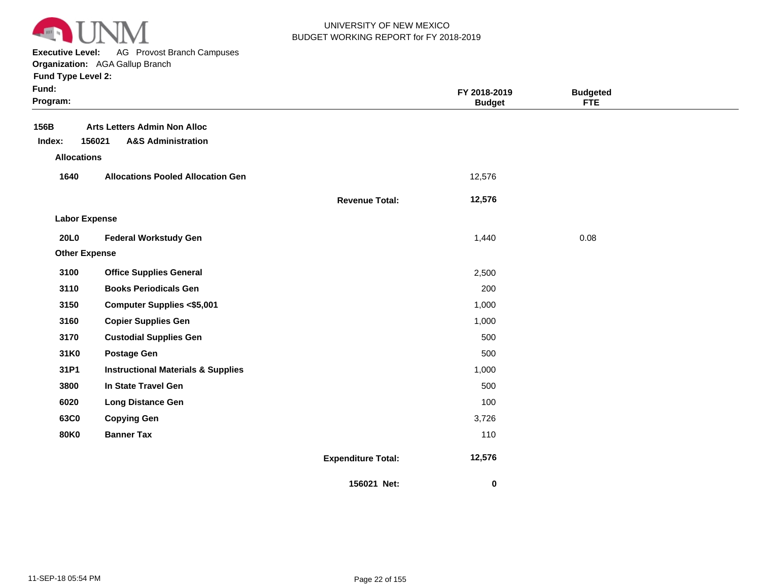

**Executive Level:** AG Provost Branch Campuses

|  |  |  | runu i ype Levei z: |  |
|--|--|--|---------------------|--|
|  |  |  |                     |  |

| × | × |  |
|---|---|--|
|   |   |  |

| Fund:<br>Program:    |                                                                                |                           | FY 2018-2019<br><b>Budget</b> | <b>Budgeted</b><br><b>FTE</b> |  |
|----------------------|--------------------------------------------------------------------------------|---------------------------|-------------------------------|-------------------------------|--|
| 156B<br>Index:       | <b>Arts Letters Admin Non Alloc</b><br>156021<br><b>A&amp;S Administration</b> |                           |                               |                               |  |
| <b>Allocations</b>   |                                                                                |                           |                               |                               |  |
| 1640                 | <b>Allocations Pooled Allocation Gen</b>                                       |                           | 12,576                        |                               |  |
|                      |                                                                                | <b>Revenue Total:</b>     | 12,576                        |                               |  |
| <b>Labor Expense</b> |                                                                                |                           |                               |                               |  |
| <b>20L0</b>          | <b>Federal Workstudy Gen</b>                                                   |                           | 1,440                         | 0.08                          |  |
| <b>Other Expense</b> |                                                                                |                           |                               |                               |  |
| 3100                 | <b>Office Supplies General</b>                                                 |                           | 2,500                         |                               |  |
| 3110                 | <b>Books Periodicals Gen</b>                                                   |                           | 200                           |                               |  |
| 3150                 | <b>Computer Supplies &lt;\$5,001</b>                                           |                           | 1,000                         |                               |  |
| 3160                 | <b>Copier Supplies Gen</b>                                                     |                           | 1,000                         |                               |  |
| 3170                 | <b>Custodial Supplies Gen</b>                                                  |                           | 500                           |                               |  |
| 31K0                 | <b>Postage Gen</b>                                                             |                           | 500                           |                               |  |
| 31P1                 | <b>Instructional Materials &amp; Supplies</b>                                  |                           | 1,000                         |                               |  |
| 3800                 | In State Travel Gen                                                            |                           | 500                           |                               |  |
| 6020                 | <b>Long Distance Gen</b>                                                       |                           | 100                           |                               |  |
| 63C0                 | <b>Copying Gen</b>                                                             |                           | 3,726                         |                               |  |
| <b>80K0</b>          | <b>Banner Tax</b>                                                              |                           | 110                           |                               |  |
|                      |                                                                                | <b>Expenditure Total:</b> | 12,576                        |                               |  |
|                      |                                                                                | 156021 Net:               | 0                             |                               |  |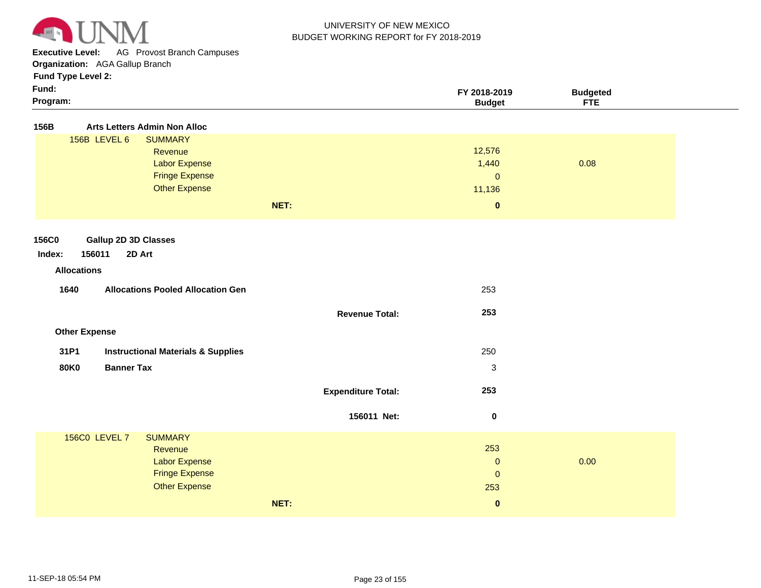

**Executive Level:** AG Provost Branch Campuses

**Organization:**  AGA Gallup Branch

| Fund:    | FY 2018-2019 | Budaeted |  |
|----------|--------------|----------|--|
| Program: | sudaet       | ---      |  |

| 156B   |                                  | <b>Arts Letters Admin Non Alloc</b>           |                           |                       |      |  |
|--------|----------------------------------|-----------------------------------------------|---------------------------|-----------------------|------|--|
|        | 156B LEVEL 6                     | <b>SUMMARY</b>                                |                           |                       |      |  |
|        |                                  | Revenue                                       |                           | 12,576                |      |  |
|        |                                  | Labor Expense<br><b>Fringe Expense</b>        |                           | 1,440                 | 0.08 |  |
|        |                                  | <b>Other Expense</b>                          |                           | $\mathbf 0$<br>11,136 |      |  |
|        |                                  |                                               |                           |                       |      |  |
|        |                                  |                                               | NET:                      | $\pmb{0}$             |      |  |
|        |                                  |                                               |                           |                       |      |  |
| 156C0  | <b>Gallup 2D 3D Classes</b>      |                                               |                           |                       |      |  |
| Index: | 156011                           | 2D Art                                        |                           |                       |      |  |
|        | <b>Allocations</b>               |                                               |                           |                       |      |  |
|        | 1640                             | <b>Allocations Pooled Allocation Gen</b>      |                           | 253                   |      |  |
|        |                                  |                                               |                           |                       |      |  |
|        |                                  |                                               | <b>Revenue Total:</b>     | 253                   |      |  |
|        | <b>Other Expense</b>             |                                               |                           |                       |      |  |
|        |                                  |                                               |                           |                       |      |  |
|        | 31P1                             | <b>Instructional Materials &amp; Supplies</b> |                           | 250                   |      |  |
|        | <b>Banner Tax</b><br><b>80K0</b> |                                               |                           | 3                     |      |  |
|        |                                  |                                               |                           | 253                   |      |  |
|        |                                  |                                               | <b>Expenditure Total:</b> |                       |      |  |
|        |                                  |                                               | 156011 Net:               | $\bf{0}$              |      |  |
|        |                                  |                                               |                           |                       |      |  |
|        | <b>156C0 LEVEL 7</b>             | <b>SUMMARY</b>                                |                           | 253                   |      |  |
|        |                                  | Revenue<br><b>Labor Expense</b>               |                           | $\mathbf 0$           | 0.00 |  |
|        |                                  | <b>Fringe Expense</b>                         |                           | $\mathbf 0$           |      |  |
|        |                                  | <b>Other Expense</b>                          |                           | 253                   |      |  |
|        |                                  |                                               | NET:                      | $\pmb{0}$             |      |  |
|        |                                  |                                               |                           |                       |      |  |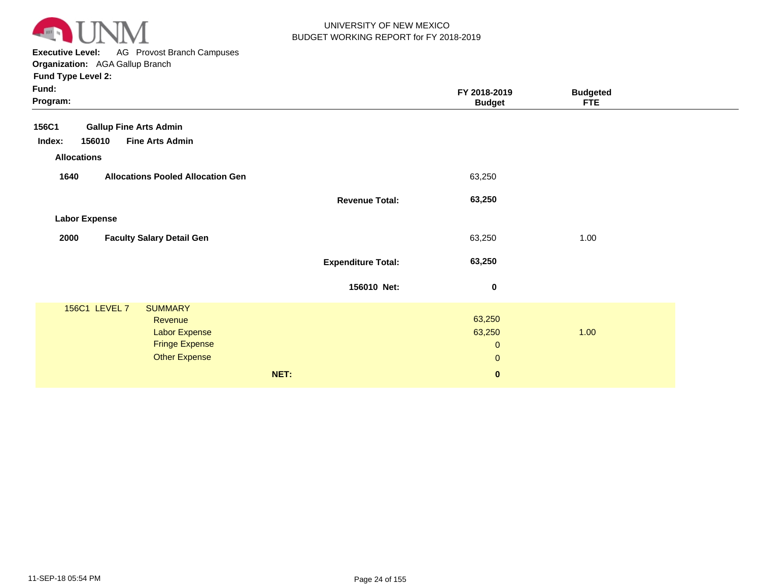

**Executive Level:** AG Provost Branch Campuses **Organization:**  AGA Gallup Branch

| Fund:<br>Program:                                                                                                   |                           | FY 2018-2019<br><b>Budget</b>                   | <b>Budgeted</b><br><b>FTE</b> |  |
|---------------------------------------------------------------------------------------------------------------------|---------------------------|-------------------------------------------------|-------------------------------|--|
| <b>Gallup Fine Arts Admin</b><br>156C1<br><b>Fine Arts Admin</b><br>156010<br>Index:                                |                           |                                                 |                               |  |
| <b>Allocations</b>                                                                                                  |                           |                                                 |                               |  |
| 1640<br><b>Allocations Pooled Allocation Gen</b>                                                                    |                           | 63,250                                          |                               |  |
|                                                                                                                     | <b>Revenue Total:</b>     | 63,250                                          |                               |  |
| <b>Labor Expense</b>                                                                                                |                           |                                                 |                               |  |
| <b>Faculty Salary Detail Gen</b><br>2000                                                                            |                           | 63,250                                          | 1.00                          |  |
|                                                                                                                     | <b>Expenditure Total:</b> | 63,250                                          |                               |  |
|                                                                                                                     | 156010 Net:               | $\pmb{0}$                                       |                               |  |
| 156C1 LEVEL 7<br><b>SUMMARY</b><br>Revenue<br><b>Labor Expense</b><br><b>Fringe Expense</b><br><b>Other Expense</b> |                           | 63,250<br>63,250<br>$\mathbf 0$<br>$\mathbf{0}$ | 1.00                          |  |
|                                                                                                                     | NET:                      | $\pmb{0}$                                       |                               |  |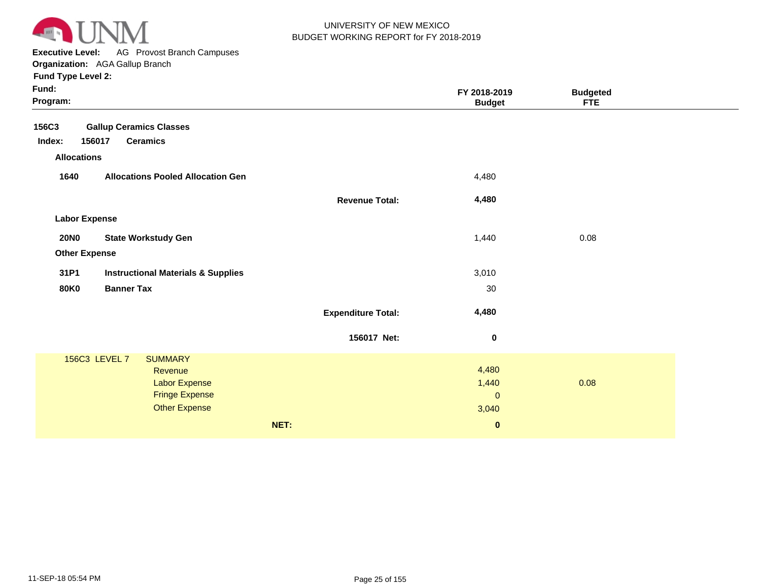

**Executive Level:** AG Provost Branch Campuses

| Fund:<br>Program:                                     |                           | FY 2018-2019<br><b>Budget</b> | <b>Budgeted</b><br><b>FTE</b> |  |
|-------------------------------------------------------|---------------------------|-------------------------------|-------------------------------|--|
| <b>Gallup Ceramics Classes</b><br>156C3               |                           |                               |                               |  |
| Index:<br>156017<br><b>Ceramics</b>                   |                           |                               |                               |  |
| <b>Allocations</b>                                    |                           |                               |                               |  |
| 1640<br><b>Allocations Pooled Allocation Gen</b>      |                           | 4,480                         |                               |  |
|                                                       | <b>Revenue Total:</b>     | 4,480                         |                               |  |
| <b>Labor Expense</b>                                  |                           |                               |                               |  |
| <b>20NO</b><br><b>State Workstudy Gen</b>             |                           | 1,440                         | 0.08                          |  |
| <b>Other Expense</b>                                  |                           |                               |                               |  |
| 31P1<br><b>Instructional Materials &amp; Supplies</b> |                           | 3,010                         |                               |  |
| <b>80K0</b><br><b>Banner Tax</b>                      |                           | 30                            |                               |  |
|                                                       | <b>Expenditure Total:</b> | 4,480                         |                               |  |
|                                                       | 156017 Net:               | $\bf{0}$                      |                               |  |
| 156C3 LEVEL 7<br><b>SUMMARY</b>                       |                           |                               |                               |  |
| Revenue                                               |                           | 4,480                         |                               |  |
| <b>Labor Expense</b>                                  |                           | 1,440                         | 0.08                          |  |
| <b>Fringe Expense</b>                                 |                           | $\mathbf{0}$                  |                               |  |
| <b>Other Expense</b>                                  |                           | 3,040                         |                               |  |
|                                                       | NET:                      | $\bf{0}$                      |                               |  |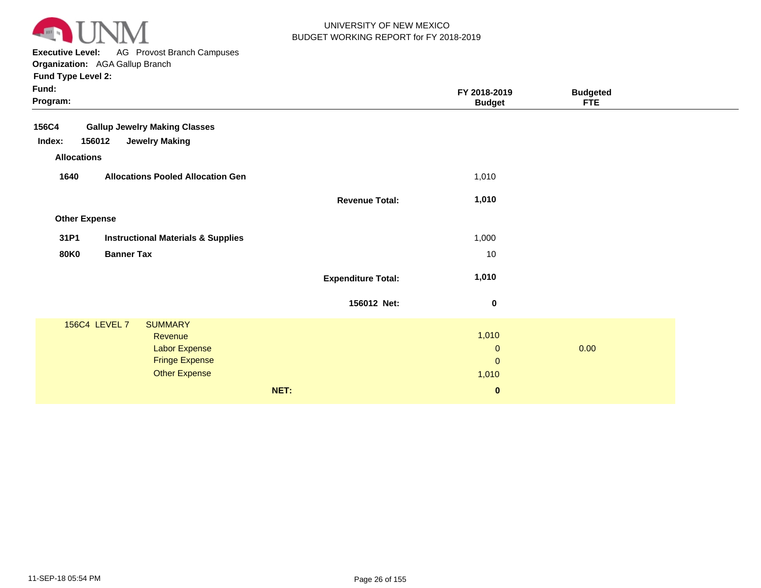

**Executive Level:** AG Provost Branch Campuses **Organization:**  AGA Gallup Branch

| Fund:<br>Program:    |                                               |                           | FY 2018-2019<br><b>Budget</b> | <b>Budgeted</b><br><b>FTE</b> |  |
|----------------------|-----------------------------------------------|---------------------------|-------------------------------|-------------------------------|--|
| 156C4                | <b>Gallup Jewelry Making Classes</b>          |                           |                               |                               |  |
| Index:<br>156012     | <b>Jewelry Making</b>                         |                           |                               |                               |  |
| <b>Allocations</b>   |                                               |                           |                               |                               |  |
| 1640                 | <b>Allocations Pooled Allocation Gen</b>      |                           | 1,010                         |                               |  |
|                      |                                               | <b>Revenue Total:</b>     | 1,010                         |                               |  |
| <b>Other Expense</b> |                                               |                           |                               |                               |  |
| 31P1                 | <b>Instructional Materials &amp; Supplies</b> |                           | 1,000                         |                               |  |
| <b>80K0</b>          | <b>Banner Tax</b>                             |                           | 10                            |                               |  |
|                      |                                               | <b>Expenditure Total:</b> | 1,010                         |                               |  |
|                      |                                               | 156012 Net:               | $\bf{0}$                      |                               |  |
| 156C4 LEVEL 7        | <b>SUMMARY</b>                                |                           |                               |                               |  |
|                      | Revenue                                       |                           | 1,010                         |                               |  |
|                      | <b>Labor Expense</b>                          |                           | $\mathbf{0}$                  | 0.00                          |  |
|                      | <b>Fringe Expense</b>                         |                           | $\mathbf{0}$                  |                               |  |
|                      | <b>Other Expense</b>                          |                           | 1,010                         |                               |  |
|                      |                                               | NET:                      | $\bf{0}$                      |                               |  |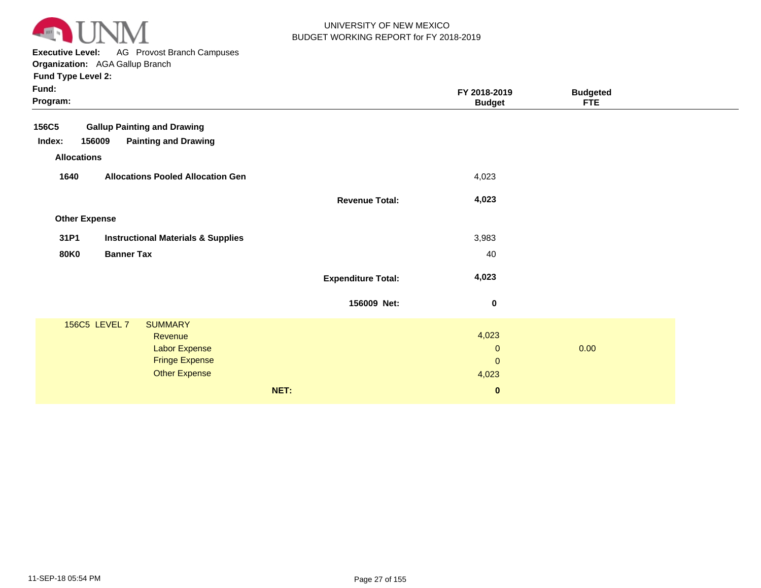

**Executive Level:** AG Provost Branch Campuses

**Organization:**  AGA Gallup Branch

| Fund:<br>Program:                                     |                           | FY 2018-2019<br><b>Budget</b> | <b>Budgeted</b><br><b>FTE</b> |
|-------------------------------------------------------|---------------------------|-------------------------------|-------------------------------|
| <b>Gallup Painting and Drawing</b><br>156C5           |                           |                               |                               |
| <b>Painting and Drawing</b><br>Index:<br>156009       |                           |                               |                               |
| <b>Allocations</b>                                    |                           |                               |                               |
| 1640<br><b>Allocations Pooled Allocation Gen</b>      |                           | 4,023                         |                               |
|                                                       | <b>Revenue Total:</b>     | 4,023                         |                               |
| <b>Other Expense</b>                                  |                           |                               |                               |
| 31P1<br><b>Instructional Materials &amp; Supplies</b> |                           | 3,983                         |                               |
| <b>80K0</b><br><b>Banner Tax</b>                      |                           | 40                            |                               |
|                                                       | <b>Expenditure Total:</b> | 4,023                         |                               |
|                                                       | 156009 Net:               | $\bf{0}$                      |                               |
| 156C5 LEVEL 7<br><b>SUMMARY</b>                       |                           |                               |                               |
| Revenue                                               |                           | 4,023                         |                               |
| Labor Expense                                         |                           | $\mathbf{0}$                  | 0.00                          |
| <b>Fringe Expense</b>                                 |                           | $\pmb{0}$                     |                               |
| Other Expense                                         |                           | 4,023                         |                               |
|                                                       | NET:                      | $\bf{0}$                      |                               |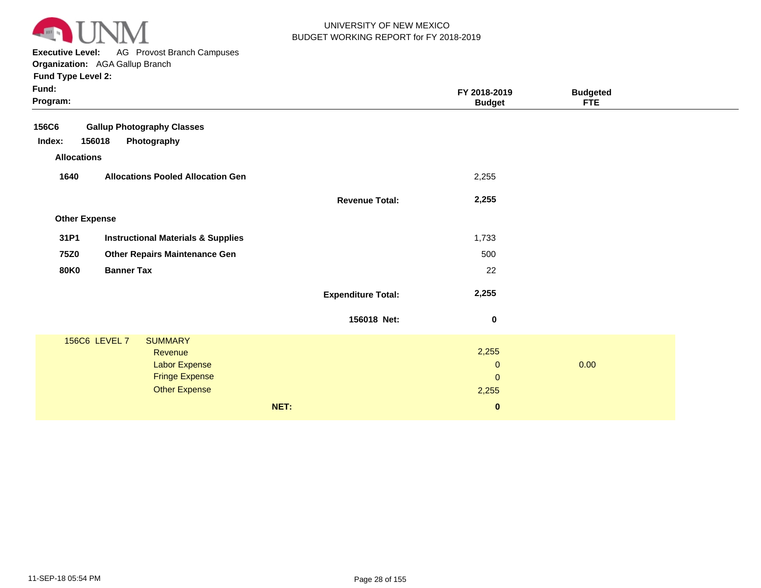

**Executive Level:** AG Provost Branch Campuses **Organization:**  AGA Gallup Branch

| Fund:<br>Program:    |                                               |                           | FY 2018-2019<br><b>Budget</b> | <b>Budgeted</b><br><b>FTE</b> |  |
|----------------------|-----------------------------------------------|---------------------------|-------------------------------|-------------------------------|--|
| <b>156C6</b>         | <b>Gallup Photography Classes</b>             |                           |                               |                               |  |
| Index:<br>156018     | Photography                                   |                           |                               |                               |  |
| <b>Allocations</b>   |                                               |                           |                               |                               |  |
| 1640                 | <b>Allocations Pooled Allocation Gen</b>      |                           | 2,255                         |                               |  |
|                      |                                               | <b>Revenue Total:</b>     | 2,255                         |                               |  |
| <b>Other Expense</b> |                                               |                           |                               |                               |  |
| 31P1                 | <b>Instructional Materials &amp; Supplies</b> |                           | 1,733                         |                               |  |
| <b>75Z0</b>          | <b>Other Repairs Maintenance Gen</b>          |                           | 500                           |                               |  |
| <b>80K0</b>          | <b>Banner Tax</b>                             |                           | 22                            |                               |  |
|                      |                                               | <b>Expenditure Total:</b> | 2,255                         |                               |  |
|                      |                                               | 156018 Net:               | $\boldsymbol{0}$              |                               |  |
| 156C6 LEVEL 7        | <b>SUMMARY</b>                                |                           |                               |                               |  |
|                      | Revenue                                       |                           | 2,255                         |                               |  |
|                      | <b>Labor Expense</b><br><b>Fringe Expense</b> |                           | $\pmb{0}$                     | 0.00                          |  |
|                      | <b>Other Expense</b>                          |                           | $\mathbf{O}$<br>2,255         |                               |  |
|                      |                                               |                           |                               |                               |  |
|                      |                                               | NET:                      | $\pmb{0}$                     |                               |  |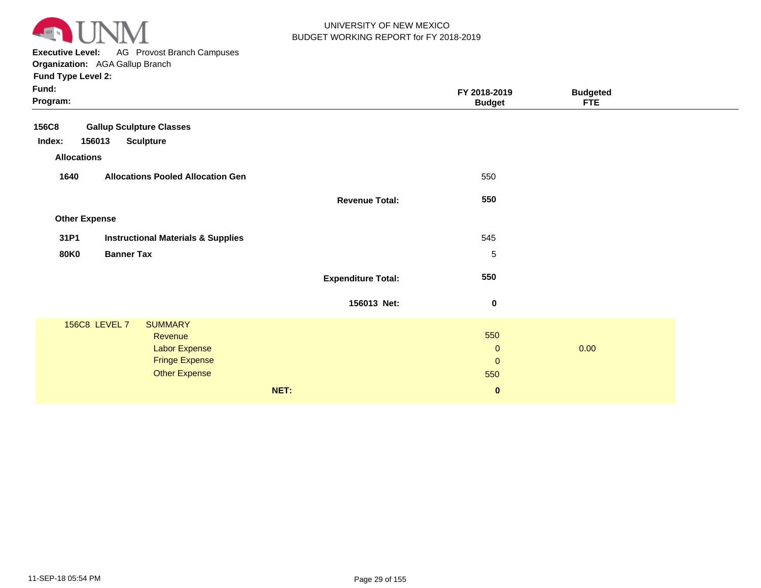

**Executive Level:** AG Provost Branch Campuses **Organization:**  AGA Gallup Branch

| Fund:<br>Program:    |                                               |                           | FY 2018-2019<br><b>Budget</b> | <b>Budgeted</b><br><b>FTE</b> |  |
|----------------------|-----------------------------------------------|---------------------------|-------------------------------|-------------------------------|--|
| <b>156C8</b>         | <b>Gallup Sculpture Classes</b>               |                           |                               |                               |  |
| 156013<br>Index:     | <b>Sculpture</b>                              |                           |                               |                               |  |
| <b>Allocations</b>   |                                               |                           |                               |                               |  |
| 1640                 | <b>Allocations Pooled Allocation Gen</b>      |                           | 550                           |                               |  |
|                      |                                               | <b>Revenue Total:</b>     | 550                           |                               |  |
| <b>Other Expense</b> |                                               |                           |                               |                               |  |
| 31P1                 | <b>Instructional Materials &amp; Supplies</b> |                           | 545                           |                               |  |
| <b>80K0</b>          | <b>Banner Tax</b>                             |                           | 5                             |                               |  |
|                      |                                               | <b>Expenditure Total:</b> | 550                           |                               |  |
|                      |                                               | 156013 Net:               | $\bf{0}$                      |                               |  |
| 156C8 LEVEL 7        | <b>SUMMARY</b>                                |                           |                               |                               |  |
|                      | Revenue                                       |                           | 550                           |                               |  |
|                      | Labor Expense                                 |                           | $\mathbf{0}$                  | 0.00                          |  |
|                      | <b>Fringe Expense</b>                         |                           | $\mathbf{0}$                  |                               |  |
|                      | <b>Other Expense</b>                          |                           | 550                           |                               |  |
|                      |                                               | NET:                      | $\mathbf 0$                   |                               |  |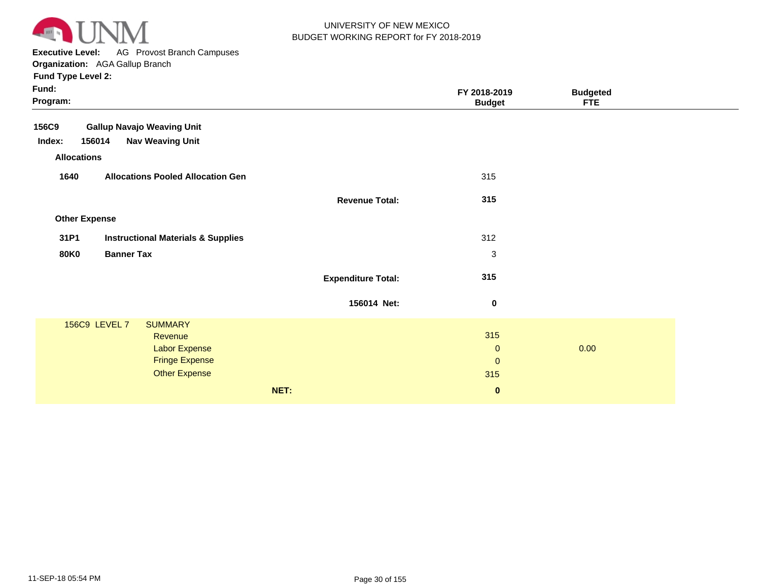

**Executive Level:** AG Provost Branch Campuses

| Fund:<br>Program:    |                                               |                           | FY 2018-2019<br><b>Budget</b> | <b>Budgeted</b><br><b>FTE</b> |  |
|----------------------|-----------------------------------------------|---------------------------|-------------------------------|-------------------------------|--|
| 156C9                | <b>Gallup Navajo Weaving Unit</b>             |                           |                               |                               |  |
| Index:<br>156014     | <b>Nav Weaving Unit</b>                       |                           |                               |                               |  |
| <b>Allocations</b>   |                                               |                           |                               |                               |  |
| 1640                 | <b>Allocations Pooled Allocation Gen</b>      |                           | 315                           |                               |  |
|                      |                                               | <b>Revenue Total:</b>     | 315                           |                               |  |
| <b>Other Expense</b> |                                               |                           |                               |                               |  |
| 31P1                 | <b>Instructional Materials &amp; Supplies</b> |                           | 312                           |                               |  |
| <b>80K0</b>          | <b>Banner Tax</b>                             |                           | $\sqrt{3}$                    |                               |  |
|                      |                                               | <b>Expenditure Total:</b> | 315                           |                               |  |
|                      |                                               | 156014 Net:               | $\bf{0}$                      |                               |  |
|                      | 156C9 LEVEL 7<br><b>SUMMARY</b>               |                           |                               |                               |  |
|                      | Revenue                                       |                           | 315                           |                               |  |
|                      | <b>Labor Expense</b>                          |                           | $\mathbf 0$                   | 0.00                          |  |
|                      | <b>Fringe Expense</b>                         |                           | $\mathbf 0$                   |                               |  |
|                      | <b>Other Expense</b>                          |                           | 315                           |                               |  |
|                      |                                               | NET:                      | $\bf{0}$                      |                               |  |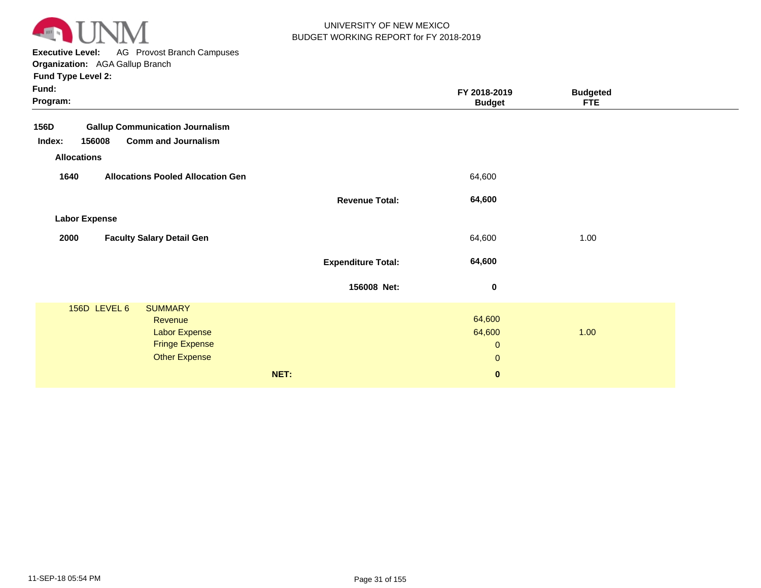

**Executive Level:** AG Provost Branch Campuses

| Fund:<br>Program:                                                                                                      |                           | FY 2018-2019<br><b>Budget</b>         | <b>Budgeted</b><br><b>FTE</b> |  |
|------------------------------------------------------------------------------------------------------------------------|---------------------------|---------------------------------------|-------------------------------|--|
| 156D<br><b>Gallup Communication Journalism</b><br>156008<br><b>Comm and Journalism</b><br>Index:<br><b>Allocations</b> |                           |                                       |                               |  |
| 1640<br><b>Allocations Pooled Allocation Gen</b>                                                                       | <b>Revenue Total:</b>     | 64,600<br>64,600                      |                               |  |
| <b>Labor Expense</b><br>2000<br><b>Faculty Salary Detail Gen</b>                                                       |                           | 64,600                                | 1.00                          |  |
|                                                                                                                        | <b>Expenditure Total:</b> | 64,600                                |                               |  |
| 156D LEVEL 6<br><b>SUMMARY</b><br>Revenue<br><b>Labor Expense</b>                                                      | 156008 Net:               | $\pmb{0}$<br>64,600<br>64,600         | 1.00                          |  |
| <b>Fringe Expense</b><br><b>Other Expense</b>                                                                          | NET:                      | $\mathbf 0$<br>$\pmb{0}$<br>$\pmb{0}$ |                               |  |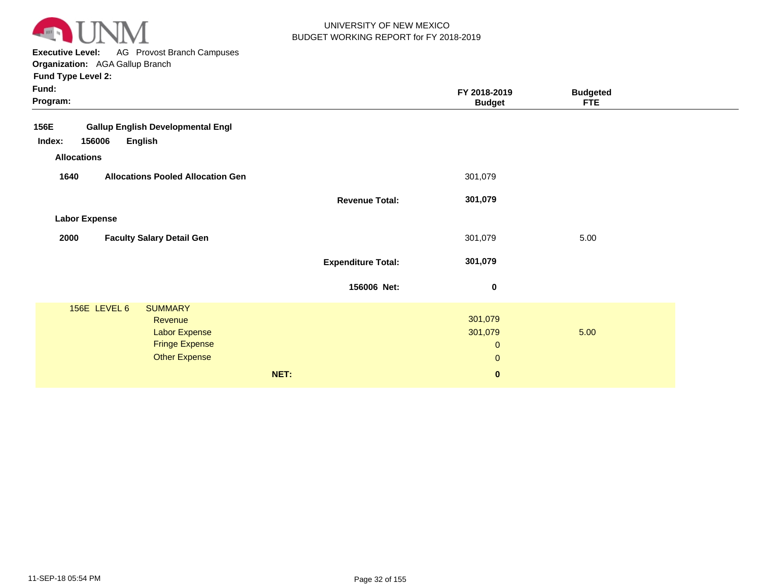

**Executive Level:** AG Provost Branch Campuses **Organization:**  AGA Gallup Branch

| Fund:<br>Program:                                                                                                  |                           | FY 2018-2019<br><b>Budget</b>                       | <b>Budgeted</b><br><b>FTE</b> |  |
|--------------------------------------------------------------------------------------------------------------------|---------------------------|-----------------------------------------------------|-------------------------------|--|
| <b>Gallup English Developmental Engl</b><br>156E<br>Index:<br>156006<br><b>English</b><br><b>Allocations</b>       |                           |                                                     |                               |  |
| 1640<br><b>Allocations Pooled Allocation Gen</b>                                                                   |                           | 301,079                                             |                               |  |
|                                                                                                                    | <b>Revenue Total:</b>     | 301,079                                             |                               |  |
| <b>Labor Expense</b>                                                                                               |                           |                                                     |                               |  |
| 2000<br><b>Faculty Salary Detail Gen</b>                                                                           |                           | 301,079                                             | 5.00                          |  |
|                                                                                                                    | <b>Expenditure Total:</b> | 301,079                                             |                               |  |
|                                                                                                                    | 156006 Net:               | $\bf{0}$                                            |                               |  |
| 156E LEVEL 6<br><b>SUMMARY</b><br>Revenue<br><b>Labor Expense</b><br><b>Fringe Expense</b><br><b>Other Expense</b> |                           | 301,079<br>301,079<br>$\mathbf 0$<br>$\overline{0}$ | 5.00                          |  |
|                                                                                                                    | NET:                      | $\mathbf 0$                                         |                               |  |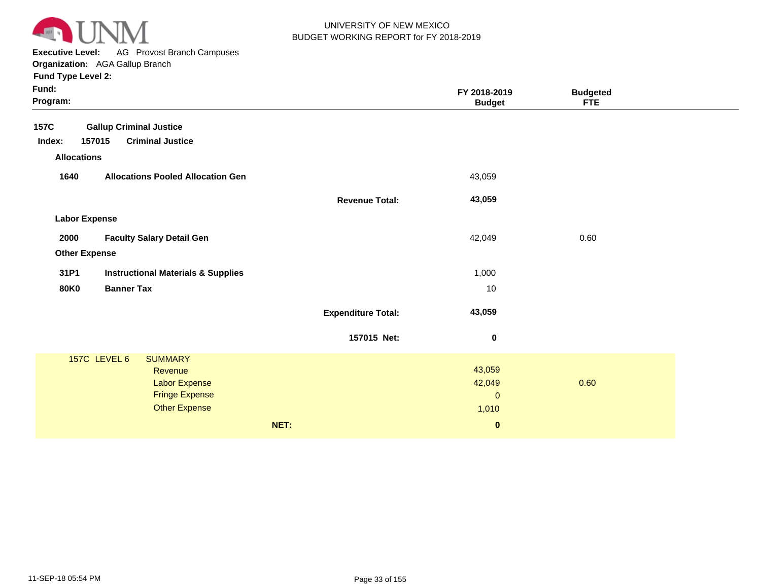

**Executive Level:** AG Provost Branch Campuses **Organization:**  AGA Gallup Branch

| Fund:<br>Program:    |                                               |                           | FY 2018-2019<br><b>Budget</b> | <b>Budgeted</b><br><b>FTE</b> |  |
|----------------------|-----------------------------------------------|---------------------------|-------------------------------|-------------------------------|--|
| 157C                 | <b>Gallup Criminal Justice</b>                |                           |                               |                               |  |
| 157015<br>Index:     | <b>Criminal Justice</b>                       |                           |                               |                               |  |
| <b>Allocations</b>   |                                               |                           |                               |                               |  |
| 1640                 | <b>Allocations Pooled Allocation Gen</b>      |                           | 43,059                        |                               |  |
|                      |                                               | <b>Revenue Total:</b>     | 43,059                        |                               |  |
| <b>Labor Expense</b> |                                               |                           |                               |                               |  |
| 2000                 | <b>Faculty Salary Detail Gen</b>              |                           | 42,049                        | 0.60                          |  |
| <b>Other Expense</b> |                                               |                           |                               |                               |  |
| 31P1                 | <b>Instructional Materials &amp; Supplies</b> |                           | 1,000                         |                               |  |
| <b>80K0</b>          | <b>Banner Tax</b>                             |                           | 10                            |                               |  |
|                      |                                               | <b>Expenditure Total:</b> | 43,059                        |                               |  |
|                      |                                               | 157015 Net:               | $\pmb{0}$                     |                               |  |
|                      | 157C LEVEL 6<br><b>SUMMARY</b>                |                           |                               |                               |  |
|                      | Revenue                                       |                           | 43,059                        |                               |  |
|                      | Labor Expense                                 |                           | 42,049                        | 0.60                          |  |
|                      | <b>Fringe Expense</b>                         |                           | $\pmb{0}$                     |                               |  |
|                      | <b>Other Expense</b>                          |                           | 1,010                         |                               |  |
|                      |                                               | NET:                      | $\pmb{0}$                     |                               |  |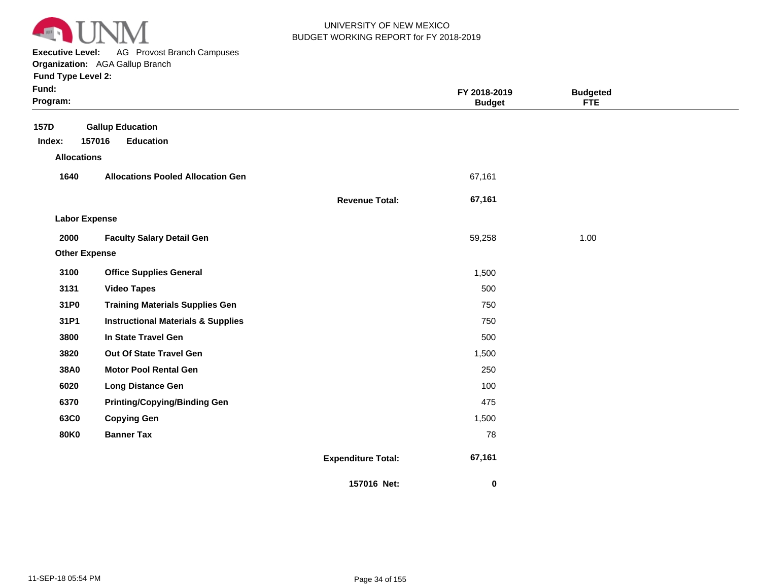

**Executive Level:** AG Provost Branch Campuses

|                      | <b>Organization:</b> AGA Gallup Branch        |                       |                               |                               |  |
|----------------------|-----------------------------------------------|-----------------------|-------------------------------|-------------------------------|--|
| Fund Type Level 2:   |                                               |                       |                               |                               |  |
| Fund:<br>Program:    |                                               |                       | FY 2018-2019<br><b>Budget</b> | <b>Budgeted</b><br><b>FTE</b> |  |
| <b>157D</b>          | <b>Gallup Education</b>                       |                       |                               |                               |  |
| Index:               | 157016<br><b>Education</b>                    |                       |                               |                               |  |
| <b>Allocations</b>   |                                               |                       |                               |                               |  |
| 1640                 | <b>Allocations Pooled Allocation Gen</b>      |                       | 67,161                        |                               |  |
|                      |                                               | <b>Revenue Total:</b> | 67,161                        |                               |  |
| <b>Labor Expense</b> |                                               |                       |                               |                               |  |
| 2000                 | <b>Faculty Salary Detail Gen</b>              |                       | 59,258                        | 1.00                          |  |
| <b>Other Expense</b> |                                               |                       |                               |                               |  |
| 3100                 | <b>Office Supplies General</b>                |                       | 1,500                         |                               |  |
| 3131                 | <b>Video Tapes</b>                            |                       | 500                           |                               |  |
| 31P0                 | <b>Training Materials Supplies Gen</b>        |                       | 750                           |                               |  |
| 31P1                 | <b>Instructional Materials &amp; Supplies</b> |                       | 750                           |                               |  |
| 3800                 | In State Travel Gen                           |                       | 500                           |                               |  |
| 3820                 | Out Of State Travel Gen                       |                       | 1,500                         |                               |  |
| 38A0                 | <b>Motor Pool Rental Gen</b>                  |                       | 250                           |                               |  |
| 6020                 | <b>Long Distance Gen</b>                      |                       | 100                           |                               |  |
| 6370                 | <b>Printing/Copying/Binding Gen</b>           |                       | 475                           |                               |  |
| 63C0                 | <b>Copying Gen</b>                            |                       | 1,500                         |                               |  |
| <b>80K0</b>          | <b>Banner Tax</b>                             |                       | 78                            |                               |  |

**Expenditure Total: 67,161** 

 **0** 

**157016 Net:**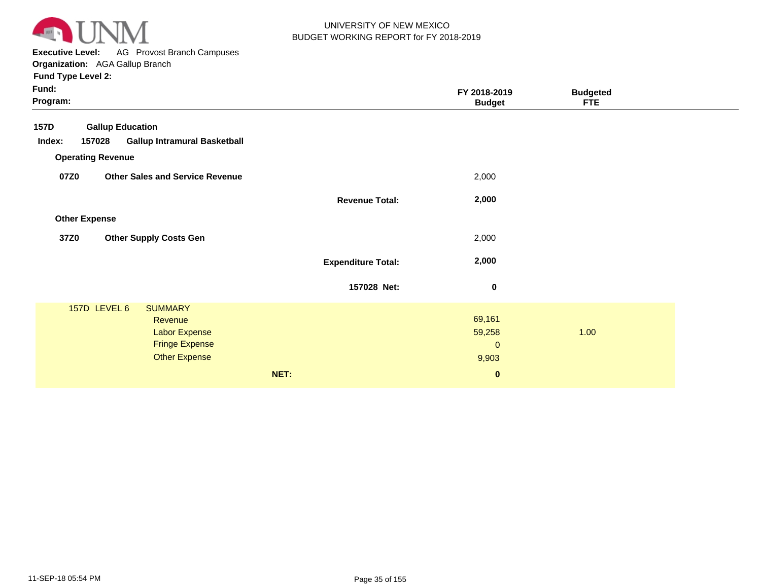

**Executive Level:** AG Provost Branch Campuses **Organization:**  AGA Gallup Branch

| Fund:<br>Program: |                          |                                                                                             |                           | FY 2018-2019<br><b>Budget</b>            | <b>Budgeted</b><br><b>FTE</b> |  |
|-------------------|--------------------------|---------------------------------------------------------------------------------------------|---------------------------|------------------------------------------|-------------------------------|--|
| <b>157D</b>       | <b>Gallup Education</b>  |                                                                                             |                           |                                          |                               |  |
| Index:            | 157028                   | <b>Gallup Intramural Basketball</b>                                                         |                           |                                          |                               |  |
|                   | <b>Operating Revenue</b> |                                                                                             |                           |                                          |                               |  |
| 07Z0              |                          | <b>Other Sales and Service Revenue</b>                                                      |                           | 2,000                                    |                               |  |
|                   |                          |                                                                                             | <b>Revenue Total:</b>     | 2,000                                    |                               |  |
|                   | <b>Other Expense</b>     |                                                                                             |                           |                                          |                               |  |
| 37Z0              |                          | <b>Other Supply Costs Gen</b>                                                               |                           | 2,000                                    |                               |  |
|                   |                          |                                                                                             | <b>Expenditure Total:</b> | 2,000                                    |                               |  |
|                   |                          |                                                                                             | 157028 Net:               | $\pmb{0}$                                |                               |  |
|                   | 157D LEVEL 6             | <b>SUMMARY</b><br>Revenue<br>Labor Expense<br><b>Fringe Expense</b><br><b>Other Expense</b> |                           | 69,161<br>59,258<br>$\mathbf 0$<br>9,903 | 1.00                          |  |
|                   |                          |                                                                                             | NET:                      | $\bf{0}$                                 |                               |  |
|                   |                          |                                                                                             |                           |                                          |                               |  |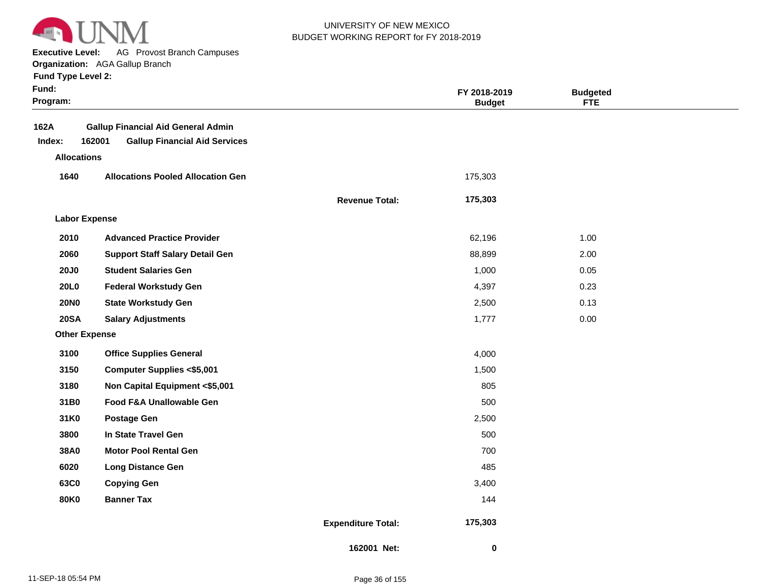

**Executive Level:** AG Provost Branch Campuses

**Organization:**  AGA Gallup Branch

| <b>Fund Type Level 2:</b> |
|---------------------------|
|---------------------------|

| Fund:<br>Program:    |                                                                                             |                           | FY 2018-2019<br><b>Budget</b> | <b>Budgeted</b><br><b>FTE</b> |  |
|----------------------|---------------------------------------------------------------------------------------------|---------------------------|-------------------------------|-------------------------------|--|
| 162A<br>Index:       | <b>Gallup Financial Aid General Admin</b><br>162001<br><b>Gallup Financial Aid Services</b> |                           |                               |                               |  |
| <b>Allocations</b>   |                                                                                             |                           |                               |                               |  |
| 1640                 | <b>Allocations Pooled Allocation Gen</b>                                                    |                           | 175,303                       |                               |  |
|                      |                                                                                             | <b>Revenue Total:</b>     | 175,303                       |                               |  |
| <b>Labor Expense</b> |                                                                                             |                           |                               |                               |  |
| 2010                 | <b>Advanced Practice Provider</b>                                                           |                           | 62,196                        | 1.00                          |  |
| 2060                 | <b>Support Staff Salary Detail Gen</b>                                                      |                           | 88,899                        | 2.00                          |  |
| <b>20J0</b>          | <b>Student Salaries Gen</b>                                                                 |                           | 1,000                         | 0.05                          |  |
| <b>20L0</b>          | <b>Federal Workstudy Gen</b>                                                                |                           | 4,397                         | 0.23                          |  |
| <b>20NO</b>          | <b>State Workstudy Gen</b>                                                                  |                           | 2,500                         | 0.13                          |  |
| <b>20SA</b>          | <b>Salary Adjustments</b>                                                                   |                           | 1,777                         | 0.00                          |  |
| <b>Other Expense</b> |                                                                                             |                           |                               |                               |  |
| 3100                 | <b>Office Supplies General</b>                                                              |                           | 4,000                         |                               |  |
| 3150                 | <b>Computer Supplies &lt;\$5,001</b>                                                        |                           | 1,500                         |                               |  |
| 3180                 | Non Capital Equipment <\$5,001                                                              |                           | 805                           |                               |  |
| 31B0                 | Food F&A Unallowable Gen                                                                    |                           | 500                           |                               |  |
| 31K0                 | <b>Postage Gen</b>                                                                          |                           | 2,500                         |                               |  |
| 3800                 | In State Travel Gen                                                                         |                           | 500                           |                               |  |
| 38A0                 | <b>Motor Pool Rental Gen</b>                                                                |                           | 700                           |                               |  |
| 6020                 | <b>Long Distance Gen</b>                                                                    |                           | 485                           |                               |  |
| 63C0                 | <b>Copying Gen</b>                                                                          |                           | 3,400                         |                               |  |
| <b>80K0</b>          | <b>Banner Tax</b>                                                                           |                           | 144                           |                               |  |
|                      |                                                                                             | <b>Expenditure Total:</b> | 175,303                       |                               |  |
|                      |                                                                                             | 162001 Net:               | 0                             |                               |  |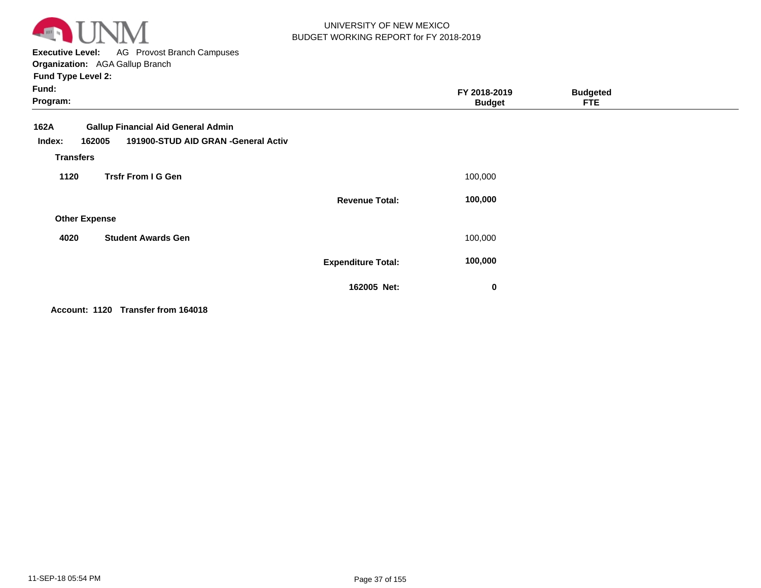

**Executive Level:** AG Provost Branch Campuses **Organization:**  AGA Gallup Branch

**Fund Type Level 2:**

| Fund:<br>Program:                                                                                                                |                           | FY 2018-2019<br><b>Budget</b> | <b>Budgeted</b><br><b>FTE</b> |  |
|----------------------------------------------------------------------------------------------------------------------------------|---------------------------|-------------------------------|-------------------------------|--|
| <b>Gallup Financial Aid General Admin</b><br>162A<br>191900-STUD AID GRAN -General Activ<br>162005<br>Index:<br><b>Transfers</b> |                           |                               |                               |  |
| <b>Trsfr From I G Gen</b><br>1120                                                                                                |                           | 100,000                       |                               |  |
|                                                                                                                                  | <b>Revenue Total:</b>     | 100,000                       |                               |  |
| <b>Other Expense</b>                                                                                                             |                           |                               |                               |  |
| <b>Student Awards Gen</b><br>4020                                                                                                |                           | 100,000                       |                               |  |
|                                                                                                                                  | <b>Expenditure Total:</b> | 100,000                       |                               |  |
|                                                                                                                                  | 162005 Net:               | 0                             |                               |  |

**Account: 1120 Transfer from 164018**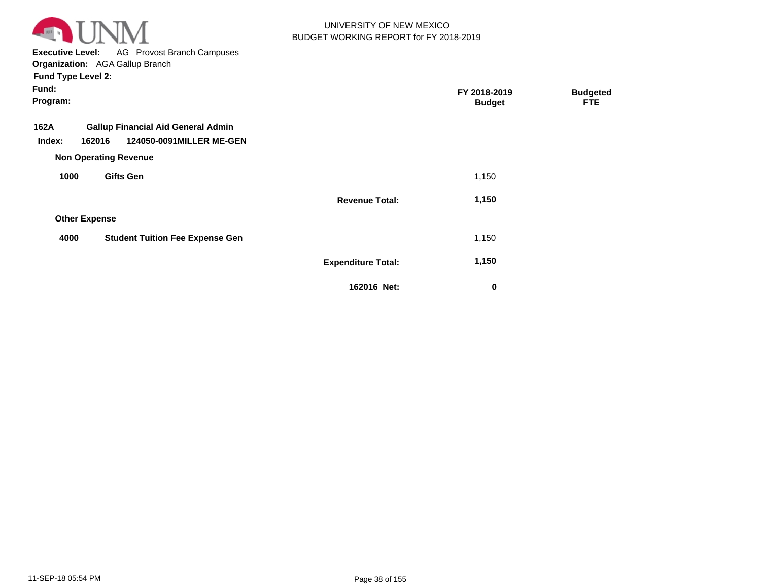

**Executive Level:** AG Provost Branch Campuses **Organization:**  AGA Gallup Branch

| Fund:<br>Program:                                                                                                                 |                           | FY 2018-2019<br><b>Budget</b> | <b>Budgeted</b><br><b>FTE</b> |  |
|-----------------------------------------------------------------------------------------------------------------------------------|---------------------------|-------------------------------|-------------------------------|--|
| <b>Gallup Financial Aid General Admin</b><br>162A<br>124050-0091MILLER ME-GEN<br>162016<br>Index:<br><b>Non Operating Revenue</b> |                           |                               |                               |  |
| <b>Gifts Gen</b><br>1000                                                                                                          |                           | 1,150                         |                               |  |
|                                                                                                                                   | <b>Revenue Total:</b>     | 1,150                         |                               |  |
| <b>Other Expense</b>                                                                                                              |                           |                               |                               |  |
| <b>Student Tuition Fee Expense Gen</b><br>4000                                                                                    |                           | 1,150                         |                               |  |
|                                                                                                                                   | <b>Expenditure Total:</b> | 1,150                         |                               |  |
|                                                                                                                                   | 162016 Net:               | $\bf{0}$                      |                               |  |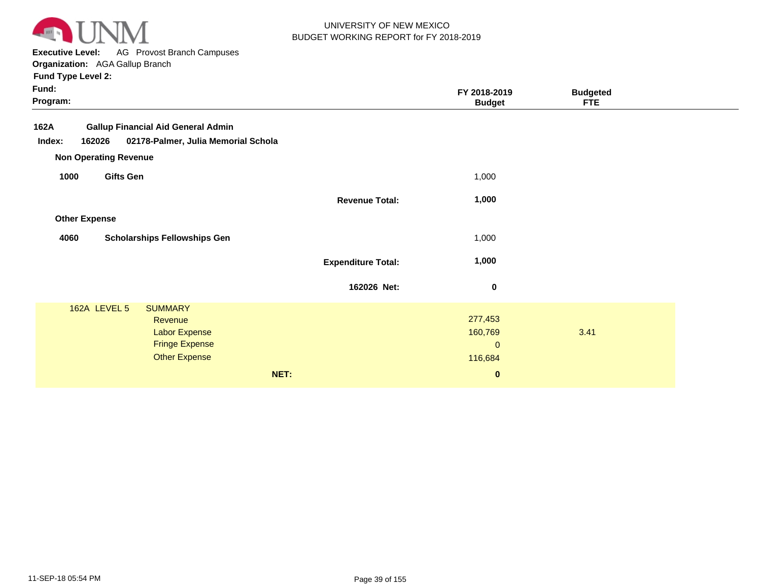

**Executive Level:** AG Provost Branch Campuses **Organization:**  AGA Gallup Branch

|                                                                                                     |                                                              | <b>Budgeted</b><br><b>FTE</b>                                     |                               |
|-----------------------------------------------------------------------------------------------------|--------------------------------------------------------------|-------------------------------------------------------------------|-------------------------------|
| <b>Gallup Financial Aid General Admin</b><br>02178-Palmer, Julia Memorial Schola                    |                                                              |                                                                   |                               |
|                                                                                                     | 1,000                                                        |                                                                   |                               |
|                                                                                                     | 1,000                                                        |                                                                   |                               |
|                                                                                                     |                                                              |                                                                   |                               |
| <b>Scholarships Fellowships Gen</b>                                                                 | 1,000                                                        |                                                                   |                               |
|                                                                                                     | 1,000                                                        |                                                                   |                               |
|                                                                                                     | $\mathbf 0$                                                  |                                                                   |                               |
| <b>SUMMARY</b><br>Revenue<br>Labor Expense<br><b>Fringe Expense</b><br><b>Other Expense</b><br>NET: | 277,453<br>160,769<br>$\mathbf{0}$<br>116,684<br>$\mathbf 0$ | 3.41                                                              |                               |
|                                                                                                     |                                                              | <b>Revenue Total:</b><br><b>Expenditure Total:</b><br>162026 Net: | FY 2018-2019<br><b>Budget</b> |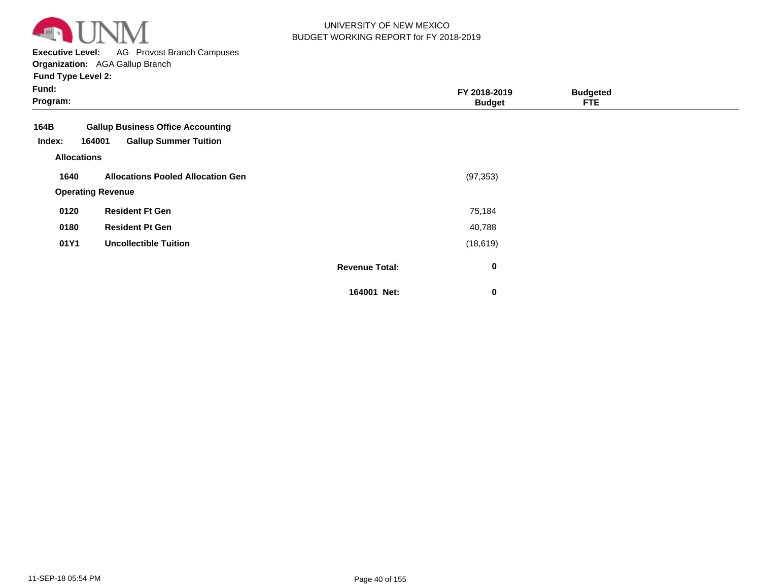

**Executive Level:** AG Provost Branch Campuses

**Organization:**  AGA Gallup Branch

| Fund:<br>Program:                                                                                    |                       | FY 2018-2019<br><b>Budget</b> | <b>Budgeted</b><br><b>FTE</b> |  |
|------------------------------------------------------------------------------------------------------|-----------------------|-------------------------------|-------------------------------|--|
| <b>Gallup Business Office Accounting</b><br>164B<br><b>Gallup Summer Tuition</b><br>Index:<br>164001 |                       |                               |                               |  |
| <b>Allocations</b>                                                                                   |                       |                               |                               |  |
| 1640<br><b>Allocations Pooled Allocation Gen</b><br><b>Operating Revenue</b>                         |                       | (97, 353)                     |                               |  |
| <b>Resident Ft Gen</b><br>0120                                                                       |                       | 75,184                        |                               |  |
| 0180<br><b>Resident Pt Gen</b>                                                                       |                       | 40,788                        |                               |  |
| 01Y1<br><b>Uncollectible Tuition</b>                                                                 |                       | (18, 619)                     |                               |  |
|                                                                                                      | <b>Revenue Total:</b> | $\bf{0}$                      |                               |  |
|                                                                                                      | 164001 Net:           | 0                             |                               |  |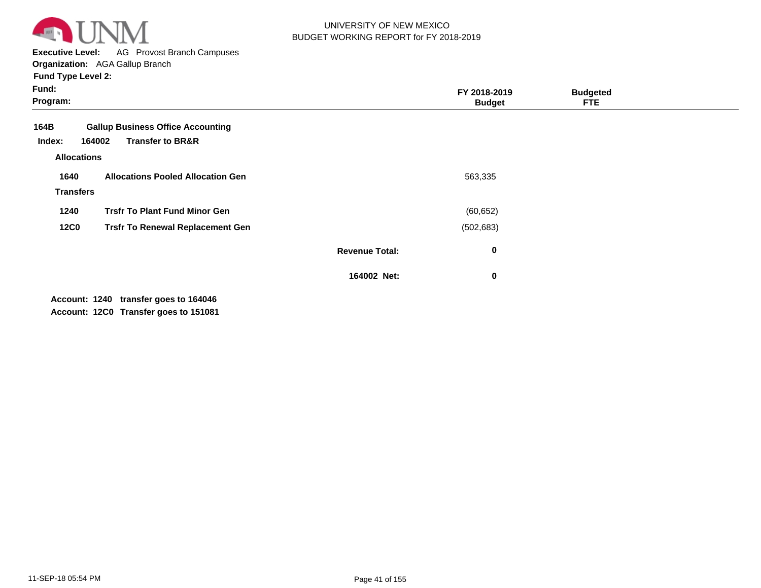

**Executive Level:** AG Provost Branch Campuses **Organization:**  AGA Gallup Branch

**Fund Type Level 2:**

| Fund:<br>Program:                              |                                                                         |                       | FY 2018-2019<br><b>Budget</b> | <b>Budgeted</b><br><b>FTE</b> |  |
|------------------------------------------------|-------------------------------------------------------------------------|-----------------------|-------------------------------|-------------------------------|--|
| 164B<br>164002<br>Index:<br><b>Allocations</b> | <b>Gallup Business Office Accounting</b><br><b>Transfer to BR&amp;R</b> |                       |                               |                               |  |
| 1640<br><b>Transfers</b>                       | <b>Allocations Pooled Allocation Gen</b>                                |                       | 563,335                       |                               |  |
| 1240                                           | <b>Trsfr To Plant Fund Minor Gen</b>                                    |                       | (60, 652)                     |                               |  |
| <b>12C0</b>                                    | <b>Trsfr To Renewal Replacement Gen</b>                                 |                       | (502, 683)                    |                               |  |
|                                                |                                                                         | <b>Revenue Total:</b> | 0                             |                               |  |
|                                                |                                                                         | 164002 Net:           | $\bf{0}$                      |                               |  |

Account: 1240 transfer goes to 164046 **12C0 Transfer goes to 151081 Account:**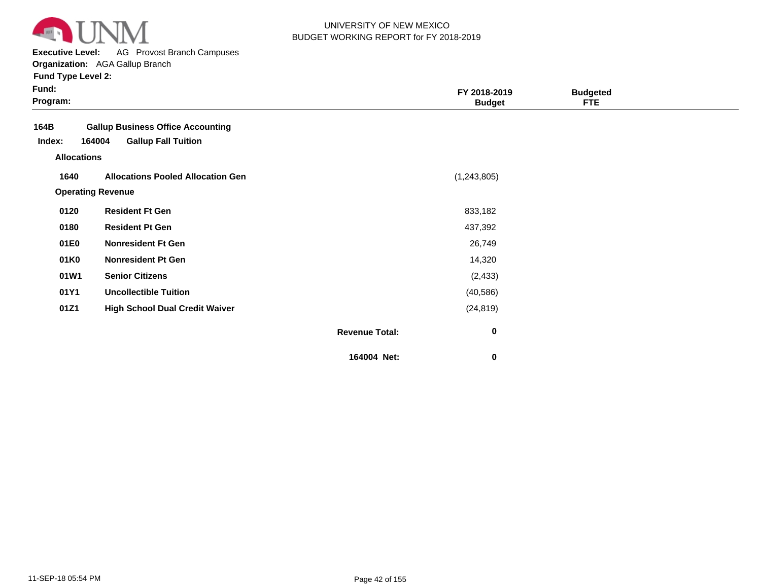

**Executive Level:** AG Provost Branch Campuses

| <b>Fund Type Level 2:</b> |  |
|---------------------------|--|
|---------------------------|--|

| ×<br>× |  |
|--------|--|
|--------|--|

| Fund:<br>Program:  |                                          |                       | FY 2018-2019<br><b>Budget</b> | <b>Budgeted</b><br><b>FTE</b> |  |
|--------------------|------------------------------------------|-----------------------|-------------------------------|-------------------------------|--|
| 164B               | <b>Gallup Business Office Accounting</b> |                       |                               |                               |  |
| Index:             | 164004<br><b>Gallup Fall Tuition</b>     |                       |                               |                               |  |
| <b>Allocations</b> |                                          |                       |                               |                               |  |
| 1640               | <b>Allocations Pooled Allocation Gen</b> |                       | (1, 243, 805)                 |                               |  |
|                    | <b>Operating Revenue</b>                 |                       |                               |                               |  |
| 0120               | <b>Resident Ft Gen</b>                   |                       | 833,182                       |                               |  |
| 0180               | <b>Resident Pt Gen</b>                   |                       | 437,392                       |                               |  |
| 01E0               | <b>Nonresident Ft Gen</b>                |                       | 26,749                        |                               |  |
| 01K0               | <b>Nonresident Pt Gen</b>                |                       | 14,320                        |                               |  |
| 01W1               | <b>Senior Citizens</b>                   |                       | (2, 433)                      |                               |  |
| 01Y1               | <b>Uncollectible Tuition</b>             |                       | (40, 586)                     |                               |  |
| 01Z1               | <b>High School Dual Credit Waiver</b>    |                       | (24, 819)                     |                               |  |
|                    |                                          | <b>Revenue Total:</b> | $\bf{0}$                      |                               |  |
|                    |                                          | 164004 Net:           | $\mathbf 0$                   |                               |  |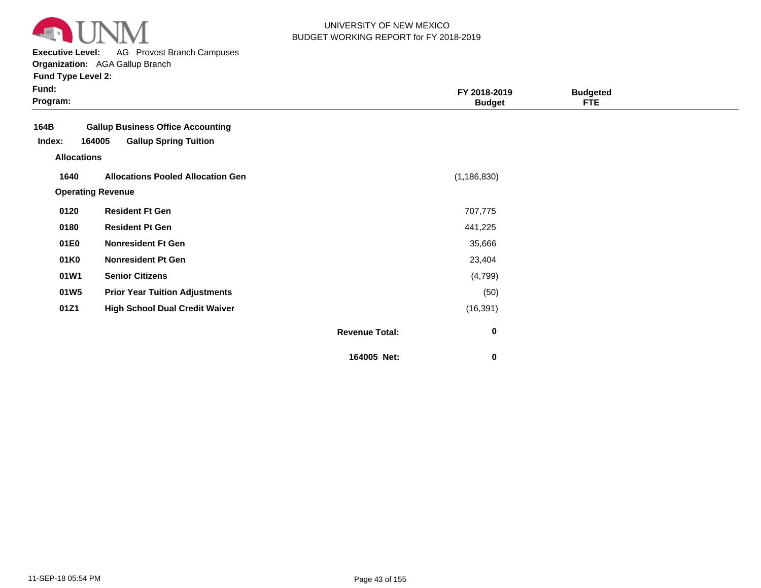

**Executive Level:** AG Provost Branch Campuses

| <b>Fund Type Level 2:</b> |  |
|---------------------------|--|
|---------------------------|--|

| Fund:<br>Program:  |                                          |                       | FY 2018-2019<br><b>Budget</b> | <b>Budgeted</b><br><b>FTE</b> |  |
|--------------------|------------------------------------------|-----------------------|-------------------------------|-------------------------------|--|
| 164B               | <b>Gallup Business Office Accounting</b> |                       |                               |                               |  |
| Index:             | <b>Gallup Spring Tuition</b><br>164005   |                       |                               |                               |  |
| <b>Allocations</b> |                                          |                       |                               |                               |  |
| 1640               | <b>Allocations Pooled Allocation Gen</b> |                       | (1, 186, 830)                 |                               |  |
|                    | <b>Operating Revenue</b>                 |                       |                               |                               |  |
| 0120               | <b>Resident Ft Gen</b>                   |                       | 707,775                       |                               |  |
| 0180               | <b>Resident Pt Gen</b>                   |                       | 441,225                       |                               |  |
| 01E0               | <b>Nonresident Ft Gen</b>                |                       | 35,666                        |                               |  |
| 01K0               | <b>Nonresident Pt Gen</b>                |                       | 23,404                        |                               |  |
| 01W1               | <b>Senior Citizens</b>                   |                       | (4,799)                       |                               |  |
| 01W5               | <b>Prior Year Tuition Adjustments</b>    |                       | (50)                          |                               |  |
| 01Z1               | <b>High School Dual Credit Waiver</b>    |                       | (16, 391)                     |                               |  |
|                    |                                          | <b>Revenue Total:</b> | $\bf{0}$                      |                               |  |
|                    |                                          | 164005 Net:           | 0                             |                               |  |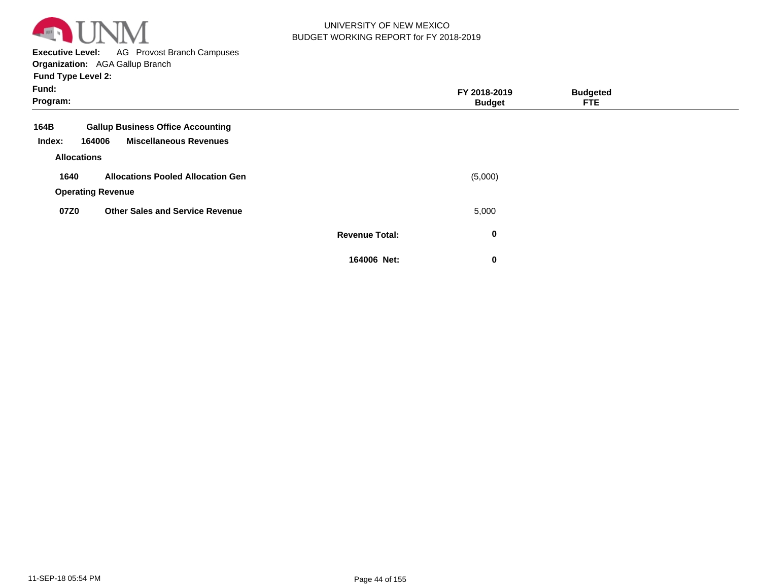

**Executive Level:** AG Provost Branch Campuses

**Organization:**  AGA Gallup Branch

| Fund:<br>Program:  |                                          |                       | FY 2018-2019<br><b>Budget</b> | <b>Budgeted</b><br><b>FTE</b> |  |
|--------------------|------------------------------------------|-----------------------|-------------------------------|-------------------------------|--|
| 164B               | <b>Gallup Business Office Accounting</b> |                       |                               |                               |  |
| Index:             | <b>Miscellaneous Revenues</b><br>164006  |                       |                               |                               |  |
| <b>Allocations</b> |                                          |                       |                               |                               |  |
| 1640               | <b>Allocations Pooled Allocation Gen</b> |                       | (5,000)                       |                               |  |
|                    | <b>Operating Revenue</b>                 |                       |                               |                               |  |
| 07Z0               | <b>Other Sales and Service Revenue</b>   |                       | 5,000                         |                               |  |
|                    |                                          | <b>Revenue Total:</b> | $\bf{0}$                      |                               |  |
|                    |                                          | 164006 Net:           | $\bf{0}$                      |                               |  |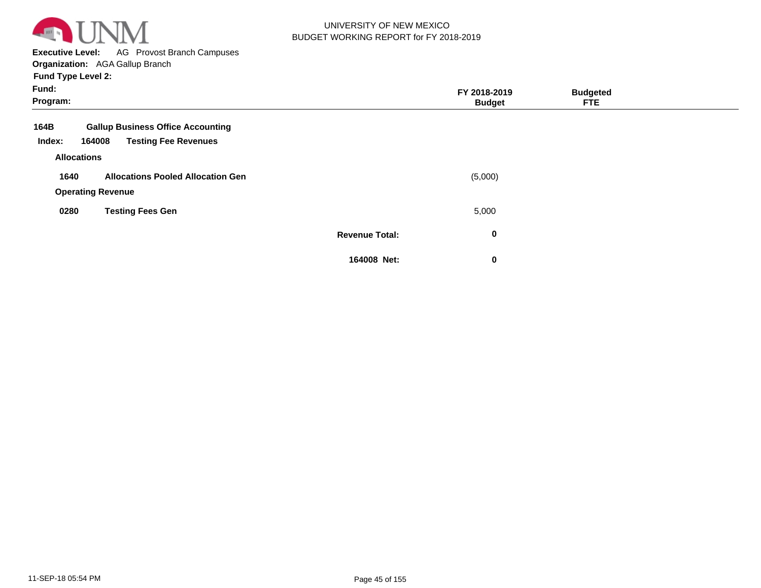

**Executive Level:** AG Provost Branch Campuses

**Organization:**  AGA Gallup Branch

| Fund:<br>Program: |                          |                                          |                       | FY 2018-2019<br><b>Budget</b> | <b>Budgeted</b><br><b>FTE</b> |  |
|-------------------|--------------------------|------------------------------------------|-----------------------|-------------------------------|-------------------------------|--|
| 164B              |                          | <b>Gallup Business Office Accounting</b> |                       |                               |                               |  |
| Index:            | 164008                   | <b>Testing Fee Revenues</b>              |                       |                               |                               |  |
|                   | <b>Allocations</b>       |                                          |                       |                               |                               |  |
| 1640              |                          | <b>Allocations Pooled Allocation Gen</b> |                       | (5,000)                       |                               |  |
|                   | <b>Operating Revenue</b> |                                          |                       |                               |                               |  |
| 0280              |                          | <b>Testing Fees Gen</b>                  |                       | 5,000                         |                               |  |
|                   |                          |                                          | <b>Revenue Total:</b> | 0                             |                               |  |
|                   |                          |                                          | 164008 Net:           | $\bf{0}$                      |                               |  |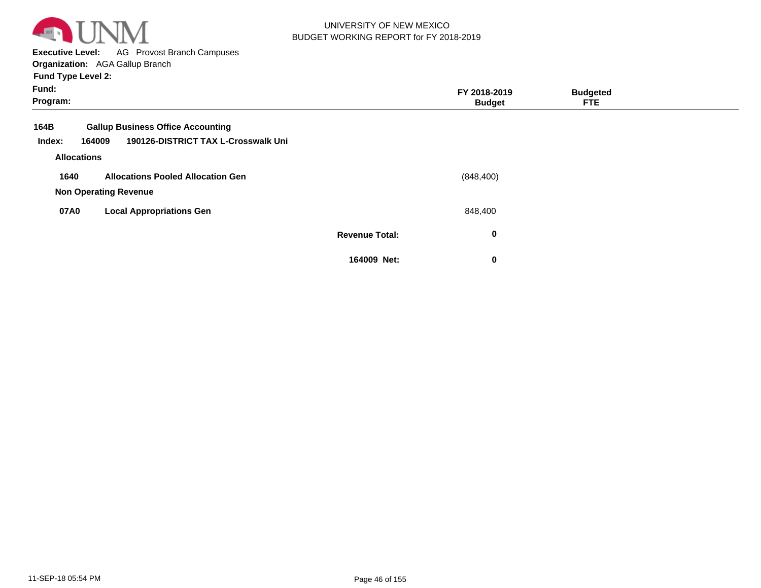

**Executive Level:** AG Provost Branch Campuses

**Organization:**  AGA Gallup Branch

| Fund:<br>Program:  |                                          |                       | FY 2018-2019<br><b>Budget</b> | <b>Budgeted</b><br><b>FTE</b> |  |
|--------------------|------------------------------------------|-----------------------|-------------------------------|-------------------------------|--|
| 164B               | <b>Gallup Business Office Accounting</b> |                       |                               |                               |  |
| Index:<br>164009   | 190126-DISTRICT TAX L-Crosswalk Uni      |                       |                               |                               |  |
| <b>Allocations</b> |                                          |                       |                               |                               |  |
| 1640               | <b>Allocations Pooled Allocation Gen</b> |                       | (848, 400)                    |                               |  |
|                    | <b>Non Operating Revenue</b>             |                       |                               |                               |  |
| 07A0               | <b>Local Appropriations Gen</b>          |                       | 848,400                       |                               |  |
|                    |                                          | <b>Revenue Total:</b> | 0                             |                               |  |
|                    |                                          | 164009 Net:           | 0                             |                               |  |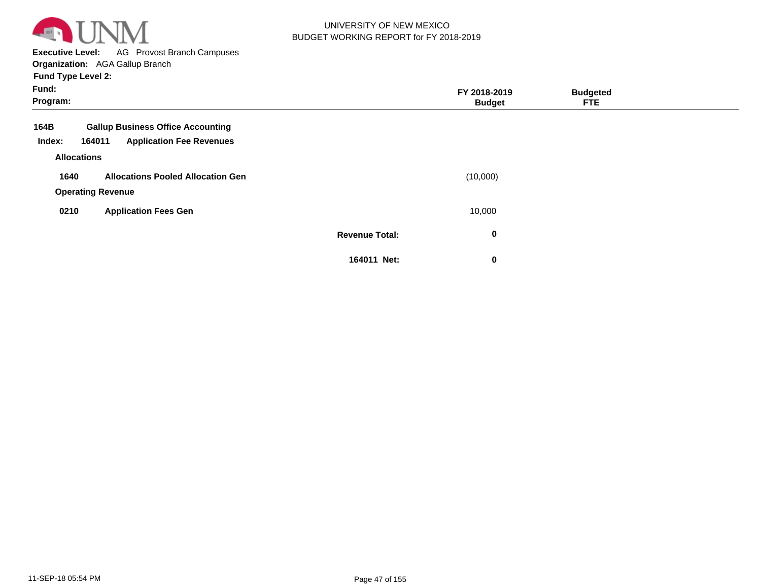

**Executive Level:** AG Provost Branch Campuses

**Organization:**  AGA Gallup Branch

| Fund:<br>Program:  |                                                                                       |                       | FY 2018-2019<br><b>Budget</b> | <b>Budgeted</b><br><b>FTE</b> |  |
|--------------------|---------------------------------------------------------------------------------------|-----------------------|-------------------------------|-------------------------------|--|
| 164B<br>Index:     | <b>Gallup Business Office Accounting</b><br>164011<br><b>Application Fee Revenues</b> |                       |                               |                               |  |
| <b>Allocations</b> |                                                                                       |                       |                               |                               |  |
| 1640               | <b>Allocations Pooled Allocation Gen</b>                                              |                       | (10,000)                      |                               |  |
|                    | <b>Operating Revenue</b>                                                              |                       |                               |                               |  |
| 0210               | <b>Application Fees Gen</b>                                                           |                       | 10,000                        |                               |  |
|                    |                                                                                       | <b>Revenue Total:</b> | 0                             |                               |  |
|                    |                                                                                       | 164011 Net:           | 0                             |                               |  |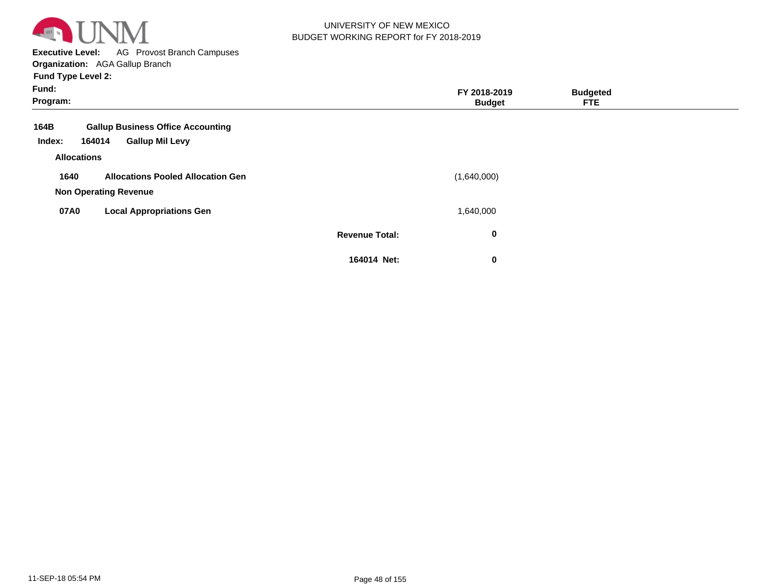

**Executive Level:** AG Provost Branch Campuses **Organization:**  AGA Gallup Branch

| Fund:<br>Program:  |                                          |                       | FY 2018-2019<br><b>Budget</b> | <b>Budgeted</b><br><b>FTE</b> |  |
|--------------------|------------------------------------------|-----------------------|-------------------------------|-------------------------------|--|
| 164B               | <b>Gallup Business Office Accounting</b> |                       |                               |                               |  |
| Index:             | <b>Gallup Mil Levy</b><br>164014         |                       |                               |                               |  |
| <b>Allocations</b> |                                          |                       |                               |                               |  |
| 1640               | <b>Allocations Pooled Allocation Gen</b> |                       | (1,640,000)                   |                               |  |
|                    | <b>Non Operating Revenue</b>             |                       |                               |                               |  |
| 07A0               | <b>Local Appropriations Gen</b>          |                       | 1,640,000                     |                               |  |
|                    |                                          | <b>Revenue Total:</b> | 0                             |                               |  |
|                    |                                          | 164014 Net:           | 0                             |                               |  |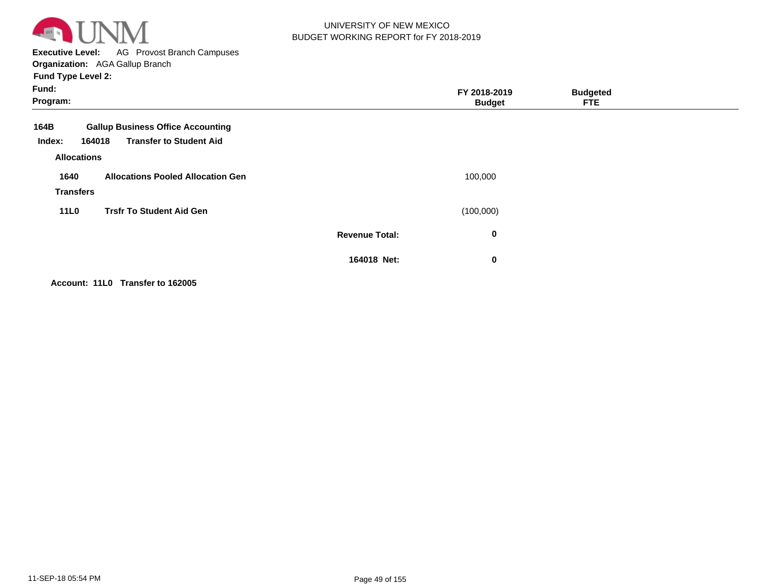

**Executive Level:** AG Provost Branch Campuses **Organization:**  AGA Gallup Branch

**Fund Type Level 2:**

| Fund:<br>Program:                              |                                                                            |                       | FY 2018-2019<br><b>Budget</b> | <b>Budgeted</b><br><b>FTE</b> |  |
|------------------------------------------------|----------------------------------------------------------------------------|-----------------------|-------------------------------|-------------------------------|--|
| 164B<br>164018<br>Index:<br><b>Allocations</b> | <b>Gallup Business Office Accounting</b><br><b>Transfer to Student Aid</b> |                       |                               |                               |  |
| 1640<br><b>Transfers</b>                       | <b>Allocations Pooled Allocation Gen</b>                                   |                       | 100,000                       |                               |  |
| <b>11L0</b>                                    | <b>Trsfr To Student Aid Gen</b>                                            |                       | (100,000)                     |                               |  |
|                                                |                                                                            | <b>Revenue Total:</b> | $\bf{0}$                      |                               |  |
|                                                |                                                                            | 164018 Net:           | $\bf{0}$                      |                               |  |

**Account: 11L0 Transfer to 162005**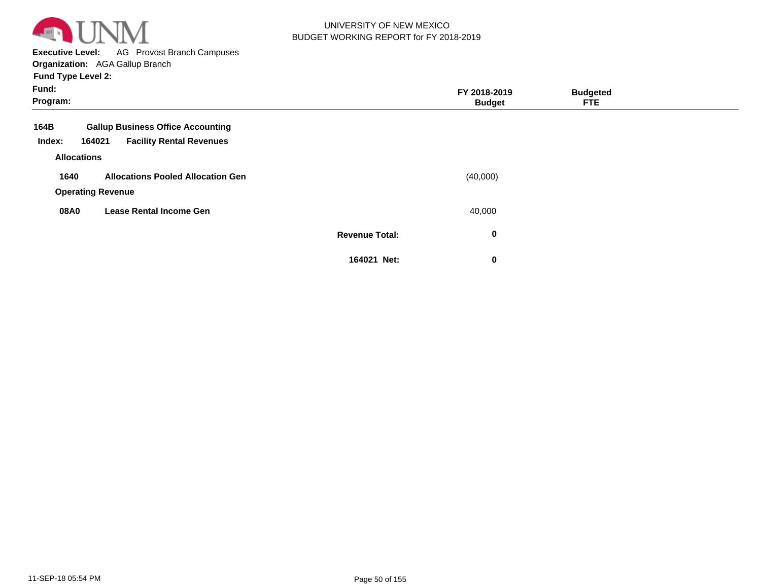

**Executive Level:** AG Provost Branch Campuses

**Organization:**  AGA Gallup Branch

| Fund:<br>Program: |                                           |                       | FY 2018-2019<br><b>Budget</b> | <b>Budgeted</b><br><b>FTE</b> |  |
|-------------------|-------------------------------------------|-----------------------|-------------------------------|-------------------------------|--|
| 164B              | <b>Gallup Business Office Accounting</b>  |                       |                               |                               |  |
| Index:            | <b>Facility Rental Revenues</b><br>164021 |                       |                               |                               |  |
|                   | <b>Allocations</b>                        |                       |                               |                               |  |
| 1640              | <b>Allocations Pooled Allocation Gen</b>  |                       | (40,000)                      |                               |  |
|                   | <b>Operating Revenue</b>                  |                       |                               |                               |  |
| 08A0              | <b>Lease Rental Income Gen</b>            |                       | 40,000                        |                               |  |
|                   |                                           | <b>Revenue Total:</b> | 0                             |                               |  |
|                   |                                           | 164021 Net:           | 0                             |                               |  |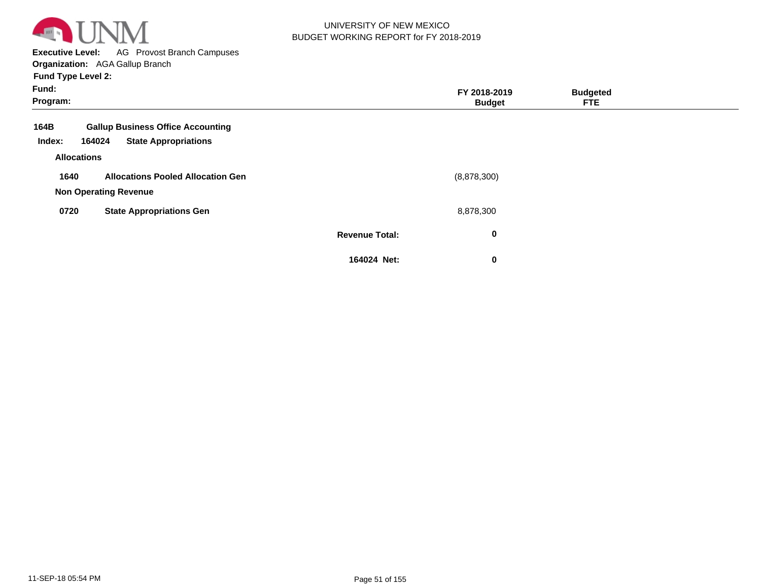

**Executive Level:** AG Provost Branch Campuses **Organization:**  AGA Gallup Branch

| Fund:<br>Program:          |                                                                                   |                       | FY 2018-2019<br><b>Budget</b> | <b>Budgeted</b><br><b>FTE</b> |  |
|----------------------------|-----------------------------------------------------------------------------------|-----------------------|-------------------------------|-------------------------------|--|
| 164B<br>Index:             | <b>Gallup Business Office Accounting</b><br><b>State Appropriations</b><br>164024 |                       |                               |                               |  |
| <b>Allocations</b><br>1640 | <b>Allocations Pooled Allocation Gen</b>                                          |                       | (8,878,300)                   |                               |  |
| 0720                       | <b>Non Operating Revenue</b><br><b>State Appropriations Gen</b>                   |                       | 8,878,300                     |                               |  |
|                            |                                                                                   | <b>Revenue Total:</b> | 0                             |                               |  |
|                            |                                                                                   | 164024 Net:           | 0                             |                               |  |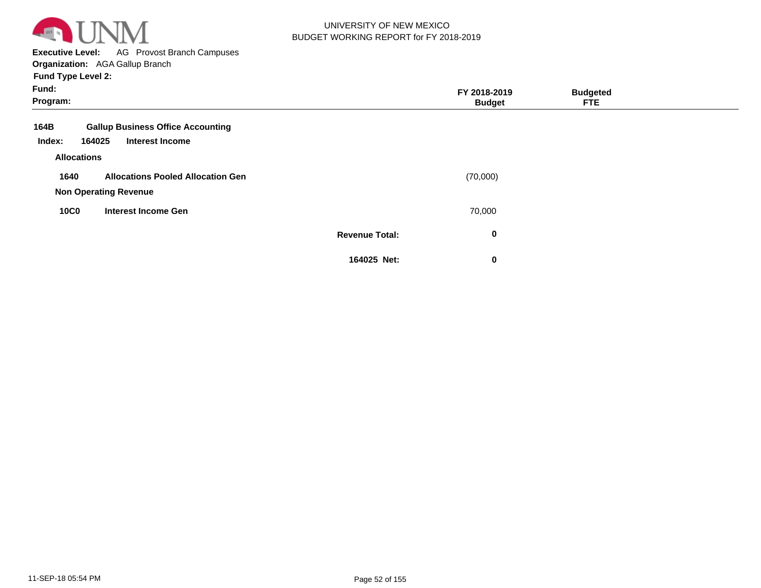

**Executive Level:** AG Provost Branch Campuses **Organization:**  AGA Gallup Branch

| Fund:<br>Program:                                                                              |                       | FY 2018-2019<br><b>Budget</b> | <b>Budgeted</b><br><b>FTE</b> |  |
|------------------------------------------------------------------------------------------------|-----------------------|-------------------------------|-------------------------------|--|
| <b>Gallup Business Office Accounting</b><br>164B<br><b>Interest Income</b><br>164025<br>Index: |                       |                               |                               |  |
| <b>Allocations</b>                                                                             |                       |                               |                               |  |
| 1640<br><b>Allocations Pooled Allocation Gen</b><br><b>Non Operating Revenue</b>               |                       | (70,000)                      |                               |  |
| <b>10C0</b><br><b>Interest Income Gen</b>                                                      |                       | 70,000                        |                               |  |
|                                                                                                | <b>Revenue Total:</b> | $\mathbf 0$                   |                               |  |
|                                                                                                | 164025 Net:           | 0                             |                               |  |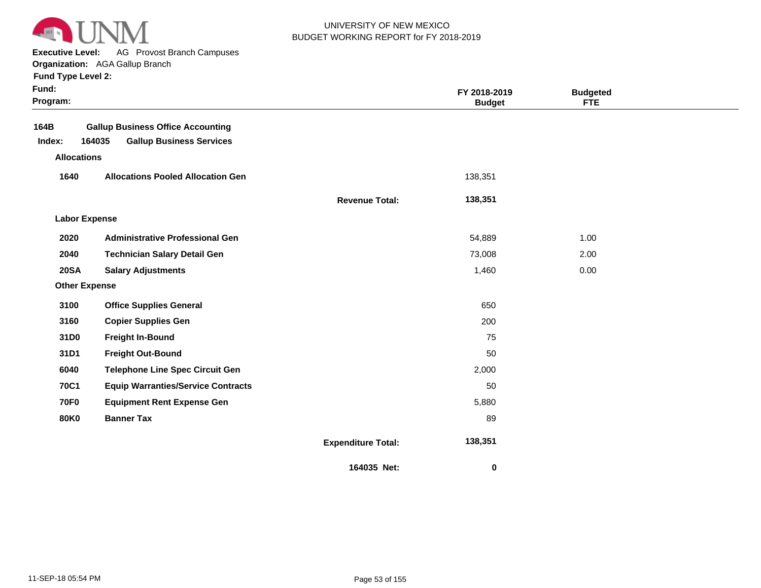

**Executive Level:** AG Provost Branch Campuses

| <b>Fund Type Level 2:</b> |  |
|---------------------------|--|
|---------------------------|--|

| Fund:<br>Program:    |                                                                                                             |                           | FY 2018-2019<br><b>Budget</b> | <b>Budgeted</b><br><b>FTE</b> |  |  |
|----------------------|-------------------------------------------------------------------------------------------------------------|---------------------------|-------------------------------|-------------------------------|--|--|
| 164B<br>Index:       | <b>Gallup Business Office Accounting</b><br>164035<br><b>Gallup Business Services</b><br><b>Allocations</b> |                           |                               |                               |  |  |
|                      |                                                                                                             | 138,351                   |                               |                               |  |  |
| 1640                 | <b>Allocations Pooled Allocation Gen</b>                                                                    |                           |                               |                               |  |  |
|                      |                                                                                                             | <b>Revenue Total:</b>     | 138,351                       |                               |  |  |
| <b>Labor Expense</b> |                                                                                                             |                           |                               |                               |  |  |
| 2020                 | <b>Administrative Professional Gen</b>                                                                      |                           | 54,889                        | 1.00                          |  |  |
| 2040                 | <b>Technician Salary Detail Gen</b>                                                                         |                           | 73,008                        | 2.00                          |  |  |
| <b>20SA</b>          | <b>Salary Adjustments</b>                                                                                   |                           | 1,460                         | 0.00                          |  |  |
| <b>Other Expense</b> |                                                                                                             |                           |                               |                               |  |  |
| 3100                 | <b>Office Supplies General</b>                                                                              |                           | 650                           |                               |  |  |
| 3160                 | <b>Copier Supplies Gen</b>                                                                                  |                           | 200                           |                               |  |  |
| 31D0                 | <b>Freight In-Bound</b>                                                                                     |                           | 75                            |                               |  |  |
| 31D1                 | <b>Freight Out-Bound</b>                                                                                    |                           | 50                            |                               |  |  |
| 6040                 | <b>Telephone Line Spec Circuit Gen</b>                                                                      |                           | 2,000                         |                               |  |  |
| <b>70C1</b>          | <b>Equip Warranties/Service Contracts</b>                                                                   |                           | 50                            |                               |  |  |
| <b>70F0</b>          | <b>Equipment Rent Expense Gen</b>                                                                           |                           | 5,880                         |                               |  |  |
| <b>80K0</b>          | <b>Banner Tax</b>                                                                                           |                           | 89                            |                               |  |  |
|                      |                                                                                                             | <b>Expenditure Total:</b> | 138,351                       |                               |  |  |
|                      |                                                                                                             | 164035 Net:               | 0                             |                               |  |  |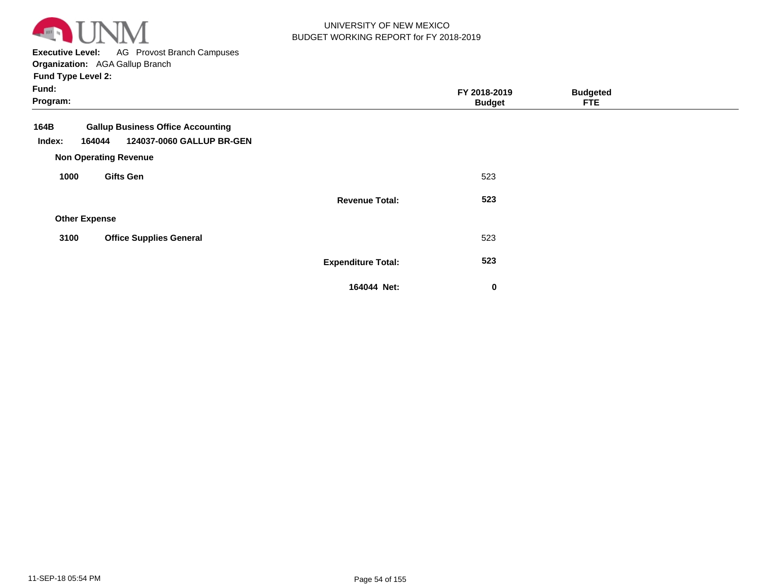

**Executive Level:** AG Provost Branch Campuses

**Organization:**  AGA Gallup Branch **Fund Type Level 2:**

| Fund:<br>Program:        |                                                                       |                           | FY 2018-2019<br><b>Budget</b> | <b>Budgeted</b><br><b>FTE</b> |  |
|--------------------------|-----------------------------------------------------------------------|---------------------------|-------------------------------|-------------------------------|--|
| 164B<br>Index:<br>164044 | <b>Gallup Business Office Accounting</b><br>124037-0060 GALLUP BR-GEN |                           |                               |                               |  |
|                          | <b>Non Operating Revenue</b>                                          |                           |                               |                               |  |
| 1000                     | <b>Gifts Gen</b>                                                      |                           | 523                           |                               |  |
|                          |                                                                       | <b>Revenue Total:</b>     | 523                           |                               |  |
| <b>Other Expense</b>     |                                                                       |                           |                               |                               |  |
| 3100                     | <b>Office Supplies General</b>                                        |                           | 523                           |                               |  |
|                          |                                                                       | <b>Expenditure Total:</b> | 523                           |                               |  |
|                          |                                                                       | 164044 Net:               | 0                             |                               |  |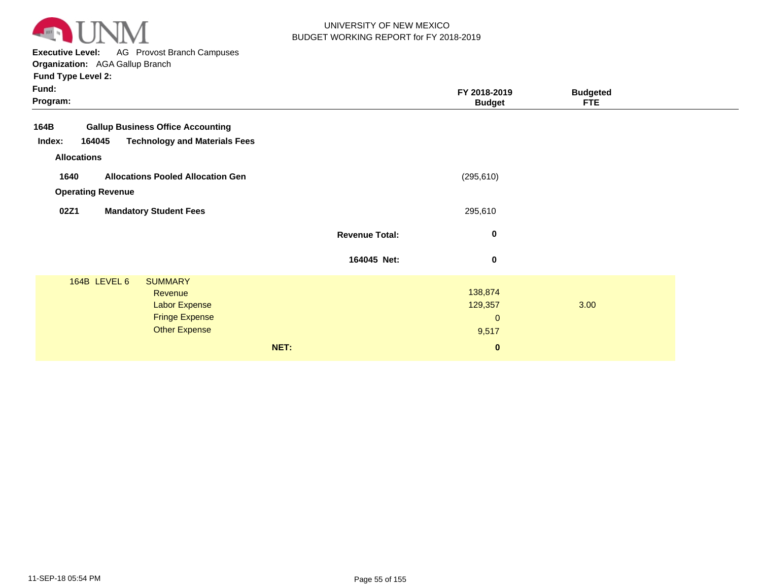

**Executive Level:** AG Provost Branch Campuses

| <b>Fund Type Level 2:</b> |
|---------------------------|
|---------------------------|

| Fund:<br>Program:                                        |                       | FY 2018-2019<br><b>Budget</b> | <b>Budgeted</b><br><b>FTE</b> |
|----------------------------------------------------------|-----------------------|-------------------------------|-------------------------------|
| 164B<br><b>Gallup Business Office Accounting</b>         |                       |                               |                               |
| <b>Technology and Materials Fees</b><br>Index:<br>164045 |                       |                               |                               |
| <b>Allocations</b>                                       |                       |                               |                               |
| 1640<br><b>Allocations Pooled Allocation Gen</b>         |                       | (295, 610)                    |                               |
| <b>Operating Revenue</b>                                 |                       |                               |                               |
| 02Z1<br><b>Mandatory Student Fees</b>                    |                       | 295,610                       |                               |
|                                                          |                       |                               |                               |
|                                                          | <b>Revenue Total:</b> | $\bf{0}$                      |                               |
|                                                          | 164045 Net:           | $\bf{0}$                      |                               |
| 164B LEVEL 6<br><b>SUMMARY</b>                           |                       |                               |                               |
| Revenue                                                  |                       | 138,874                       |                               |
| Labor Expense                                            |                       | 129,357                       | 3.00                          |
| <b>Fringe Expense</b>                                    |                       | $\mathbf{0}$                  |                               |
| <b>Other Expense</b>                                     |                       | 9,517                         |                               |
| NET:                                                     |                       | $\bf{0}$                      |                               |
|                                                          |                       |                               |                               |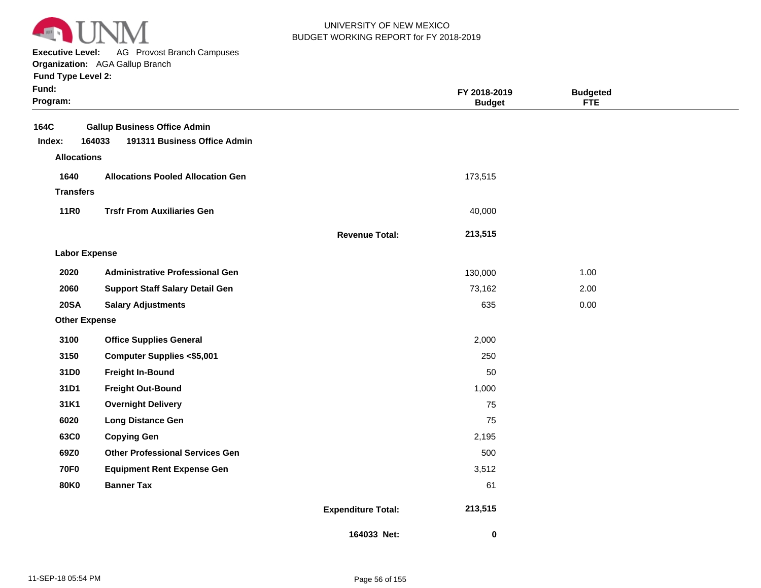

**Executive Level:** AG Provost Branch Campuses

**Organization:**  AGA Gallup Branch

| Fund:<br>Program:    |                                                                               |                           | FY 2018-2019<br><b>Budget</b> | <b>Budgeted</b><br><b>FTE</b> |  |
|----------------------|-------------------------------------------------------------------------------|---------------------------|-------------------------------|-------------------------------|--|
| 164C<br>Index:       | <b>Gallup Business Office Admin</b><br>191311 Business Office Admin<br>164033 |                           |                               |                               |  |
| <b>Allocations</b>   |                                                                               |                           |                               |                               |  |
| 1640                 | <b>Allocations Pooled Allocation Gen</b>                                      |                           | 173,515                       |                               |  |
| <b>Transfers</b>     |                                                                               |                           |                               |                               |  |
| <b>11R0</b>          | <b>Trsfr From Auxiliaries Gen</b>                                             |                           | 40,000                        |                               |  |
|                      |                                                                               | <b>Revenue Total:</b>     | 213,515                       |                               |  |
| <b>Labor Expense</b> |                                                                               |                           |                               |                               |  |
| 2020                 | <b>Administrative Professional Gen</b>                                        |                           | 130,000                       | 1.00                          |  |
| 2060                 | <b>Support Staff Salary Detail Gen</b>                                        |                           | 73,162                        | 2.00                          |  |
| <b>20SA</b>          | <b>Salary Adjustments</b>                                                     |                           | 635                           | 0.00                          |  |
| <b>Other Expense</b> |                                                                               |                           |                               |                               |  |
| 3100                 | <b>Office Supplies General</b>                                                |                           | 2,000                         |                               |  |
| 3150                 | <b>Computer Supplies &lt;\$5,001</b>                                          |                           | 250                           |                               |  |
| 31D0                 | <b>Freight In-Bound</b>                                                       |                           | 50                            |                               |  |
| 31D1                 | <b>Freight Out-Bound</b>                                                      |                           | 1,000                         |                               |  |
| 31K1                 | <b>Overnight Delivery</b>                                                     |                           | 75                            |                               |  |
| 6020                 | <b>Long Distance Gen</b>                                                      |                           | 75                            |                               |  |
| 63C0                 | <b>Copying Gen</b>                                                            |                           | 2,195                         |                               |  |
| 69Z0                 | <b>Other Professional Services Gen</b>                                        |                           | 500                           |                               |  |
| <b>70F0</b>          | <b>Equipment Rent Expense Gen</b>                                             |                           | 3,512                         |                               |  |
| <b>80K0</b>          | <b>Banner Tax</b>                                                             |                           | 61                            |                               |  |
|                      |                                                                               | <b>Expenditure Total:</b> | 213,515                       |                               |  |
|                      |                                                                               | 164033 Net:               | 0                             |                               |  |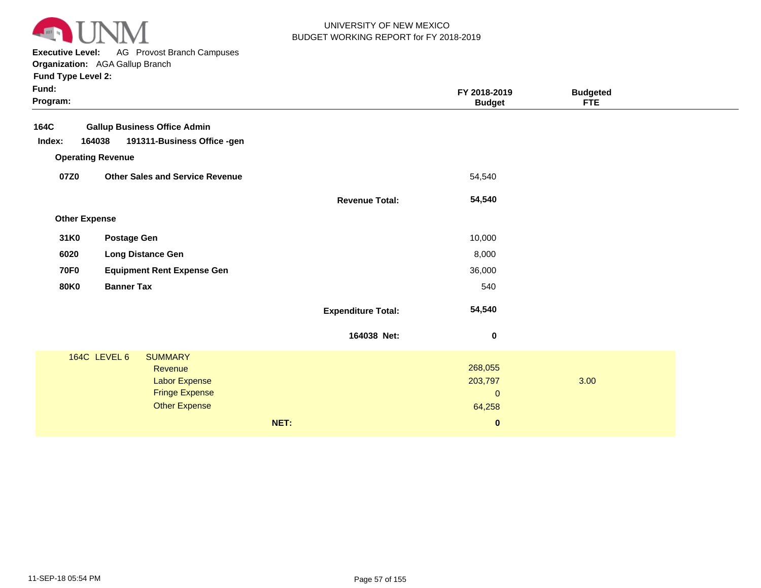

**Executive Level:** AG Provost Branch Campuses

| <b>Fund Type Level 2:</b> |
|---------------------------|
|---------------------------|

| Fund:<br>Program:        |                                                                                                                    |                           | FY 2018-2019<br><b>Budget</b>                | <b>Budgeted</b><br><b>FTE</b> |  |
|--------------------------|--------------------------------------------------------------------------------------------------------------------|---------------------------|----------------------------------------------|-------------------------------|--|
| 164C                     | <b>Gallup Business Office Admin</b>                                                                                |                           |                                              |                               |  |
| Index:<br>164038         | 191311-Business Office -gen                                                                                        |                           |                                              |                               |  |
| <b>Operating Revenue</b> |                                                                                                                    |                           |                                              |                               |  |
| 07Z0                     | <b>Other Sales and Service Revenue</b>                                                                             |                           | 54,540                                       |                               |  |
|                          |                                                                                                                    | <b>Revenue Total:</b>     | 54,540                                       |                               |  |
| <b>Other Expense</b>     |                                                                                                                    |                           |                                              |                               |  |
| 31K0                     | <b>Postage Gen</b>                                                                                                 |                           | 10,000                                       |                               |  |
| 6020                     | <b>Long Distance Gen</b>                                                                                           |                           | 8,000                                        |                               |  |
| <b>70F0</b>              | <b>Equipment Rent Expense Gen</b>                                                                                  |                           | 36,000                                       |                               |  |
| <b>80K0</b>              | <b>Banner Tax</b>                                                                                                  |                           | 540                                          |                               |  |
|                          |                                                                                                                    | <b>Expenditure Total:</b> | 54,540                                       |                               |  |
|                          |                                                                                                                    | 164038 Net:               | $\bf{0}$                                     |                               |  |
|                          | 164C LEVEL 6<br><b>SUMMARY</b><br>Revenue<br><b>Labor Expense</b><br><b>Fringe Expense</b><br><b>Other Expense</b> |                           | 268,055<br>203,797<br>$\mathbf{0}$<br>64,258 | 3.00                          |  |
|                          |                                                                                                                    | NET:                      | $\pmb{0}$                                    |                               |  |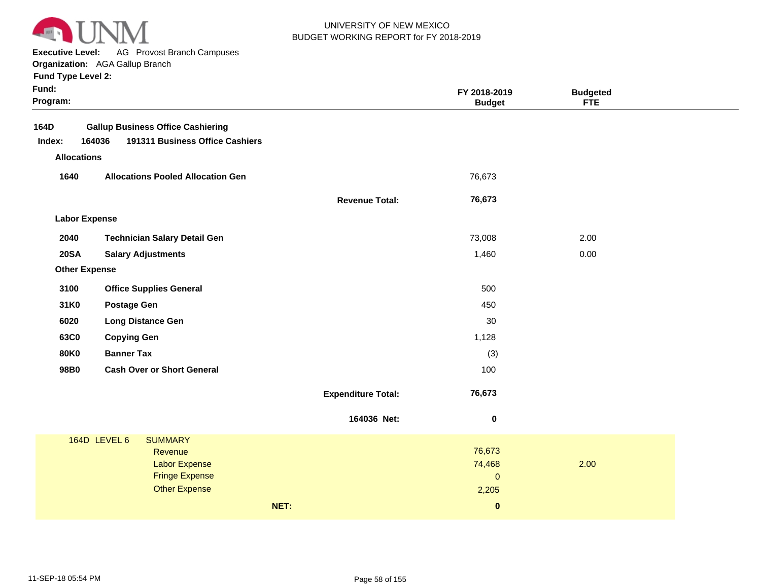

**Executive Level:** AG Provost Branch Campuses

| <b>Fund Type Level 2:</b> |  |  |  |
|---------------------------|--|--|--|
|---------------------------|--|--|--|

| <b>Gallup Business Office Cashiering</b><br>191311 Business Office Cashiers<br>164036<br>Index:<br><b>Allocations</b><br>1640<br><b>Allocations Pooled Allocation Gen</b><br>76,673<br>76,673<br><b>Revenue Total:</b><br><b>Labor Expense</b><br>2040<br><b>Technician Salary Detail Gen</b><br>73,008<br>2.00<br><b>20SA</b><br>1,460<br>0.00<br><b>Salary Adjustments</b><br><b>Other Expense</b><br>3100<br><b>Office Supplies General</b><br>500<br>31K0<br><b>Postage Gen</b><br>450<br>6020<br><b>Long Distance Gen</b><br>30<br>63C0<br>1,128<br><b>Copying Gen</b><br><b>Banner Tax</b><br><b>80K0</b><br>(3)<br>98B0<br><b>Cash Over or Short General</b><br>100<br>76,673<br><b>Expenditure Total:</b><br>164036 Net:<br>$\pmb{0}$<br>164D LEVEL 6<br><b>SUMMARY</b><br>76,673<br>Revenue<br><b>Labor Expense</b><br>74,468<br>2.00<br><b>Fringe Expense</b><br>$\mathbf{0}$<br><b>Other Expense</b><br>2,205<br>NET:<br>$\mathbf{0}$ | Fund:<br>Program: |  | FY 2018-2019<br><b>Budget</b> | <b>Budgeted</b><br><b>FTE</b> |  |
|--------------------------------------------------------------------------------------------------------------------------------------------------------------------------------------------------------------------------------------------------------------------------------------------------------------------------------------------------------------------------------------------------------------------------------------------------------------------------------------------------------------------------------------------------------------------------------------------------------------------------------------------------------------------------------------------------------------------------------------------------------------------------------------------------------------------------------------------------------------------------------------------------------------------------------------------------|-------------------|--|-------------------------------|-------------------------------|--|
|                                                                                                                                                                                                                                                                                                                                                                                                                                                                                                                                                                                                                                                                                                                                                                                                                                                                                                                                                  | 164D              |  |                               |                               |  |
|                                                                                                                                                                                                                                                                                                                                                                                                                                                                                                                                                                                                                                                                                                                                                                                                                                                                                                                                                  |                   |  |                               |                               |  |
|                                                                                                                                                                                                                                                                                                                                                                                                                                                                                                                                                                                                                                                                                                                                                                                                                                                                                                                                                  |                   |  |                               |                               |  |
|                                                                                                                                                                                                                                                                                                                                                                                                                                                                                                                                                                                                                                                                                                                                                                                                                                                                                                                                                  |                   |  |                               |                               |  |
|                                                                                                                                                                                                                                                                                                                                                                                                                                                                                                                                                                                                                                                                                                                                                                                                                                                                                                                                                  |                   |  |                               |                               |  |
|                                                                                                                                                                                                                                                                                                                                                                                                                                                                                                                                                                                                                                                                                                                                                                                                                                                                                                                                                  |                   |  |                               |                               |  |
|                                                                                                                                                                                                                                                                                                                                                                                                                                                                                                                                                                                                                                                                                                                                                                                                                                                                                                                                                  |                   |  |                               |                               |  |
|                                                                                                                                                                                                                                                                                                                                                                                                                                                                                                                                                                                                                                                                                                                                                                                                                                                                                                                                                  |                   |  |                               |                               |  |
|                                                                                                                                                                                                                                                                                                                                                                                                                                                                                                                                                                                                                                                                                                                                                                                                                                                                                                                                                  |                   |  |                               |                               |  |
|                                                                                                                                                                                                                                                                                                                                                                                                                                                                                                                                                                                                                                                                                                                                                                                                                                                                                                                                                  |                   |  |                               |                               |  |
|                                                                                                                                                                                                                                                                                                                                                                                                                                                                                                                                                                                                                                                                                                                                                                                                                                                                                                                                                  |                   |  |                               |                               |  |
|                                                                                                                                                                                                                                                                                                                                                                                                                                                                                                                                                                                                                                                                                                                                                                                                                                                                                                                                                  |                   |  |                               |                               |  |
|                                                                                                                                                                                                                                                                                                                                                                                                                                                                                                                                                                                                                                                                                                                                                                                                                                                                                                                                                  |                   |  |                               |                               |  |
|                                                                                                                                                                                                                                                                                                                                                                                                                                                                                                                                                                                                                                                                                                                                                                                                                                                                                                                                                  |                   |  |                               |                               |  |
|                                                                                                                                                                                                                                                                                                                                                                                                                                                                                                                                                                                                                                                                                                                                                                                                                                                                                                                                                  |                   |  |                               |                               |  |
|                                                                                                                                                                                                                                                                                                                                                                                                                                                                                                                                                                                                                                                                                                                                                                                                                                                                                                                                                  |                   |  |                               |                               |  |
|                                                                                                                                                                                                                                                                                                                                                                                                                                                                                                                                                                                                                                                                                                                                                                                                                                                                                                                                                  |                   |  |                               |                               |  |
|                                                                                                                                                                                                                                                                                                                                                                                                                                                                                                                                                                                                                                                                                                                                                                                                                                                                                                                                                  |                   |  |                               |                               |  |
|                                                                                                                                                                                                                                                                                                                                                                                                                                                                                                                                                                                                                                                                                                                                                                                                                                                                                                                                                  |                   |  |                               |                               |  |
|                                                                                                                                                                                                                                                                                                                                                                                                                                                                                                                                                                                                                                                                                                                                                                                                                                                                                                                                                  |                   |  |                               |                               |  |
|                                                                                                                                                                                                                                                                                                                                                                                                                                                                                                                                                                                                                                                                                                                                                                                                                                                                                                                                                  |                   |  |                               |                               |  |
|                                                                                                                                                                                                                                                                                                                                                                                                                                                                                                                                                                                                                                                                                                                                                                                                                                                                                                                                                  |                   |  |                               |                               |  |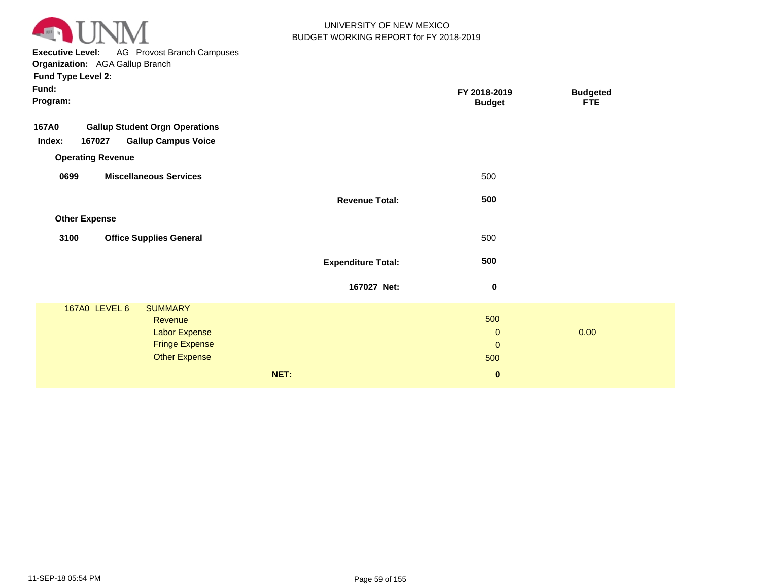

**Executive Level:** AG Provost Branch Campuses **Organization:**  AGA Gallup Branch

| Fund:<br>Program:                                                                                                            |                           | FY 2018-2019<br><b>Budget</b>                         | <b>Budgeted</b><br><b>FTE</b> |  |
|------------------------------------------------------------------------------------------------------------------------------|---------------------------|-------------------------------------------------------|-------------------------------|--|
| <b>Gallup Student Orgn Operations</b><br>167A0<br>167027<br><b>Gallup Campus Voice</b><br>Index:<br><b>Operating Revenue</b> |                           |                                                       |                               |  |
| <b>Miscellaneous Services</b><br>0699                                                                                        |                           | 500                                                   |                               |  |
|                                                                                                                              | <b>Revenue Total:</b>     | 500                                                   |                               |  |
| <b>Other Expense</b>                                                                                                         |                           |                                                       |                               |  |
| 3100<br><b>Office Supplies General</b>                                                                                       |                           | 500                                                   |                               |  |
|                                                                                                                              | <b>Expenditure Total:</b> | 500                                                   |                               |  |
|                                                                                                                              | 167027 Net:               | $\pmb{0}$                                             |                               |  |
| 167A0 LEVEL 6<br><b>SUMMARY</b><br>Revenue<br>Labor Expense<br><b>Fringe Expense</b><br><b>Other Expense</b><br>NET:         |                           | 500<br>$\mathbf 0$<br>$\mathbf 0$<br>500<br>$\pmb{0}$ | 0.00                          |  |
|                                                                                                                              |                           |                                                       |                               |  |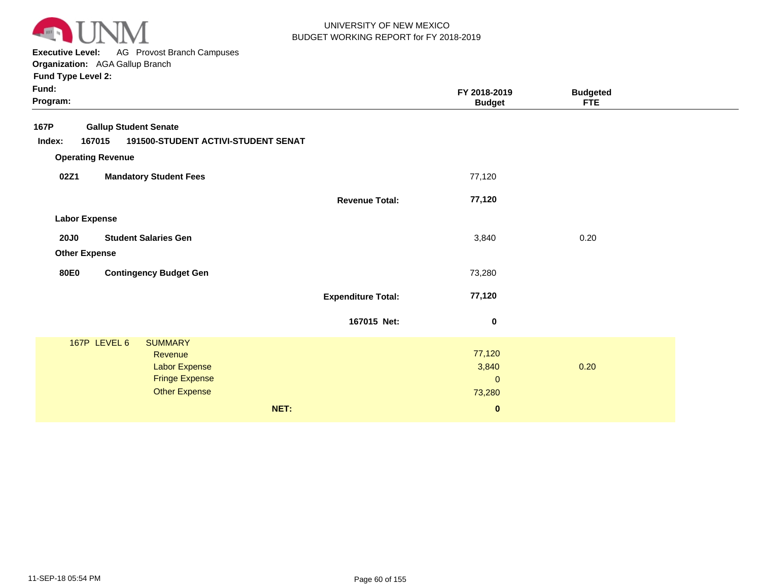

**Executive Level:** AG Provost Branch Campuses

**Organization:**  AGA Gallup Branch

| Fund:<br>Program:                             |                                     | FY 2018-2019<br><b>Budget</b> | <b>Budgeted</b><br><b>FTE</b> |  |
|-----------------------------------------------|-------------------------------------|-------------------------------|-------------------------------|--|
| 167P<br><b>Gallup Student Senate</b>          |                                     |                               |                               |  |
| Index:<br>167015                              | 191500-STUDENT ACTIVI-STUDENT SENAT |                               |                               |  |
| <b>Operating Revenue</b>                      |                                     |                               |                               |  |
| 02Z1<br><b>Mandatory Student Fees</b>         |                                     | 77,120                        |                               |  |
|                                               | <b>Revenue Total:</b>               | 77,120                        |                               |  |
| <b>Labor Expense</b>                          |                                     |                               |                               |  |
| <b>20J0</b><br><b>Student Salaries Gen</b>    |                                     | 3,840                         | 0.20                          |  |
| <b>Other Expense</b>                          |                                     |                               |                               |  |
| <b>80E0</b><br><b>Contingency Budget Gen</b>  |                                     | 73,280                        |                               |  |
|                                               | <b>Expenditure Total:</b>           | 77,120                        |                               |  |
|                                               | 167015 Net:                         | $\pmb{0}$                     |                               |  |
| 167P LEVEL 6<br><b>SUMMARY</b>                |                                     |                               |                               |  |
| Revenue                                       |                                     | 77,120                        |                               |  |
| <b>Labor Expense</b>                          |                                     | 3,840                         | 0.20                          |  |
| <b>Fringe Expense</b><br><b>Other Expense</b> |                                     | $\mathbf{0}$                  |                               |  |
|                                               |                                     | 73,280                        |                               |  |
|                                               | NET:                                | $\bf{0}$                      |                               |  |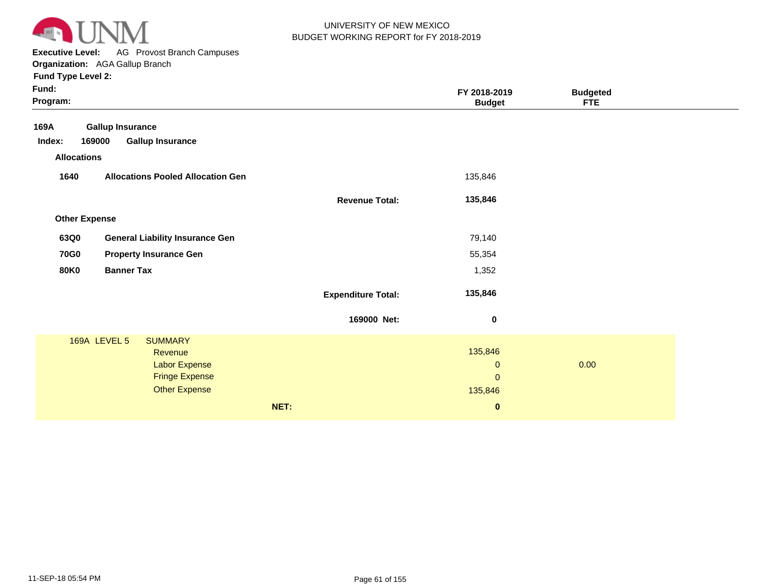

**Executive Level:** AG Provost Branch Campuses **Organization:**  AGA Gallup Branch

| Fund:<br>Program:    |                                               |                           | FY 2018-2019<br><b>Budget</b> | <b>Budgeted</b><br><b>FTE</b> |  |
|----------------------|-----------------------------------------------|---------------------------|-------------------------------|-------------------------------|--|
| 169A                 | <b>Gallup Insurance</b>                       |                           |                               |                               |  |
| Index:               | 169000<br><b>Gallup Insurance</b>             |                           |                               |                               |  |
| <b>Allocations</b>   |                                               |                           |                               |                               |  |
| 1640                 | <b>Allocations Pooled Allocation Gen</b>      |                           | 135,846                       |                               |  |
|                      |                                               | <b>Revenue Total:</b>     | 135,846                       |                               |  |
| <b>Other Expense</b> |                                               |                           |                               |                               |  |
| 63Q0                 | <b>General Liability Insurance Gen</b>        |                           | 79,140                        |                               |  |
| <b>70G0</b>          | <b>Property Insurance Gen</b>                 |                           | 55,354                        |                               |  |
| <b>80K0</b>          | <b>Banner Tax</b>                             |                           | 1,352                         |                               |  |
|                      |                                               | <b>Expenditure Total:</b> | 135,846                       |                               |  |
|                      |                                               | 169000 Net:               | $\bf{0}$                      |                               |  |
|                      | 169A LEVEL 5<br><b>SUMMARY</b>                |                           |                               |                               |  |
|                      | Revenue                                       |                           | 135,846                       |                               |  |
|                      | <b>Labor Expense</b><br><b>Fringe Expense</b> |                           | $\mathbf{0}$<br>$\Omega$      | 0.00                          |  |
|                      | <b>Other Expense</b>                          |                           |                               |                               |  |
|                      |                                               |                           | 135,846                       |                               |  |
|                      |                                               | NET:                      | $\pmb{0}$                     |                               |  |
|                      |                                               |                           |                               |                               |  |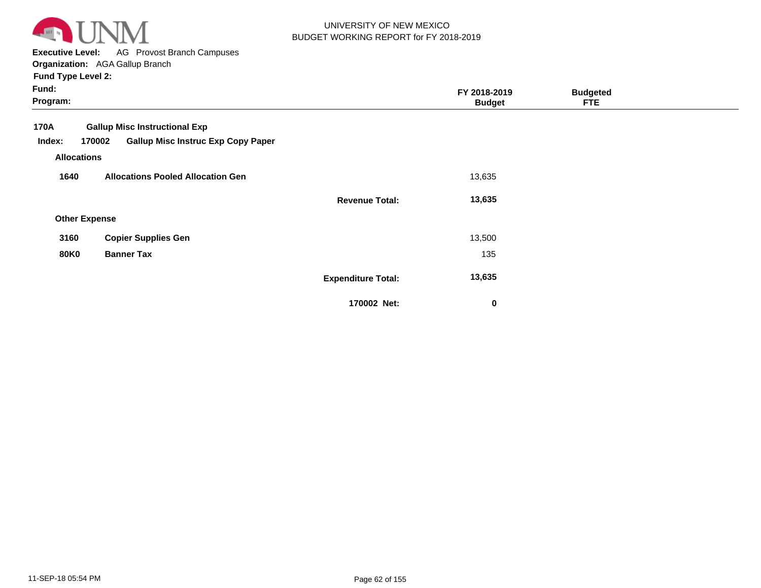

**Executive Level:** AG Provost Branch Campuses

**Organization:**  AGA Gallup Branch **Fund Type Level 2:**

| Fund:<br>Program:                                                                                                                   |                           | FY 2018-2019<br><b>Budget</b> | <b>Budgeted</b><br><b>FTE</b> |  |
|-------------------------------------------------------------------------------------------------------------------------------------|---------------------------|-------------------------------|-------------------------------|--|
| <b>Gallup Misc Instructional Exp</b><br>170A<br><b>Gallup Misc Instruc Exp Copy Paper</b><br>170002<br>Index:<br><b>Allocations</b> |                           |                               |                               |  |
| <b>Allocations Pooled Allocation Gen</b><br>1640                                                                                    |                           | 13,635                        |                               |  |
|                                                                                                                                     | <b>Revenue Total:</b>     | 13,635                        |                               |  |
| <b>Other Expense</b>                                                                                                                |                           |                               |                               |  |
| <b>Copier Supplies Gen</b><br>3160                                                                                                  |                           | 13,500                        |                               |  |
| <b>80K0</b><br><b>Banner Tax</b>                                                                                                    |                           | 135                           |                               |  |
|                                                                                                                                     | <b>Expenditure Total:</b> | 13,635                        |                               |  |
|                                                                                                                                     | 170002 Net:               | $\mathbf 0$                   |                               |  |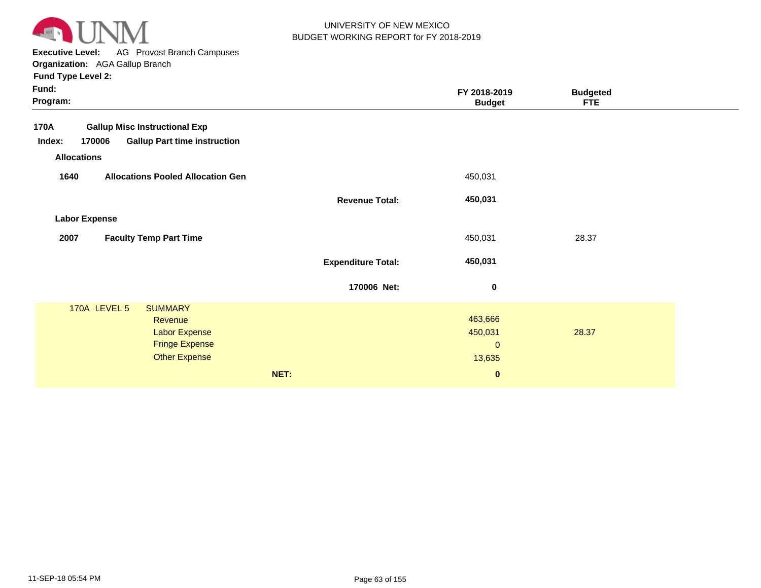

**Executive Level:** AG Provost Branch Campuses

**Organization:**  AGA Gallup Branch **Fund Type Level 2:**

| Fund:<br>Program:                                                                                                             |                           | FY 2018-2019<br><b>Budget</b>                | <b>Budgeted</b><br><b>FTE</b> |  |
|-------------------------------------------------------------------------------------------------------------------------------|---------------------------|----------------------------------------------|-------------------------------|--|
| <b>Gallup Misc Instructional Exp</b><br>170A<br>Index:<br>170006<br><b>Gallup Part time instruction</b><br><b>Allocations</b> |                           |                                              |                               |  |
| <b>Allocations Pooled Allocation Gen</b><br>1640                                                                              |                           | 450,031                                      |                               |  |
|                                                                                                                               | <b>Revenue Total:</b>     | 450,031                                      |                               |  |
| <b>Labor Expense</b>                                                                                                          |                           |                                              |                               |  |
| 2007<br><b>Faculty Temp Part Time</b>                                                                                         |                           | 450,031                                      | 28.37                         |  |
|                                                                                                                               | <b>Expenditure Total:</b> | 450,031                                      |                               |  |
|                                                                                                                               | 170006 Net:               | $\mathbf 0$                                  |                               |  |
| 170A LEVEL 5<br><b>SUMMARY</b><br>Revenue<br><b>Labor Expense</b><br><b>Fringe Expense</b><br><b>Other Expense</b>            |                           | 463,666<br>450,031<br>$\mathbf{0}$<br>13,635 | 28.37                         |  |
|                                                                                                                               | NET:                      | $\pmb{0}$                                    |                               |  |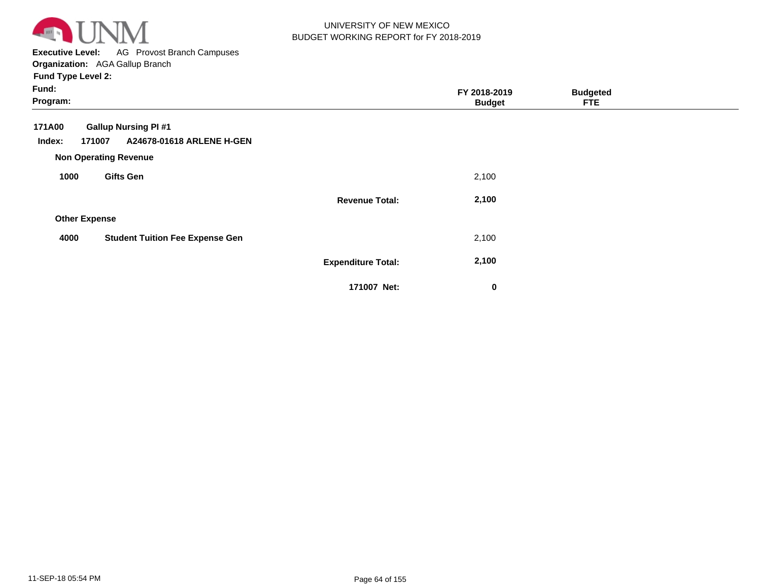

**Executive Level:** AG Provost Branch Campuses **Organization:**  AGA Gallup Branch

| Fund:<br>Program:                                                                     |                           | FY 2018-2019<br><b>Budget</b> | <b>Budgeted</b><br><b>FTE</b> |  |
|---------------------------------------------------------------------------------------|---------------------------|-------------------------------|-------------------------------|--|
| <b>Gallup Nursing PI#1</b><br>171A00<br>171007<br>A24678-01618 ARLENE H-GEN<br>Index: |                           |                               |                               |  |
| <b>Non Operating Revenue</b><br><b>Gifts Gen</b><br>1000                              |                           | 2,100                         |                               |  |
|                                                                                       | <b>Revenue Total:</b>     | 2,100                         |                               |  |
| <b>Other Expense</b>                                                                  |                           |                               |                               |  |
| 4000<br><b>Student Tuition Fee Expense Gen</b>                                        |                           | 2,100                         |                               |  |
|                                                                                       | <b>Expenditure Total:</b> | 2,100                         |                               |  |
|                                                                                       | 171007 Net:               | $\bf{0}$                      |                               |  |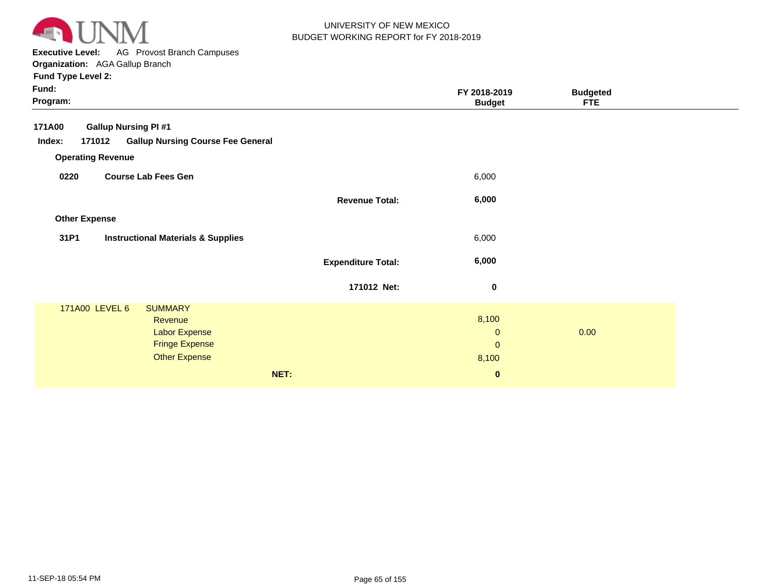

**Executive Level:** AG Provost Branch Campuses **Organization:**  AGA Gallup Branch

| Fund:<br>Program:        |                                                                                                    |                           | FY 2018-2019<br><b>Budget</b>                | <b>Budgeted</b><br><b>FTE</b> |  |
|--------------------------|----------------------------------------------------------------------------------------------------|---------------------------|----------------------------------------------|-------------------------------|--|
| 171A00                   | <b>Gallup Nursing PI #1</b>                                                                        |                           |                                              |                               |  |
| Index:                   | <b>Gallup Nursing Course Fee General</b><br>171012                                                 |                           |                                              |                               |  |
| <b>Operating Revenue</b> |                                                                                                    |                           |                                              |                               |  |
| 0220                     | <b>Course Lab Fees Gen</b>                                                                         |                           | 6,000                                        |                               |  |
|                          |                                                                                                    | <b>Revenue Total:</b>     | 6,000                                        |                               |  |
| <b>Other Expense</b>     |                                                                                                    |                           |                                              |                               |  |
| 31P1                     | <b>Instructional Materials &amp; Supplies</b>                                                      |                           | 6,000                                        |                               |  |
|                          |                                                                                                    | <b>Expenditure Total:</b> | 6,000                                        |                               |  |
|                          |                                                                                                    | 171012 Net:               | $\pmb{0}$                                    |                               |  |
| 171A00 LEVEL 6           | <b>SUMMARY</b><br>Revenue<br><b>Labor Expense</b><br><b>Fringe Expense</b><br><b>Other Expense</b> |                           | 8,100<br>$\mathbf 0$<br>$\mathbf 0$<br>8,100 | 0.00                          |  |
|                          |                                                                                                    | NET:                      | $\bf{0}$                                     |                               |  |
|                          |                                                                                                    |                           |                                              |                               |  |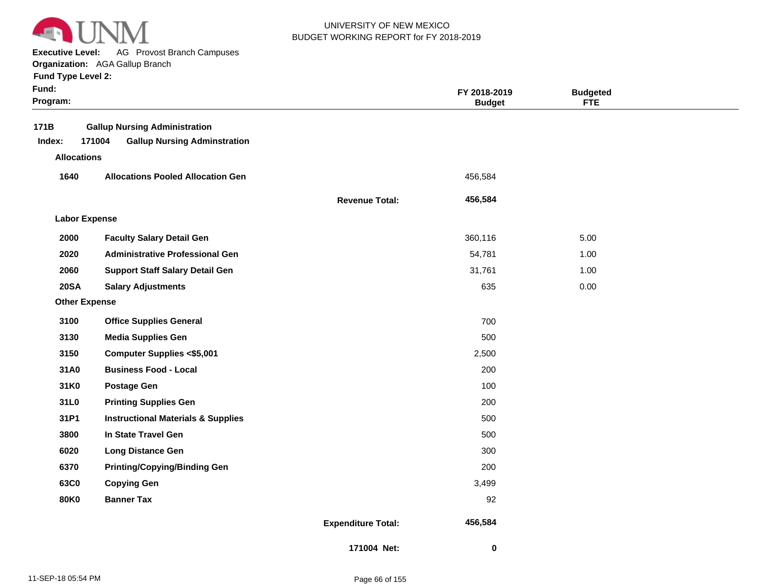

**Executive Level:** AG Provost Branch Campuses

|  | <b>Fund Type Level 2:</b> |  |  |
|--|---------------------------|--|--|
|--|---------------------------|--|--|

| Fund:<br>Program:    |                                                                                       |                           | FY 2018-2019<br><b>Budget</b> | <b>Budgeted</b><br><b>FTE</b> |  |
|----------------------|---------------------------------------------------------------------------------------|---------------------------|-------------------------------|-------------------------------|--|
| 171B<br>Index:       | <b>Gallup Nursing Administration</b><br>171004<br><b>Gallup Nursing Adminstration</b> |                           |                               |                               |  |
| <b>Allocations</b>   |                                                                                       |                           |                               |                               |  |
| 1640                 | <b>Allocations Pooled Allocation Gen</b>                                              |                           | 456,584                       |                               |  |
|                      |                                                                                       | <b>Revenue Total:</b>     | 456,584                       |                               |  |
| <b>Labor Expense</b> |                                                                                       |                           |                               |                               |  |
| 2000                 | <b>Faculty Salary Detail Gen</b>                                                      |                           | 360,116                       | 5.00                          |  |
| 2020                 | <b>Administrative Professional Gen</b>                                                |                           | 54,781                        | 1.00                          |  |
| 2060                 | <b>Support Staff Salary Detail Gen</b>                                                |                           | 31,761                        | 1.00                          |  |
| <b>20SA</b>          | <b>Salary Adjustments</b>                                                             |                           | 635                           | 0.00                          |  |
| <b>Other Expense</b> |                                                                                       |                           |                               |                               |  |
| 3100                 | <b>Office Supplies General</b>                                                        |                           | 700                           |                               |  |
| 3130                 | <b>Media Supplies Gen</b>                                                             |                           | 500                           |                               |  |
| 3150                 | <b>Computer Supplies &lt;\$5,001</b>                                                  |                           | 2,500                         |                               |  |
| 31A0                 | <b>Business Food - Local</b>                                                          |                           | 200                           |                               |  |
| 31K0                 | <b>Postage Gen</b>                                                                    |                           | 100                           |                               |  |
| 31L0                 | <b>Printing Supplies Gen</b>                                                          |                           | 200                           |                               |  |
| 31P1                 | <b>Instructional Materials &amp; Supplies</b>                                         |                           | 500                           |                               |  |
| 3800                 | In State Travel Gen                                                                   |                           | 500                           |                               |  |
| 6020                 | <b>Long Distance Gen</b>                                                              |                           | 300                           |                               |  |
| 6370                 | <b>Printing/Copying/Binding Gen</b>                                                   |                           | 200                           |                               |  |
| 63C0                 | <b>Copying Gen</b>                                                                    |                           | 3,499                         |                               |  |
| <b>80K0</b>          | <b>Banner Tax</b>                                                                     |                           | 92                            |                               |  |
|                      |                                                                                       | <b>Expenditure Total:</b> | 456,584                       |                               |  |
|                      |                                                                                       | 171004 Net:               | 0                             |                               |  |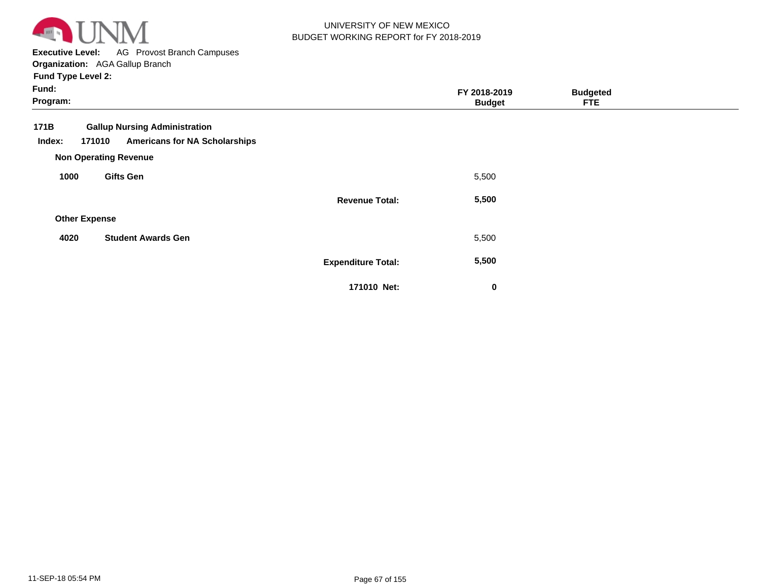

**Executive Level:** AG Provost Branch Campuses

**Organization:**  AGA Gallup Branch **Fund Type Level 2:**

| Fund:<br>Program:    |                                      |                           | FY 2018-2019<br><b>Budget</b> | <b>Budgeted</b><br><b>FTE</b> |  |
|----------------------|--------------------------------------|---------------------------|-------------------------------|-------------------------------|--|
| 171B                 | <b>Gallup Nursing Administration</b> |                           |                               |                               |  |
| 171010<br>Index:     | <b>Americans for NA Scholarships</b> |                           |                               |                               |  |
|                      | <b>Non Operating Revenue</b>         |                           |                               |                               |  |
| 1000                 | <b>Gifts Gen</b>                     |                           | 5,500                         |                               |  |
|                      |                                      | <b>Revenue Total:</b>     | 5,500                         |                               |  |
| <b>Other Expense</b> |                                      |                           |                               |                               |  |
| 4020                 | <b>Student Awards Gen</b>            |                           | 5,500                         |                               |  |
|                      |                                      | <b>Expenditure Total:</b> | 5,500                         |                               |  |
|                      |                                      | 171010 Net:               | $\bf{0}$                      |                               |  |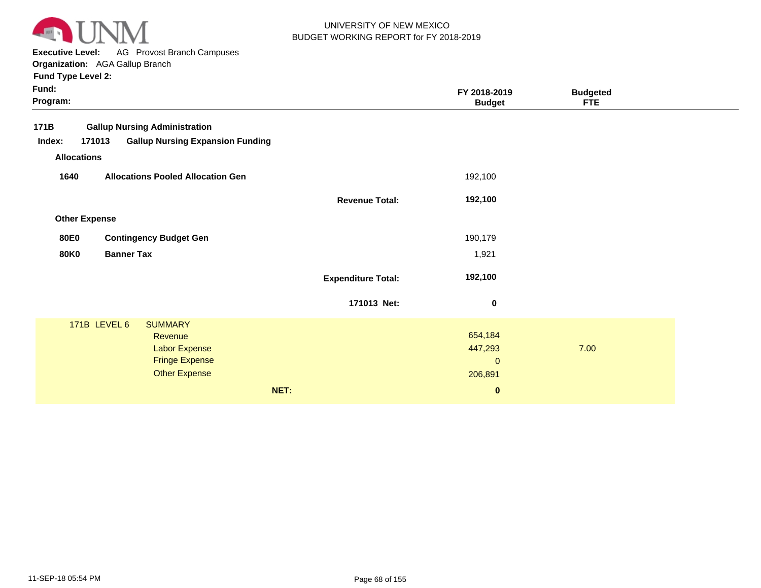

**Executive Level:** AG Provost Branch Campuses

**Organization:**  AGA Gallup Branch

| Fund:<br>Program: |                      |                                               |                           | FY 2018-2019<br><b>Budget</b> | <b>Budgeted</b><br><b>FTE</b> |  |
|-------------------|----------------------|-----------------------------------------------|---------------------------|-------------------------------|-------------------------------|--|
| 171B              |                      | <b>Gallup Nursing Administration</b>          |                           |                               |                               |  |
| Index:            | 171013               | <b>Gallup Nursing Expansion Funding</b>       |                           |                               |                               |  |
|                   | <b>Allocations</b>   |                                               |                           |                               |                               |  |
| 1640              |                      | <b>Allocations Pooled Allocation Gen</b>      |                           | 192,100                       |                               |  |
|                   |                      |                                               | <b>Revenue Total:</b>     | 192,100                       |                               |  |
|                   | <b>Other Expense</b> |                                               |                           |                               |                               |  |
| <b>80E0</b>       |                      | <b>Contingency Budget Gen</b>                 |                           | 190,179                       |                               |  |
| <b>80K0</b>       | <b>Banner Tax</b>    |                                               |                           | 1,921                         |                               |  |
|                   |                      |                                               | <b>Expenditure Total:</b> | 192,100                       |                               |  |
|                   |                      |                                               | 171013 Net:               | 0                             |                               |  |
|                   | 171B LEVEL 6         | <b>SUMMARY</b>                                |                           |                               |                               |  |
|                   |                      | Revenue                                       |                           | 654,184                       |                               |  |
|                   |                      | Labor Expense                                 |                           | 447,293                       | 7.00                          |  |
|                   |                      | <b>Fringe Expense</b><br><b>Other Expense</b> |                           | $\mathbf{0}$                  |                               |  |
|                   |                      |                                               |                           | 206,891                       |                               |  |
|                   |                      |                                               | NET:                      | $\pmb{0}$                     |                               |  |
|                   |                      |                                               |                           |                               |                               |  |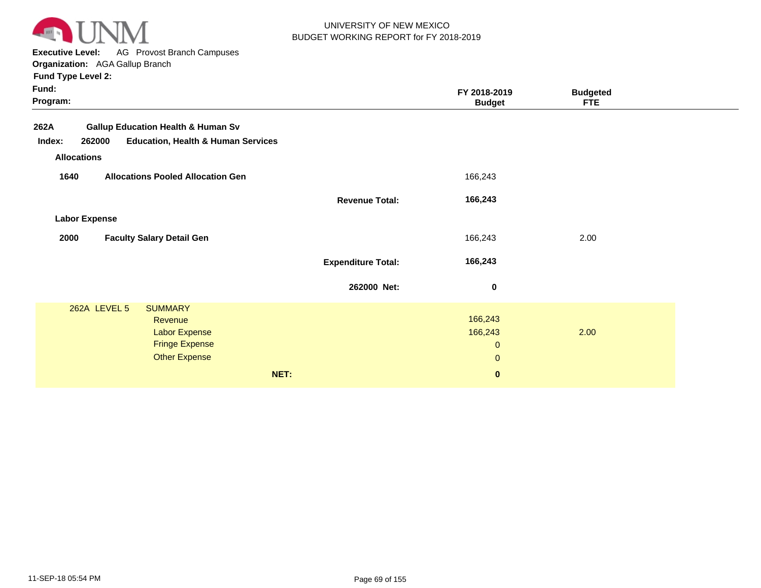

**Executive Level:** AG Provost Branch Campuses

**Organization:**  AGA Gallup Branch **Fund Type Level 2:**

|                           | FY 2018-2019<br><b>Budget</b>                                                                                                              | <b>Budgeted</b><br><b>FTE</b> |  |
|---------------------------|--------------------------------------------------------------------------------------------------------------------------------------------|-------------------------------|--|
|                           |                                                                                                                                            |                               |  |
|                           | 166,243                                                                                                                                    |                               |  |
| <b>Revenue Total:</b>     | 166,243                                                                                                                                    |                               |  |
|                           |                                                                                                                                            |                               |  |
|                           | 166,243                                                                                                                                    | 2.00                          |  |
| <b>Expenditure Total:</b> | 166,243                                                                                                                                    |                               |  |
| 262000 Net:               | 0                                                                                                                                          |                               |  |
| NET:                      | 166,243<br>166,243<br>$\mathbf{0}$<br>$\mathbf{0}$<br>$\mathbf 0$                                                                          | 2.00                          |  |
|                           | <b>Gallup Education Health &amp; Human Sv</b><br><b>Education, Health &amp; Human Services</b><br><b>Allocations Pooled Allocation Gen</b> |                               |  |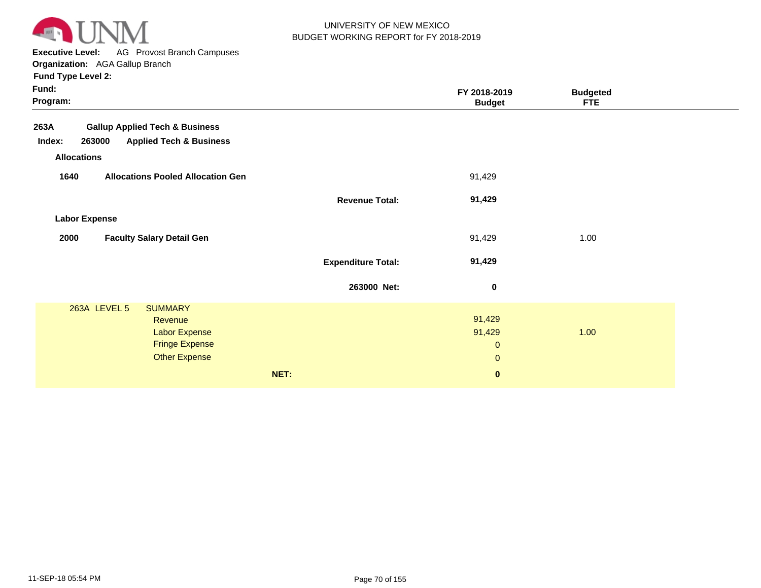

**Executive Level:** AG Provost Branch Campuses

**Organization:**  AGA Gallup Branch **Fund Type Level 2:**

| 91,429                                                       |      |
|--------------------------------------------------------------|------|
| 91,429                                                       |      |
|                                                              |      |
| 91,429                                                       | 1.00 |
| 91,429                                                       |      |
| $\bf{0}$                                                     |      |
| 91,429<br>91,429<br>$\mathbf 0$<br>$\mathbf{0}$<br>$\pmb{0}$ | 1.00 |
|                                                              |      |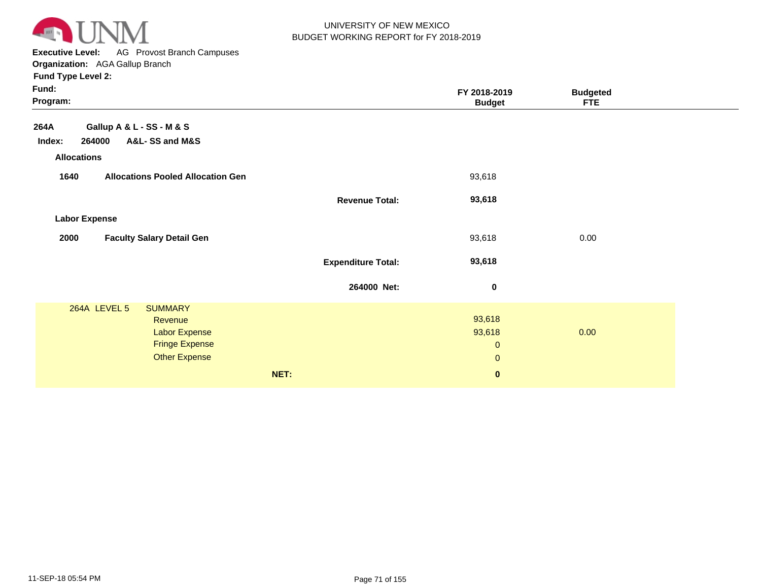

**Executive Level:** AG Provost Branch Campuses

| <b>Fund Type Level 2:</b> |
|---------------------------|
|---------------------------|

|                           | FY 2018-2019<br><b>Budget</b>                    | <b>Budgeted</b><br><b>FTE</b> |  |
|---------------------------|--------------------------------------------------|-------------------------------|--|
|                           |                                                  |                               |  |
|                           |                                                  |                               |  |
|                           |                                                  |                               |  |
|                           | 93,618                                           |                               |  |
| <b>Revenue Total:</b>     | 93,618                                           |                               |  |
|                           |                                                  |                               |  |
|                           | 93,618                                           | 0.00                          |  |
| <b>Expenditure Total:</b> | 93,618                                           |                               |  |
| 264000 Net:               | $\pmb{0}$                                        |                               |  |
|                           | 93,618<br>93,618<br>$\mathbf{0}$<br>$\mathbf{0}$ | 0.00                          |  |
|                           | $\bf{0}$                                         |                               |  |
|                           | NET:                                             |                               |  |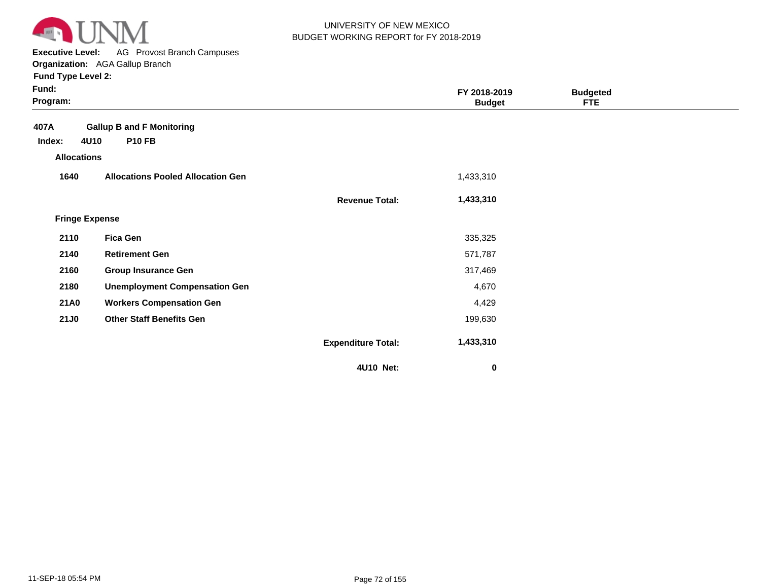

**Executive Level:** AG Provost Branch Campuses **Organization:**  AGA Gallup Branch

| Fund:<br>Program:     |                                          |                           | FY 2018-2019<br><b>Budget</b> | <b>Budgeted</b><br><b>FTE</b> |  |
|-----------------------|------------------------------------------|---------------------------|-------------------------------|-------------------------------|--|
| 407A                  | <b>Gallup B and F Monitoring</b>         |                           |                               |                               |  |
| 4U10<br>Index:        | <b>P10 FB</b>                            |                           |                               |                               |  |
| <b>Allocations</b>    |                                          |                           |                               |                               |  |
| 1640                  | <b>Allocations Pooled Allocation Gen</b> |                           | 1,433,310                     |                               |  |
|                       |                                          | <b>Revenue Total:</b>     | 1,433,310                     |                               |  |
| <b>Fringe Expense</b> |                                          |                           |                               |                               |  |
| 2110                  | <b>Fica Gen</b>                          |                           | 335,325                       |                               |  |
| 2140                  | <b>Retirement Gen</b>                    |                           | 571,787                       |                               |  |
| 2160                  | <b>Group Insurance Gen</b>               |                           | 317,469                       |                               |  |
| 2180                  | <b>Unemployment Compensation Gen</b>     |                           | 4,670                         |                               |  |
| <b>21A0</b>           | <b>Workers Compensation Gen</b>          |                           | 4,429                         |                               |  |
| <b>21J0</b>           | <b>Other Staff Benefits Gen</b>          |                           | 199,630                       |                               |  |
|                       |                                          | <b>Expenditure Total:</b> | 1,433,310                     |                               |  |
|                       |                                          | 4U10 Net:                 | 0                             |                               |  |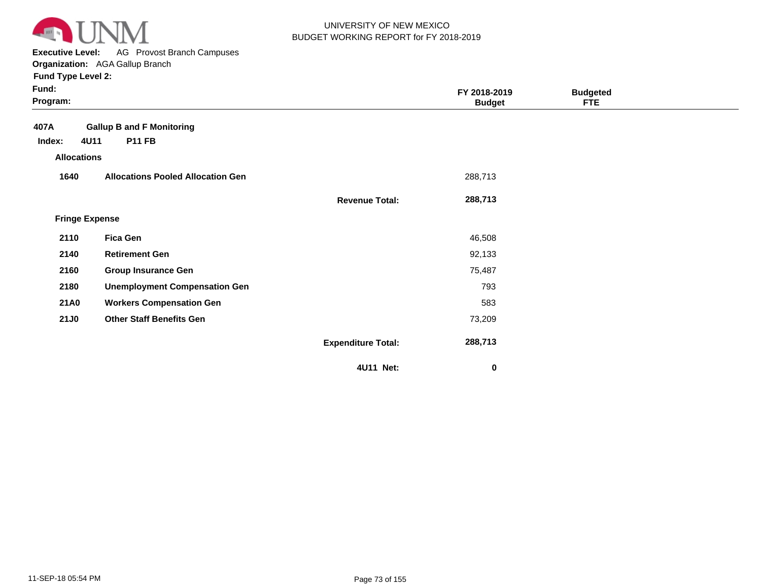

**Executive Level:** AG Provost Branch Campuses **Organization:**  AGA Gallup Branch

| Fund:<br>Program:     |                                          |                           | FY 2018-2019<br><b>Budget</b> | <b>Budgeted</b><br><b>FTE</b> |  |
|-----------------------|------------------------------------------|---------------------------|-------------------------------|-------------------------------|--|
| 407A                  | <b>Gallup B and F Monitoring</b>         |                           |                               |                               |  |
| 4U11<br>Index:        | <b>P11 FB</b>                            |                           |                               |                               |  |
| <b>Allocations</b>    |                                          |                           |                               |                               |  |
| 1640                  | <b>Allocations Pooled Allocation Gen</b> |                           | 288,713                       |                               |  |
|                       |                                          | <b>Revenue Total:</b>     | 288,713                       |                               |  |
| <b>Fringe Expense</b> |                                          |                           |                               |                               |  |
| 2110                  | <b>Fica Gen</b>                          |                           | 46,508                        |                               |  |
| 2140                  | <b>Retirement Gen</b>                    |                           | 92,133                        |                               |  |
| 2160                  | <b>Group Insurance Gen</b>               |                           | 75,487                        |                               |  |
| 2180                  | <b>Unemployment Compensation Gen</b>     |                           | 793                           |                               |  |
| <b>21A0</b>           | <b>Workers Compensation Gen</b>          |                           | 583                           |                               |  |
| <b>21J0</b>           | <b>Other Staff Benefits Gen</b>          |                           | 73,209                        |                               |  |
|                       |                                          | <b>Expenditure Total:</b> | 288,713                       |                               |  |
|                       |                                          | 4U11 Net:                 | 0                             |                               |  |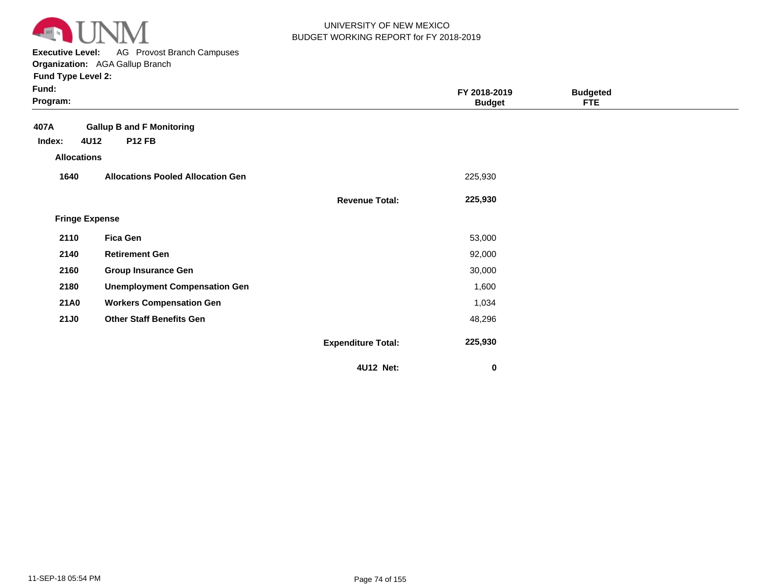

**Executive Level:** AG Provost Branch Campuses **Organization:**  AGA Gallup Branch

| Fund:<br>Program:     |                                          |                           | FY 2018-2019<br><b>Budget</b> | <b>Budgeted</b><br><b>FTE</b> |  |
|-----------------------|------------------------------------------|---------------------------|-------------------------------|-------------------------------|--|
| 407A                  | <b>Gallup B and F Monitoring</b>         |                           |                               |                               |  |
| 4U12<br>Index:        | <b>P12 FB</b>                            |                           |                               |                               |  |
| <b>Allocations</b>    |                                          |                           |                               |                               |  |
| 1640                  | <b>Allocations Pooled Allocation Gen</b> |                           | 225,930                       |                               |  |
|                       |                                          | <b>Revenue Total:</b>     | 225,930                       |                               |  |
| <b>Fringe Expense</b> |                                          |                           |                               |                               |  |
| 2110                  | <b>Fica Gen</b>                          |                           | 53,000                        |                               |  |
| 2140                  | <b>Retirement Gen</b>                    |                           | 92,000                        |                               |  |
| 2160                  | <b>Group Insurance Gen</b>               |                           | 30,000                        |                               |  |
| 2180                  | <b>Unemployment Compensation Gen</b>     |                           | 1,600                         |                               |  |
| <b>21A0</b>           | <b>Workers Compensation Gen</b>          |                           | 1,034                         |                               |  |
| <b>21J0</b>           | <b>Other Staff Benefits Gen</b>          |                           | 48,296                        |                               |  |
|                       |                                          | <b>Expenditure Total:</b> | 225,930                       |                               |  |
|                       |                                          | 4U12 Net:                 | 0                             |                               |  |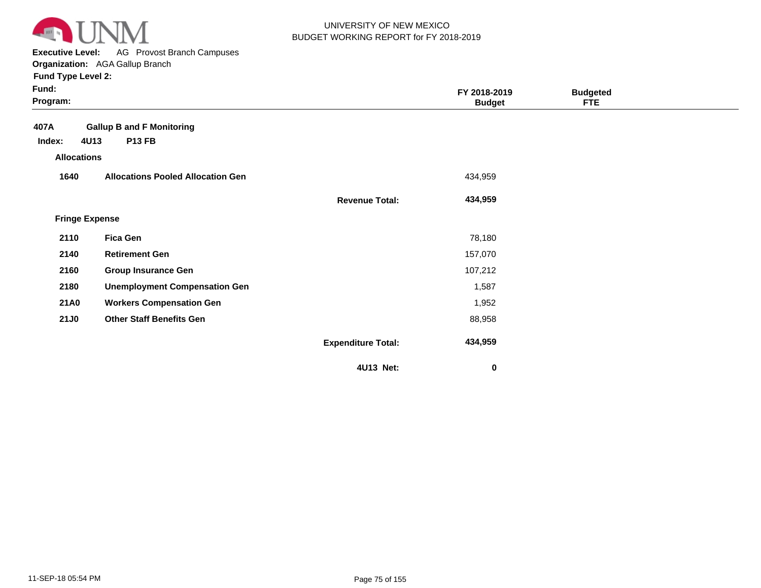

**Executive Level:** AG Provost Branch Campuses **Organization:**  AGA Gallup Branch

| Fund:<br>Program:     |                                          |                           | FY 2018-2019<br><b>Budget</b> | <b>Budgeted</b><br><b>FTE</b> |  |
|-----------------------|------------------------------------------|---------------------------|-------------------------------|-------------------------------|--|
| 407A                  | <b>Gallup B and F Monitoring</b>         |                           |                               |                               |  |
| 4U13<br>Index:        | <b>P13 FB</b>                            |                           |                               |                               |  |
| <b>Allocations</b>    |                                          |                           |                               |                               |  |
| 1640                  | <b>Allocations Pooled Allocation Gen</b> |                           | 434,959                       |                               |  |
|                       |                                          | <b>Revenue Total:</b>     | 434,959                       |                               |  |
| <b>Fringe Expense</b> |                                          |                           |                               |                               |  |
| 2110                  | <b>Fica Gen</b>                          |                           | 78,180                        |                               |  |
| 2140                  | <b>Retirement Gen</b>                    |                           | 157,070                       |                               |  |
| 2160                  | <b>Group Insurance Gen</b>               |                           | 107,212                       |                               |  |
| 2180                  | <b>Unemployment Compensation Gen</b>     |                           | 1,587                         |                               |  |
| <b>21A0</b>           | <b>Workers Compensation Gen</b>          |                           | 1,952                         |                               |  |
| <b>21J0</b>           | <b>Other Staff Benefits Gen</b>          |                           | 88,958                        |                               |  |
|                       |                                          | <b>Expenditure Total:</b> | 434,959                       |                               |  |
|                       |                                          | 4U13 Net:                 | 0                             |                               |  |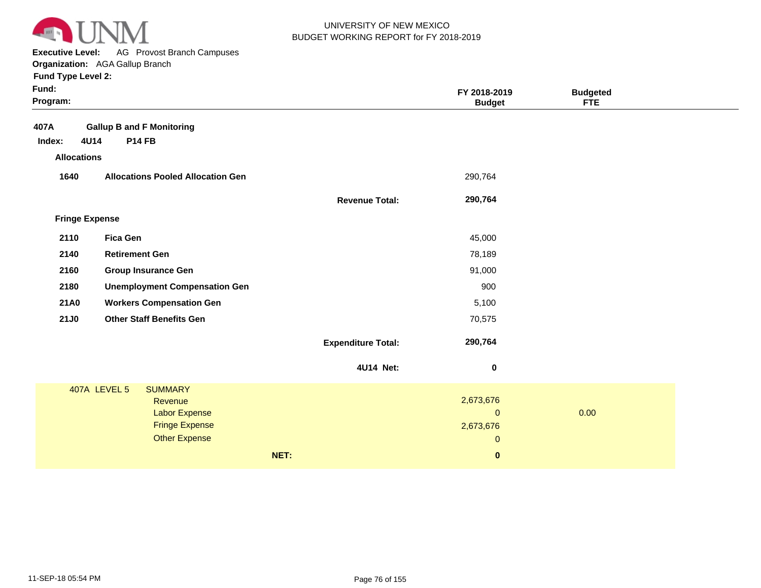

**Executive Level:** AG Provost Branch Campuses **Organization:**  AGA Gallup Branch

| Fund:<br>Program:     |                                          |                           | FY 2018-2019<br><b>Budget</b> | <b>Budgeted</b><br><b>FTE</b> |
|-----------------------|------------------------------------------|---------------------------|-------------------------------|-------------------------------|
| 407A                  | <b>Gallup B and F Monitoring</b>         |                           |                               |                               |
| 4U14<br>Index:        | <b>P14 FB</b>                            |                           |                               |                               |
| <b>Allocations</b>    |                                          |                           |                               |                               |
| 1640                  | <b>Allocations Pooled Allocation Gen</b> |                           | 290,764                       |                               |
|                       |                                          | <b>Revenue Total:</b>     | 290,764                       |                               |
| <b>Fringe Expense</b> |                                          |                           |                               |                               |
| 2110                  | <b>Fica Gen</b>                          |                           | 45,000                        |                               |
| 2140                  | <b>Retirement Gen</b>                    |                           | 78,189                        |                               |
| 2160                  | <b>Group Insurance Gen</b>               |                           | 91,000                        |                               |
| 2180                  | <b>Unemployment Compensation Gen</b>     |                           | 900                           |                               |
| <b>21A0</b>           | <b>Workers Compensation Gen</b>          |                           | 5,100                         |                               |
| <b>21J0</b>           | <b>Other Staff Benefits Gen</b>          |                           | 70,575                        |                               |
|                       |                                          | <b>Expenditure Total:</b> | 290,764                       |                               |
|                       |                                          | 4U14 Net:                 | $\pmb{0}$                     |                               |
|                       | 407A LEVEL 5<br><b>SUMMARY</b>           |                           |                               |                               |
|                       | Revenue                                  |                           | 2,673,676                     |                               |
|                       | <b>Labor Expense</b>                     |                           | $\mathbf 0$                   | 0.00                          |
|                       | <b>Fringe Expense</b>                    |                           | 2,673,676                     |                               |
|                       | <b>Other Expense</b>                     |                           | $\mathbf 0$                   |                               |
|                       |                                          | NET:                      | $\pmb{0}$                     |                               |
|                       |                                          |                           |                               |                               |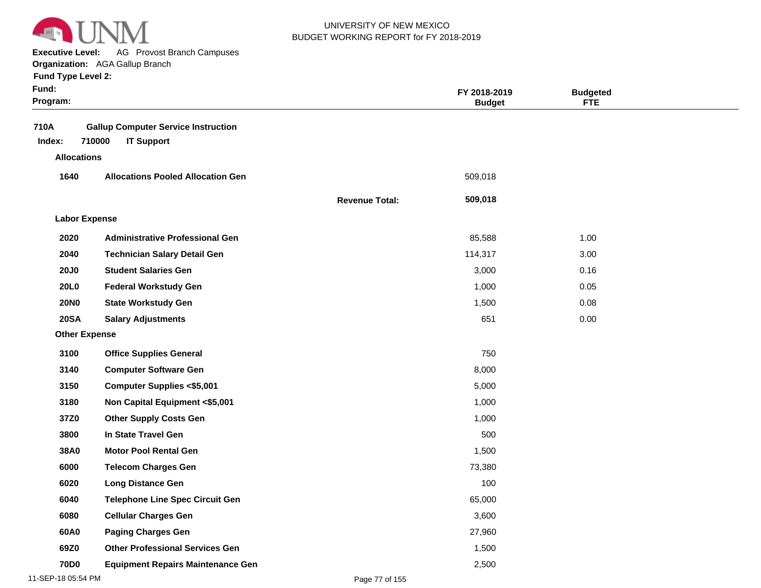

**Executive Level:** AG Provost Branch Campuses **Organization:**  AGA Gallup Branch

| Fund:<br>Program:    |                                                                           |                       | FY 2018-2019<br><b>Budget</b> | <b>Budgeted</b><br><b>FTE</b> |  |
|----------------------|---------------------------------------------------------------------------|-----------------------|-------------------------------|-------------------------------|--|
| 710A<br>Index:       | <b>Gallup Computer Service Instruction</b><br>710000<br><b>IT Support</b> |                       |                               |                               |  |
| <b>Allocations</b>   |                                                                           |                       |                               |                               |  |
| 1640                 | <b>Allocations Pooled Allocation Gen</b>                                  |                       | 509,018                       |                               |  |
|                      |                                                                           | <b>Revenue Total:</b> | 509,018                       |                               |  |
| <b>Labor Expense</b> |                                                                           |                       |                               |                               |  |
| 2020                 | <b>Administrative Professional Gen</b>                                    |                       | 85,588                        | 1.00                          |  |
| 2040                 | <b>Technician Salary Detail Gen</b>                                       |                       | 114,317                       | 3.00                          |  |
| <b>20J0</b>          | <b>Student Salaries Gen</b>                                               |                       | 3,000                         | 0.16                          |  |
| <b>20L0</b>          | <b>Federal Workstudy Gen</b>                                              |                       | 1,000                         | 0.05                          |  |
| <b>20NO</b>          | <b>State Workstudy Gen</b>                                                |                       | 1,500                         | 0.08                          |  |
| <b>20SA</b>          | <b>Salary Adjustments</b>                                                 |                       | 651                           | 0.00                          |  |
| <b>Other Expense</b> |                                                                           |                       |                               |                               |  |
| 3100                 | <b>Office Supplies General</b>                                            |                       | 750                           |                               |  |
| 3140                 | <b>Computer Software Gen</b>                                              |                       | 8,000                         |                               |  |
| 3150                 | <b>Computer Supplies &lt;\$5,001</b>                                      |                       | 5,000                         |                               |  |
| 3180                 | Non Capital Equipment <\$5,001                                            |                       | 1,000                         |                               |  |
| 37Z0                 | <b>Other Supply Costs Gen</b>                                             |                       | 1,000                         |                               |  |
| 3800                 | In State Travel Gen                                                       |                       | 500                           |                               |  |
| 38A0                 | <b>Motor Pool Rental Gen</b>                                              |                       | 1,500                         |                               |  |
| 6000                 | <b>Telecom Charges Gen</b>                                                |                       | 73,380                        |                               |  |
| 6020                 | <b>Long Distance Gen</b>                                                  |                       | 100                           |                               |  |
| 6040                 | <b>Telephone Line Spec Circuit Gen</b>                                    |                       | 65,000                        |                               |  |
| 6080                 | <b>Cellular Charges Gen</b>                                               |                       | 3,600                         |                               |  |
| 60A0                 | <b>Paging Charges Gen</b>                                                 |                       | 27,960                        |                               |  |
| 69Z0                 | <b>Other Professional Services Gen</b>                                    |                       | 1,500                         |                               |  |
| <b>70D0</b>          | <b>Equipment Repairs Maintenance Gen</b>                                  |                       | 2,500                         |                               |  |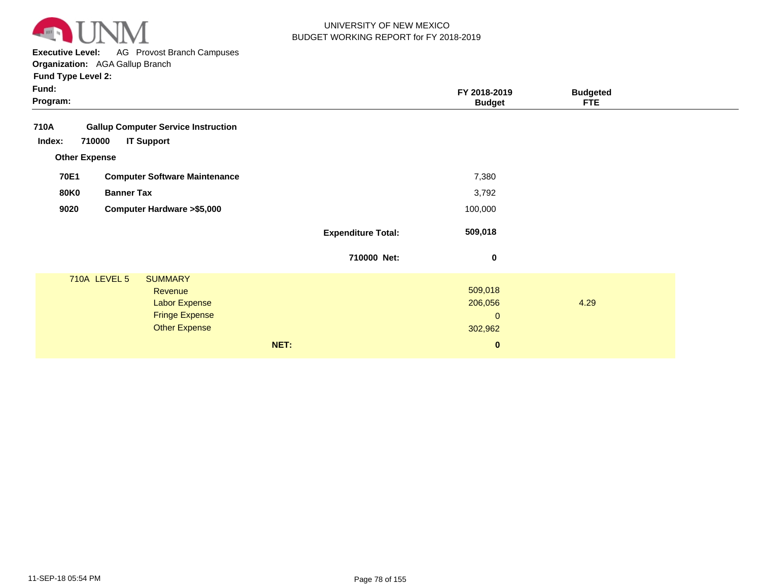

**Executive Level:** AG Provost Branch Campuses

**Organization:**  AGA Gallup Branch

| Fund:<br>Program:                                                                                                         |                           | FY 2018-2019<br><b>Budget</b>                              | <b>Budgeted</b><br><b>FTE</b> |  |
|---------------------------------------------------------------------------------------------------------------------------|---------------------------|------------------------------------------------------------|-------------------------------|--|
| 710A<br><b>Gallup Computer Service Instruction</b><br>710000<br><b>IT Support</b><br>Index:<br><b>Other Expense</b>       |                           |                                                            |                               |  |
| 70E1<br><b>Computer Software Maintenance</b>                                                                              |                           | 7,380                                                      |                               |  |
| <b>Banner Tax</b><br><b>80K0</b>                                                                                          |                           | 3,792                                                      |                               |  |
| 9020<br><b>Computer Hardware &gt; \$5,000</b>                                                                             |                           | 100,000                                                    |                               |  |
|                                                                                                                           | <b>Expenditure Total:</b> | 509,018                                                    |                               |  |
|                                                                                                                           | 710000 Net:               | 0                                                          |                               |  |
| <b>710A LEVEL 5</b><br><b>SUMMARY</b><br>Revenue<br><b>Labor Expense</b><br><b>Fringe Expense</b><br><b>Other Expense</b> | NET:                      | 509,018<br>206,056<br>$\mathbf{0}$<br>302,962<br>$\pmb{0}$ | 4.29                          |  |
|                                                                                                                           |                           |                                                            |                               |  |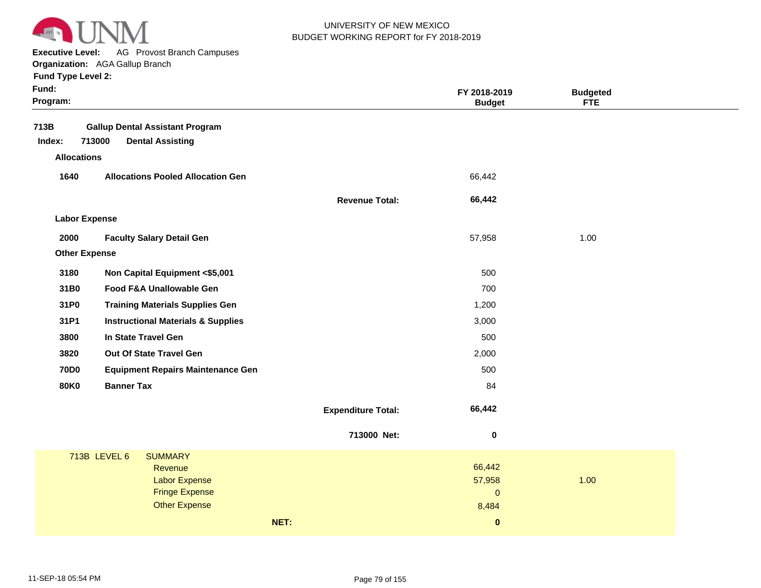

**Executive Level:** AG Provost Branch Campuses **Organization:**  AGA Gallup Branch

| Fund:<br>Program:    |                                               |                           | FY 2018-2019<br><b>Budget</b> | <b>Budgeted</b><br><b>FTE</b> |  |
|----------------------|-----------------------------------------------|---------------------------|-------------------------------|-------------------------------|--|
| 713B                 | <b>Gallup Dental Assistant Program</b>        |                           |                               |                               |  |
| Index:               | 713000<br><b>Dental Assisting</b>             |                           |                               |                               |  |
| <b>Allocations</b>   |                                               |                           |                               |                               |  |
| 1640                 | <b>Allocations Pooled Allocation Gen</b>      |                           | 66,442                        |                               |  |
|                      |                                               | <b>Revenue Total:</b>     | 66,442                        |                               |  |
| <b>Labor Expense</b> |                                               |                           |                               |                               |  |
| 2000                 | <b>Faculty Salary Detail Gen</b>              |                           | 57,958                        | 1.00                          |  |
| <b>Other Expense</b> |                                               |                           |                               |                               |  |
| 3180                 | Non Capital Equipment <\$5,001                |                           | 500                           |                               |  |
| 31B0                 | Food F&A Unallowable Gen                      |                           | 700                           |                               |  |
| 31P0                 | <b>Training Materials Supplies Gen</b>        |                           | 1,200                         |                               |  |
| 31P1                 | <b>Instructional Materials &amp; Supplies</b> |                           | 3,000                         |                               |  |
| 3800                 | In State Travel Gen                           |                           | 500                           |                               |  |
| 3820                 | Out Of State Travel Gen                       |                           | 2,000                         |                               |  |
| <b>70D0</b>          | <b>Equipment Repairs Maintenance Gen</b>      |                           | 500                           |                               |  |
| <b>80K0</b>          | <b>Banner Tax</b>                             |                           | 84                            |                               |  |
|                      |                                               | <b>Expenditure Total:</b> | 66,442                        |                               |  |
|                      |                                               | 713000 Net:               | 0                             |                               |  |
|                      | 713B LEVEL 6<br><b>SUMMARY</b>                |                           |                               |                               |  |
|                      | Revenue<br><b>Labor Expense</b>               |                           | 66,442<br>57,958              | 1.00                          |  |
|                      | <b>Fringe Expense</b>                         |                           | $\pmb{0}$                     |                               |  |
|                      | <b>Other Expense</b>                          |                           | 8,484                         |                               |  |
|                      |                                               | NET:                      | $\mathbf 0$                   |                               |  |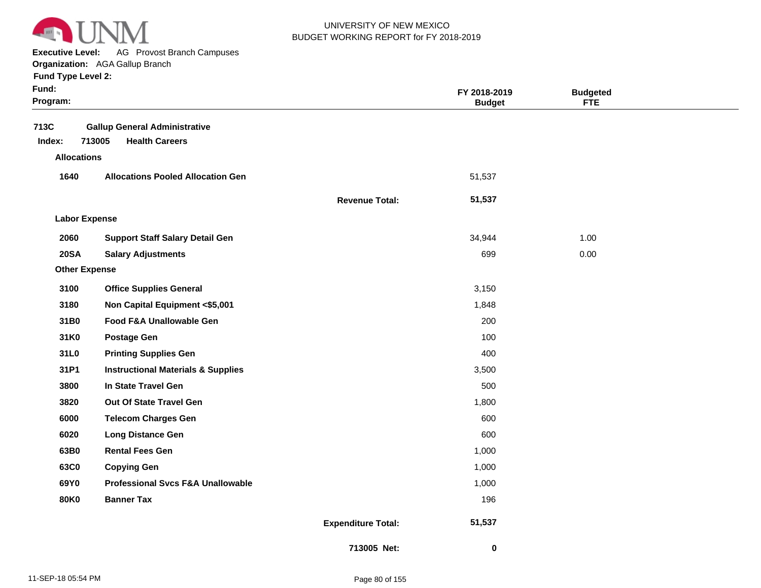

**Executive Level:** AG Provost Branch Campuses

**Organization:**  AGA Gallup Branch

| Fund Type Level 2:   |                                               |                       |                               |                               |  |
|----------------------|-----------------------------------------------|-----------------------|-------------------------------|-------------------------------|--|
| Fund:<br>Program:    |                                               |                       | FY 2018-2019<br><b>Budget</b> | <b>Budgeted</b><br><b>FTE</b> |  |
|                      |                                               |                       |                               |                               |  |
| 713C                 | <b>Gallup General Administrative</b>          |                       |                               |                               |  |
| Index:               | <b>Health Careers</b><br>713005               |                       |                               |                               |  |
| <b>Allocations</b>   |                                               |                       |                               |                               |  |
| 1640                 | <b>Allocations Pooled Allocation Gen</b>      |                       | 51,537                        |                               |  |
|                      |                                               | <b>Revenue Total:</b> | 51,537                        |                               |  |
| <b>Labor Expense</b> |                                               |                       |                               |                               |  |
| 2060                 | <b>Support Staff Salary Detail Gen</b>        |                       | 34,944                        | 1.00                          |  |
| <b>20SA</b>          | <b>Salary Adjustments</b>                     |                       | 699                           | 0.00                          |  |
| <b>Other Expense</b> |                                               |                       |                               |                               |  |
| 3100                 | <b>Office Supplies General</b>                |                       | 3,150                         |                               |  |
| 3180                 | Non Capital Equipment <\$5,001                |                       | 1,848                         |                               |  |
| 31B0                 | Food F&A Unallowable Gen                      |                       | 200                           |                               |  |
| 31K0                 | <b>Postage Gen</b>                            |                       | 100                           |                               |  |
| 31L0                 | <b>Printing Supplies Gen</b>                  |                       | 400                           |                               |  |
| 31P1                 | <b>Instructional Materials &amp; Supplies</b> |                       | 3,500                         |                               |  |
| 3800                 | In State Travel Gen                           |                       | 500                           |                               |  |
| 3820                 | Out Of State Travel Gen                       |                       | 1,800                         |                               |  |
| 6000                 | <b>Telecom Charges Gen</b>                    |                       | 600                           |                               |  |
| 6020                 | <b>Long Distance Gen</b>                      |                       | 600                           |                               |  |
| 63B0                 | <b>Rental Fees Gen</b>                        |                       | 1,000                         |                               |  |
| 63C0                 | <b>Copying Gen</b>                            |                       | 1,000                         |                               |  |
| 69Y0                 | <b>Professional Svcs F&amp;A Unallowable</b>  |                       | 1,000                         |                               |  |

**80K0 Banner Tax** 196

**Expenditure Total:**

 **51,537** 

 **0** 

**713005 Net:**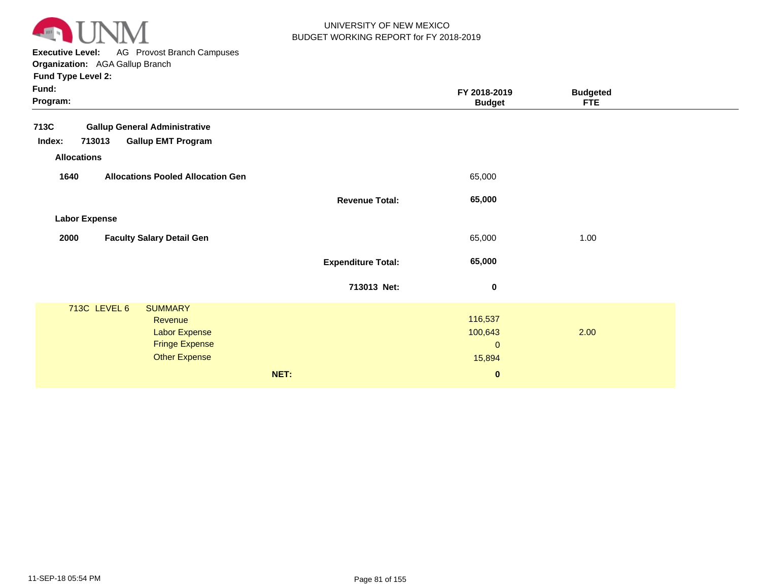

**Executive Level:** AG Provost Branch Campuses

**Organization:**  AGA Gallup Branch **Fund Type Level 2:**

| Fund:<br>Program:                                                                                                   |                           | FY 2018-2019<br><b>Budget</b>                          | <b>Budgeted</b><br><b>FTE</b> |  |
|---------------------------------------------------------------------------------------------------------------------|---------------------------|--------------------------------------------------------|-------------------------------|--|
| 713C<br><b>Gallup General Administrative</b><br><b>Gallup EMT Program</b><br>Index:<br>713013<br><b>Allocations</b> |                           |                                                        |                               |  |
| 1640<br><b>Allocations Pooled Allocation Gen</b>                                                                    |                           | 65,000                                                 |                               |  |
|                                                                                                                     | <b>Revenue Total:</b>     | 65,000                                                 |                               |  |
| <b>Labor Expense</b>                                                                                                |                           |                                                        |                               |  |
| 2000<br><b>Faculty Salary Detail Gen</b>                                                                            |                           | 65,000                                                 | 1.00                          |  |
|                                                                                                                     | <b>Expenditure Total:</b> | 65,000                                                 |                               |  |
|                                                                                                                     | 713013 Net:               | $\bf{0}$                                               |                               |  |
| 713C LEVEL 6<br><b>SUMMARY</b><br>Revenue<br><b>Labor Expense</b><br><b>Fringe Expense</b><br><b>Other Expense</b>  | NET:                      | 116,537<br>100,643<br>$\pmb{0}$<br>15,894<br>$\pmb{0}$ | 2.00                          |  |
|                                                                                                                     |                           |                                                        |                               |  |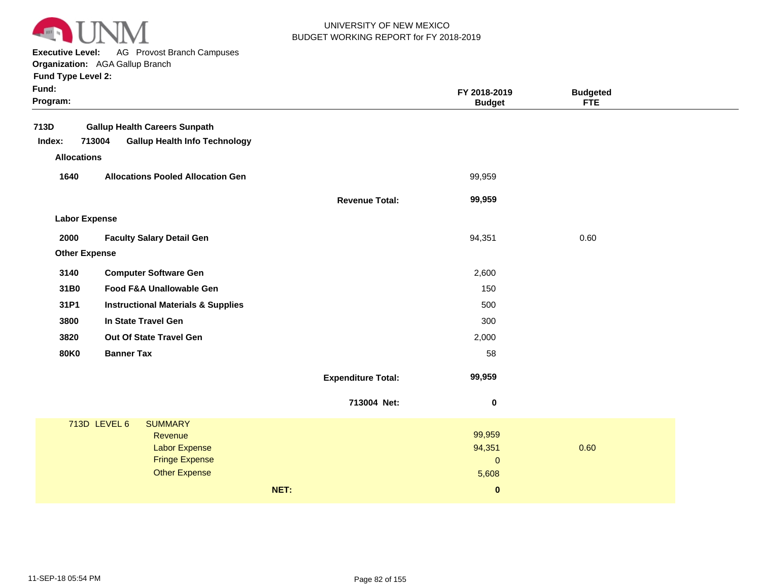

**Executive Level:** AG Provost Branch Campuses

**Organization:**  AGA Gallup Branch

| Fund:<br>Program:    |                                                |                           | FY 2018-2019<br><b>Budget</b> | <b>Budgeted</b><br><b>FTE</b> |  |
|----------------------|------------------------------------------------|---------------------------|-------------------------------|-------------------------------|--|
| 713D                 | <b>Gallup Health Careers Sunpath</b>           |                           |                               |                               |  |
| Index:               | 713004<br><b>Gallup Health Info Technology</b> |                           |                               |                               |  |
| <b>Allocations</b>   |                                                |                           |                               |                               |  |
| 1640                 | <b>Allocations Pooled Allocation Gen</b>       |                           | 99,959                        |                               |  |
|                      |                                                | <b>Revenue Total:</b>     | 99,959                        |                               |  |
| <b>Labor Expense</b> |                                                |                           |                               |                               |  |
| 2000                 | <b>Faculty Salary Detail Gen</b>               |                           | 94,351                        | 0.60                          |  |
| <b>Other Expense</b> |                                                |                           |                               |                               |  |
| 3140                 | <b>Computer Software Gen</b>                   |                           | 2,600                         |                               |  |
| 31B0                 | Food F&A Unallowable Gen                       |                           | 150                           |                               |  |
| 31P1                 | <b>Instructional Materials &amp; Supplies</b>  |                           | 500                           |                               |  |
| 3800                 | In State Travel Gen                            |                           | 300                           |                               |  |
| 3820                 | Out Of State Travel Gen                        |                           | 2,000                         |                               |  |
| <b>80K0</b>          | <b>Banner Tax</b>                              |                           | 58                            |                               |  |
|                      |                                                | <b>Expenditure Total:</b> | 99,959                        |                               |  |
|                      |                                                | 713004 Net:               | $\bf{0}$                      |                               |  |
|                      | 713D LEVEL 6<br><b>SUMMARY</b>                 |                           |                               |                               |  |
|                      | Revenue                                        |                           | 99,959                        |                               |  |
|                      | <b>Labor Expense</b><br><b>Fringe Expense</b>  |                           | 94,351<br>$\mathbf{0}$        | 0.60                          |  |
|                      | <b>Other Expense</b>                           |                           | 5,608                         |                               |  |
|                      |                                                | NET:                      | $\pmb{0}$                     |                               |  |
|                      |                                                |                           |                               |                               |  |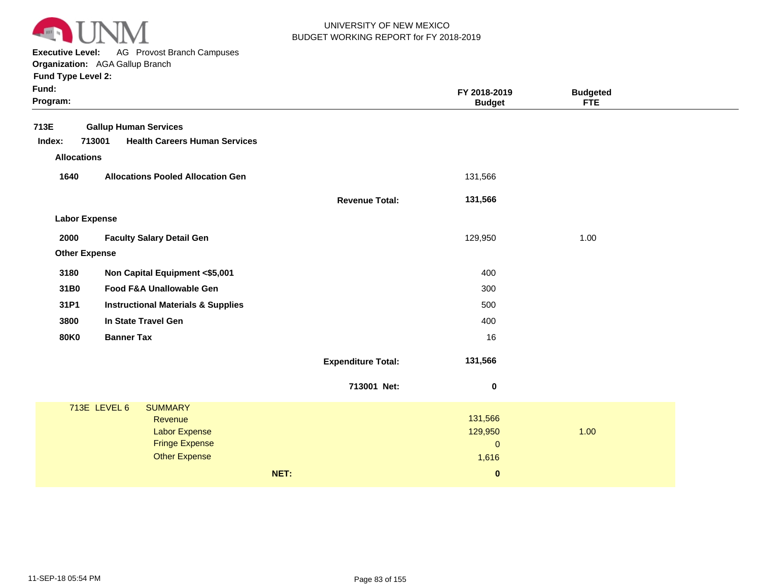

**Executive Level:** AG Provost Branch Campuses

**Organization:**  AGA Gallup Branch

| Fund:<br>Program:    |                                                |                           | FY 2018-2019<br><b>Budget</b> | <b>Budgeted</b><br><b>FTE</b> |  |
|----------------------|------------------------------------------------|---------------------------|-------------------------------|-------------------------------|--|
| 713E                 | <b>Gallup Human Services</b>                   |                           |                               |                               |  |
| Index:               | 713001<br><b>Health Careers Human Services</b> |                           |                               |                               |  |
| <b>Allocations</b>   |                                                |                           |                               |                               |  |
| 1640                 | <b>Allocations Pooled Allocation Gen</b>       |                           | 131,566                       |                               |  |
|                      |                                                | <b>Revenue Total:</b>     | 131,566                       |                               |  |
| <b>Labor Expense</b> |                                                |                           |                               |                               |  |
| 2000                 | <b>Faculty Salary Detail Gen</b>               |                           | 129,950                       | 1.00                          |  |
| <b>Other Expense</b> |                                                |                           |                               |                               |  |
| 3180                 | Non Capital Equipment <\$5,001                 |                           | 400                           |                               |  |
| 31B0                 | Food F&A Unallowable Gen                       |                           | 300                           |                               |  |
| 31P1                 | <b>Instructional Materials &amp; Supplies</b>  |                           | 500                           |                               |  |
| 3800                 | In State Travel Gen                            |                           | 400                           |                               |  |
| <b>80K0</b>          | <b>Banner Tax</b>                              |                           | 16                            |                               |  |
|                      |                                                | <b>Expenditure Total:</b> | 131,566                       |                               |  |
|                      |                                                | 713001 Net:               | $\bf{0}$                      |                               |  |
|                      | 713E LEVEL 6<br><b>SUMMARY</b>                 |                           |                               |                               |  |
|                      | Revenue                                        |                           | 131,566                       | 1.00                          |  |
|                      | <b>Labor Expense</b><br><b>Fringe Expense</b>  |                           | 129,950<br>$\mathbf{0}$       |                               |  |
|                      | <b>Other Expense</b>                           |                           | 1,616                         |                               |  |
|                      |                                                | NET:                      | $\pmb{0}$                     |                               |  |
|                      |                                                |                           |                               |                               |  |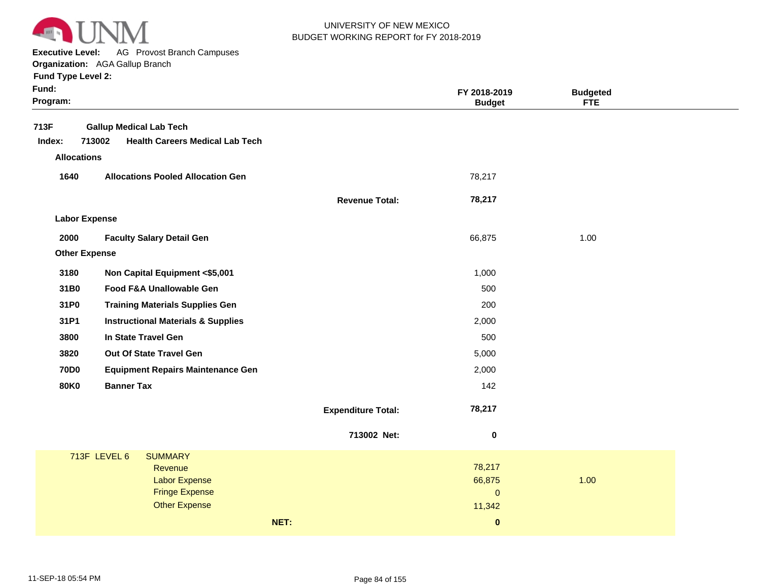

**Executive Level:** AG Provost Branch Campuses

**Organization:**  AGA Gallup Branch

| Fund:<br>Program:    |                                                  |                           | FY 2018-2019<br><b>Budget</b> | <b>Budgeted</b><br><b>FTE</b> |  |
|----------------------|--------------------------------------------------|---------------------------|-------------------------------|-------------------------------|--|
| 713F                 | <b>Gallup Medical Lab Tech</b>                   |                           |                               |                               |  |
| Index:               | <b>Health Careers Medical Lab Tech</b><br>713002 |                           |                               |                               |  |
| <b>Allocations</b>   |                                                  |                           |                               |                               |  |
| 1640                 | <b>Allocations Pooled Allocation Gen</b>         |                           | 78,217                        |                               |  |
|                      |                                                  | <b>Revenue Total:</b>     | 78,217                        |                               |  |
| <b>Labor Expense</b> |                                                  |                           |                               |                               |  |
| 2000                 | <b>Faculty Salary Detail Gen</b>                 |                           | 66,875                        | 1.00                          |  |
| <b>Other Expense</b> |                                                  |                           |                               |                               |  |
| 3180                 | Non Capital Equipment <\$5,001                   |                           | 1,000                         |                               |  |
| 31B0                 | Food F&A Unallowable Gen                         |                           | 500                           |                               |  |
| 31P0                 | <b>Training Materials Supplies Gen</b>           |                           | 200                           |                               |  |
| 31P1                 | <b>Instructional Materials &amp; Supplies</b>    |                           | 2,000                         |                               |  |
| 3800                 | In State Travel Gen                              |                           | 500                           |                               |  |
| 3820                 | Out Of State Travel Gen                          |                           | 5,000                         |                               |  |
| <b>70D0</b>          | <b>Equipment Repairs Maintenance Gen</b>         |                           | 2,000                         |                               |  |
| <b>80K0</b>          | <b>Banner Tax</b>                                |                           | 142                           |                               |  |
|                      |                                                  | <b>Expenditure Total:</b> | 78,217                        |                               |  |
|                      |                                                  | 713002 Net:               | 0                             |                               |  |
|                      | 713F LEVEL 6<br><b>SUMMARY</b>                   |                           |                               |                               |  |
|                      | Revenue<br><b>Labor Expense</b>                  |                           | 78,217<br>66,875              | 1.00                          |  |
|                      | <b>Fringe Expense</b>                            |                           | $\mathsf{O}\xspace$           |                               |  |
|                      | <b>Other Expense</b>                             |                           | 11,342                        |                               |  |
|                      | NET:                                             |                           | $\pmb{0}$                     |                               |  |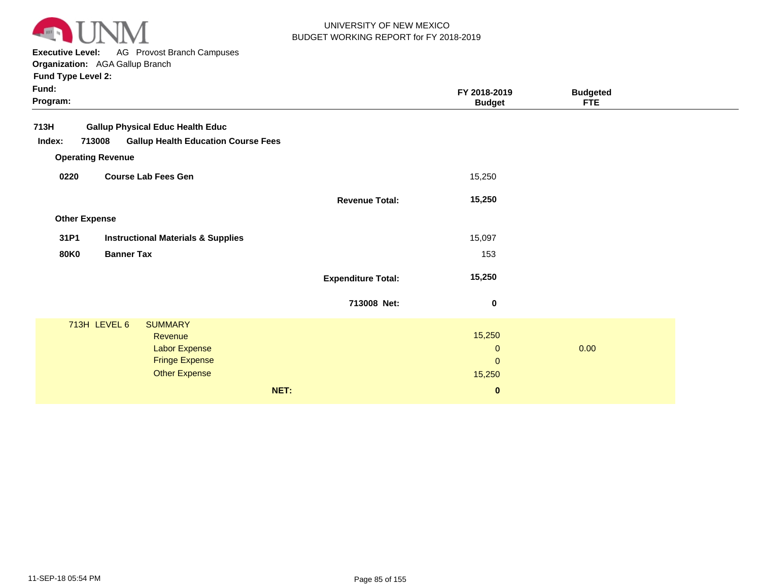

**Executive Level:** AG Provost Branch Campuses

**Organization:**  AGA Gallup Branch

| Fund:<br>Program:    |                                                      |                           | FY 2018-2019<br><b>Budget</b> | <b>Budgeted</b><br><b>FTE</b> |  |
|----------------------|------------------------------------------------------|---------------------------|-------------------------------|-------------------------------|--|
| 713H                 | <b>Gallup Physical Educ Health Educ</b>              |                           |                               |                               |  |
| Index:               | 713008<br><b>Gallup Health Education Course Fees</b> |                           |                               |                               |  |
|                      | <b>Operating Revenue</b>                             |                           |                               |                               |  |
| 0220                 | <b>Course Lab Fees Gen</b>                           |                           | 15,250                        |                               |  |
|                      |                                                      | <b>Revenue Total:</b>     | 15,250                        |                               |  |
| <b>Other Expense</b> |                                                      |                           |                               |                               |  |
| 31P1                 | <b>Instructional Materials &amp; Supplies</b>        |                           | 15,097                        |                               |  |
| <b>80K0</b>          | <b>Banner Tax</b>                                    |                           | 153                           |                               |  |
|                      |                                                      | <b>Expenditure Total:</b> | 15,250                        |                               |  |
|                      |                                                      | 713008 Net:               | 0                             |                               |  |
|                      | 713H LEVEL 6<br><b>SUMMARY</b>                       |                           |                               |                               |  |
|                      | Revenue                                              |                           | 15,250                        |                               |  |
|                      | Labor Expense                                        |                           | $\mathbf 0$                   | 0.00                          |  |
|                      | <b>Fringe Expense</b>                                |                           | $\mathbf{0}$                  |                               |  |
|                      | <b>Other Expense</b>                                 |                           | 15,250                        |                               |  |
|                      | NET:                                                 |                           | $\bf{0}$                      |                               |  |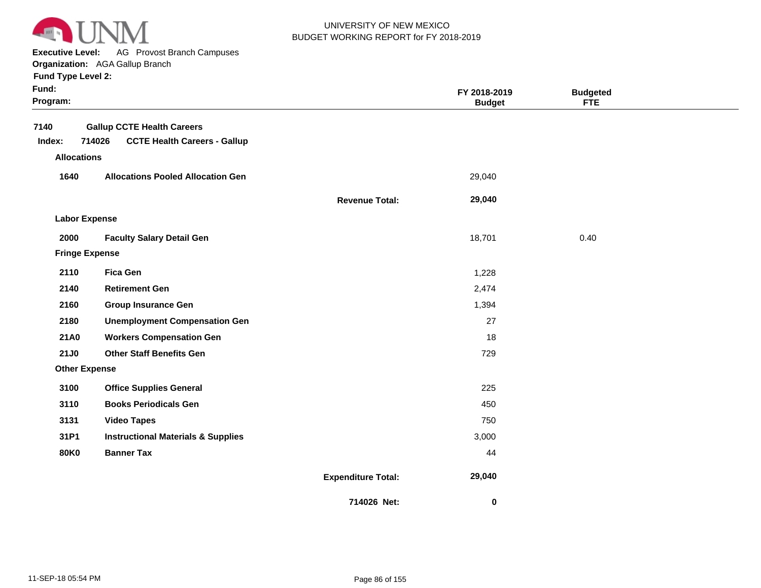

**Executive Level:** AG Provost Branch Campuses

**Organization:**  AGA Gallup Branch

| Fund:<br>Program:     |                                               |                           | FY 2018-2019<br><b>Budget</b> | <b>Budgeted</b><br><b>FTE</b> |  |
|-----------------------|-----------------------------------------------|---------------------------|-------------------------------|-------------------------------|--|
| 7140                  | <b>Gallup CCTE Health Careers</b>             |                           |                               |                               |  |
| Index:                | 714026<br><b>CCTE Health Careers - Gallup</b> |                           |                               |                               |  |
| <b>Allocations</b>    |                                               |                           |                               |                               |  |
| 1640                  | <b>Allocations Pooled Allocation Gen</b>      |                           | 29,040                        |                               |  |
|                       |                                               | <b>Revenue Total:</b>     | 29,040                        |                               |  |
| <b>Labor Expense</b>  |                                               |                           |                               |                               |  |
| 2000                  | <b>Faculty Salary Detail Gen</b>              |                           | 18,701                        | 0.40                          |  |
| <b>Fringe Expense</b> |                                               |                           |                               |                               |  |
| 2110                  | <b>Fica Gen</b>                               |                           | 1,228                         |                               |  |
| 2140                  | <b>Retirement Gen</b>                         |                           | 2,474                         |                               |  |
| 2160                  | <b>Group Insurance Gen</b>                    |                           | 1,394                         |                               |  |
| 2180                  | <b>Unemployment Compensation Gen</b>          |                           | 27                            |                               |  |
| 21A0                  | <b>Workers Compensation Gen</b>               |                           | 18                            |                               |  |
| <b>21J0</b>           | <b>Other Staff Benefits Gen</b>               |                           | 729                           |                               |  |
| <b>Other Expense</b>  |                                               |                           |                               |                               |  |
| 3100                  | <b>Office Supplies General</b>                |                           | 225                           |                               |  |
| 3110                  | <b>Books Periodicals Gen</b>                  |                           | 450                           |                               |  |
| 3131                  | <b>Video Tapes</b>                            |                           | 750                           |                               |  |
| 31P1                  | <b>Instructional Materials &amp; Supplies</b> |                           | 3,000                         |                               |  |
| <b>80K0</b>           | <b>Banner Tax</b>                             |                           | 44                            |                               |  |
|                       |                                               | <b>Expenditure Total:</b> | 29,040                        |                               |  |
|                       |                                               | 714026 Net:               | 0                             |                               |  |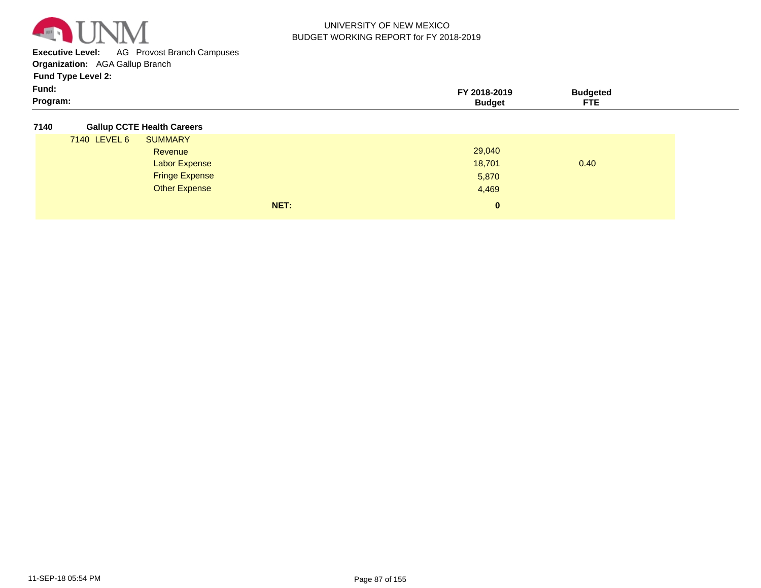

**Executive Level:** AG Provost Branch Campuses

**Organization:**  AGA Gallup Branch

**Fund Type Level 2:**

| Fund:    |                   |
|----------|-------------------|
| Program: | ___<br>---<br>. . |

#### **7140 Gallup CCTE Health Careers**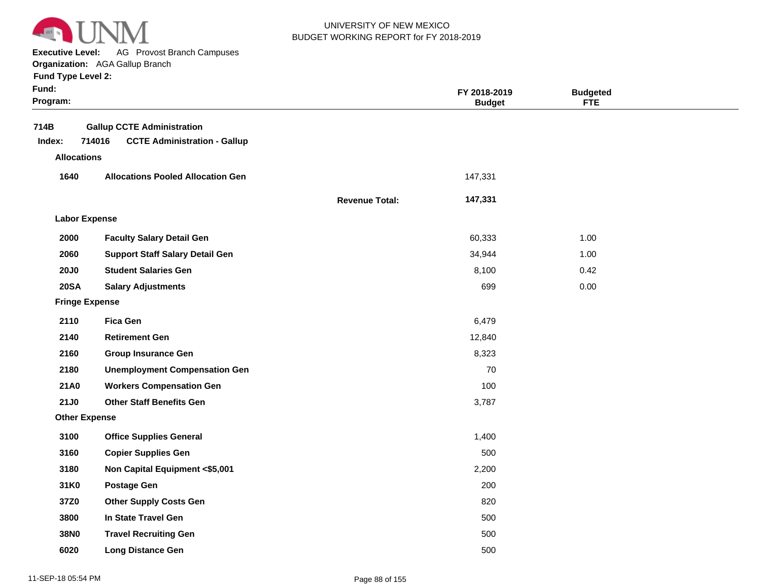

**Executive Level:** AG Provost Branch Campuses

**Organization:**  AGA Gallup Branch

| Fund:<br>Program:  |                                                                                    |                       | FY 2018-2019<br><b>Budget</b> | <b>Budgeted</b><br><b>FTE</b> |  |
|--------------------|------------------------------------------------------------------------------------|-----------------------|-------------------------------|-------------------------------|--|
| 714B<br>Index:     | <b>Gallup CCTE Administration</b><br>714016<br><b>CCTE Administration - Gallup</b> |                       |                               |                               |  |
| <b>Allocations</b> |                                                                                    |                       |                               |                               |  |
| 1640               | <b>Allocations Pooled Allocation Gen</b>                                           |                       | 147,331                       |                               |  |
|                    |                                                                                    | <b>Revenue Total:</b> | 147,331                       |                               |  |
|                    | <b>Labor Expense</b>                                                               |                       |                               |                               |  |
| 2000               | <b>Faculty Salary Detail Gen</b>                                                   |                       | 60,333                        | 1.00                          |  |
| 2060               | <b>Support Staff Salary Detail Gen</b>                                             |                       | 34,944                        | 1.00                          |  |
| <b>20J0</b>        | <b>Student Salaries Gen</b>                                                        |                       | 8,100                         | 0.42                          |  |
| <b>20SA</b>        | <b>Salary Adjustments</b>                                                          |                       | 699                           | 0.00                          |  |
|                    | <b>Fringe Expense</b>                                                              |                       |                               |                               |  |
| 2110               | <b>Fica Gen</b>                                                                    |                       | 6,479                         |                               |  |
| 2140               | <b>Retirement Gen</b>                                                              |                       | 12,840                        |                               |  |
| 2160               | <b>Group Insurance Gen</b>                                                         |                       | 8,323                         |                               |  |
| 2180               | <b>Unemployment Compensation Gen</b>                                               |                       | 70                            |                               |  |
| 21A0               | <b>Workers Compensation Gen</b>                                                    |                       | 100                           |                               |  |
| 21J0               | <b>Other Staff Benefits Gen</b>                                                    |                       | 3,787                         |                               |  |
|                    | <b>Other Expense</b>                                                               |                       |                               |                               |  |
| 3100               | <b>Office Supplies General</b>                                                     |                       | 1,400                         |                               |  |
| 3160               | <b>Copier Supplies Gen</b>                                                         |                       | 500                           |                               |  |
| 3180               | Non Capital Equipment <\$5,001                                                     |                       | 2,200                         |                               |  |
| 31K0               | <b>Postage Gen</b>                                                                 |                       | 200                           |                               |  |
| 37Z0               | <b>Other Supply Costs Gen</b>                                                      |                       | 820                           |                               |  |
| 3800               | In State Travel Gen                                                                |                       | 500                           |                               |  |
| 38N0               | <b>Travel Recruiting Gen</b>                                                       |                       | 500                           |                               |  |
| 6020               | <b>Long Distance Gen</b>                                                           |                       | 500                           |                               |  |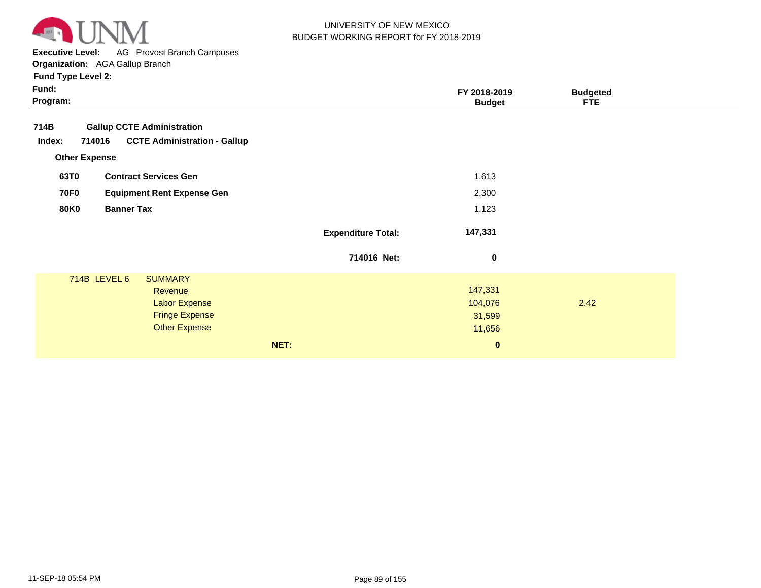

**Executive Level:** AG Provost Branch Campuses

**Organization:**  AGA Gallup Branch

|                           | FY 2018-2019<br><b>Budget</b>                      | <b>Budgeted</b><br><b>FTE</b> |  |
|---------------------------|----------------------------------------------------|-------------------------------|--|
|                           |                                                    |                               |  |
|                           | 1,613                                              |                               |  |
|                           | 2,300                                              |                               |  |
|                           | 1,123                                              |                               |  |
| <b>Expenditure Total:</b> | 147,331                                            |                               |  |
| 714016 Net:               | 0                                                  |                               |  |
| NET:                      | 147,331<br>104,076<br>31,599<br>11,656<br>$\bf{0}$ | 2.42                          |  |
|                           |                                                    |                               |  |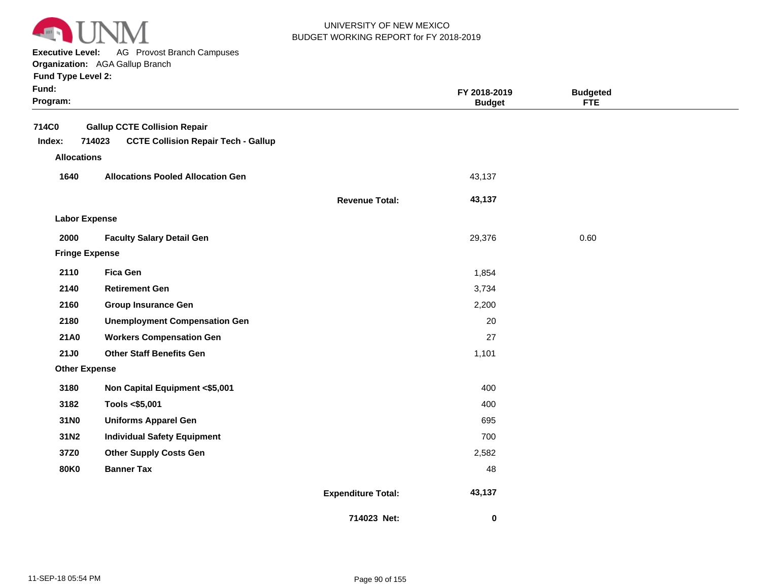

**Executive Level:** AG Provost Branch Campuses

**Organization:**  AGA Gallup Branch

| Fund:<br>Program:     |                                                      |                           | FY 2018-2019<br><b>Budget</b> | <b>Budgeted</b><br><b>FTE</b> |  |
|-----------------------|------------------------------------------------------|---------------------------|-------------------------------|-------------------------------|--|
| 714C0                 | <b>Gallup CCTE Collision Repair</b>                  |                           |                               |                               |  |
| Index:                | <b>CCTE Collision Repair Tech - Gallup</b><br>714023 |                           |                               |                               |  |
| <b>Allocations</b>    |                                                      |                           |                               |                               |  |
| 1640                  | <b>Allocations Pooled Allocation Gen</b>             |                           | 43,137                        |                               |  |
|                       |                                                      | <b>Revenue Total:</b>     | 43,137                        |                               |  |
| <b>Labor Expense</b>  |                                                      |                           |                               |                               |  |
| 2000                  | <b>Faculty Salary Detail Gen</b>                     |                           | 29,376                        | 0.60                          |  |
| <b>Fringe Expense</b> |                                                      |                           |                               |                               |  |
| 2110                  | <b>Fica Gen</b>                                      |                           | 1,854                         |                               |  |
| 2140                  | <b>Retirement Gen</b>                                |                           | 3,734                         |                               |  |
| 2160                  | <b>Group Insurance Gen</b>                           |                           | 2,200                         |                               |  |
| 2180                  | <b>Unemployment Compensation Gen</b>                 |                           | 20                            |                               |  |
| 21A0                  | <b>Workers Compensation Gen</b>                      |                           | 27                            |                               |  |
| <b>21J0</b>           | <b>Other Staff Benefits Gen</b>                      |                           | 1,101                         |                               |  |
| <b>Other Expense</b>  |                                                      |                           |                               |                               |  |
| 3180                  | Non Capital Equipment <\$5,001                       |                           | 400                           |                               |  |
| 3182                  | Tools <\$5,001                                       |                           | 400                           |                               |  |
| 31N0                  | <b>Uniforms Apparel Gen</b>                          |                           | 695                           |                               |  |
| 31N2                  | <b>Individual Safety Equipment</b>                   |                           | 700                           |                               |  |
| 37Z0                  | <b>Other Supply Costs Gen</b>                        |                           | 2,582                         |                               |  |
| <b>80K0</b>           | <b>Banner Tax</b>                                    |                           | 48                            |                               |  |
|                       |                                                      | <b>Expenditure Total:</b> | 43,137                        |                               |  |
|                       |                                                      | 714023 Net:               | 0                             |                               |  |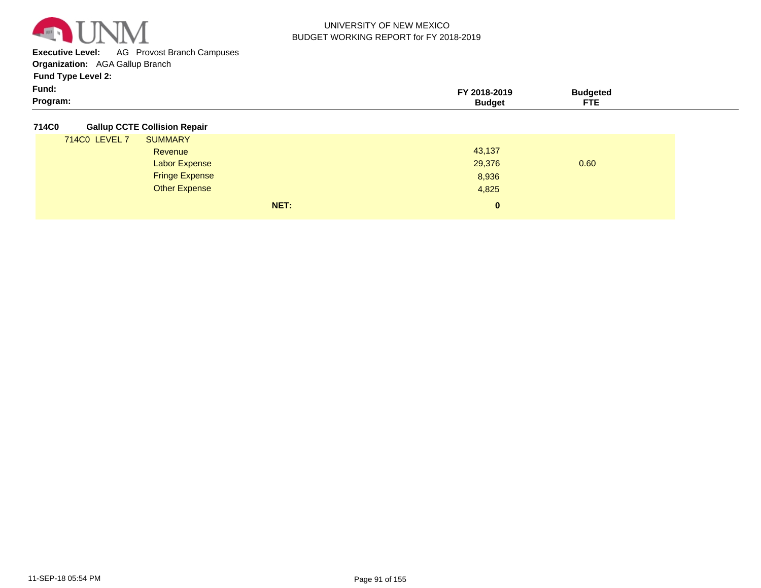

**Executive Level:** AG Provost Branch Campuses

**Organization:**  AGA Gallup Branch

**Fund Type Level 2:**

| Fund:    | -2010<br><b>2013</b> | ,,,,,, |  |
|----------|----------------------|--------|--|
| Program: |                      | ---    |  |

#### **714C0 Gallup CCTE Collision Repair**

|               | NET:                  | 0      |      |
|---------------|-----------------------|--------|------|
|               | <b>Other Expense</b>  | 4,825  |      |
|               | <b>Fringe Expense</b> | 8,936  |      |
|               | Labor Expense         | 29,376 | 0.60 |
|               | Revenue               | 43,137 |      |
| 714C0 LEVEL 7 | <b>SUMMARY</b>        |        |      |
|               |                       |        |      |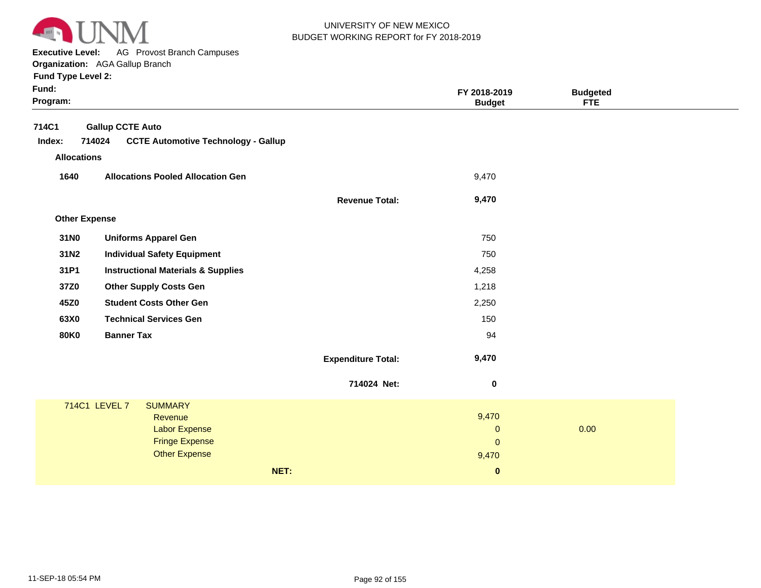

**Executive Level:** AG Provost Branch Campuses **Organization:**  AGA Gallup Branch

| Fund:<br>Program: |                      |                                               |                           | FY 2018-2019<br><b>Budget</b> | <b>Budgeted</b><br><b>FTE</b> |  |
|-------------------|----------------------|-----------------------------------------------|---------------------------|-------------------------------|-------------------------------|--|
| 714C1             |                      | <b>Gallup CCTE Auto</b>                       |                           |                               |                               |  |
| Index:            | 714024               | <b>CCTE Automotive Technology - Gallup</b>    |                           |                               |                               |  |
|                   | <b>Allocations</b>   |                                               |                           |                               |                               |  |
| 1640              |                      | <b>Allocations Pooled Allocation Gen</b>      |                           | 9,470                         |                               |  |
|                   |                      |                                               | <b>Revenue Total:</b>     | 9,470                         |                               |  |
|                   | <b>Other Expense</b> |                                               |                           |                               |                               |  |
| 31N0              |                      | <b>Uniforms Apparel Gen</b>                   |                           | 750                           |                               |  |
| 31N2              |                      | <b>Individual Safety Equipment</b>            |                           | 750                           |                               |  |
| 31P1              |                      | <b>Instructional Materials &amp; Supplies</b> |                           | 4,258                         |                               |  |
| 37Z0              |                      | <b>Other Supply Costs Gen</b>                 |                           | 1,218                         |                               |  |
| 45Z0              |                      | <b>Student Costs Other Gen</b>                |                           | 2,250                         |                               |  |
| 63X0              |                      | <b>Technical Services Gen</b>                 |                           | 150                           |                               |  |
| <b>80K0</b>       |                      | <b>Banner Tax</b>                             |                           | 94                            |                               |  |
|                   |                      |                                               | <b>Expenditure Total:</b> | 9,470                         |                               |  |
|                   |                      |                                               | 714024 Net:               | $\bf{0}$                      |                               |  |
|                   | 714C1 LEVEL 7        | <b>SUMMARY</b>                                |                           |                               |                               |  |
|                   |                      | Revenue<br>Labor Expense                      |                           | 9,470<br>$\mathbf 0$          | 0.00                          |  |
|                   |                      | <b>Fringe Expense</b>                         |                           | $\mathbf{0}$                  |                               |  |
|                   |                      | <b>Other Expense</b>                          |                           | 9,470                         |                               |  |
|                   |                      |                                               | NET:                      | $\pmb{0}$                     |                               |  |
|                   |                      |                                               |                           |                               |                               |  |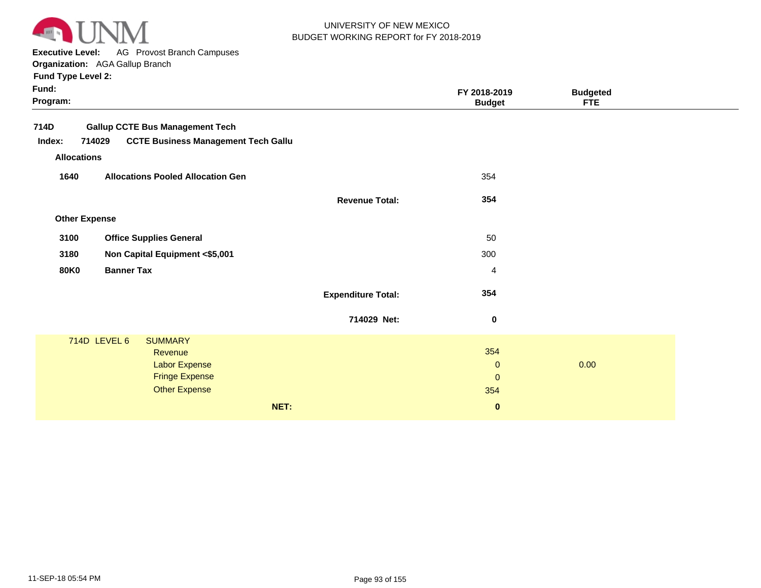

**Executive Level:** AG Provost Branch Campuses

**Organization:**  AGA Gallup Branch

|                      |                |                                                                                                                                                                                                                                                                 | FY 2018-2019<br><b>Budget</b>                      | <b>Budgeted</b><br><b>FTE</b>                           |      |
|----------------------|----------------|-----------------------------------------------------------------------------------------------------------------------------------------------------------------------------------------------------------------------------------------------------------------|----------------------------------------------------|---------------------------------------------------------|------|
|                      |                |                                                                                                                                                                                                                                                                 |                                                    |                                                         |      |
| 714029               |                |                                                                                                                                                                                                                                                                 |                                                    |                                                         |      |
| <b>Allocations</b>   |                |                                                                                                                                                                                                                                                                 |                                                    |                                                         |      |
| 1640                 |                |                                                                                                                                                                                                                                                                 | 354                                                |                                                         |      |
|                      |                | <b>Revenue Total:</b>                                                                                                                                                                                                                                           | 354                                                |                                                         |      |
| <b>Other Expense</b> |                |                                                                                                                                                                                                                                                                 |                                                    |                                                         |      |
| 3100                 |                |                                                                                                                                                                                                                                                                 | 50                                                 |                                                         |      |
| 3180                 |                |                                                                                                                                                                                                                                                                 | 300                                                |                                                         |      |
| <b>80K0</b>          |                |                                                                                                                                                                                                                                                                 | 4                                                  |                                                         |      |
|                      |                | <b>Expenditure Total:</b>                                                                                                                                                                                                                                       | 354                                                |                                                         |      |
|                      |                | 714029 Net:                                                                                                                                                                                                                                                     | $\pmb{0}$                                          |                                                         |      |
| 714D LEVEL 6         | <b>SUMMARY</b> |                                                                                                                                                                                                                                                                 |                                                    |                                                         |      |
|                      |                |                                                                                                                                                                                                                                                                 |                                                    |                                                         |      |
|                      |                |                                                                                                                                                                                                                                                                 |                                                    |                                                         |      |
|                      |                |                                                                                                                                                                                                                                                                 |                                                    |                                                         |      |
|                      |                |                                                                                                                                                                                                                                                                 |                                                    |                                                         |      |
|                      |                |                                                                                                                                                                                                                                                                 |                                                    |                                                         |      |
|                      |                | <b>Gallup CCTE Bus Management Tech</b><br><b>Allocations Pooled Allocation Gen</b><br><b>Office Supplies General</b><br>Non Capital Equipment <\$5,001<br><b>Banner Tax</b><br><b>Revenue</b><br>Labor Expense<br><b>Fringe Expense</b><br><b>Other Expense</b> | <b>CCTE Business Management Tech Gallu</b><br>NET: | 354<br>$\mathbf 0$<br>$\mathbf 0$<br>354<br>$\mathbf 0$ | 0.00 |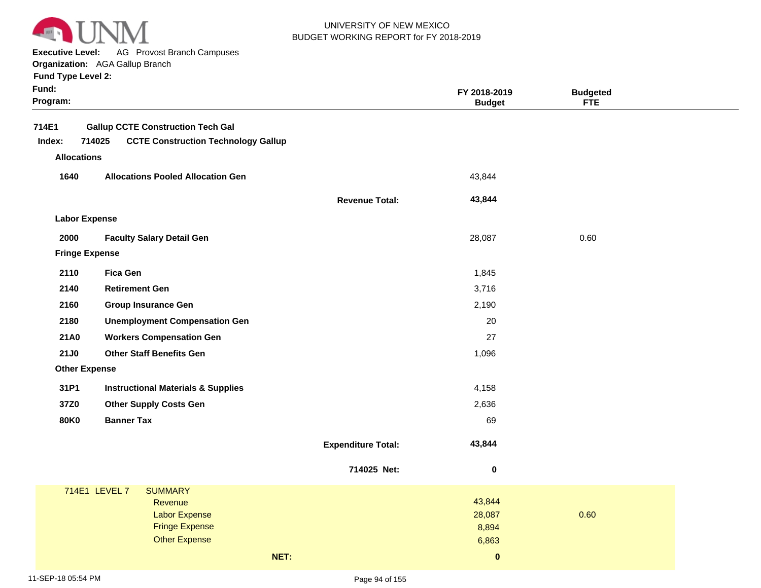

**Executive Level:** AG Provost Branch Campuses

**Organization:**  AGA Gallup Branch

|  | <b>Fund Type Level 2:</b> |  |  |
|--|---------------------------|--|--|
|--|---------------------------|--|--|

| Fund Type Level 2:   |                                                      |                           |                               |                               |
|----------------------|------------------------------------------------------|---------------------------|-------------------------------|-------------------------------|
| Fund:<br>Program:    |                                                      |                           | FY 2018-2019<br><b>Budget</b> | <b>Budgeted</b><br><b>FTE</b> |
| 714E1                | <b>Gallup CCTE Construction Tech Gal</b>             |                           |                               |                               |
| Index:               | 714025<br><b>CCTE Construction Technology Gallup</b> |                           |                               |                               |
| <b>Allocations</b>   |                                                      |                           |                               |                               |
| 1640                 | <b>Allocations Pooled Allocation Gen</b>             |                           | 43,844                        |                               |
|                      |                                                      | <b>Revenue Total:</b>     | 43,844                        |                               |
| <b>Labor Expense</b> |                                                      |                           |                               |                               |
| 2000                 | <b>Faculty Salary Detail Gen</b>                     |                           | 28,087                        | 0.60                          |
|                      | <b>Fringe Expense</b>                                |                           |                               |                               |
| 2110                 | <b>Fica Gen</b>                                      |                           | 1,845                         |                               |
| 2140                 | <b>Retirement Gen</b>                                |                           | 3,716                         |                               |
| 2160                 | <b>Group Insurance Gen</b>                           |                           | 2,190                         |                               |
| 2180                 | <b>Unemployment Compensation Gen</b>                 |                           | 20                            |                               |
| 21A0                 | <b>Workers Compensation Gen</b>                      |                           | 27                            |                               |
| 21J0                 | <b>Other Staff Benefits Gen</b>                      |                           | 1,096                         |                               |
| <b>Other Expense</b> |                                                      |                           |                               |                               |
| 31P1                 | <b>Instructional Materials &amp; Supplies</b>        |                           | 4,158                         |                               |
| 37Z0                 | <b>Other Supply Costs Gen</b>                        |                           | 2,636                         |                               |
| <b>80K0</b>          | <b>Banner Tax</b>                                    |                           | 69                            |                               |
|                      |                                                      | <b>Expenditure Total:</b> | 43,844                        |                               |
|                      |                                                      | 714025 Net:               | 0                             |                               |

| 714E1 LEVEL 7 | <b>SUMMARY</b>        |      |              |      |
|---------------|-----------------------|------|--------------|------|
|               | Revenue               |      | 43,844       |      |
|               | <b>Labor Expense</b>  |      | 28,087       | 0.60 |
|               | <b>Fringe Expense</b> |      | 8,894        |      |
|               | <b>Other Expense</b>  |      | 6,863        |      |
|               |                       | NET: | $\mathbf{0}$ |      |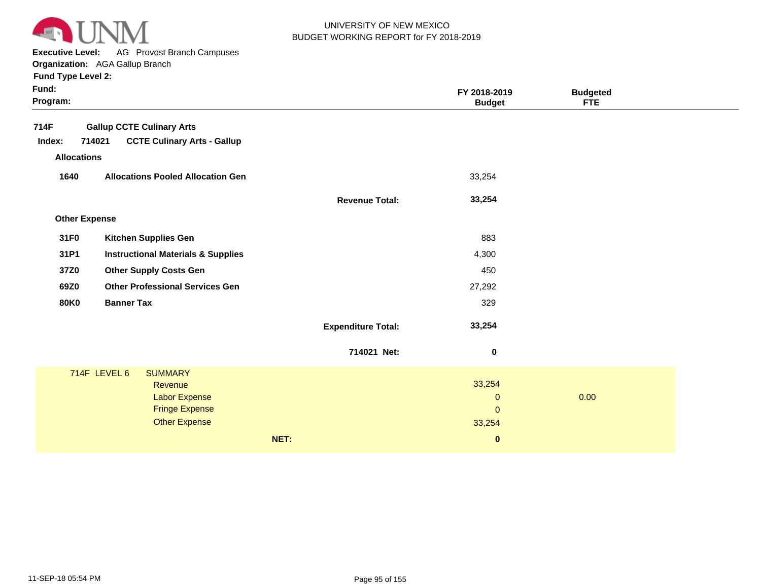

**Executive Level:** AG Provost Branch Campuses

**Organization:**  AGA Gallup Branch

| Fund:<br>Program:    |                                               |                           | FY 2018-2019<br><b>Budget</b> | <b>Budgeted</b><br><b>FTE</b> |  |
|----------------------|-----------------------------------------------|---------------------------|-------------------------------|-------------------------------|--|
| 714F                 | <b>Gallup CCTE Culinary Arts</b>              |                           |                               |                               |  |
| Index:               | 714021<br><b>CCTE Culinary Arts - Gallup</b>  |                           |                               |                               |  |
| <b>Allocations</b>   |                                               |                           |                               |                               |  |
| 1640                 | <b>Allocations Pooled Allocation Gen</b>      |                           | 33,254                        |                               |  |
|                      |                                               | <b>Revenue Total:</b>     | 33,254                        |                               |  |
| <b>Other Expense</b> |                                               |                           |                               |                               |  |
| 31F0                 | <b>Kitchen Supplies Gen</b>                   |                           | 883                           |                               |  |
| 31P1                 | <b>Instructional Materials &amp; Supplies</b> |                           | 4,300                         |                               |  |
| 37Z0                 | <b>Other Supply Costs Gen</b>                 |                           | 450                           |                               |  |
| 69Z0                 | <b>Other Professional Services Gen</b>        |                           | 27,292                        |                               |  |
| <b>80K0</b>          | <b>Banner Tax</b>                             |                           | 329                           |                               |  |
|                      |                                               | <b>Expenditure Total:</b> | 33,254                        |                               |  |
|                      |                                               | 714021 Net:               | 0                             |                               |  |
|                      | 714F LEVEL 6<br><b>SUMMARY</b>                |                           |                               |                               |  |
|                      | Revenue<br><b>Labor Expense</b>               |                           | 33,254                        | 0.00                          |  |
|                      | <b>Fringe Expense</b>                         |                           | $\mathbf 0$<br>$\mathbf 0$    |                               |  |
|                      | <b>Other Expense</b>                          |                           | 33,254                        |                               |  |
|                      |                                               | NET:                      | $\bf{0}$                      |                               |  |
|                      |                                               |                           |                               |                               |  |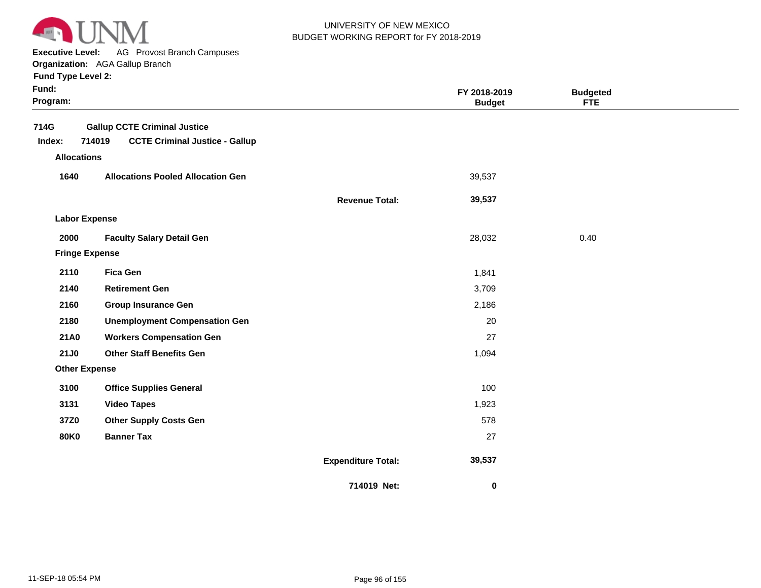

**Executive Level:** AG Provost Branch Campuses

**Organization:**  AGA Gallup Branch

| Fund:<br>Program:                    |                                                                                        |                           | FY 2018-2019<br><b>Budget</b> | <b>Budgeted</b><br>FTE |  |
|--------------------------------------|----------------------------------------------------------------------------------------|---------------------------|-------------------------------|------------------------|--|
| 714G<br>Index:<br><b>Allocations</b> | <b>Gallup CCTE Criminal Justice</b><br>714019<br><b>CCTE Criminal Justice - Gallup</b> |                           |                               |                        |  |
| 1640                                 | <b>Allocations Pooled Allocation Gen</b>                                               |                           | 39,537                        |                        |  |
|                                      |                                                                                        | <b>Revenue Total:</b>     | 39,537                        |                        |  |
| <b>Labor Expense</b>                 |                                                                                        |                           |                               |                        |  |
| 2000                                 | <b>Faculty Salary Detail Gen</b>                                                       |                           | 28,032                        | 0.40                   |  |
| <b>Fringe Expense</b>                |                                                                                        |                           |                               |                        |  |
| 2110                                 | <b>Fica Gen</b>                                                                        |                           | 1,841                         |                        |  |
| 2140                                 | <b>Retirement Gen</b>                                                                  |                           | 3,709                         |                        |  |
| 2160                                 | <b>Group Insurance Gen</b>                                                             |                           | 2,186                         |                        |  |
| 2180                                 | <b>Unemployment Compensation Gen</b>                                                   |                           | 20                            |                        |  |
| <b>21A0</b>                          | <b>Workers Compensation Gen</b>                                                        |                           | 27                            |                        |  |
| <b>21J0</b>                          | <b>Other Staff Benefits Gen</b>                                                        |                           | 1,094                         |                        |  |
| <b>Other Expense</b>                 |                                                                                        |                           |                               |                        |  |
| 3100                                 | <b>Office Supplies General</b>                                                         |                           | 100                           |                        |  |
| 3131                                 | <b>Video Tapes</b>                                                                     |                           | 1,923                         |                        |  |
| 37Z0                                 | <b>Other Supply Costs Gen</b>                                                          |                           | 578                           |                        |  |
| <b>80K0</b>                          | <b>Banner Tax</b>                                                                      |                           | 27                            |                        |  |
|                                      |                                                                                        | <b>Expenditure Total:</b> | 39,537                        |                        |  |
|                                      |                                                                                        | 714019 Net:               | $\pmb{0}$                     |                        |  |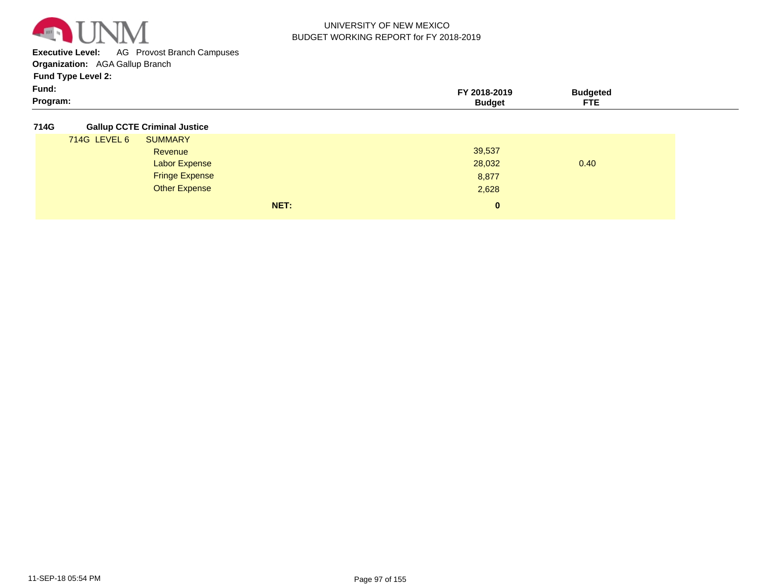

**Executive Level:** AG Provost Branch Campuses

**Organization:**  AGA Gallup Branch

**Fund Type Level 2:**

| Fund:    | <b>18-2019</b><br>. חי | 'Iddeter                    |  |
|----------|------------------------|-----------------------------|--|
| Program: | 3udae'                 | ___<br>$\sim$<br>---<br>. . |  |

**714G Gallup CCTE Criminal Justice**

| . |              |                       |      |          |      |
|---|--------------|-----------------------|------|----------|------|
|   | 714G LEVEL 6 | <b>SUMMARY</b>        |      |          |      |
|   |              | Revenue               |      | 39,537   |      |
|   |              | <b>Labor Expense</b>  |      | 28,032   | 0.40 |
|   |              | <b>Fringe Expense</b> |      | 8,877    |      |
|   |              | <b>Other Expense</b>  |      | 2,628    |      |
|   |              |                       | NET: | $\bf{0}$ |      |
|   |              |                       |      |          |      |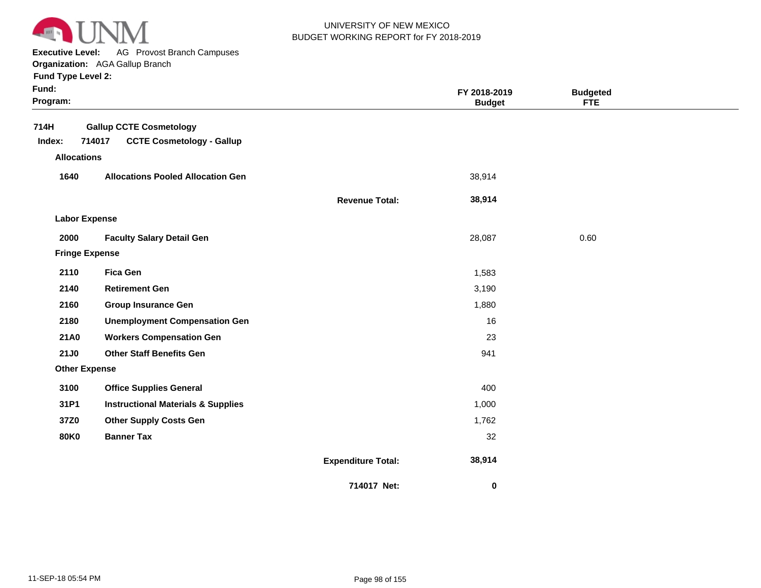

**Executive Level:** AG Provost Branch Campuses

**Organization:**  AGA Gallup Branch **Fund Type Level 2:**

|  | Fund Type Level 2: |  |
|--|--------------------|--|
|  |                    |  |

| Fund:<br>Program:    |                                                                              |                           | FY 2018-2019<br><b>Budget</b> | <b>Budgeted</b><br><b>FTE</b> |  |
|----------------------|------------------------------------------------------------------------------|---------------------------|-------------------------------|-------------------------------|--|
| 714H<br>Index:       | <b>Gallup CCTE Cosmetology</b><br>714017<br><b>CCTE Cosmetology - Gallup</b> |                           |                               |                               |  |
| <b>Allocations</b>   |                                                                              |                           |                               |                               |  |
| 1640                 | <b>Allocations Pooled Allocation Gen</b>                                     |                           | 38,914                        |                               |  |
|                      |                                                                              | <b>Revenue Total:</b>     | 38,914                        |                               |  |
| <b>Labor Expense</b> |                                                                              |                           |                               |                               |  |
| 2000                 | <b>Faculty Salary Detail Gen</b>                                             |                           | 28,087                        | 0.60                          |  |
|                      | <b>Fringe Expense</b>                                                        |                           |                               |                               |  |
| 2110                 | <b>Fica Gen</b>                                                              |                           | 1,583                         |                               |  |
| 2140                 | <b>Retirement Gen</b>                                                        |                           | 3,190                         |                               |  |
| 2160                 | <b>Group Insurance Gen</b>                                                   |                           | 1,880                         |                               |  |
| 2180                 | <b>Unemployment Compensation Gen</b>                                         |                           | 16                            |                               |  |
| <b>21A0</b>          | <b>Workers Compensation Gen</b>                                              |                           | 23                            |                               |  |
| <b>21J0</b>          | <b>Other Staff Benefits Gen</b>                                              |                           | 941                           |                               |  |
| <b>Other Expense</b> |                                                                              |                           |                               |                               |  |
| 3100                 | <b>Office Supplies General</b>                                               |                           | 400                           |                               |  |
| 31P1                 | <b>Instructional Materials &amp; Supplies</b>                                |                           | 1,000                         |                               |  |
| 37Z0                 | <b>Other Supply Costs Gen</b>                                                |                           | 1,762                         |                               |  |
| <b>80K0</b>          | <b>Banner Tax</b>                                                            |                           | 32                            |                               |  |
|                      |                                                                              | <b>Expenditure Total:</b> | 38,914                        |                               |  |
|                      |                                                                              | 714017 Net:               | $\pmb{0}$                     |                               |  |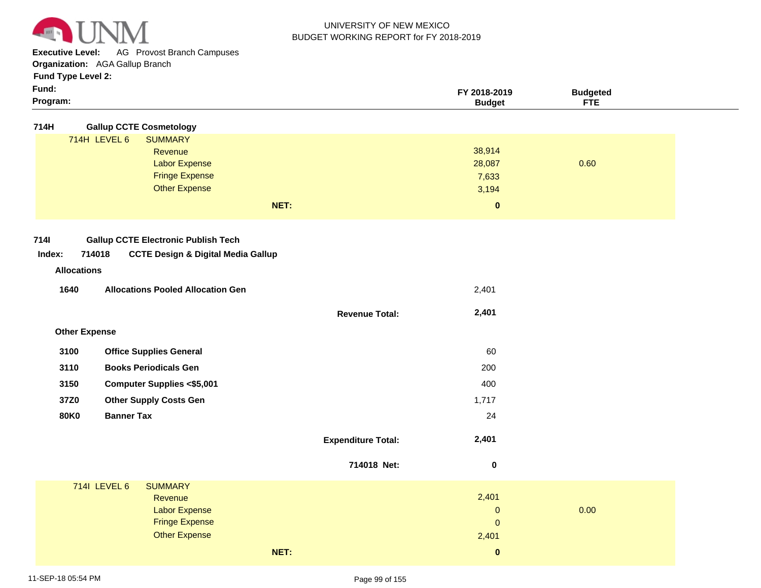

**Executive Level:** AG Provost Branch Campuses

**Organization:**  AGA Gallup Branch

**Fund Type Level 2:**

| Fund:<br>Program:    |                                                         |                           | FY 2018-2019<br><b>Budget</b> | <b>Budgeted</b><br><b>FTE</b> |  |
|----------------------|---------------------------------------------------------|---------------------------|-------------------------------|-------------------------------|--|
| 714H                 | <b>Gallup CCTE Cosmetology</b>                          |                           |                               |                               |  |
|                      | 714H LEVEL 6<br><b>SUMMARY</b>                          |                           |                               |                               |  |
|                      | Revenue                                                 |                           | 38,914                        |                               |  |
|                      | <b>Labor Expense</b>                                    |                           | 28,087                        | 0.60                          |  |
|                      | <b>Fringe Expense</b>                                   |                           | 7,633                         |                               |  |
|                      | <b>Other Expense</b>                                    |                           | 3,194                         |                               |  |
|                      |                                                         | NET:                      | $\mathbf 0$                   |                               |  |
| <b>7141</b>          | <b>Gallup CCTE Electronic Publish Tech</b>              |                           |                               |                               |  |
| Index:               | 714018<br><b>CCTE Design &amp; Digital Media Gallup</b> |                           |                               |                               |  |
|                      |                                                         |                           |                               |                               |  |
| <b>Allocations</b>   |                                                         |                           |                               |                               |  |
| 1640                 | <b>Allocations Pooled Allocation Gen</b>                |                           | 2,401                         |                               |  |
|                      |                                                         | <b>Revenue Total:</b>     | 2,401                         |                               |  |
| <b>Other Expense</b> |                                                         |                           |                               |                               |  |
| 3100                 | <b>Office Supplies General</b>                          |                           | 60                            |                               |  |
| 3110                 | <b>Books Periodicals Gen</b>                            |                           | 200                           |                               |  |
| 3150                 | <b>Computer Supplies &lt;\$5,001</b>                    |                           | 400                           |                               |  |
| 37Z0                 | <b>Other Supply Costs Gen</b>                           |                           | 1,717                         |                               |  |
| <b>80K0</b>          | <b>Banner Tax</b>                                       |                           | 24                            |                               |  |
|                      |                                                         | <b>Expenditure Total:</b> | 2,401                         |                               |  |
|                      |                                                         | 714018 Net:               | $\pmb{0}$                     |                               |  |
|                      | 7141 LEVEL 6<br><b>SUMMARY</b>                          |                           |                               |                               |  |
|                      | Revenue                                                 |                           | 2,401                         |                               |  |
|                      | <b>Labor Expense</b>                                    |                           | $\mathbf 0$                   | 0.00                          |  |

**NET:**

Fringe Expense

Other Expense

2,401

0

 **0**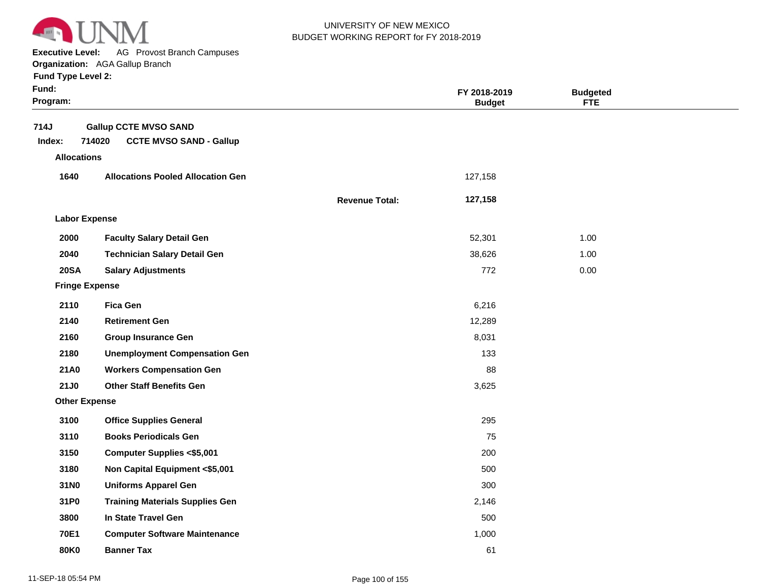

**Executive Level:** AG Provost Branch Campuses

**Organization:**  AGA Gallup Branch

| Fund:<br>Program:  |                                          |                       | FY 2018-2019<br><b>Budget</b> | <b>Budgeted</b><br><b>FTE</b> |  |
|--------------------|------------------------------------------|-----------------------|-------------------------------|-------------------------------|--|
| 714J               | <b>Gallup CCTE MVSO SAND</b>             |                       |                               |                               |  |
| Index:             | 714020<br><b>CCTE MVSO SAND - Gallup</b> |                       |                               |                               |  |
| <b>Allocations</b> |                                          |                       |                               |                               |  |
| 1640               | <b>Allocations Pooled Allocation Gen</b> |                       | 127,158                       |                               |  |
|                    |                                          | <b>Revenue Total:</b> | 127,158                       |                               |  |
|                    | <b>Labor Expense</b>                     |                       |                               |                               |  |
| 2000               | <b>Faculty Salary Detail Gen</b>         |                       | 52,301                        | 1.00                          |  |
| 2040               | <b>Technician Salary Detail Gen</b>      |                       | 38,626                        | 1.00                          |  |
| <b>20SA</b>        | <b>Salary Adjustments</b>                |                       | 772                           | 0.00                          |  |
|                    | <b>Fringe Expense</b>                    |                       |                               |                               |  |
| 2110               | <b>Fica Gen</b>                          |                       | 6,216                         |                               |  |
| 2140               | <b>Retirement Gen</b>                    |                       | 12,289                        |                               |  |
| 2160               | <b>Group Insurance Gen</b>               |                       | 8,031                         |                               |  |
| 2180               | <b>Unemployment Compensation Gen</b>     |                       | 133                           |                               |  |
| <b>21A0</b>        | <b>Workers Compensation Gen</b>          |                       | 88                            |                               |  |
| 21J0               | <b>Other Staff Benefits Gen</b>          |                       | 3,625                         |                               |  |
|                    | <b>Other Expense</b>                     |                       |                               |                               |  |
| 3100               | <b>Office Supplies General</b>           |                       | 295                           |                               |  |
| 3110               | <b>Books Periodicals Gen</b>             |                       | 75                            |                               |  |
| 3150               | <b>Computer Supplies &lt;\$5,001</b>     |                       | 200                           |                               |  |
| 3180               | Non Capital Equipment <\$5,001           |                       | 500                           |                               |  |
| 31N0               | <b>Uniforms Apparel Gen</b>              |                       | 300                           |                               |  |
| 31P0               | <b>Training Materials Supplies Gen</b>   |                       | 2,146                         |                               |  |
| 3800               | In State Travel Gen                      |                       | 500                           |                               |  |
| <b>70E1</b>        | <b>Computer Software Maintenance</b>     |                       | 1,000                         |                               |  |
| <b>80K0</b>        | <b>Banner Tax</b>                        |                       | 61                            |                               |  |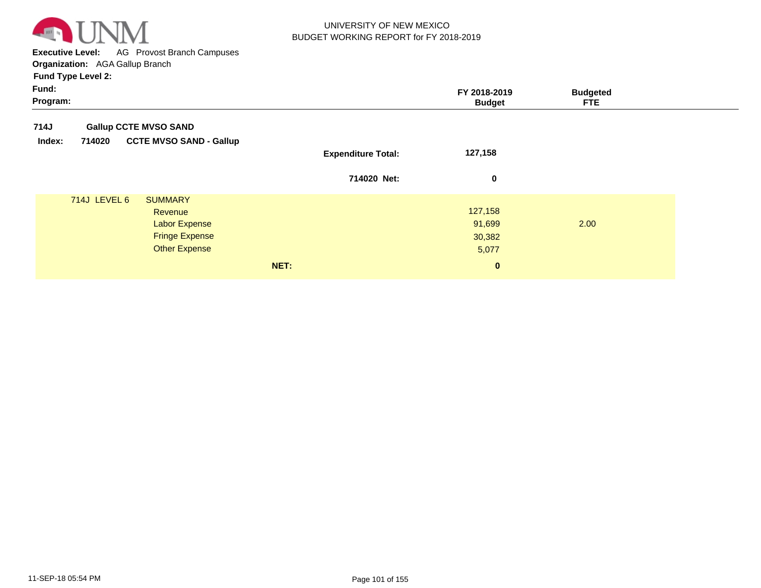

**Executive Level:** AG Provost Branch Campuses **Organization:**  AGA Gallup Branch

| <b>Gallup CCTE MVSO SAND</b><br><b>CCTE MVSO SAND - Gallup</b><br>714020<br>Index:<br>127,158<br><b>Expenditure Total:</b><br>714020 Net:<br>0<br>714J LEVEL 6<br><b>SUMMARY</b><br>127,158<br>Revenue<br>2.00<br><b>Labor Expense</b><br>91,699<br><b>Fringe Expense</b><br>30,382<br><b>Other Expense</b><br>5,077<br>NET:<br>$\mathbf{0}$ | Fund:<br>Program: |  | FY 2018-2019<br><b>Budget</b> | <b>Budgeted</b><br><b>FTE</b> |
|----------------------------------------------------------------------------------------------------------------------------------------------------------------------------------------------------------------------------------------------------------------------------------------------------------------------------------------------|-------------------|--|-------------------------------|-------------------------------|
|                                                                                                                                                                                                                                                                                                                                              | 714J              |  |                               |                               |
|                                                                                                                                                                                                                                                                                                                                              |                   |  |                               |                               |
|                                                                                                                                                                                                                                                                                                                                              |                   |  |                               |                               |
|                                                                                                                                                                                                                                                                                                                                              |                   |  |                               |                               |
|                                                                                                                                                                                                                                                                                                                                              |                   |  |                               |                               |
|                                                                                                                                                                                                                                                                                                                                              |                   |  |                               |                               |
|                                                                                                                                                                                                                                                                                                                                              |                   |  |                               |                               |
|                                                                                                                                                                                                                                                                                                                                              |                   |  |                               |                               |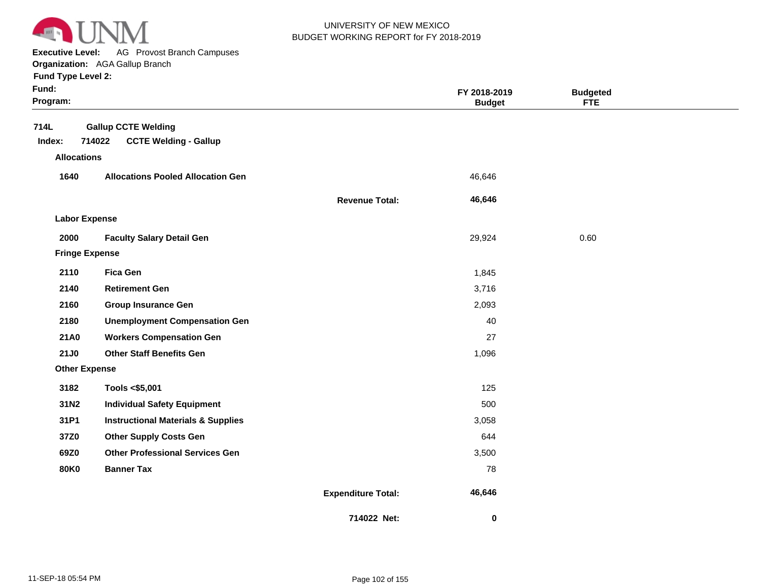

**Executive Level:** AG Provost Branch Campuses

|                           | <b>Organization:</b> AGA Gallup Branch   |                       |               |                 |
|---------------------------|------------------------------------------|-----------------------|---------------|-----------------|
| <b>Fund Type Level 2:</b> |                                          |                       |               |                 |
| Fund:                     |                                          |                       | FY 2018-2019  | <b>Budgeted</b> |
| Program:                  |                                          |                       | <b>Budget</b> | <b>FTE</b>      |
| 714L                      | <b>Gallup CCTE Welding</b>               |                       |               |                 |
| Index:                    | 714022<br><b>CCTE Welding - Gallup</b>   |                       |               |                 |
| <b>Allocations</b>        |                                          |                       |               |                 |
| 1640                      | <b>Allocations Pooled Allocation Gen</b> |                       | 46,646        |                 |
|                           |                                          | <b>Revenue Total:</b> | 46,646        |                 |
| <b>Labor Expense</b>      |                                          |                       |               |                 |
| 2000                      | <b>Faculty Salary Detail Gen</b>         |                       | 29,924        | 0.60            |
| <b>Fringe Expense</b>     |                                          |                       |               |                 |
| 2110                      | <b>Fica Gen</b>                          |                       | 1,845         |                 |
| 2140                      | <b>Retirement Gen</b>                    |                       | 3,716         |                 |
|                           |                                          |                       |               |                 |

| <b>Labor Expense</b>  |                                               |        |      |  |
|-----------------------|-----------------------------------------------|--------|------|--|
| 2000                  | <b>Faculty Salary Detail Gen</b>              | 29,924 | 0.60 |  |
| <b>Fringe Expense</b> |                                               |        |      |  |
| 2110                  | <b>Fica Gen</b>                               | 1,845  |      |  |
| 2140                  | <b>Retirement Gen</b>                         | 3,716  |      |  |
| 2160                  | <b>Group Insurance Gen</b>                    | 2,093  |      |  |
| 2180                  | <b>Unemployment Compensation Gen</b>          | 40     |      |  |
| <b>21A0</b>           | <b>Workers Compensation Gen</b>               | 27     |      |  |
| <b>21J0</b>           | <b>Other Staff Benefits Gen</b>               | 1,096  |      |  |
| <b>Other Expense</b>  |                                               |        |      |  |
| 3182                  | Tools <\$5,001                                | 125    |      |  |
| 31N2                  | <b>Individual Safety Equipment</b>            | 500    |      |  |
| 31P1                  | <b>Instructional Materials &amp; Supplies</b> | 3,058  |      |  |
| 37Z0                  | <b>Other Supply Costs Gen</b>                 | 644    |      |  |
| 69Z0                  | <b>Other Professional Services Gen</b>        | 3,500  |      |  |
| 80K0                  | <b>Banner Tax</b>                             | 78     |      |  |
|                       |                                               |        |      |  |

**Expenditure Total:**

**714022 Net:**

 **46,646** 

 **0**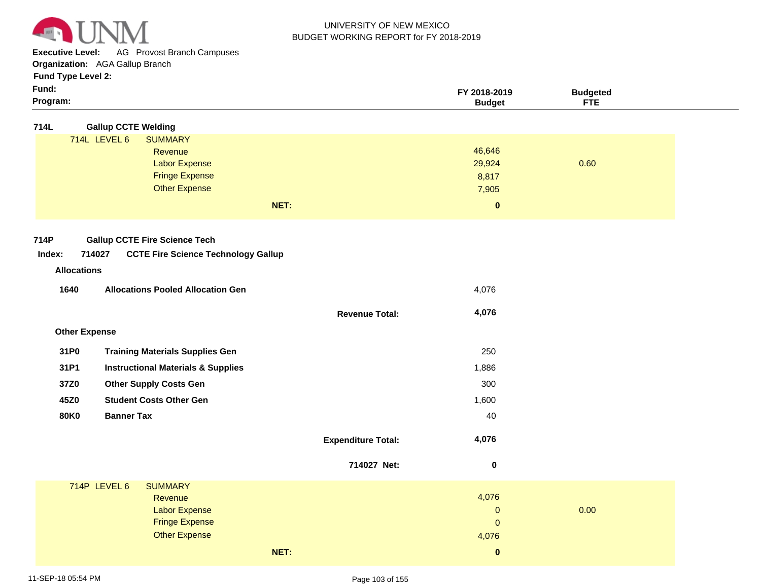

**Executive Level:** AG Provost Branch Campuses

**Organization:**  AGA Gallup Branch

# **Fund Type Level 2:**

| FY 2018-2019<br>3udaeted<br>ᇊ<br>'udae<br>1 E |
|-----------------------------------------------|
|                                               |
|                                               |

| 714L | <b>Gallup CCTE Welding</b> |
|------|----------------------------|
|      |                            |

|              | NET:                  | $\bf{0}$ |      |
|--------------|-----------------------|----------|------|
|              | <b>Other Expense</b>  | 7,905    |      |
|              | <b>Fringe Expense</b> | 8,817    |      |
|              | <b>Labor Expense</b>  | 29,924   | 0.60 |
|              | Revenue               | 46,646   |      |
| 714L LEVEL 6 | <b>SUMMARY</b>        |          |      |
|              | --                    |          |      |

**Revenue Total:**

 **4,076** 

#### **714P Gallup CCTE Fire Science Tech**

#### **714027 CCTE Fire Science Technology Gallup Index:**

# **Revenue Allocations**

| 1640 | <b>Allocations Pooled Allocation Gen</b> | 4.076 |
|------|------------------------------------------|-------|
|      |                                          |       |

| <b>Other Expense</b> |
|----------------------|
|----------------------|

| 31P <sub>0</sub> | <b>Training Materials Supplies Gen</b>        | 250   |
|------------------|-----------------------------------------------|-------|
| 31P1             | <b>Instructional Materials &amp; Supplies</b> | 1,886 |
| 37Z0             | <b>Other Supply Costs Gen</b>                 | 300   |
| 45Z0             | <b>Student Costs Other Gen</b>                | 1,600 |
| 80K0             | <b>Banner Tax</b>                             | 40    |
|                  |                                               |       |

| <b>Expenditure Total:</b> | 4.076 |
|---------------------------|-------|
|                           |       |

|              |                       | 714027 Net: | 0            |      |  |
|--------------|-----------------------|-------------|--------------|------|--|
| 714P LEVEL 6 | <b>SUMMARY</b>        |             |              |      |  |
|              | Revenue               |             | 4,076        |      |  |
|              | <b>Labor Expense</b>  |             | $\mathbf{0}$ | 0.00 |  |
|              | <b>Fringe Expense</b> |             | $\mathbf{0}$ |      |  |
|              | <b>Other Expense</b>  |             | 4,076        |      |  |
|              |                       | NET:        | 0            |      |  |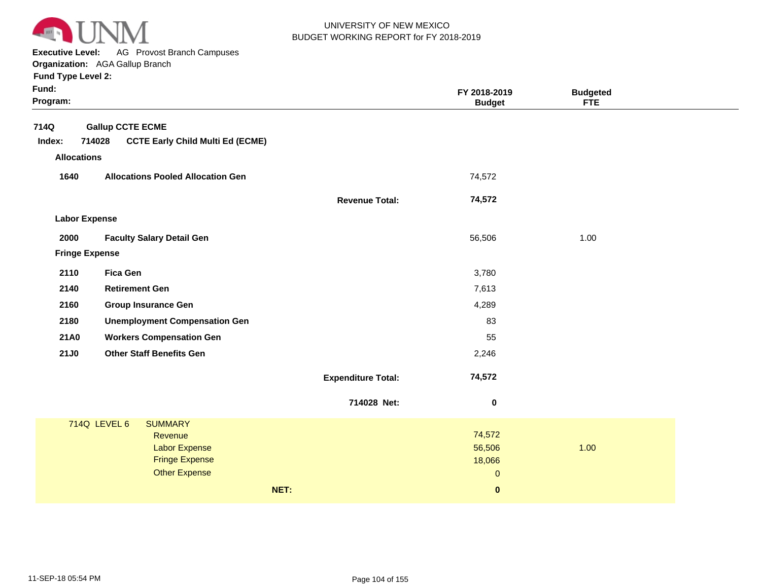

**Executive Level:** AG Provost Branch Campuses

**Organization:**  AGA Gallup Branch

| <b>Fund Type Level 2:</b> |  |
|---------------------------|--|
|---------------------------|--|

| Fund:<br>Program:     |                                                                                                                    |                           | FY 2018-2019<br><b>Budget</b>              | <b>Budgeted</b><br><b>FTE</b> |  |
|-----------------------|--------------------------------------------------------------------------------------------------------------------|---------------------------|--------------------------------------------|-------------------------------|--|
| 714Q                  | <b>Gallup CCTE ECME</b>                                                                                            |                           |                                            |                               |  |
| Index:                | 714028<br><b>CCTE Early Child Multi Ed (ECME)</b>                                                                  |                           |                                            |                               |  |
| <b>Allocations</b>    |                                                                                                                    |                           |                                            |                               |  |
| 1640                  | <b>Allocations Pooled Allocation Gen</b>                                                                           |                           | 74,572                                     |                               |  |
|                       |                                                                                                                    | <b>Revenue Total:</b>     | 74,572                                     |                               |  |
| <b>Labor Expense</b>  |                                                                                                                    |                           |                                            |                               |  |
| 2000                  | <b>Faculty Salary Detail Gen</b>                                                                                   |                           | 56,506                                     | 1.00                          |  |
| <b>Fringe Expense</b> |                                                                                                                    |                           |                                            |                               |  |
| 2110                  | <b>Fica Gen</b>                                                                                                    |                           | 3,780                                      |                               |  |
| 2140                  | <b>Retirement Gen</b>                                                                                              |                           | 7,613                                      |                               |  |
| 2160                  | <b>Group Insurance Gen</b>                                                                                         |                           | 4,289                                      |                               |  |
| 2180                  | <b>Unemployment Compensation Gen</b>                                                                               |                           | 83                                         |                               |  |
| <b>21A0</b>           | <b>Workers Compensation Gen</b>                                                                                    |                           | 55                                         |                               |  |
| <b>21J0</b>           | <b>Other Staff Benefits Gen</b>                                                                                    |                           | 2,246                                      |                               |  |
|                       |                                                                                                                    | <b>Expenditure Total:</b> | 74,572                                     |                               |  |
|                       |                                                                                                                    | 714028 Net:               | $\pmb{0}$                                  |                               |  |
|                       | 714Q LEVEL 6<br><b>SUMMARY</b><br>Revenue<br><b>Labor Expense</b><br><b>Fringe Expense</b><br><b>Other Expense</b> |                           | 74,572<br>56,506<br>18,066<br>$\mathbf{0}$ | 1.00                          |  |
|                       |                                                                                                                    | NET:                      | $\pmb{0}$                                  |                               |  |
|                       |                                                                                                                    |                           |                                            |                               |  |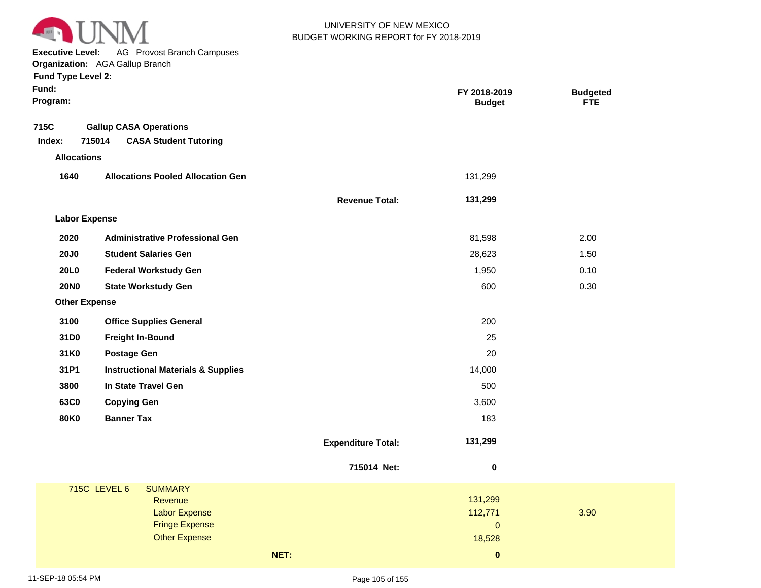

 $\sim$ **Executive Level:** AG Provost Branch Campuses

| <b>Executive Level:</b> | <b>AG Provost Branch Campuses</b>             |                       |               |                 |  |
|-------------------------|-----------------------------------------------|-----------------------|---------------|-----------------|--|
|                         | Organization: AGA Gallup Branch               |                       |               |                 |  |
| Fund Type Level 2:      |                                               |                       |               |                 |  |
| Fund:                   |                                               |                       | FY 2018-2019  | <b>Budgeted</b> |  |
| Program:                |                                               |                       | <b>Budget</b> | FTE             |  |
|                         |                                               |                       |               |                 |  |
| 715C                    | <b>Gallup CASA Operations</b>                 |                       |               |                 |  |
| Index:                  | 715014<br><b>CASA Student Tutoring</b>        |                       |               |                 |  |
| <b>Allocations</b>      |                                               |                       |               |                 |  |
| 1640                    | <b>Allocations Pooled Allocation Gen</b>      |                       | 131,299       |                 |  |
|                         |                                               | <b>Revenue Total:</b> | 131,299       |                 |  |
| <b>Labor Expense</b>    |                                               |                       |               |                 |  |
| 2020                    | <b>Administrative Professional Gen</b>        |                       | 81,598        | 2.00            |  |
| <b>20J0</b>             | <b>Student Salaries Gen</b>                   |                       | 28,623        | 1.50            |  |
| 20L0                    | <b>Federal Workstudy Gen</b>                  |                       | 1,950         | 0.10            |  |
| <b>20NO</b>             | <b>State Workstudy Gen</b>                    |                       | 600           | 0.30            |  |
| <b>Other Expense</b>    |                                               |                       |               |                 |  |
| 3100                    | <b>Office Supplies General</b>                |                       | 200           |                 |  |
| 31D <sub>0</sub>        | <b>Freight In-Bound</b>                       |                       | 25            |                 |  |
| 31K0                    | <b>Postage Gen</b>                            |                       | 20            |                 |  |
| 31P1                    | <b>Instructional Materials &amp; Supplies</b> |                       | 14,000        |                 |  |
| 3800                    | In State Travel Gen                           |                       | 500           |                 |  |
| 63C0                    | <b>Copying Gen</b>                            |                       | 3,600         |                 |  |

**Expenditure Total: 131,299 SUMMARY** 715C LEVEL 6 **715014 Net:** 131,299 18,528 112,771  **0**  0 **NET: 0**  3.90 **Revenue** Labor Expense Fringe Expense Other Expense

**80K0**

**Banner Tax**

183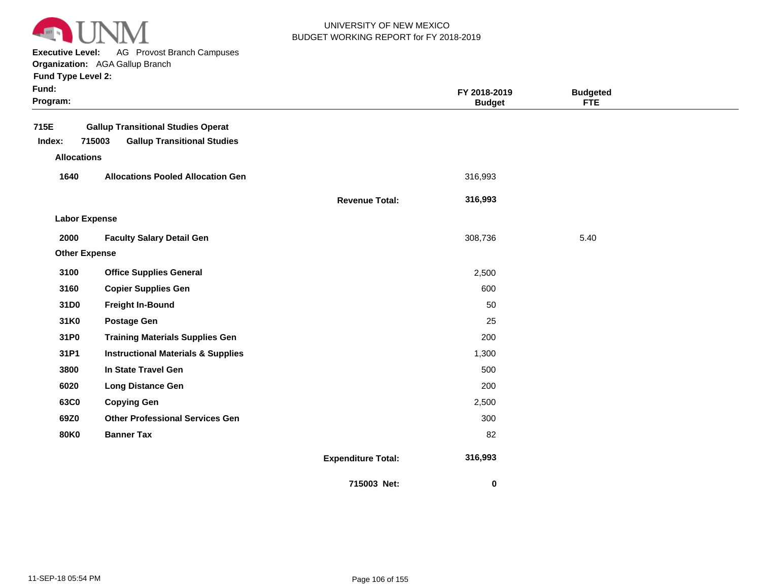

**Executive Level:** AG Provost Branch Campuses

**Organization:**  AGA Gallup Branch **Fund Type Level 2:**

| Fund Type Level 2: |  |
|--------------------|--|
|--------------------|--|

| Fund:<br>Program: |                                                                                           |                           | FY 2018-2019<br><b>Budget</b> |      |  |
|-------------------|-------------------------------------------------------------------------------------------|---------------------------|-------------------------------|------|--|
| 715E<br>Index:    | <b>Gallup Transitional Studies Operat</b><br>715003<br><b>Gallup Transitional Studies</b> |                           |                               |      |  |
|                   | <b>Allocations</b>                                                                        |                           |                               |      |  |
| 1640              | <b>Allocations Pooled Allocation Gen</b>                                                  |                           | 316,993                       |      |  |
|                   |                                                                                           | <b>Revenue Total:</b>     | 316,993                       |      |  |
|                   | <b>Labor Expense</b>                                                                      |                           |                               |      |  |
| 2000              | <b>Faculty Salary Detail Gen</b>                                                          |                           | 308,736                       | 5.40 |  |
|                   | <b>Other Expense</b>                                                                      |                           |                               |      |  |
| 3100              | <b>Office Supplies General</b>                                                            |                           | 2,500                         |      |  |
| 3160              | <b>Copier Supplies Gen</b>                                                                |                           | 600                           |      |  |
| 31D0              | <b>Freight In-Bound</b>                                                                   |                           | 50                            |      |  |
| 31K0              | <b>Postage Gen</b>                                                                        |                           | 25                            |      |  |
| 31P0              | <b>Training Materials Supplies Gen</b>                                                    |                           | 200                           |      |  |
| 31P1              | <b>Instructional Materials &amp; Supplies</b>                                             |                           | 1,300                         |      |  |
| 3800              | In State Travel Gen                                                                       |                           | 500                           |      |  |
| 6020              | <b>Long Distance Gen</b>                                                                  |                           | 200                           |      |  |
| 63C0              | <b>Copying Gen</b>                                                                        |                           | 2,500                         |      |  |
| 69Z0              | <b>Other Professional Services Gen</b>                                                    |                           | 300                           |      |  |
| <b>80K0</b>       | <b>Banner Tax</b>                                                                         |                           | 82                            |      |  |
|                   |                                                                                           | <b>Expenditure Total:</b> | 316,993                       |      |  |
|                   |                                                                                           | 715003 Net:               | 0                             |      |  |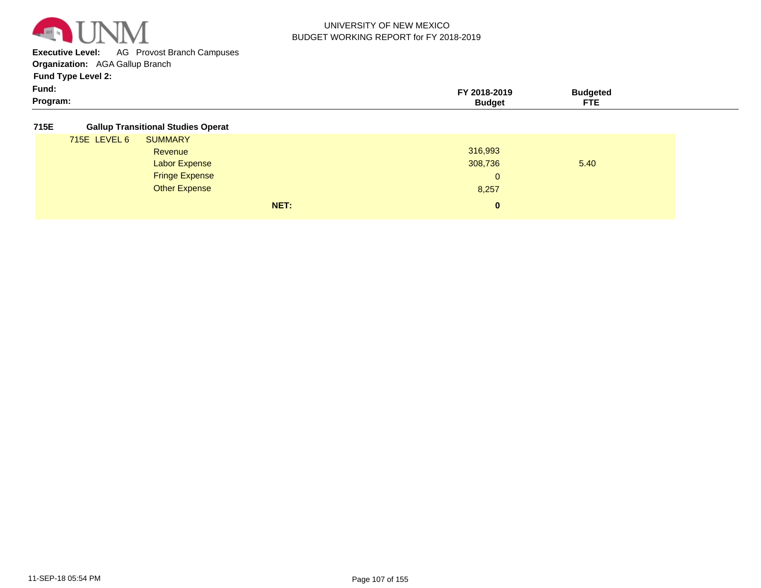

**Executive Level:** AG Provost Branch Campuses

**Organization:**  AGA Gallup Branch

**Fund Type Level 2:**

| Fund:    |       |     |  |
|----------|-------|-----|--|
| Program: | . nne | --- |  |

#### **715E Gallup Transitional Studies Operat**

| 715E LEVEL 6 | <b>SUMMARY</b>        |      |              |      |
|--------------|-----------------------|------|--------------|------|
|              | Revenue               |      | 316,993      |      |
|              | <b>Labor Expense</b>  |      | 308,736      | 5.40 |
|              | <b>Fringe Expense</b> |      | $\mathbf{0}$ |      |
|              | <b>Other Expense</b>  |      | 8,257        |      |
|              |                       | NET: | $\mathbf{0}$ |      |
|              |                       |      |              |      |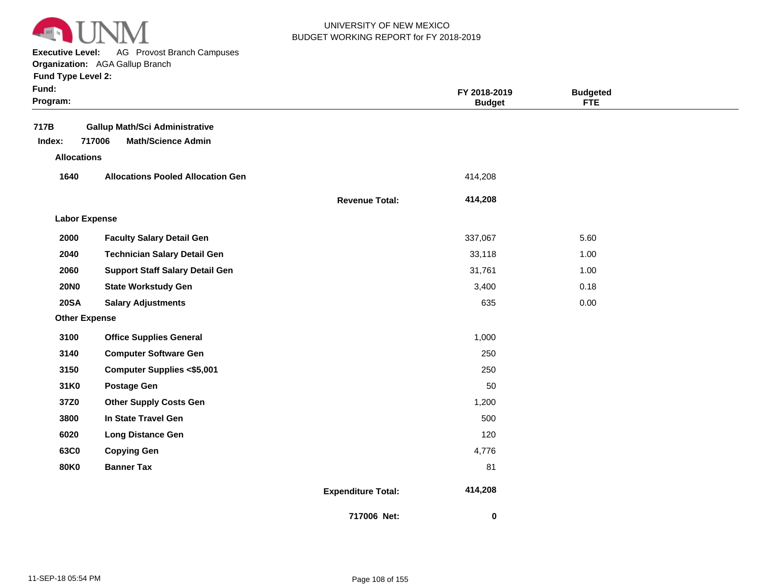

**Executive Level:** AG Provost Branch Campuses

**Organization:**  AGA Gallup Branch

| Fund Type Level 2:   |                                          |                       |                               |                               |  |
|----------------------|------------------------------------------|-----------------------|-------------------------------|-------------------------------|--|
| Fund:<br>Program:    |                                          |                       | FY 2018-2019<br><b>Budget</b> | <b>Budgeted</b><br><b>FTE</b> |  |
| 717B                 | <b>Gallup Math/Sci Administrative</b>    |                       |                               |                               |  |
| Index:               | 717006<br><b>Math/Science Admin</b>      |                       |                               |                               |  |
| <b>Allocations</b>   |                                          |                       |                               |                               |  |
| 1640                 | <b>Allocations Pooled Allocation Gen</b> |                       | 414,208                       |                               |  |
|                      |                                          | <b>Revenue Total:</b> | 414,208                       |                               |  |
| <b>Labor Expense</b> |                                          |                       |                               |                               |  |
| 2000                 | <b>Faculty Salary Detail Gen</b>         |                       | 337,067                       | 5.60                          |  |
| 2040                 | <b>Technician Salary Detail Gen</b>      |                       | 33,118                        | 1.00                          |  |
| 2060                 | <b>Support Staff Salary Detail Gen</b>   |                       | 31,761                        | 1.00                          |  |
| <b>20NO</b>          | <b>State Workstudy Gen</b>               |                       | 3,400                         | 0.18                          |  |
| <b>20SA</b>          | <b>Salary Adjustments</b>                |                       | 635                           | 0.00                          |  |
| <b>Other Expense</b> |                                          |                       |                               |                               |  |
| 3100                 | <b>Office Supplies General</b>           |                       | 1,000                         |                               |  |
| 3140                 | <b>Computer Software Gen</b>             |                       | 250                           |                               |  |
| 3150                 | <b>Computer Supplies &lt;\$5,001</b>     |                       | 250                           |                               |  |
| 31K0                 | <b>Postage Gen</b>                       |                       | 50                            |                               |  |
| 37Z0                 | <b>Other Supply Costs Gen</b>            |                       | 1,200                         |                               |  |
| 3800                 | In State Travel Gen                      |                       | 500                           |                               |  |
| 6020                 | <b>Long Distance Gen</b>                 |                       | 120                           |                               |  |
| 63C0                 | <b>Copying Gen</b>                       |                       | 4,776                         |                               |  |
| 80K0                 | <b>Banner Tax</b>                        |                       | 81                            |                               |  |

**Expenditure Total: 414,208** 

 **0** 

**717006 Net:**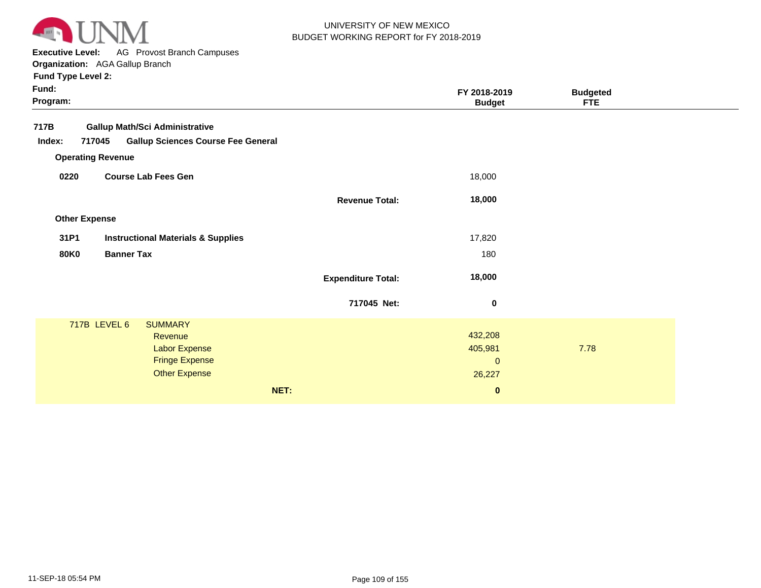

**Executive Level:** AG Provost Branch Campuses

**Organization:**  AGA Gallup Branch

| Fund:<br>Program: |                          |                                               |                           | FY 2018-2019<br><b>Budget</b> | <b>Budgeted</b><br><b>FTE</b> |  |
|-------------------|--------------------------|-----------------------------------------------|---------------------------|-------------------------------|-------------------------------|--|
| 717B              |                          | <b>Gallup Math/Sci Administrative</b>         |                           |                               |                               |  |
| Index:            | 717045                   | <b>Gallup Sciences Course Fee General</b>     |                           |                               |                               |  |
|                   | <b>Operating Revenue</b> |                                               |                           |                               |                               |  |
| 0220              |                          | <b>Course Lab Fees Gen</b>                    |                           | 18,000                        |                               |  |
|                   |                          |                                               | <b>Revenue Total:</b>     | 18,000                        |                               |  |
|                   | <b>Other Expense</b>     |                                               |                           |                               |                               |  |
| 31P1              |                          | <b>Instructional Materials &amp; Supplies</b> |                           | 17,820                        |                               |  |
| <b>80K0</b>       | <b>Banner Tax</b>        |                                               |                           | 180                           |                               |  |
|                   |                          |                                               | <b>Expenditure Total:</b> | 18,000                        |                               |  |
|                   |                          |                                               | 717045 Net:               | 0                             |                               |  |
|                   | 717B LEVEL 6             | <b>SUMMARY</b>                                |                           |                               |                               |  |
|                   |                          | Revenue                                       |                           | 432,208                       |                               |  |
|                   |                          | Labor Expense                                 |                           | 405,981                       | 7.78                          |  |
|                   |                          | <b>Fringe Expense</b>                         |                           | $\pmb{0}$                     |                               |  |
|                   |                          | <b>Other Expense</b>                          |                           | 26,227                        |                               |  |
|                   |                          |                                               | NET:                      | $\bf{0}$                      |                               |  |
|                   |                          |                                               |                           |                               |                               |  |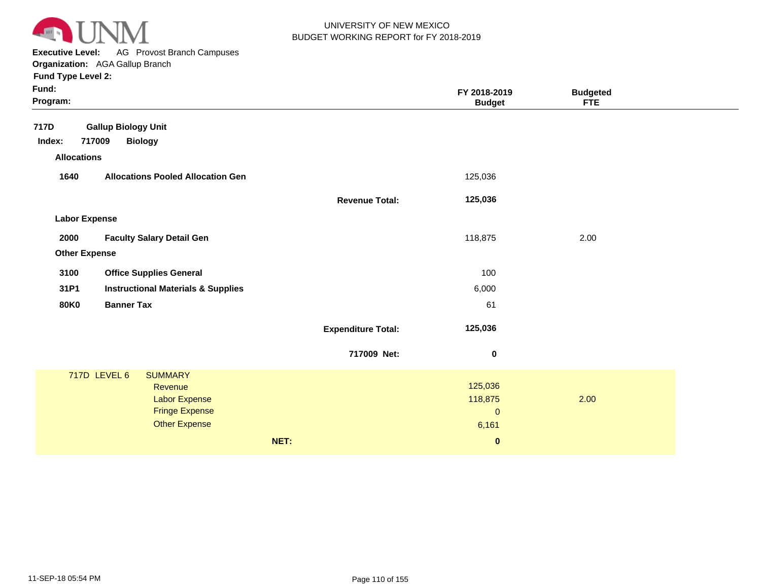

**Executive Level:** AG Provost Branch Campuses **Organization:**  AGA Gallup Branch

| Fund:<br>Program:    |                                               |                           | FY 2018-2019<br><b>Budget</b> | <b>Budgeted</b><br><b>FTE</b> |  |
|----------------------|-----------------------------------------------|---------------------------|-------------------------------|-------------------------------|--|
| 717D                 | <b>Gallup Biology Unit</b>                    |                           |                               |                               |  |
| Index:               | 717009<br><b>Biology</b>                      |                           |                               |                               |  |
| <b>Allocations</b>   |                                               |                           |                               |                               |  |
| 1640                 | <b>Allocations Pooled Allocation Gen</b>      |                           | 125,036                       |                               |  |
|                      |                                               | <b>Revenue Total:</b>     | 125,036                       |                               |  |
| <b>Labor Expense</b> |                                               |                           |                               |                               |  |
| 2000                 | <b>Faculty Salary Detail Gen</b>              |                           | 118,875                       | 2.00                          |  |
| <b>Other Expense</b> |                                               |                           |                               |                               |  |
| 3100                 | <b>Office Supplies General</b>                |                           | 100                           |                               |  |
| 31P1                 | <b>Instructional Materials &amp; Supplies</b> |                           | 6,000                         |                               |  |
| <b>80K0</b>          | <b>Banner Tax</b>                             |                           | 61                            |                               |  |
|                      |                                               | <b>Expenditure Total:</b> | 125,036                       |                               |  |
|                      |                                               | 717009 Net:               | $\boldsymbol{0}$              |                               |  |
|                      | 717D LEVEL 6<br><b>SUMMARY</b>                |                           |                               |                               |  |
|                      | Revenue                                       |                           | 125,036                       |                               |  |
|                      | Labor Expense<br><b>Fringe Expense</b>        |                           | 118,875<br>$\mathbf{0}$       | 2.00                          |  |
|                      | <b>Other Expense</b>                          |                           | 6,161                         |                               |  |
|                      |                                               | NET:                      | $\mathbf 0$                   |                               |  |
|                      |                                               |                           |                               |                               |  |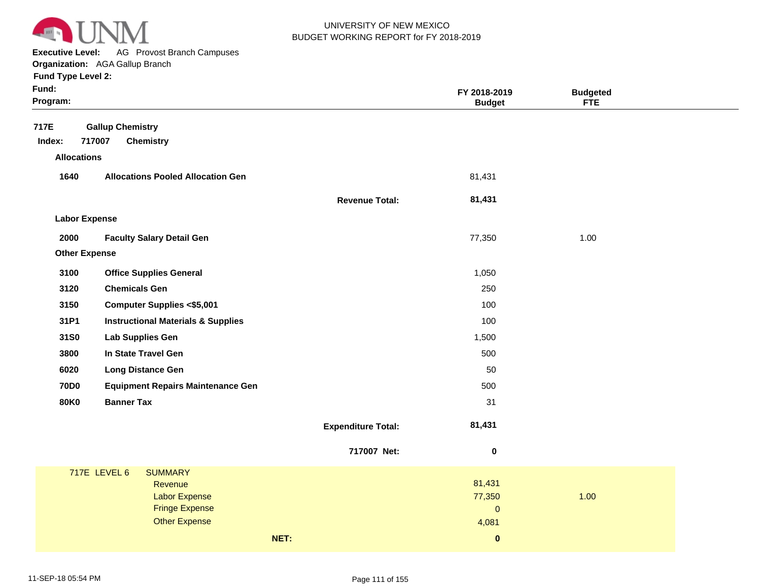

**Executive Level:** AG Provost Branch Campuses **Organization:**  AGA Gallup Branch

| Fund:<br>Program:    |                                               |                           | FY 2018-2019<br><b>Budget</b> | <b>Budgeted</b><br><b>FTE</b> |
|----------------------|-----------------------------------------------|---------------------------|-------------------------------|-------------------------------|
| 717E                 | <b>Gallup Chemistry</b>                       |                           |                               |                               |
| Index:               | 717007<br><b>Chemistry</b>                    |                           |                               |                               |
| <b>Allocations</b>   |                                               |                           |                               |                               |
| 1640                 | <b>Allocations Pooled Allocation Gen</b>      |                           | 81,431                        |                               |
|                      |                                               | <b>Revenue Total:</b>     | 81,431                        |                               |
| <b>Labor Expense</b> |                                               |                           |                               |                               |
| 2000                 | <b>Faculty Salary Detail Gen</b>              |                           | 77,350                        | 1.00                          |
| <b>Other Expense</b> |                                               |                           |                               |                               |
| 3100                 | <b>Office Supplies General</b>                |                           | 1,050                         |                               |
| 3120                 | <b>Chemicals Gen</b>                          |                           | 250                           |                               |
| 3150                 | <b>Computer Supplies &lt;\$5,001</b>          |                           | 100                           |                               |
| 31P1                 | <b>Instructional Materials &amp; Supplies</b> |                           | 100                           |                               |
| 31S0                 | Lab Supplies Gen                              |                           | 1,500                         |                               |
| 3800                 | In State Travel Gen                           |                           | 500                           |                               |
| 6020                 | <b>Long Distance Gen</b>                      |                           | 50                            |                               |
| <b>70D0</b>          | <b>Equipment Repairs Maintenance Gen</b>      |                           | 500                           |                               |
| <b>80K0</b>          | <b>Banner Tax</b>                             |                           | 31                            |                               |
|                      |                                               | <b>Expenditure Total:</b> | 81,431                        |                               |
|                      |                                               | 717007 Net:               | $\pmb{0}$                     |                               |
|                      | <b>717E LEVEL 6</b><br><b>SUMMARY</b>         |                           |                               |                               |
|                      | Revenue                                       |                           | 81,431                        |                               |
|                      | <b>Labor Expense</b><br><b>Fringe Expense</b> |                           | 77,350<br>$\pmb{0}$           | 1.00                          |
|                      | <b>Other Expense</b>                          |                           | 4,081                         |                               |
|                      |                                               | NET:                      | $\bf{0}$                      |                               |
|                      |                                               |                           |                               |                               |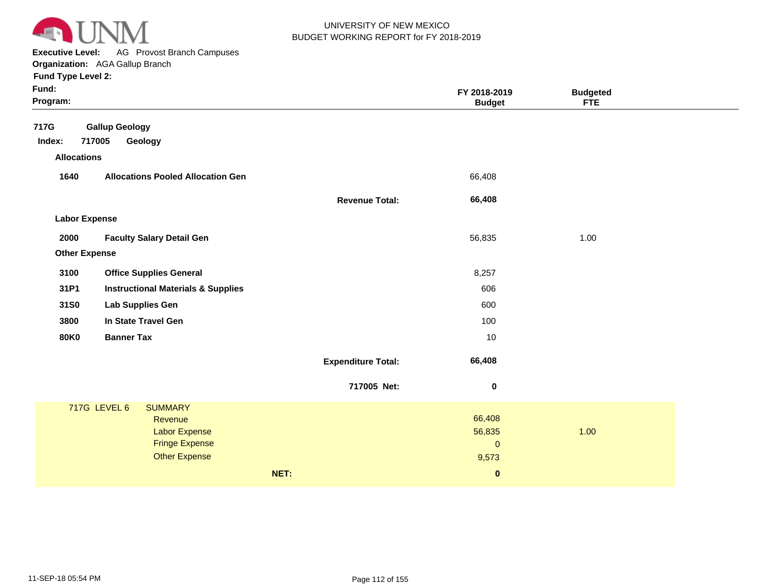

**Executive Level:** AG Provost Branch Campuses **Organization:**  AGA Gallup Branch

| Fund:<br>Program:    |                                               |                           | FY 2018-2019<br><b>Budget</b> | <b>Budgeted</b><br><b>FTE</b> |  |
|----------------------|-----------------------------------------------|---------------------------|-------------------------------|-------------------------------|--|
| 717G                 | <b>Gallup Geology</b>                         |                           |                               |                               |  |
| Index:               | 717005<br>Geology                             |                           |                               |                               |  |
| <b>Allocations</b>   |                                               |                           |                               |                               |  |
| 1640                 | <b>Allocations Pooled Allocation Gen</b>      |                           | 66,408                        |                               |  |
|                      |                                               | <b>Revenue Total:</b>     | 66,408                        |                               |  |
| <b>Labor Expense</b> |                                               |                           |                               |                               |  |
| 2000                 | <b>Faculty Salary Detail Gen</b>              |                           | 56,835                        | 1.00                          |  |
| <b>Other Expense</b> |                                               |                           |                               |                               |  |
| 3100                 | <b>Office Supplies General</b>                |                           | 8,257                         |                               |  |
| 31P1                 | <b>Instructional Materials &amp; Supplies</b> |                           | 606                           |                               |  |
| 31S0                 | <b>Lab Supplies Gen</b>                       |                           | 600                           |                               |  |
| 3800                 | In State Travel Gen                           |                           | 100                           |                               |  |
| <b>80K0</b>          | <b>Banner Tax</b>                             |                           | 10                            |                               |  |
|                      |                                               | <b>Expenditure Total:</b> | 66,408                        |                               |  |
|                      |                                               | 717005 Net:               | $\pmb{0}$                     |                               |  |
|                      | 717G LEVEL 6<br><b>SUMMARY</b>                |                           |                               |                               |  |
|                      | Revenue                                       |                           | 66,408                        |                               |  |
|                      | <b>Labor Expense</b>                          |                           | 56,835                        | 1.00                          |  |
|                      | <b>Fringe Expense</b><br><b>Other Expense</b> |                           | $\mathbf 0$                   |                               |  |
|                      |                                               |                           | 9,573                         |                               |  |
|                      |                                               | NET:                      | $\bf{0}$                      |                               |  |
|                      |                                               |                           |                               |                               |  |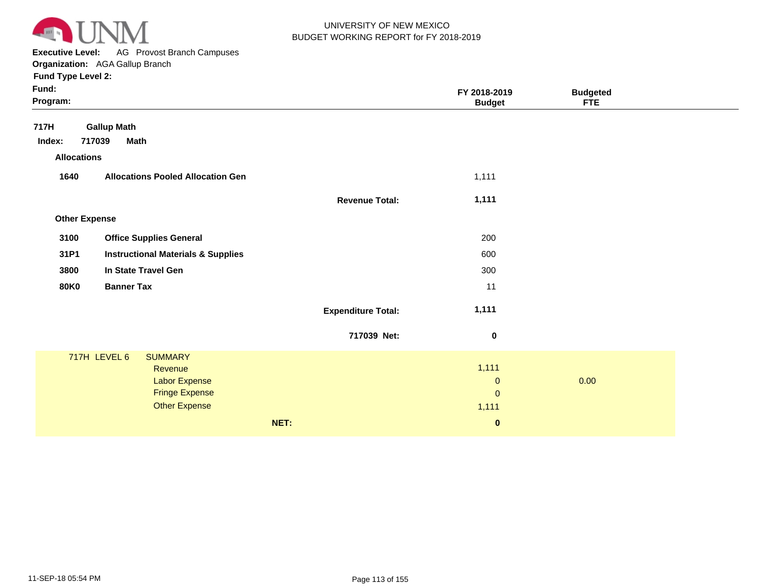

**Executive Level:** AG Provost Branch Campuses **Organization:**  AGA Gallup Branch

| Fund Type Level 2:   |                                               |                           |                               |                               |  |
|----------------------|-----------------------------------------------|---------------------------|-------------------------------|-------------------------------|--|
| Fund:<br>Program:    |                                               |                           | FY 2018-2019<br><b>Budget</b> | <b>Budgeted</b><br><b>FTE</b> |  |
| 717H                 | <b>Gallup Math</b>                            |                           |                               |                               |  |
| Index:               | 717039<br><b>Math</b>                         |                           |                               |                               |  |
| <b>Allocations</b>   |                                               |                           |                               |                               |  |
| 1640                 | <b>Allocations Pooled Allocation Gen</b>      |                           | 1,111                         |                               |  |
|                      |                                               | <b>Revenue Total:</b>     | 1,111                         |                               |  |
| <b>Other Expense</b> |                                               |                           |                               |                               |  |
| 3100                 | <b>Office Supplies General</b>                |                           | 200                           |                               |  |
| 31P1                 | <b>Instructional Materials &amp; Supplies</b> |                           | 600                           |                               |  |
| 3800                 | In State Travel Gen                           |                           | 300                           |                               |  |
| <b>80K0</b>          | <b>Banner Tax</b>                             |                           | 11                            |                               |  |
|                      |                                               | <b>Expenditure Total:</b> | 1,111                         |                               |  |
|                      |                                               | 717039 Net:               | $\mathbf 0$                   |                               |  |
|                      | 717H LEVEL 6<br><b>SUMMARY</b>                |                           |                               |                               |  |
|                      | Revenue<br><b>Labor Expense</b>               |                           | 1,111<br>$\mathbf 0$          | 0.00                          |  |
|                      | <b>Fringe Expense</b>                         |                           | $\mathbf 0$                   |                               |  |
|                      | <b>Other Expense</b>                          |                           | 1,111                         |                               |  |
|                      |                                               | NET:                      | $\pmb{0}$                     |                               |  |
|                      |                                               |                           |                               |                               |  |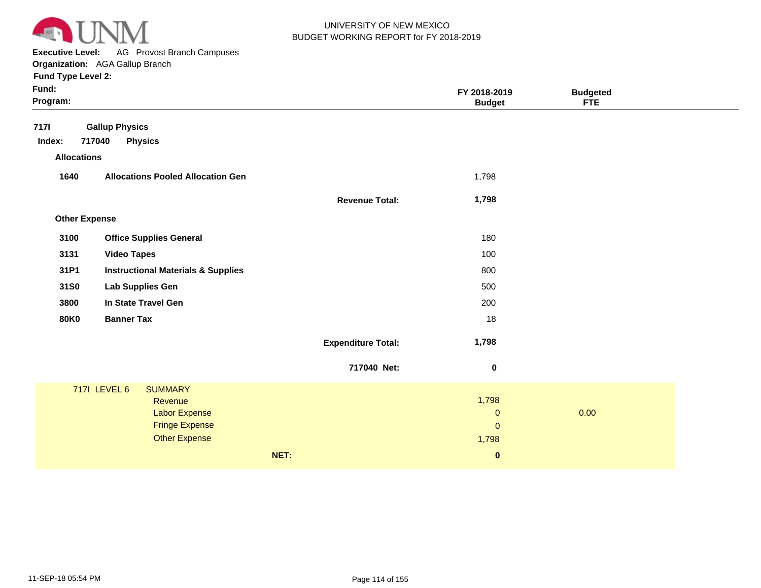

**Executive Level:** AG Provost Branch Campuses **Organization:**  AGA Gallup Branch

| Fund:<br>Program:     |                                                                                                                           |                           | FY 2018-2019<br><b>Budget</b>                 | <b>Budgeted</b><br><b>FTE</b> |  |
|-----------------------|---------------------------------------------------------------------------------------------------------------------------|---------------------------|-----------------------------------------------|-------------------------------|--|
| <b>7171</b><br>Index: | <b>Gallup Physics</b><br>717040<br><b>Physics</b>                                                                         |                           |                                               |                               |  |
| <b>Allocations</b>    |                                                                                                                           |                           |                                               |                               |  |
| 1640                  | <b>Allocations Pooled Allocation Gen</b>                                                                                  |                           | 1,798                                         |                               |  |
|                       |                                                                                                                           | <b>Revenue Total:</b>     | 1,798                                         |                               |  |
| <b>Other Expense</b>  |                                                                                                                           |                           |                                               |                               |  |
| 3100                  | <b>Office Supplies General</b>                                                                                            |                           | 180                                           |                               |  |
| 3131                  | <b>Video Tapes</b>                                                                                                        |                           | 100                                           |                               |  |
| 31P1                  | <b>Instructional Materials &amp; Supplies</b>                                                                             |                           | 800                                           |                               |  |
| 31S0                  | <b>Lab Supplies Gen</b>                                                                                                   |                           | 500                                           |                               |  |
| 3800                  | In State Travel Gen                                                                                                       |                           | 200                                           |                               |  |
| <b>80K0</b>           | <b>Banner Tax</b>                                                                                                         |                           | 18                                            |                               |  |
|                       |                                                                                                                           | <b>Expenditure Total:</b> | 1,798                                         |                               |  |
|                       |                                                                                                                           | 717040 Net:               | $\bf{0}$                                      |                               |  |
|                       | <b>7171 LEVEL 6</b><br><b>SUMMARY</b><br>Revenue<br><b>Labor Expense</b><br><b>Fringe Expense</b><br><b>Other Expense</b> |                           | 1,798<br>$\mathbf 0$<br>$\mathbf{0}$<br>1,798 | 0.00                          |  |
|                       |                                                                                                                           | NET:                      | $\pmb{0}$                                     |                               |  |
|                       |                                                                                                                           |                           |                                               |                               |  |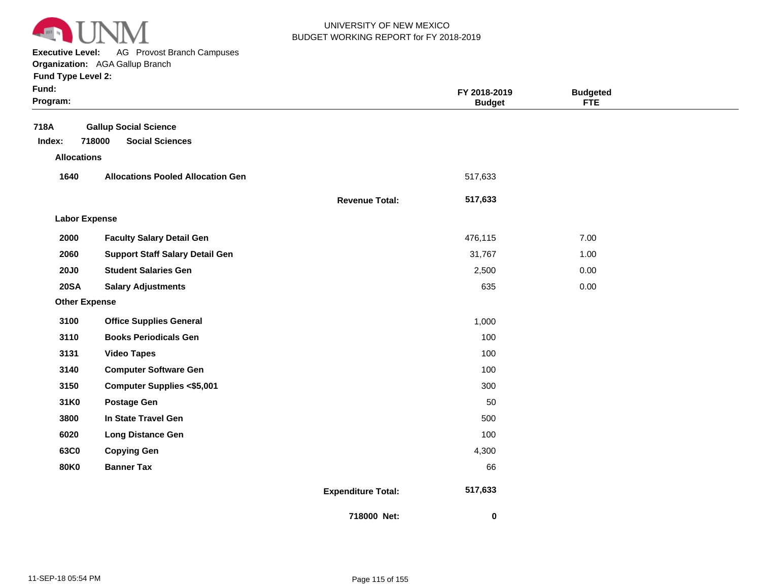

**Executive Level:** AG Provost Branch Campuses

|                      | Organization: AGA Gallup Branch          |                       |                               |                               |  |
|----------------------|------------------------------------------|-----------------------|-------------------------------|-------------------------------|--|
| Fund Type Level 2:   |                                          |                       |                               |                               |  |
| Fund:<br>Program:    |                                          |                       | FY 2018-2019<br><b>Budget</b> | <b>Budgeted</b><br><b>FTE</b> |  |
| 718A                 | <b>Gallup Social Science</b>             |                       |                               |                               |  |
| Index:               | <b>Social Sciences</b><br>718000         |                       |                               |                               |  |
| <b>Allocations</b>   |                                          |                       |                               |                               |  |
| 1640                 | <b>Allocations Pooled Allocation Gen</b> |                       | 517,633                       |                               |  |
|                      |                                          | <b>Revenue Total:</b> | 517,633                       |                               |  |
| <b>Labor Expense</b> |                                          |                       |                               |                               |  |
| 2000                 | <b>Faculty Salary Detail Gen</b>         |                       | 476,115                       | 7.00                          |  |
| 2060                 | <b>Support Staff Salary Detail Gen</b>   |                       | 31,767                        | 1.00                          |  |
| <b>20J0</b>          | <b>Student Salaries Gen</b>              |                       | 2,500                         | 0.00                          |  |
| <b>20SA</b>          | <b>Salary Adjustments</b>                |                       | 635                           | 0.00                          |  |
| <b>Other Expense</b> |                                          |                       |                               |                               |  |
| 3100                 | <b>Office Supplies General</b>           |                       | 1,000                         |                               |  |
| 3110                 | <b>Books Periodicals Gen</b>             |                       | 100                           |                               |  |
| 3131                 | <b>Video Tapes</b>                       |                       | 100                           |                               |  |
| 3140                 | <b>Computer Software Gen</b>             |                       | 100                           |                               |  |
| 3150                 | <b>Computer Supplies &lt;\$5,001</b>     |                       | 300                           |                               |  |
| 31K0                 | <b>Postage Gen</b>                       |                       | 50                            |                               |  |
| 3800                 | In State Travel Gen                      |                       | 500                           |                               |  |
| 6020                 | <b>Long Distance Gen</b>                 |                       | 100                           |                               |  |
| 63C0                 | <b>Copying Gen</b>                       |                       | 4,300                         |                               |  |

**Banner Tax**

 **517,633** 

66

 **0** 

**Expenditure Total:**

**718000 Net:**

**80K0**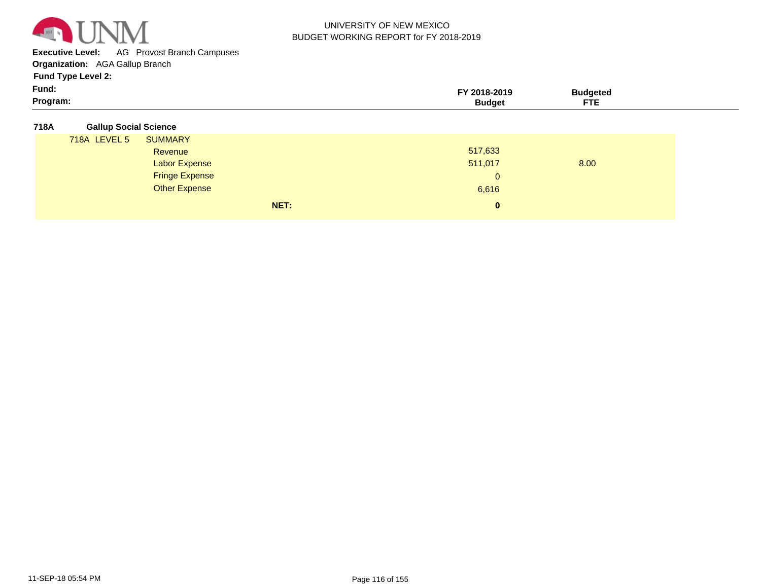

**Executive Level:** AG Provost Branch Campuses

**Organization:**  AGA Gallup Branch

**Fund Type Level 2:**

| Program:     | <b>CTC</b><br>ᄗᄕ |  |
|--------------|------------------|--|
| . .<br>Fund: | ndeter<br>.      |  |

#### **718A Gallup Social Science**

| 718A LEVEL 5 | <b>SUMMARY</b>        |              |      |  |
|--------------|-----------------------|--------------|------|--|
|              | Revenue               | 517,633      |      |  |
|              | <b>Labor Expense</b>  | 511,017      | 8.00 |  |
|              | <b>Fringe Expense</b> | $\mathbf{0}$ |      |  |
|              | <b>Other Expense</b>  | 6,616        |      |  |
|              | NET:                  | $\mathbf{0}$ |      |  |
|              |                       |              |      |  |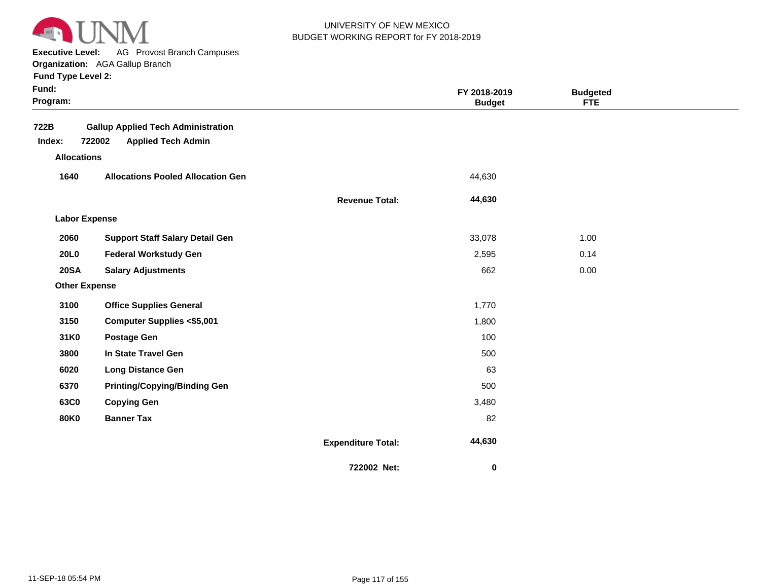

**Executive Level:** AG Provost Branch Campuses

| <b>Fund Type Level 2:</b> |  |  |  |
|---------------------------|--|--|--|
|---------------------------|--|--|--|

| Fund:<br>Program:    |                                                                                  |                           | FY 2018-2019<br><b>Budget</b> | <b>Budgeted</b><br><b>FTE</b> |  |
|----------------------|----------------------------------------------------------------------------------|---------------------------|-------------------------------|-------------------------------|--|
| 722B<br>Index:       | <b>Gallup Applied Tech Administration</b><br>722002<br><b>Applied Tech Admin</b> |                           |                               |                               |  |
| <b>Allocations</b>   |                                                                                  |                           |                               |                               |  |
| 1640                 | <b>Allocations Pooled Allocation Gen</b>                                         |                           | 44,630                        |                               |  |
|                      |                                                                                  | <b>Revenue Total:</b>     | 44,630                        |                               |  |
| <b>Labor Expense</b> |                                                                                  |                           |                               |                               |  |
| 2060                 | <b>Support Staff Salary Detail Gen</b>                                           |                           | 33,078                        | 1.00                          |  |
| <b>20L0</b>          | <b>Federal Workstudy Gen</b>                                                     |                           | 2,595                         | 0.14                          |  |
| <b>20SA</b>          | <b>Salary Adjustments</b>                                                        |                           | 662                           | 0.00                          |  |
| <b>Other Expense</b> |                                                                                  |                           |                               |                               |  |
| 3100                 | <b>Office Supplies General</b>                                                   |                           | 1,770                         |                               |  |
| 3150                 | <b>Computer Supplies &lt;\$5,001</b>                                             |                           | 1,800                         |                               |  |
| 31K0                 | <b>Postage Gen</b>                                                               |                           | 100                           |                               |  |
| 3800                 | In State Travel Gen                                                              |                           | 500                           |                               |  |
| 6020                 | <b>Long Distance Gen</b>                                                         |                           | 63                            |                               |  |
| 6370                 | <b>Printing/Copying/Binding Gen</b>                                              |                           | 500                           |                               |  |
| 63C0                 | <b>Copying Gen</b>                                                               |                           | 3,480                         |                               |  |
| <b>80K0</b>          | <b>Banner Tax</b>                                                                |                           | 82                            |                               |  |
|                      |                                                                                  | <b>Expenditure Total:</b> | 44,630                        |                               |  |
|                      |                                                                                  | 722002 Net:               | $\bf{0}$                      |                               |  |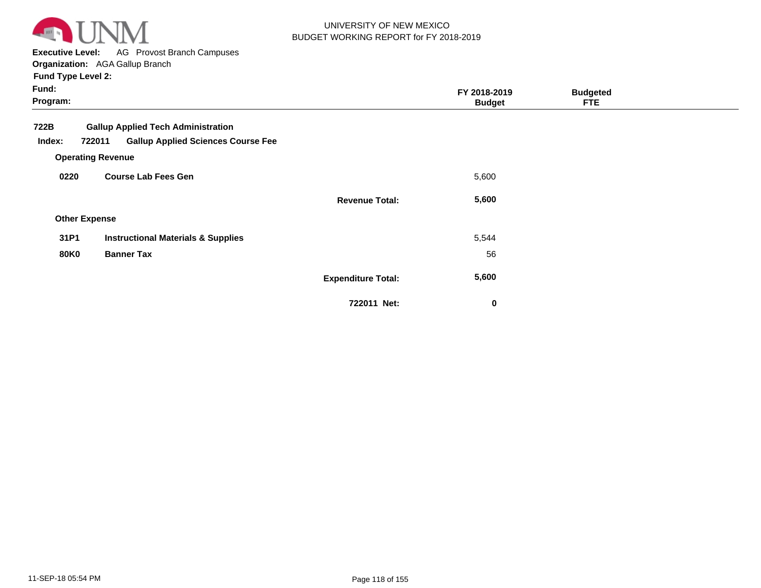

**Executive Level:** AG Provost Branch Campuses

**Organization:**  AGA Gallup Branch

| Fund:<br>Program:                                             | FY 2018-2019<br><b>Budget</b> | <b>Budgeted</b><br><b>FTE</b> |  |
|---------------------------------------------------------------|-------------------------------|-------------------------------|--|
| 722B<br><b>Gallup Applied Tech Administration</b>             |                               |                               |  |
| <b>Gallup Applied Sciences Course Fee</b><br>Index:<br>722011 |                               |                               |  |
| <b>Operating Revenue</b>                                      |                               |                               |  |
| <b>Course Lab Fees Gen</b><br>0220                            | 5,600                         |                               |  |
| <b>Revenue Total:</b>                                         | 5,600                         |                               |  |
| <b>Other Expense</b>                                          |                               |                               |  |
| <b>Instructional Materials &amp; Supplies</b><br>31P1         | 5,544                         |                               |  |
| <b>80K0</b><br><b>Banner Tax</b>                              | 56                            |                               |  |
| <b>Expenditure Total:</b>                                     | 5,600                         |                               |  |

**722011 Net:**

 **0**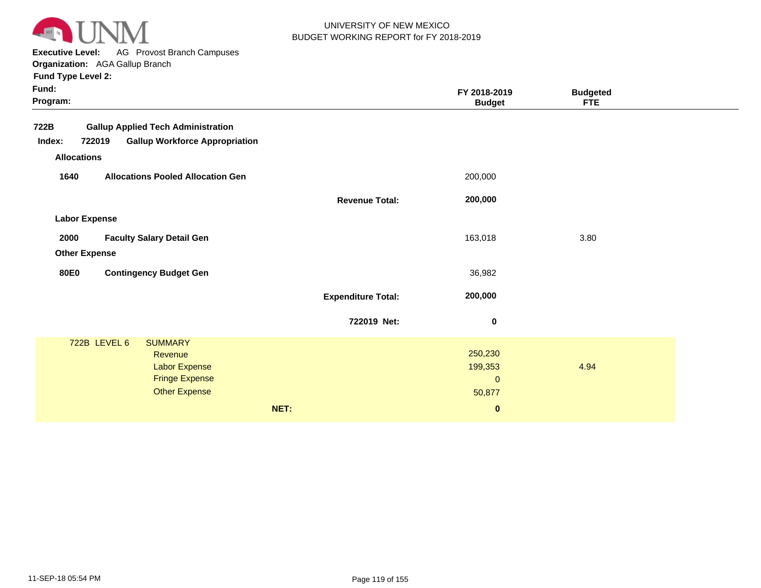

**Executive Level:** AG Provost Branch Campuses

**Organization:**  AGA Gallup Branch **Fund Type Level 2:**

| Fund:<br>Program:                        |              |                                           |                           | FY 2018-2019<br><b>Budget</b> | <b>Budgeted</b><br><b>FTE</b> |  |
|------------------------------------------|--------------|-------------------------------------------|---------------------------|-------------------------------|-------------------------------|--|
| 722B                                     |              | <b>Gallup Applied Tech Administration</b> |                           |                               |                               |  |
| Index:                                   | 722019       | <b>Gallup Workforce Appropriation</b>     |                           |                               |                               |  |
| <b>Allocations</b>                       |              |                                           |                           |                               |                               |  |
| 1640                                     |              | <b>Allocations Pooled Allocation Gen</b>  |                           | 200,000                       |                               |  |
|                                          |              |                                           | <b>Revenue Total:</b>     | 200,000                       |                               |  |
| <b>Labor Expense</b>                     |              |                                           |                           |                               |                               |  |
| 2000<br><b>Faculty Salary Detail Gen</b> |              |                                           | 163,018                   | 3.80                          |                               |  |
| <b>Other Expense</b>                     |              |                                           |                           |                               |                               |  |
| <b>80E0</b>                              |              | <b>Contingency Budget Gen</b>             |                           | 36,982                        |                               |  |
|                                          |              |                                           | <b>Expenditure Total:</b> | 200,000                       |                               |  |
|                                          |              |                                           | 722019 Net:               | $\bf{0}$                      |                               |  |
|                                          | 722B LEVEL 6 | <b>SUMMARY</b>                            |                           |                               |                               |  |
|                                          |              | Revenue<br><b>Labor Expense</b>           |                           | 250,230<br>199,353            | 4.94                          |  |
|                                          |              | <b>Fringe Expense</b>                     |                           | $\mathbf{0}$                  |                               |  |
|                                          |              | <b>Other Expense</b>                      |                           | 50,877                        |                               |  |
|                                          |              |                                           | NET:                      | $\bf{0}$                      |                               |  |
|                                          |              |                                           |                           |                               |                               |  |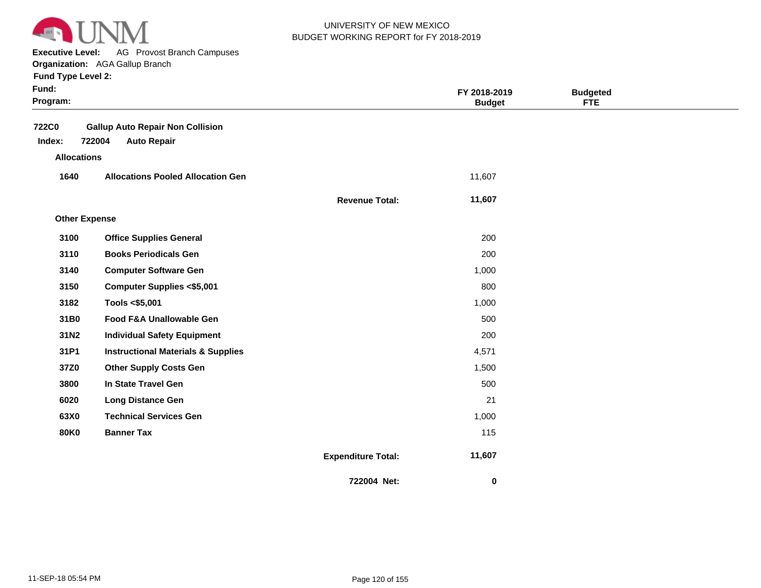

**Executive Level:** AG Provost Branch Campuses **Organization:**  AGA Gallup Branch

| Fund:<br>Program:      |                                                                         |                           | FY 2018-2019<br><b>Budget</b> | <b>Budgeted</b><br><b>FTE</b> |  |
|------------------------|-------------------------------------------------------------------------|---------------------------|-------------------------------|-------------------------------|--|
| <b>722C0</b><br>Index: | <b>Gallup Auto Repair Non Collision</b><br>722004<br><b>Auto Repair</b> |                           |                               |                               |  |
| <b>Allocations</b>     |                                                                         |                           |                               |                               |  |
| 1640                   | <b>Allocations Pooled Allocation Gen</b>                                |                           | 11,607                        |                               |  |
|                        |                                                                         | <b>Revenue Total:</b>     | 11,607                        |                               |  |
| <b>Other Expense</b>   |                                                                         |                           |                               |                               |  |
| 3100                   | <b>Office Supplies General</b>                                          |                           | 200                           |                               |  |
| 3110                   | <b>Books Periodicals Gen</b>                                            |                           | 200                           |                               |  |
| 3140                   | <b>Computer Software Gen</b>                                            |                           | 1,000                         |                               |  |
| 3150                   | <b>Computer Supplies &lt;\$5,001</b>                                    |                           | 800                           |                               |  |
| 3182                   | Tools <\$5,001                                                          |                           | 1,000                         |                               |  |
| 31B0                   | Food F&A Unallowable Gen                                                |                           | 500                           |                               |  |
| 31N2                   | <b>Individual Safety Equipment</b>                                      |                           | 200                           |                               |  |
| 31P1                   | <b>Instructional Materials &amp; Supplies</b>                           |                           | 4,571                         |                               |  |
| 37Z0                   | <b>Other Supply Costs Gen</b>                                           |                           | 1,500                         |                               |  |
| 3800                   | In State Travel Gen                                                     |                           | 500                           |                               |  |
| 6020                   | <b>Long Distance Gen</b>                                                |                           | 21                            |                               |  |
| 63X0                   | <b>Technical Services Gen</b>                                           |                           | 1,000                         |                               |  |
| <b>80K0</b>            | <b>Banner Tax</b>                                                       |                           | 115                           |                               |  |
|                        |                                                                         | <b>Expenditure Total:</b> | 11,607                        |                               |  |
|                        |                                                                         | 722004 Net:               | $\bf{0}$                      |                               |  |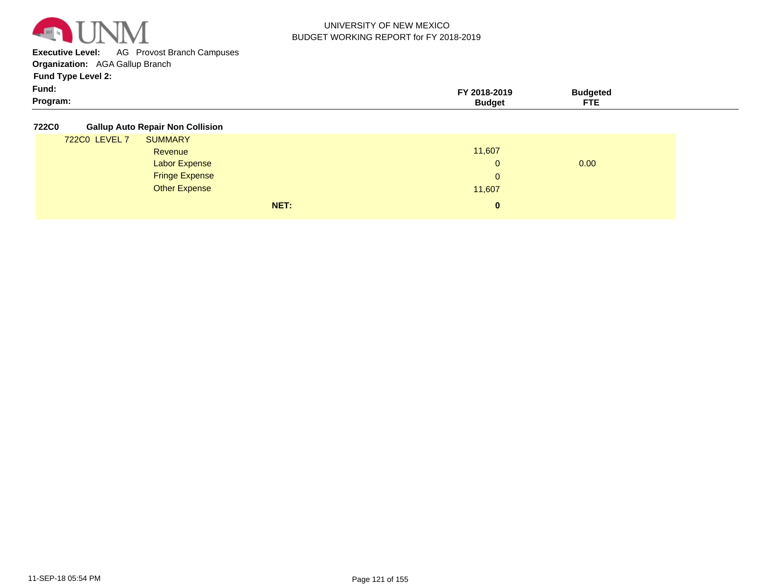

**Executive Level:** AG Provost Branch Campuses

**Organization:**  AGA Gallup Branch

**Fund Type Level 2:**

| Fund:    | ່ 2018-2019 | `udaeteo |
|----------|-------------|----------|
| Program: | unduet      |          |

**722C0 Gallup Auto Repair Non Collision**

|               | NET:                  | $\mathbf{0}$ |      |
|---------------|-----------------------|--------------|------|
|               | Other Expense         | 11,607       |      |
|               | <b>Fringe Expense</b> | 0            |      |
|               | <b>Labor Expense</b>  | $\mathbf 0$  | 0.00 |
|               | Revenue               | 11,607       |      |
| 722C0 LEVEL 7 | <b>SUMMARY</b>        |              |      |
|               |                       |              |      |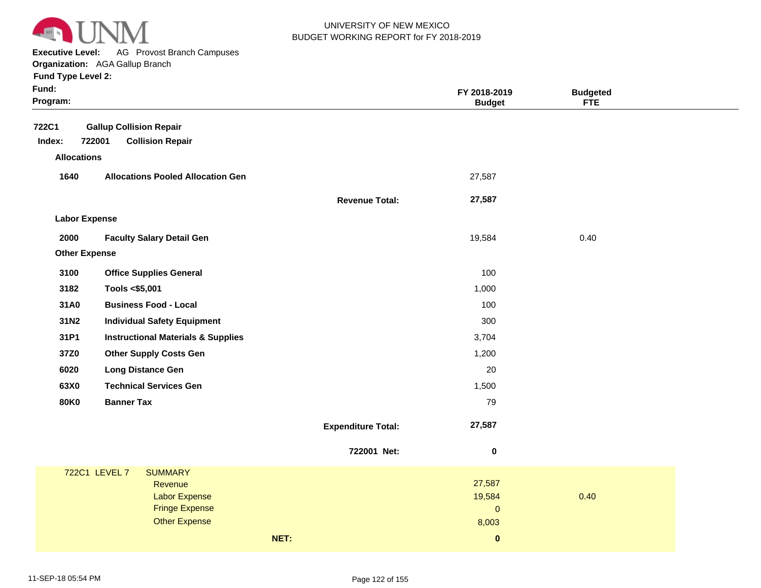

**Executive Level:** AG Provost Branch Campuses

|  | <b>Fund Type Level 2:</b> |  |  |
|--|---------------------------|--|--|
|--|---------------------------|--|--|

| Fund:<br>Program:    |                                               |                           | FY 2018-2019<br><b>Budget</b> | <b>Budgeted</b><br><b>FTE</b> |
|----------------------|-----------------------------------------------|---------------------------|-------------------------------|-------------------------------|
| <b>722C1</b>         | <b>Gallup Collision Repair</b>                |                           |                               |                               |
| Index:               | 722001<br><b>Collision Repair</b>             |                           |                               |                               |
| <b>Allocations</b>   |                                               |                           |                               |                               |
| 1640                 | <b>Allocations Pooled Allocation Gen</b>      |                           | 27,587                        |                               |
|                      |                                               | <b>Revenue Total:</b>     | 27,587                        |                               |
| <b>Labor Expense</b> |                                               |                           |                               |                               |
| 2000                 | <b>Faculty Salary Detail Gen</b>              |                           | 19,584                        | 0.40                          |
| <b>Other Expense</b> |                                               |                           |                               |                               |
| 3100                 | <b>Office Supplies General</b>                |                           | 100                           |                               |
| 3182                 | Tools <\$5,001                                |                           | 1,000                         |                               |
| 31A0                 | <b>Business Food - Local</b>                  |                           | 100                           |                               |
| 31N2                 | <b>Individual Safety Equipment</b>            |                           | 300                           |                               |
| 31P1                 | <b>Instructional Materials &amp; Supplies</b> |                           | 3,704                         |                               |
| 37Z0                 | <b>Other Supply Costs Gen</b>                 |                           | 1,200                         |                               |
| 6020                 | <b>Long Distance Gen</b>                      |                           | 20                            |                               |
| 63X0                 | <b>Technical Services Gen</b>                 |                           | 1,500                         |                               |
| <b>80K0</b>          | <b>Banner Tax</b>                             |                           | 79                            |                               |
|                      |                                               | <b>Expenditure Total:</b> | 27,587                        |                               |
|                      |                                               | 722001 Net:               | 0                             |                               |
|                      | 722C1 LEVEL 7<br><b>SUMMARY</b>               |                           |                               |                               |
|                      | Revenue                                       |                           | 27,587                        |                               |
|                      | <b>Labor Expense</b><br><b>Fringe Expense</b> |                           | 19,584<br>$\pmb{0}$           | 0.40                          |
|                      | <b>Other Expense</b>                          |                           | 8,003                         |                               |
|                      |                                               | NET:                      | $\pmb{0}$                     |                               |
|                      |                                               |                           |                               |                               |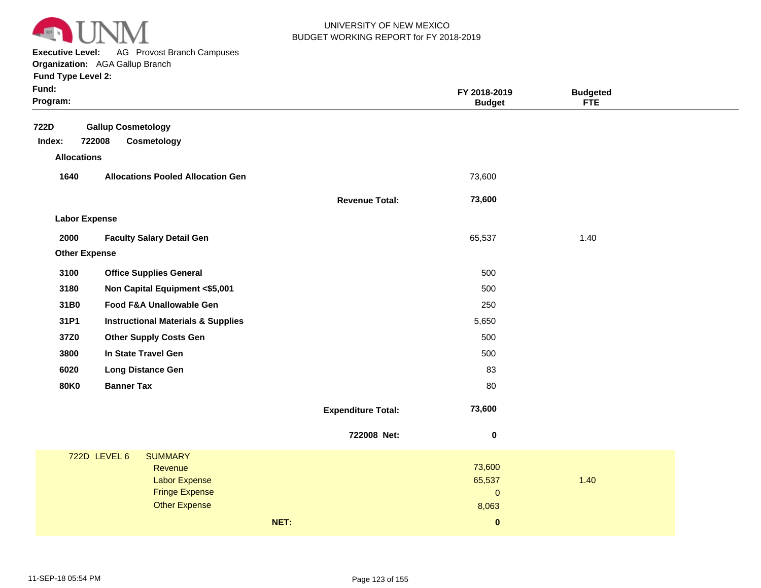

**Executive Level:** AG Provost Branch Campuses

**Organization:**  AGA Gallup Branch **Fund Type Level 2:**

|  |  | runu Type Leverz: |  |  |
|--|--|-------------------|--|--|
|  |  |                   |  |  |

| Fund:<br>Program:    |                                               |                           | FY 2018-2019<br><b>Budget</b> | <b>Budgeted</b><br><b>FTE</b> |
|----------------------|-----------------------------------------------|---------------------------|-------------------------------|-------------------------------|
| 722D                 | <b>Gallup Cosmetology</b>                     |                           |                               |                               |
| Index:               | 722008<br>Cosmetology                         |                           |                               |                               |
| <b>Allocations</b>   |                                               |                           |                               |                               |
| 1640                 | <b>Allocations Pooled Allocation Gen</b>      |                           | 73,600                        |                               |
|                      |                                               | <b>Revenue Total:</b>     | 73,600                        |                               |
| <b>Labor Expense</b> |                                               |                           |                               |                               |
| 2000                 | <b>Faculty Salary Detail Gen</b>              |                           | 65,537                        | 1.40                          |
| <b>Other Expense</b> |                                               |                           |                               |                               |
| 3100                 | <b>Office Supplies General</b>                |                           | 500                           |                               |
| 3180                 | Non Capital Equipment <\$5,001                |                           | 500                           |                               |
| 31B0                 | Food F&A Unallowable Gen                      |                           | 250                           |                               |
| 31P1                 | <b>Instructional Materials &amp; Supplies</b> |                           | 5,650                         |                               |
| 37Z0                 | <b>Other Supply Costs Gen</b>                 |                           | 500                           |                               |
| 3800                 | In State Travel Gen                           |                           | 500                           |                               |
| 6020                 | <b>Long Distance Gen</b>                      |                           | 83                            |                               |
| <b>80K0</b>          | <b>Banner Tax</b>                             |                           | 80                            |                               |
|                      |                                               | <b>Expenditure Total:</b> | 73,600                        |                               |
|                      |                                               | 722008 Net:               | $\pmb{0}$                     |                               |
|                      | <b>722D LEVEL 6</b><br><b>SUMMARY</b>         |                           |                               |                               |
|                      | Revenue                                       |                           | 73,600                        |                               |
|                      | <b>Labor Expense</b><br><b>Fringe Expense</b> |                           | 65,537<br>$\pmb{0}$           | 1.40                          |
|                      | <b>Other Expense</b>                          |                           | 8,063                         |                               |
|                      |                                               | NET:                      | $\pmb{0}$                     |                               |
|                      |                                               |                           |                               |                               |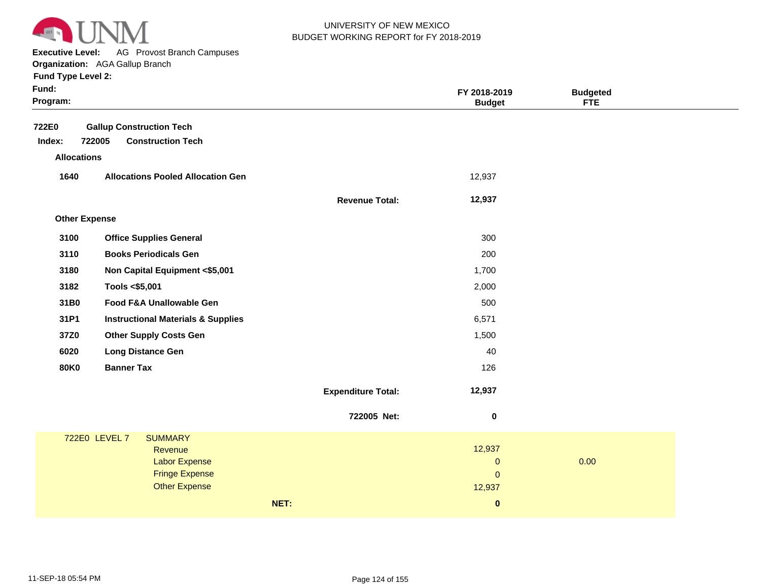

**Executive Level:** AG Provost Branch Campuses

|                      | <b>Organization:</b> AGA Gallup Branch        |                           |               |                 |  |
|----------------------|-----------------------------------------------|---------------------------|---------------|-----------------|--|
| Fund Type Level 2:   |                                               |                           |               |                 |  |
| Fund:                |                                               |                           | FY 2018-2019  | <b>Budgeted</b> |  |
| Program:             |                                               |                           | <b>Budget</b> | <b>FTE</b>      |  |
| 722E0                | <b>Gallup Construction Tech</b>               |                           |               |                 |  |
| Index:               | 722005<br><b>Construction Tech</b>            |                           |               |                 |  |
| <b>Allocations</b>   |                                               |                           |               |                 |  |
|                      |                                               |                           |               |                 |  |
| 1640                 | <b>Allocations Pooled Allocation Gen</b>      |                           | 12,937        |                 |  |
|                      |                                               | <b>Revenue Total:</b>     | 12,937        |                 |  |
| <b>Other Expense</b> |                                               |                           |               |                 |  |
|                      |                                               |                           |               |                 |  |
| 3100                 | <b>Office Supplies General</b>                |                           | 300           |                 |  |
| 3110                 | <b>Books Periodicals Gen</b>                  |                           | 200           |                 |  |
| 3180                 | Non Capital Equipment <\$5,001                |                           | 1,700         |                 |  |
| 3182                 | Tools <\$5,001                                |                           | 2,000         |                 |  |
| 31B0                 | Food F&A Unallowable Gen                      |                           | 500           |                 |  |
| 31P1                 | <b>Instructional Materials &amp; Supplies</b> |                           | 6,571         |                 |  |
| 37Z0                 | <b>Other Supply Costs Gen</b>                 |                           | 1,500         |                 |  |
| 6020                 | <b>Long Distance Gen</b>                      |                           | 40            |                 |  |
| <b>80K0</b>          | <b>Banner Tax</b>                             |                           | 126           |                 |  |
|                      |                                               |                           |               |                 |  |
|                      |                                               | <b>Expenditure Total:</b> | 12,937        |                 |  |
|                      |                                               | 722005 Net:               | 0             |                 |  |
|                      | 722E0 LEVEL 7<br><b>SUMMARY</b>               |                           |               |                 |  |
|                      |                                               |                           |               |                 |  |

|               |                       | NET: | $\bf{0}$     |      |  |
|---------------|-----------------------|------|--------------|------|--|
|               | <b>Other Expense</b>  |      | 12,937       |      |  |
|               | <b>Fringe Expense</b> |      | $\Omega$     |      |  |
|               | <b>Labor Expense</b>  |      | $\mathbf{0}$ | 0.00 |  |
|               | Revenue               |      | 12,937       |      |  |
| 722E0 LEVEL 7 | <b>SUMMARY</b>        |      |              |      |  |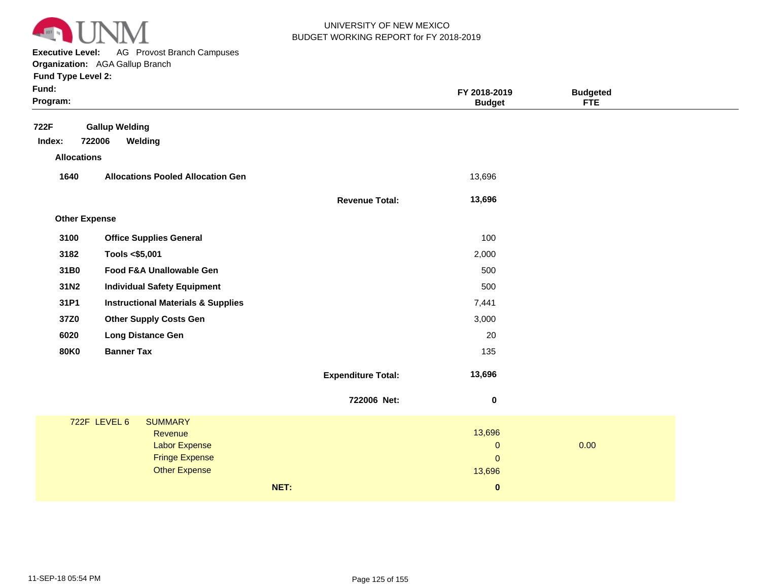

**Executive Level:** AG Provost Branch Campuses **Organization:**  AGA Gallup Branch

| Fund:<br>Program:    |                                               |                           | FY 2018-2019<br><b>Budget</b> | <b>Budgeted</b><br><b>FTE</b> |  |
|----------------------|-----------------------------------------------|---------------------------|-------------------------------|-------------------------------|--|
| 722F                 | <b>Gallup Welding</b>                         |                           |                               |                               |  |
| Index:               | 722006<br>Welding                             |                           |                               |                               |  |
| <b>Allocations</b>   |                                               |                           |                               |                               |  |
| 1640                 | <b>Allocations Pooled Allocation Gen</b>      |                           | 13,696                        |                               |  |
|                      |                                               | <b>Revenue Total:</b>     | 13,696                        |                               |  |
| <b>Other Expense</b> |                                               |                           |                               |                               |  |
| 3100                 | <b>Office Supplies General</b>                |                           | 100                           |                               |  |
| 3182                 | Tools <\$5,001                                |                           | 2,000                         |                               |  |
| 31B0                 | Food F&A Unallowable Gen                      |                           | 500                           |                               |  |
| 31N2                 | <b>Individual Safety Equipment</b>            |                           | 500                           |                               |  |
| 31P1                 | <b>Instructional Materials &amp; Supplies</b> |                           | 7,441                         |                               |  |
| 37Z0                 | <b>Other Supply Costs Gen</b>                 |                           | 3,000                         |                               |  |
| 6020                 | <b>Long Distance Gen</b>                      |                           | 20                            |                               |  |
| <b>80K0</b>          | <b>Banner Tax</b>                             |                           | 135                           |                               |  |
|                      |                                               | <b>Expenditure Total:</b> | 13,696                        |                               |  |
|                      |                                               |                           |                               |                               |  |
|                      |                                               | 722006 Net:               | $\bf{0}$                      |                               |  |
|                      | 722F LEVEL 6<br><b>SUMMARY</b>                |                           |                               |                               |  |
|                      | Revenue                                       |                           | 13,696                        |                               |  |
|                      | <b>Labor Expense</b><br><b>Fringe Expense</b> |                           | $\pmb{0}$<br>$\mathbf{0}$     | 0.00                          |  |
|                      | <b>Other Expense</b>                          |                           | 13,696                        |                               |  |
|                      |                                               | NET:                      | $\bf{0}$                      |                               |  |
|                      |                                               |                           |                               |                               |  |
|                      |                                               |                           |                               |                               |  |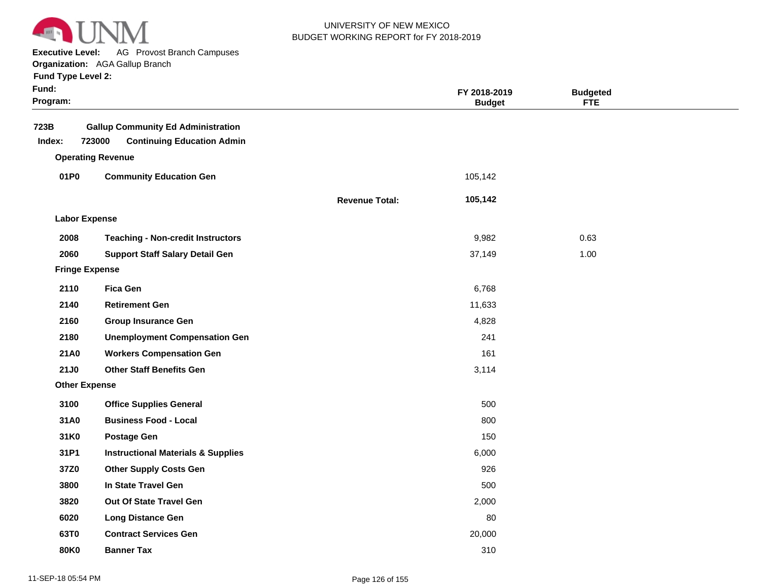

**Executive Level:** AG Provost Branch Campuses

|  |  | <b>Fund Type Level 2:</b> |  |
|--|--|---------------------------|--|
|--|--|---------------------------|--|

| Fund:<br>Program: |                                                                                          |                       | FY 2018-2019<br><b>Budget</b> | <b>Budgeted</b><br><b>FTE</b> |  |
|-------------------|------------------------------------------------------------------------------------------|-----------------------|-------------------------------|-------------------------------|--|
| 723B<br>Index:    | <b>Gallup Community Ed Administration</b><br>723000<br><b>Continuing Education Admin</b> |                       |                               |                               |  |
|                   | <b>Operating Revenue</b>                                                                 |                       |                               |                               |  |
| 01P0              | <b>Community Education Gen</b>                                                           |                       | 105,142                       |                               |  |
|                   |                                                                                          | <b>Revenue Total:</b> | 105,142                       |                               |  |
|                   | <b>Labor Expense</b>                                                                     |                       |                               |                               |  |
| 2008              | <b>Teaching - Non-credit Instructors</b>                                                 |                       | 9,982                         | 0.63                          |  |
| 2060              | <b>Support Staff Salary Detail Gen</b>                                                   |                       | 37,149                        | 1.00                          |  |
|                   | <b>Fringe Expense</b>                                                                    |                       |                               |                               |  |
| 2110              | <b>Fica Gen</b>                                                                          |                       | 6,768                         |                               |  |
| 2140              | <b>Retirement Gen</b>                                                                    |                       | 11,633                        |                               |  |
| 2160              | <b>Group Insurance Gen</b>                                                               |                       | 4,828                         |                               |  |
| 2180              | <b>Unemployment Compensation Gen</b>                                                     |                       | 241                           |                               |  |
| 21A0              | <b>Workers Compensation Gen</b>                                                          |                       | 161                           |                               |  |
| 21J0              | <b>Other Staff Benefits Gen</b>                                                          |                       | 3,114                         |                               |  |
|                   | <b>Other Expense</b>                                                                     |                       |                               |                               |  |
| 3100              | <b>Office Supplies General</b>                                                           |                       | 500                           |                               |  |
| 31A0              | <b>Business Food - Local</b>                                                             |                       | 800                           |                               |  |
| 31K0              | <b>Postage Gen</b>                                                                       |                       | 150                           |                               |  |
| 31P1              | <b>Instructional Materials &amp; Supplies</b>                                            |                       | 6,000                         |                               |  |
| 37Z0              | <b>Other Supply Costs Gen</b>                                                            |                       | 926                           |                               |  |
| 3800              | In State Travel Gen                                                                      |                       | 500                           |                               |  |
| 3820              | Out Of State Travel Gen                                                                  |                       | 2,000                         |                               |  |
| 6020              | <b>Long Distance Gen</b>                                                                 |                       | 80                            |                               |  |
| 63T0              | <b>Contract Services Gen</b>                                                             |                       | 20,000                        |                               |  |
| 80K0              | <b>Banner Tax</b>                                                                        |                       | 310                           |                               |  |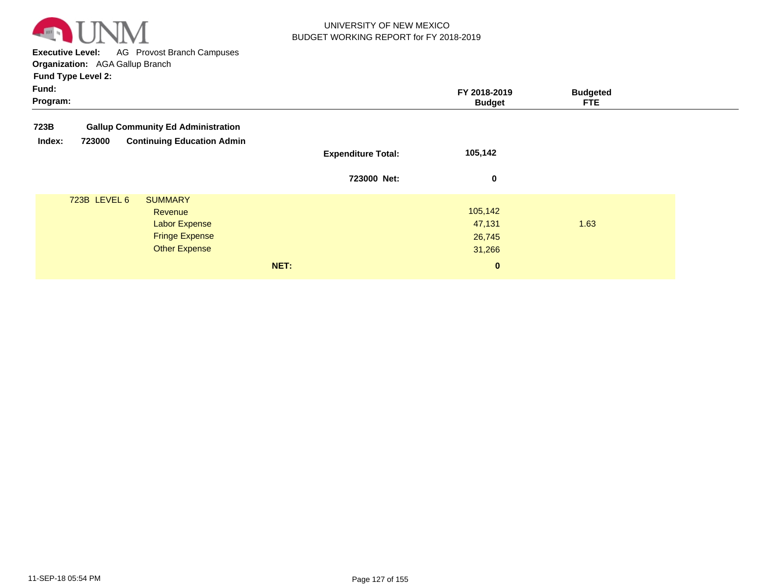

**Executive Level:** AG Provost Branch Campuses **Organization:**  AGA Gallup Branch

| Fund:<br>Program: |              |                                           |                           | FY 2018-2019<br><b>Budget</b> | <b>Budgeted</b><br><b>FTE</b> |  |
|-------------------|--------------|-------------------------------------------|---------------------------|-------------------------------|-------------------------------|--|
| 723B              |              | <b>Gallup Community Ed Administration</b> |                           |                               |                               |  |
| Index:            | 723000       | <b>Continuing Education Admin</b>         | <b>Expenditure Total:</b> | 105,142                       |                               |  |
|                   |              |                                           | 723000 Net:               | 0                             |                               |  |
|                   | 723B LEVEL 6 | <b>SUMMARY</b>                            |                           |                               |                               |  |
|                   |              | Revenue                                   |                           | 105,142                       |                               |  |
|                   |              | <b>Labor Expense</b>                      |                           | 47,131                        | 1.63                          |  |
|                   |              | <b>Fringe Expense</b>                     |                           | 26,745                        |                               |  |
|                   |              | <b>Other Expense</b>                      |                           | 31,266                        |                               |  |
|                   |              |                                           | NET:                      | $\mathbf{0}$                  |                               |  |
|                   |              |                                           |                           |                               |                               |  |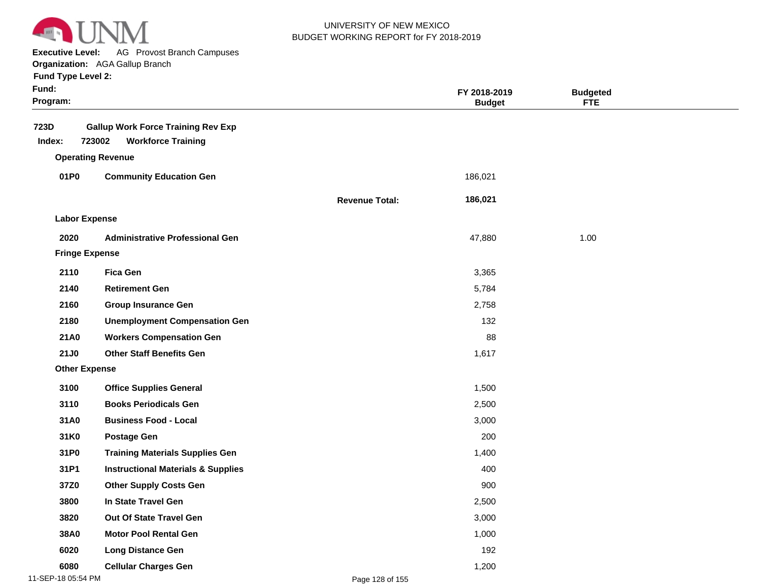

**Executive Level:** AG Provost Branch Campuses

| <b>Fund Type Level 2:</b> |  |
|---------------------------|--|
|                           |  |

| Fund:<br>Program:     |                                                                                  |                       | FY 2018-2019<br><b>Budget</b> | <b>Budgeted</b><br><b>FTE</b> |  |
|-----------------------|----------------------------------------------------------------------------------|-----------------------|-------------------------------|-------------------------------|--|
| 723D<br>Index:        | <b>Gallup Work Force Training Rev Exp</b><br>723002<br><b>Workforce Training</b> |                       |                               |                               |  |
|                       | <b>Operating Revenue</b>                                                         |                       |                               |                               |  |
| 01P0                  | <b>Community Education Gen</b>                                                   |                       | 186,021                       |                               |  |
|                       |                                                                                  | <b>Revenue Total:</b> | 186,021                       |                               |  |
| <b>Labor Expense</b>  |                                                                                  |                       |                               |                               |  |
| 2020                  | <b>Administrative Professional Gen</b>                                           |                       | 47,880                        | 1.00                          |  |
| <b>Fringe Expense</b> |                                                                                  |                       |                               |                               |  |
| 2110                  | <b>Fica Gen</b>                                                                  |                       | 3,365                         |                               |  |
| 2140                  | <b>Retirement Gen</b>                                                            |                       | 5,784                         |                               |  |
| 2160                  | <b>Group Insurance Gen</b>                                                       |                       | 2,758                         |                               |  |
| 2180                  | <b>Unemployment Compensation Gen</b>                                             |                       | 132                           |                               |  |
| 21A0                  | <b>Workers Compensation Gen</b>                                                  |                       | 88                            |                               |  |
| <b>21J0</b>           | <b>Other Staff Benefits Gen</b>                                                  |                       | 1,617                         |                               |  |
| <b>Other Expense</b>  |                                                                                  |                       |                               |                               |  |
| 3100                  | <b>Office Supplies General</b>                                                   |                       | 1,500                         |                               |  |
| 3110                  | <b>Books Periodicals Gen</b>                                                     |                       | 2,500                         |                               |  |
| 31A0                  | <b>Business Food - Local</b>                                                     |                       | 3,000                         |                               |  |
| 31K0                  | <b>Postage Gen</b>                                                               |                       | 200                           |                               |  |
| 31P0                  | <b>Training Materials Supplies Gen</b>                                           |                       | 1,400                         |                               |  |
| 31P1                  | <b>Instructional Materials &amp; Supplies</b>                                    |                       | 400                           |                               |  |
| 37Z0                  | <b>Other Supply Costs Gen</b>                                                    |                       | 900                           |                               |  |
| 3800                  | In State Travel Gen                                                              |                       | 2,500                         |                               |  |
| 3820                  | Out Of State Travel Gen                                                          |                       | 3,000                         |                               |  |
| 38A0                  | <b>Motor Pool Rental Gen</b>                                                     |                       | 1,000                         |                               |  |
| 6020                  | <b>Long Distance Gen</b>                                                         |                       | 192                           |                               |  |
| 6080                  | <b>Cellular Charges Gen</b>                                                      |                       | 1,200                         |                               |  |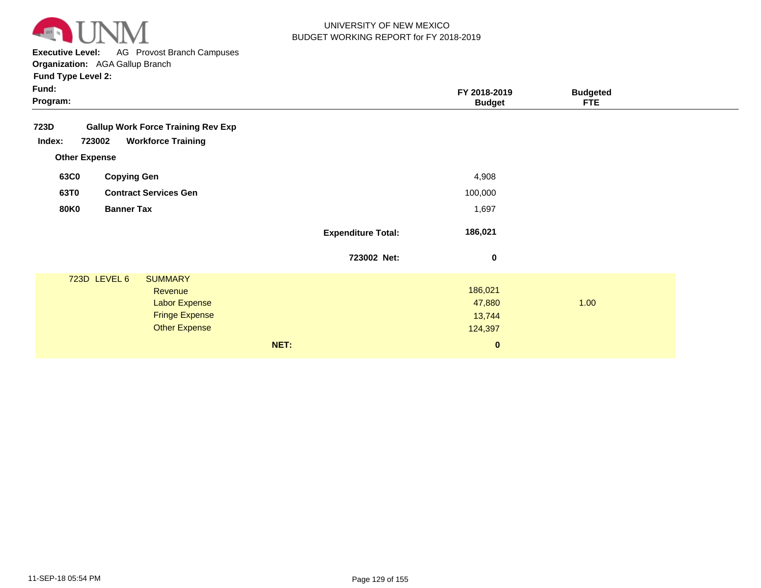

**Executive Level:** AG Provost Branch Campuses

| <b>Fund Type Level 2:</b> |  |
|---------------------------|--|
|---------------------------|--|

| ∙und |  |
|------|--|
|      |  |

|                           | FY 2018-2019<br><b>Budget</b>                       | <b>Budgeted</b><br><b>FTE</b> |  |
|---------------------------|-----------------------------------------------------|-------------------------------|--|
|                           |                                                     |                               |  |
|                           | 4,908                                               |                               |  |
|                           | 100,000                                             |                               |  |
|                           | 1,697                                               |                               |  |
| <b>Expenditure Total:</b> | 186,021                                             |                               |  |
| 723002 Net:               | 0                                                   |                               |  |
| NET:                      | 186,021<br>47,880<br>13,744<br>124,397<br>$\pmb{0}$ | 1.00                          |  |
|                           |                                                     |                               |  |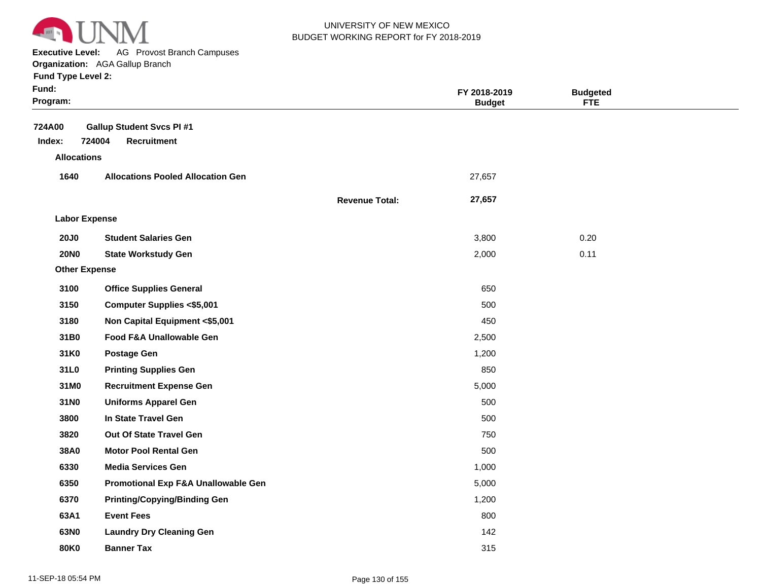

**Executive Level:** AG Provost Branch Campuses

**Organization:**  AGA Gallup Branch

| Fund:<br>Program:    |                                                                 |                       | FY 2018-2019<br><b>Budget</b> | <b>Budgeted</b><br><b>FTE</b> |  |
|----------------------|-----------------------------------------------------------------|-----------------------|-------------------------------|-------------------------------|--|
| 724A00<br>Index:     | <b>Gallup Student Svcs PI#1</b><br>724004<br><b>Recruitment</b> |                       |                               |                               |  |
| <b>Allocations</b>   |                                                                 |                       |                               |                               |  |
| 1640                 | <b>Allocations Pooled Allocation Gen</b>                        |                       | 27,657                        |                               |  |
|                      |                                                                 | <b>Revenue Total:</b> | 27,657                        |                               |  |
| <b>Labor Expense</b> |                                                                 |                       |                               |                               |  |
| <b>20J0</b>          | <b>Student Salaries Gen</b>                                     |                       | 3,800                         | 0.20                          |  |
| <b>20NO</b>          | <b>State Workstudy Gen</b>                                      |                       | 2,000                         | 0.11                          |  |
| <b>Other Expense</b> |                                                                 |                       |                               |                               |  |
| 3100                 | <b>Office Supplies General</b>                                  |                       | 650                           |                               |  |
| 3150                 | <b>Computer Supplies &lt;\$5,001</b>                            |                       | 500                           |                               |  |
| 3180                 | Non Capital Equipment <\$5,001                                  |                       | 450                           |                               |  |
| 31B0                 | Food F&A Unallowable Gen                                        |                       | 2,500                         |                               |  |
| 31K0                 | <b>Postage Gen</b>                                              |                       | 1,200                         |                               |  |
| 31L0                 | <b>Printing Supplies Gen</b>                                    |                       | 850                           |                               |  |
| 31M0                 | <b>Recruitment Expense Gen</b>                                  |                       | 5,000                         |                               |  |
| 31N0                 | <b>Uniforms Apparel Gen</b>                                     |                       | 500                           |                               |  |
| 3800                 | In State Travel Gen                                             |                       | 500                           |                               |  |
| 3820                 | Out Of State Travel Gen                                         |                       | 750                           |                               |  |
| 38A0                 | <b>Motor Pool Rental Gen</b>                                    |                       | 500                           |                               |  |
| 6330                 | <b>Media Services Gen</b>                                       |                       | 1,000                         |                               |  |
| 6350                 | Promotional Exp F&A Unallowable Gen                             |                       | 5,000                         |                               |  |
| 6370                 | <b>Printing/Copying/Binding Gen</b>                             |                       | 1,200                         |                               |  |
| 63A1                 | <b>Event Fees</b>                                               |                       | 800                           |                               |  |
| 63N0                 | <b>Laundry Dry Cleaning Gen</b>                                 |                       | 142                           |                               |  |
| <b>80K0</b>          | <b>Banner Tax</b>                                               |                       | 315                           |                               |  |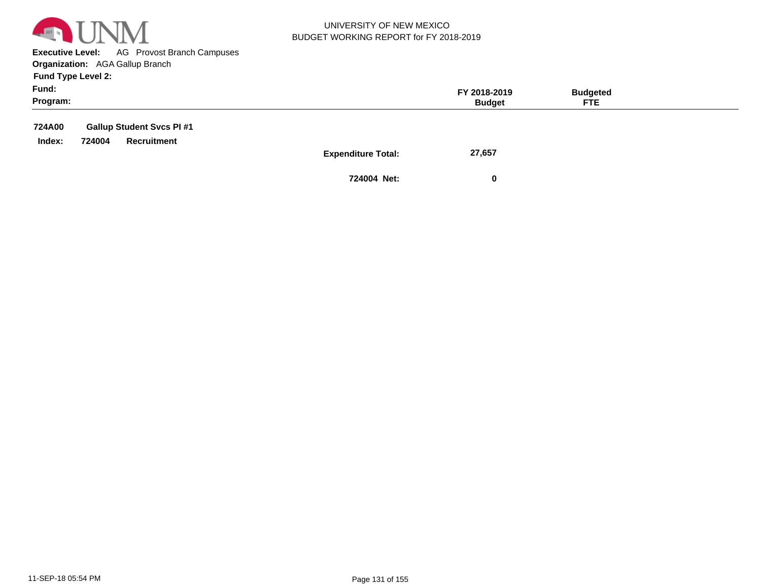

**Executive Level:** AG Provost Branch Campuses **Organization:**  AGA Gallup Branch

**Fund Type Level 2:**

| Fund:<br>Program: |        |                                 | FY 2018-2019<br><b>Budget</b>       | <b>Budgeted</b><br>FTE. |  |
|-------------------|--------|---------------------------------|-------------------------------------|-------------------------|--|
| 724A00            |        | <b>Gallup Student Svcs PI#1</b> |                                     |                         |  |
| Index:            | 724004 | Recruitment                     |                                     |                         |  |
|                   |        |                                 | 27,657<br><b>Expenditure Total:</b> |                         |  |

**724004 Net: 0**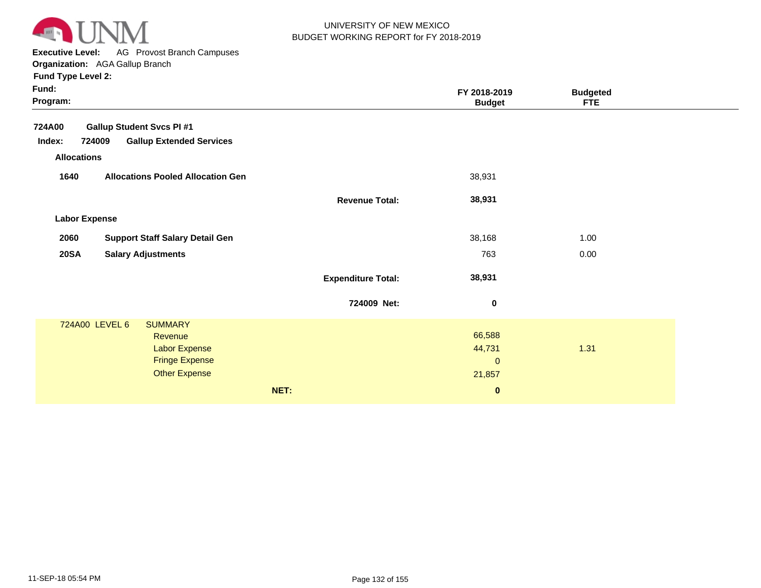

**Executive Level:** AG Provost Branch Campuses

**Organization:**  AGA Gallup Branch

| Fund:<br>Program:                                   |                           | FY 2018-2019<br><b>Budget</b> | <b>Budgeted</b><br>FTE. |
|-----------------------------------------------------|---------------------------|-------------------------------|-------------------------|
| <b>Gallup Student Svcs PI #1</b><br><b>724A00</b>   |                           |                               |                         |
| <b>Gallup Extended Services</b><br>Index:<br>724009 |                           |                               |                         |
| <b>Allocations</b>                                  |                           |                               |                         |
| 1640<br><b>Allocations Pooled Allocation Gen</b>    |                           | 38,931                        |                         |
|                                                     | <b>Revenue Total:</b>     | 38,931                        |                         |
| <b>Labor Expense</b>                                |                           |                               |                         |
| <b>Support Staff Salary Detail Gen</b><br>2060      |                           | 38,168                        | 1.00                    |
| <b>20SA</b><br><b>Salary Adjustments</b>            |                           | 763                           | 0.00                    |
|                                                     | <b>Expenditure Total:</b> | 38,931                        |                         |
|                                                     | 724009 Net:               | $\pmb{0}$                     |                         |
| 724A00 LEVEL 6<br><b>SUMMARY</b>                    |                           |                               |                         |
| Revenue                                             |                           | 66,588                        |                         |
| <b>Labor Expense</b>                                |                           | 44,731                        | 1.31                    |
| <b>Fringe Expense</b>                               |                           | $\mathbf{0}$                  |                         |
| <b>Other Expense</b>                                |                           | 21,857                        |                         |
| NET:                                                |                           | $\bf{0}$                      |                         |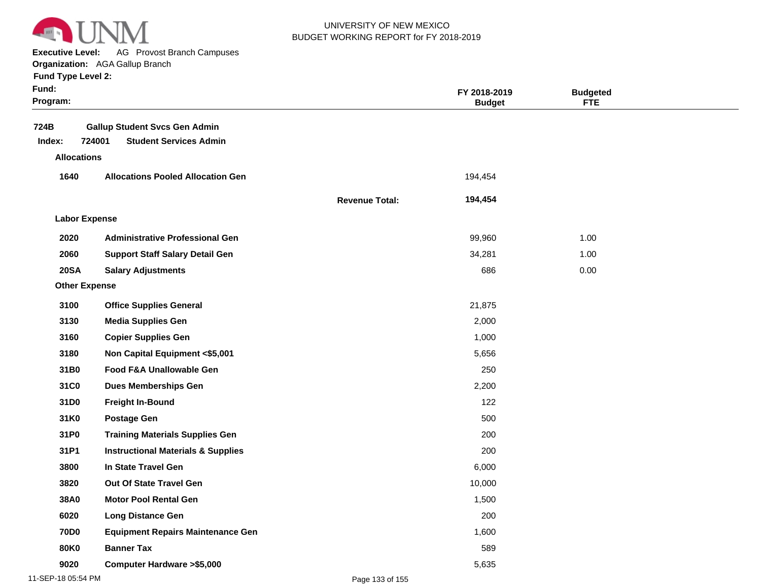

**Executive Level:** AG Provost Branch Campuses

| <b>Fund Type Level 2:</b> |  |
|---------------------------|--|
| c.…a.                     |  |

| Fund:<br>Program:    |                                                                                 |                       | FY 2018-2019<br><b>Budget</b> | <b>Budgeted</b><br><b>FTE</b> |  |
|----------------------|---------------------------------------------------------------------------------|-----------------------|-------------------------------|-------------------------------|--|
| 724B<br>Index:       | <b>Gallup Student Svcs Gen Admin</b><br>724001<br><b>Student Services Admin</b> |                       |                               |                               |  |
| <b>Allocations</b>   |                                                                                 |                       |                               |                               |  |
| 1640                 | <b>Allocations Pooled Allocation Gen</b>                                        |                       | 194,454                       |                               |  |
|                      |                                                                                 | <b>Revenue Total:</b> | 194,454                       |                               |  |
| <b>Labor Expense</b> |                                                                                 |                       |                               |                               |  |
| 2020                 | <b>Administrative Professional Gen</b>                                          |                       | 99,960                        | 1.00                          |  |
| 2060                 | <b>Support Staff Salary Detail Gen</b>                                          |                       | 34,281                        | 1.00                          |  |
| <b>20SA</b>          | <b>Salary Adjustments</b>                                                       |                       | 686                           | 0.00                          |  |
| <b>Other Expense</b> |                                                                                 |                       |                               |                               |  |
| 3100                 | <b>Office Supplies General</b>                                                  |                       | 21,875                        |                               |  |
| 3130                 | <b>Media Supplies Gen</b>                                                       |                       | 2,000                         |                               |  |
| 3160                 | <b>Copier Supplies Gen</b>                                                      |                       | 1,000                         |                               |  |
| 3180                 | Non Capital Equipment <\$5,001                                                  |                       | 5,656                         |                               |  |
| 31B0                 | Food F&A Unallowable Gen                                                        |                       | 250                           |                               |  |
| 31C0                 | <b>Dues Memberships Gen</b>                                                     |                       | 2,200                         |                               |  |
| 31D0                 | <b>Freight In-Bound</b>                                                         |                       | 122                           |                               |  |
| 31K0                 | <b>Postage Gen</b>                                                              |                       | 500                           |                               |  |
| 31P0                 | <b>Training Materials Supplies Gen</b>                                          |                       | 200                           |                               |  |
| 31P1                 | <b>Instructional Materials &amp; Supplies</b>                                   |                       | 200                           |                               |  |
| 3800                 | In State Travel Gen                                                             |                       | 6,000                         |                               |  |
| 3820                 | Out Of State Travel Gen                                                         |                       | 10,000                        |                               |  |
| 38A0                 | <b>Motor Pool Rental Gen</b>                                                    |                       | 1,500                         |                               |  |
| 6020                 | <b>Long Distance Gen</b>                                                        |                       | 200                           |                               |  |
| <b>70D0</b>          | <b>Equipment Repairs Maintenance Gen</b>                                        |                       | 1,600                         |                               |  |
| <b>80K0</b>          | <b>Banner Tax</b>                                                               |                       | 589                           |                               |  |
| 9020                 | <b>Computer Hardware &gt;\$5,000</b>                                            |                       | 5,635                         |                               |  |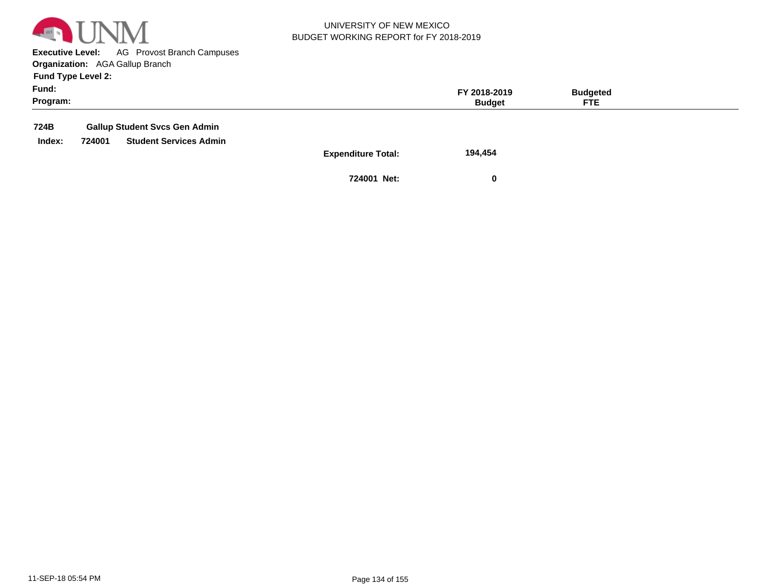

**Executive Level:** AG Provost Branch Campuses **Organization:**  AGA Gallup Branch

**Fund Type Level 2:**

| Fund:<br>Program: |        |                                      |                           | FY 2018-2019<br><b>Budget</b> | <b>Budgeted</b><br><b>FTE</b> |  |
|-------------------|--------|--------------------------------------|---------------------------|-------------------------------|-------------------------------|--|
| 724B              |        | <b>Gallup Student Svcs Gen Admin</b> |                           |                               |                               |  |
| Index:            | 724001 | <b>Student Services Admin</b>        |                           |                               |                               |  |
|                   |        |                                      | <b>Expenditure Total:</b> | 194,454                       |                               |  |

**724001 Net: 0**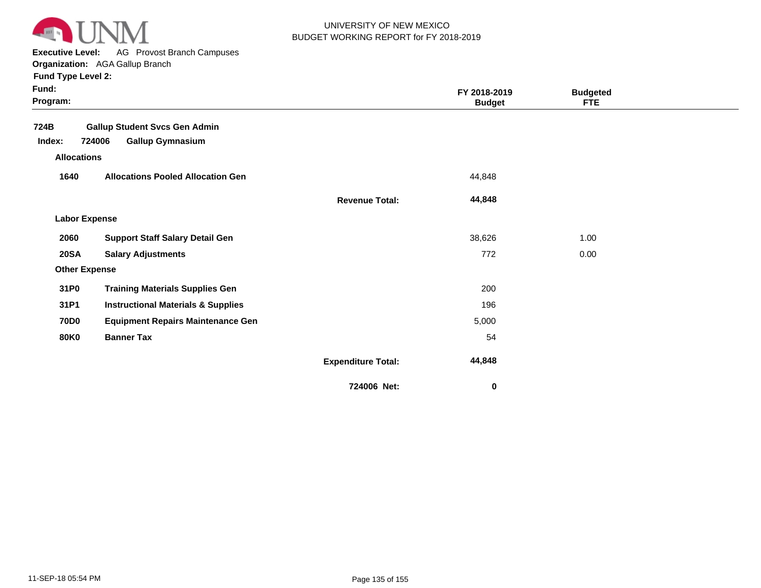

**Executive Level:** AG Provost Branch Campuses

**Organization:**  AGA Gallup Branch

| Fund:<br>Program:    |                                               |                           | FY 2018-2019<br><b>Budget</b> | <b>Budgeted</b><br>FTE |  |
|----------------------|-----------------------------------------------|---------------------------|-------------------------------|------------------------|--|
| 724B                 | <b>Gallup Student Svcs Gen Admin</b>          |                           |                               |                        |  |
| Index:               | 724006<br><b>Gallup Gymnasium</b>             |                           |                               |                        |  |
| <b>Allocations</b>   |                                               |                           |                               |                        |  |
| 1640                 | <b>Allocations Pooled Allocation Gen</b>      |                           | 44,848                        |                        |  |
|                      |                                               | <b>Revenue Total:</b>     | 44,848                        |                        |  |
| <b>Labor Expense</b> |                                               |                           |                               |                        |  |
| 2060                 | <b>Support Staff Salary Detail Gen</b>        |                           | 38,626                        | 1.00                   |  |
| <b>20SA</b>          | <b>Salary Adjustments</b>                     |                           | 772                           | 0.00                   |  |
| <b>Other Expense</b> |                                               |                           |                               |                        |  |
| 31P0                 | <b>Training Materials Supplies Gen</b>        |                           | 200                           |                        |  |
| 31P1                 | <b>Instructional Materials &amp; Supplies</b> |                           | 196                           |                        |  |
| <b>70D0</b>          | <b>Equipment Repairs Maintenance Gen</b>      |                           | 5,000                         |                        |  |
| <b>80K0</b>          | <b>Banner Tax</b>                             |                           | 54                            |                        |  |
|                      |                                               | <b>Expenditure Total:</b> | 44,848                        |                        |  |
|                      |                                               | 724006 Net:               | $\bf{0}$                      |                        |  |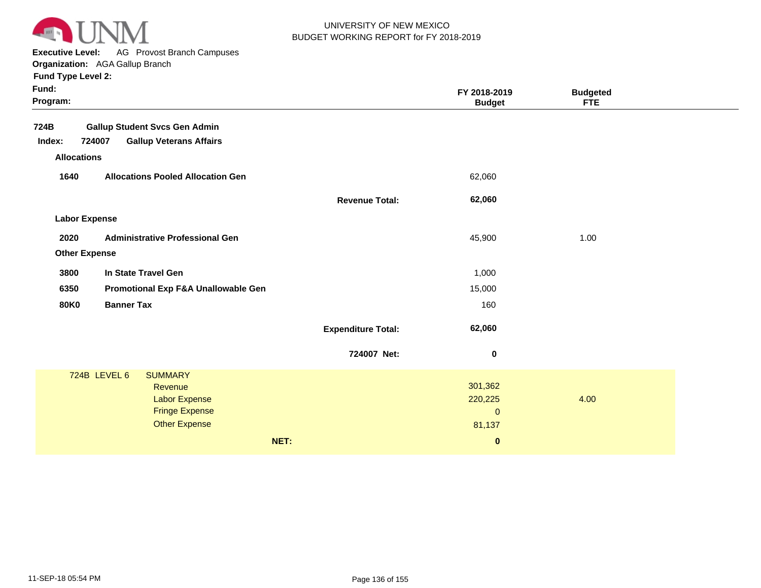

**Executive Level:** AG Provost Branch Campuses

**Organization:**  AGA Gallup Branch

| Fund Type Level 2:   |                                          |                           |                               |                               |  |
|----------------------|------------------------------------------|---------------------------|-------------------------------|-------------------------------|--|
| Fund:<br>Program:    |                                          |                           | FY 2018-2019<br><b>Budget</b> | <b>Budgeted</b><br><b>FTE</b> |  |
| 724B                 | <b>Gallup Student Svcs Gen Admin</b>     |                           |                               |                               |  |
| Index:               | 724007<br><b>Gallup Veterans Affairs</b> |                           |                               |                               |  |
| <b>Allocations</b>   |                                          |                           |                               |                               |  |
| 1640                 | <b>Allocations Pooled Allocation Gen</b> |                           | 62,060                        |                               |  |
|                      |                                          | <b>Revenue Total:</b>     | 62,060                        |                               |  |
| <b>Labor Expense</b> |                                          |                           |                               |                               |  |
| 2020                 | <b>Administrative Professional Gen</b>   |                           | 45,900                        | 1.00                          |  |
| <b>Other Expense</b> |                                          |                           |                               |                               |  |
| 3800                 | In State Travel Gen                      |                           | 1,000                         |                               |  |
| 6350                 | Promotional Exp F&A Unallowable Gen      |                           | 15,000                        |                               |  |
| <b>80K0</b>          | <b>Banner Tax</b>                        |                           | 160                           |                               |  |
|                      |                                          | <b>Expenditure Total:</b> | 62,060                        |                               |  |
|                      |                                          | 724007 Net:               | $\bf{0}$                      |                               |  |
|                      | 724B LEVEL 6<br><b>SUMMARY</b>           |                           |                               |                               |  |
|                      | Revenue                                  |                           | 301,362                       |                               |  |
|                      | <b>Labor Expense</b>                     |                           | 220,225                       | 4.00                          |  |
|                      | <b>Fringe Expense</b>                    |                           | $\pmb{0}$                     |                               |  |
|                      | <b>Other Expense</b>                     |                           | 81,137                        |                               |  |

**NET: 0**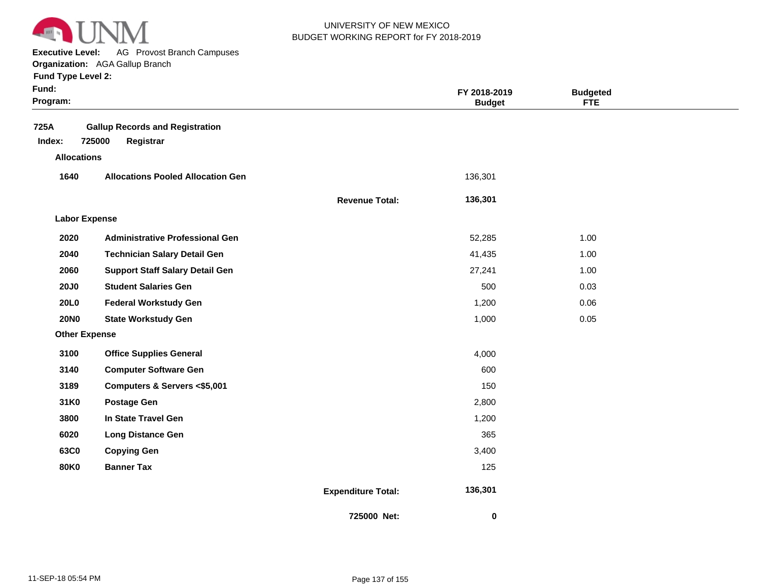

**Executive Level:** AG Provost Branch Campuses **Organization:**  AGA Gallup Branch

| Fund:<br>Program:                    |                                                               |                           | FY 2018-2019<br><b>Budget</b> | <b>Budgeted</b><br><b>FTE</b> |  |
|--------------------------------------|---------------------------------------------------------------|---------------------------|-------------------------------|-------------------------------|--|
| 725A<br>Index:<br><b>Allocations</b> | <b>Gallup Records and Registration</b><br>725000<br>Registrar |                           |                               |                               |  |
| 1640                                 | <b>Allocations Pooled Allocation Gen</b>                      |                           | 136,301                       |                               |  |
|                                      |                                                               | <b>Revenue Total:</b>     | 136,301                       |                               |  |
| <b>Labor Expense</b>                 |                                                               |                           |                               |                               |  |
| 2020                                 | <b>Administrative Professional Gen</b>                        |                           | 52,285                        | 1.00                          |  |
| 2040                                 | <b>Technician Salary Detail Gen</b>                           |                           | 41,435                        | 1.00                          |  |
| 2060                                 | <b>Support Staff Salary Detail Gen</b>                        |                           | 27,241                        | 1.00                          |  |
| <b>20J0</b>                          | <b>Student Salaries Gen</b>                                   |                           | 500                           | 0.03                          |  |
| 20L0                                 | <b>Federal Workstudy Gen</b>                                  |                           | 1,200                         | 0.06                          |  |
| <b>20NO</b>                          | <b>State Workstudy Gen</b>                                    |                           | 1,000                         | 0.05                          |  |
| <b>Other Expense</b>                 |                                                               |                           |                               |                               |  |
| 3100                                 | <b>Office Supplies General</b>                                |                           | 4,000                         |                               |  |
| 3140                                 | <b>Computer Software Gen</b>                                  |                           | 600                           |                               |  |
| 3189                                 | Computers & Servers <\$5,001                                  |                           | 150                           |                               |  |
| 31K0                                 | <b>Postage Gen</b>                                            |                           | 2,800                         |                               |  |
| 3800                                 | In State Travel Gen                                           |                           | 1,200                         |                               |  |
| 6020                                 | <b>Long Distance Gen</b>                                      |                           | 365                           |                               |  |
| 63C0                                 | <b>Copying Gen</b>                                            |                           | 3,400                         |                               |  |
| <b>80K0</b>                          | <b>Banner Tax</b>                                             |                           | 125                           |                               |  |
|                                      |                                                               | <b>Expenditure Total:</b> | 136,301                       |                               |  |
|                                      |                                                               | 725000 Net:               | 0                             |                               |  |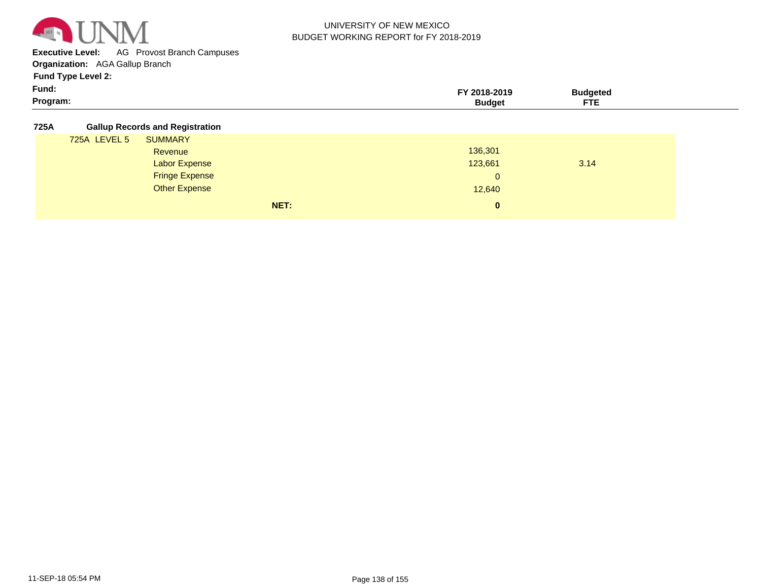

**Executive Level:** AG Provost Branch Campuses

**Organization:**  AGA Gallup Branch

**Fund Type Level 2:**

| <b>Fund:</b> |  |  |  |
|--------------|--|--|--|
|              |  |  |  |

| Fund:    | 901 C |                   |  |
|----------|-------|-------------------|--|
| Program: |       | <b>CTC</b><br>. . |  |
|          |       |                   |  |

**725A Gallup Records and Registration**

| ----- |              |                       |      |              |      |  |
|-------|--------------|-----------------------|------|--------------|------|--|
|       | 725A LEVEL 5 | <b>SUMMARY</b>        |      |              |      |  |
|       |              | Revenue               |      | 136,301      |      |  |
|       |              | <b>Labor Expense</b>  |      | 123,661      | 3.14 |  |
|       |              | <b>Fringe Expense</b> |      | $\mathbf{0}$ |      |  |
|       |              | <b>Other Expense</b>  |      | 12,640       |      |  |
|       |              |                       | NET: | $\mathbf{0}$ |      |  |
|       |              |                       |      |              |      |  |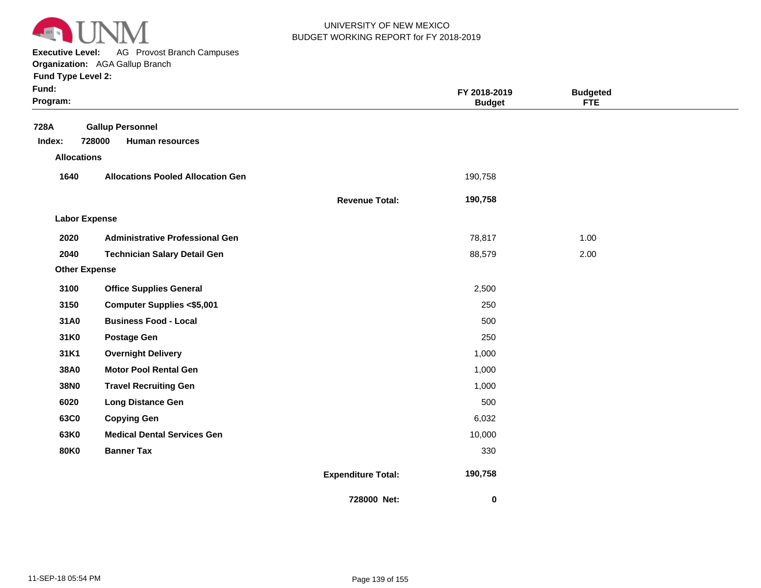

**Executive Level:** AG Provost Branch Campuses

**Organization:**  AGA Gallup Branch

| Fund:<br>Program:    |                                          |                           | FY 2018-2019<br><b>Budget</b> | <b>Budgeted</b><br><b>FTE</b> |  |
|----------------------|------------------------------------------|---------------------------|-------------------------------|-------------------------------|--|
| 728A                 | <b>Gallup Personnel</b>                  |                           |                               |                               |  |
| Index:               | 728000<br><b>Human resources</b>         |                           |                               |                               |  |
| <b>Allocations</b>   |                                          |                           |                               |                               |  |
| 1640                 | <b>Allocations Pooled Allocation Gen</b> |                           | 190,758                       |                               |  |
|                      |                                          | <b>Revenue Total:</b>     | 190,758                       |                               |  |
| <b>Labor Expense</b> |                                          |                           |                               |                               |  |
| 2020                 | <b>Administrative Professional Gen</b>   |                           | 78,817                        | 1.00                          |  |
| 2040                 | <b>Technician Salary Detail Gen</b>      |                           | 88,579                        | 2.00                          |  |
| <b>Other Expense</b> |                                          |                           |                               |                               |  |
| 3100                 | <b>Office Supplies General</b>           |                           | 2,500                         |                               |  |
| 3150                 | <b>Computer Supplies &lt;\$5,001</b>     |                           | 250                           |                               |  |
| 31A0                 | <b>Business Food - Local</b>             |                           | 500                           |                               |  |
| 31K0                 | <b>Postage Gen</b>                       |                           | 250                           |                               |  |
| 31K1                 | <b>Overnight Delivery</b>                |                           | 1,000                         |                               |  |
| 38A0                 | <b>Motor Pool Rental Gen</b>             |                           | 1,000                         |                               |  |
| 38N0                 | <b>Travel Recruiting Gen</b>             |                           | 1,000                         |                               |  |
| 6020                 | <b>Long Distance Gen</b>                 |                           | 500                           |                               |  |
| 63C0                 | <b>Copying Gen</b>                       |                           | 6,032                         |                               |  |
| 63K0                 | <b>Medical Dental Services Gen</b>       |                           | 10,000                        |                               |  |
| <b>80K0</b>          | <b>Banner Tax</b>                        |                           | 330                           |                               |  |
|                      |                                          | <b>Expenditure Total:</b> | 190,758                       |                               |  |
|                      |                                          | 728000 Net:               | 0                             |                               |  |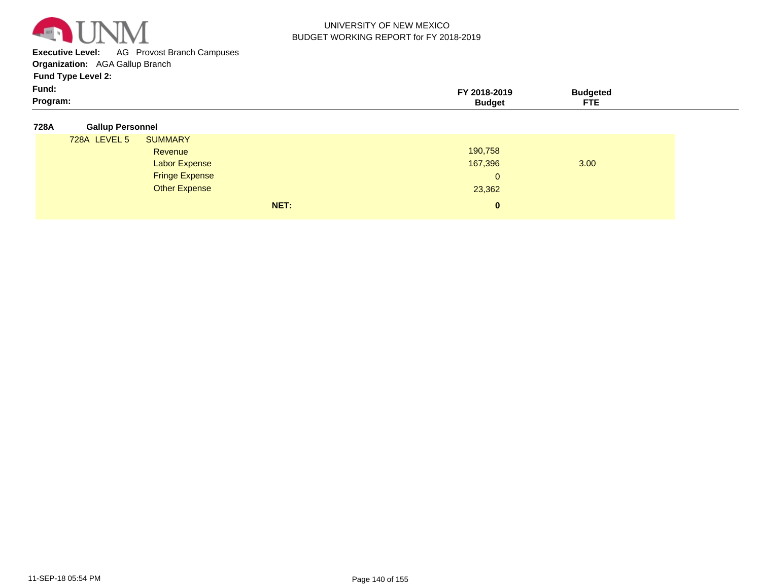

**Executive Level:** AG Provost Branch Campuses

**Organization:**  AGA Gallup Branch

**Fund Type Level 2:**

| Fund:    | 2018-2019 | ™idaete⊾ |  |
|----------|-----------|----------|--|
| Program: |           | ---      |  |

#### **728A Gallup Personnel**

| 728A LEVEL 5 | <b>SUMMARY</b>        |              |      |  |
|--------------|-----------------------|--------------|------|--|
|              | Revenue               | 190,758      |      |  |
|              | <b>Labor Expense</b>  | 167,396      | 3.00 |  |
|              | <b>Fringe Expense</b> | $\Omega$     |      |  |
|              | <b>Other Expense</b>  | 23,362       |      |  |
|              | NET:                  | $\mathbf{0}$ |      |  |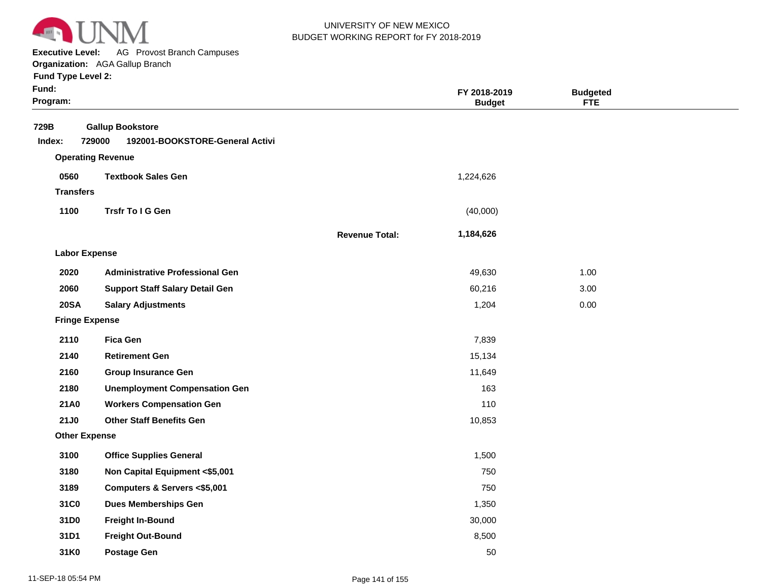

**Executive Level:** AG Provost Branch Campuses

**Organization:**  AGA Gallup Branch

| Fund:<br>Program:     |                                                                      |                       | FY 2018-2019<br><b>Budget</b> | <b>Budgeted</b><br><b>FTE</b> |  |
|-----------------------|----------------------------------------------------------------------|-----------------------|-------------------------------|-------------------------------|--|
| 729B<br>Index:        | <b>Gallup Bookstore</b><br>729000<br>192001-BOOKSTORE-General Activi |                       |                               |                               |  |
|                       | <b>Operating Revenue</b>                                             |                       |                               |                               |  |
| 0560                  | <b>Textbook Sales Gen</b>                                            |                       | 1,224,626                     |                               |  |
| <b>Transfers</b>      |                                                                      |                       |                               |                               |  |
| 1100                  | Trsfr To I G Gen                                                     |                       | (40,000)                      |                               |  |
|                       |                                                                      | <b>Revenue Total:</b> | 1,184,626                     |                               |  |
| <b>Labor Expense</b>  |                                                                      |                       |                               |                               |  |
| 2020                  | <b>Administrative Professional Gen</b>                               |                       | 49,630                        | 1.00                          |  |
| 2060                  | <b>Support Staff Salary Detail Gen</b>                               |                       | 60,216                        | 3.00                          |  |
| <b>20SA</b>           | <b>Salary Adjustments</b>                                            |                       | 1,204                         | 0.00                          |  |
| <b>Fringe Expense</b> |                                                                      |                       |                               |                               |  |
| 2110                  | <b>Fica Gen</b>                                                      |                       | 7,839                         |                               |  |
| 2140                  | <b>Retirement Gen</b>                                                |                       | 15,134                        |                               |  |
| 2160                  | <b>Group Insurance Gen</b>                                           |                       | 11,649                        |                               |  |
| 2180                  | <b>Unemployment Compensation Gen</b>                                 |                       | 163                           |                               |  |
| 21A0                  | <b>Workers Compensation Gen</b>                                      |                       | 110                           |                               |  |
| <b>21J0</b>           | <b>Other Staff Benefits Gen</b>                                      |                       | 10,853                        |                               |  |
| <b>Other Expense</b>  |                                                                      |                       |                               |                               |  |
| 3100                  | <b>Office Supplies General</b>                                       |                       | 1,500                         |                               |  |
| 3180                  | Non Capital Equipment <\$5,001                                       |                       | 750                           |                               |  |
| 3189                  | Computers & Servers <\$5,001                                         |                       | 750                           |                               |  |
| 31C0                  | <b>Dues Memberships Gen</b>                                          |                       | 1,350                         |                               |  |
| 31D0                  | <b>Freight In-Bound</b>                                              |                       | 30,000                        |                               |  |
| 31D1                  | <b>Freight Out-Bound</b>                                             |                       | 8,500                         |                               |  |
| 31K0                  | <b>Postage Gen</b>                                                   |                       | 50                            |                               |  |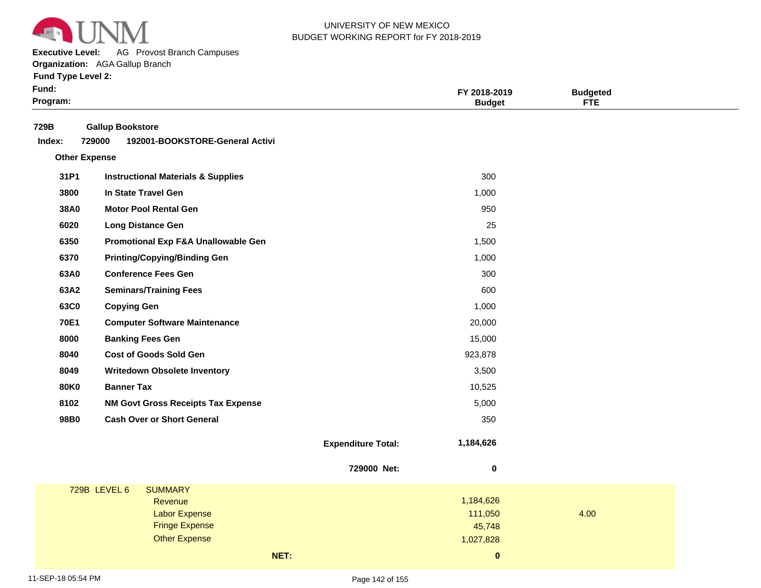

**Executive Level:** AG Provost Branch Campuses

**Organization:**  AGA Gallup Branch

| 729B<br><b>Gallup Bookstore</b><br>729000<br>192001-BOOKSTORE-General Activi<br>Index:<br><b>Other Expense</b><br>31P1<br>300<br><b>Instructional Materials &amp; Supplies</b><br>3800<br>In State Travel Gen<br>1,000<br>38A0<br><b>Motor Pool Rental Gen</b><br>950<br>25<br>6020<br><b>Long Distance Gen</b><br>6350<br>Promotional Exp F&A Unallowable Gen<br>1,500<br>6370<br><b>Printing/Copying/Binding Gen</b><br>1,000<br><b>Conference Fees Gen</b><br>63A0<br>300<br>63A2<br>600<br><b>Seminars/Training Fees</b><br>63C0<br><b>Copying Gen</b><br>1,000<br><b>70E1</b><br><b>Computer Software Maintenance</b><br>20,000<br>8000<br><b>Banking Fees Gen</b><br>15,000<br><b>Cost of Goods Sold Gen</b><br>8040<br>923,878<br>8049<br>3,500<br><b>Writedown Obsolete Inventory</b><br><b>80K0</b><br><b>Banner Tax</b><br>10,525 |  |
|---------------------------------------------------------------------------------------------------------------------------------------------------------------------------------------------------------------------------------------------------------------------------------------------------------------------------------------------------------------------------------------------------------------------------------------------------------------------------------------------------------------------------------------------------------------------------------------------------------------------------------------------------------------------------------------------------------------------------------------------------------------------------------------------------------------------------------------------|--|
|                                                                                                                                                                                                                                                                                                                                                                                                                                                                                                                                                                                                                                                                                                                                                                                                                                             |  |
|                                                                                                                                                                                                                                                                                                                                                                                                                                                                                                                                                                                                                                                                                                                                                                                                                                             |  |
|                                                                                                                                                                                                                                                                                                                                                                                                                                                                                                                                                                                                                                                                                                                                                                                                                                             |  |
|                                                                                                                                                                                                                                                                                                                                                                                                                                                                                                                                                                                                                                                                                                                                                                                                                                             |  |
|                                                                                                                                                                                                                                                                                                                                                                                                                                                                                                                                                                                                                                                                                                                                                                                                                                             |  |
|                                                                                                                                                                                                                                                                                                                                                                                                                                                                                                                                                                                                                                                                                                                                                                                                                                             |  |
|                                                                                                                                                                                                                                                                                                                                                                                                                                                                                                                                                                                                                                                                                                                                                                                                                                             |  |
|                                                                                                                                                                                                                                                                                                                                                                                                                                                                                                                                                                                                                                                                                                                                                                                                                                             |  |
|                                                                                                                                                                                                                                                                                                                                                                                                                                                                                                                                                                                                                                                                                                                                                                                                                                             |  |
|                                                                                                                                                                                                                                                                                                                                                                                                                                                                                                                                                                                                                                                                                                                                                                                                                                             |  |
|                                                                                                                                                                                                                                                                                                                                                                                                                                                                                                                                                                                                                                                                                                                                                                                                                                             |  |
|                                                                                                                                                                                                                                                                                                                                                                                                                                                                                                                                                                                                                                                                                                                                                                                                                                             |  |
|                                                                                                                                                                                                                                                                                                                                                                                                                                                                                                                                                                                                                                                                                                                                                                                                                                             |  |
|                                                                                                                                                                                                                                                                                                                                                                                                                                                                                                                                                                                                                                                                                                                                                                                                                                             |  |
|                                                                                                                                                                                                                                                                                                                                                                                                                                                                                                                                                                                                                                                                                                                                                                                                                                             |  |
|                                                                                                                                                                                                                                                                                                                                                                                                                                                                                                                                                                                                                                                                                                                                                                                                                                             |  |
|                                                                                                                                                                                                                                                                                                                                                                                                                                                                                                                                                                                                                                                                                                                                                                                                                                             |  |
| 8102<br>5,000<br><b>NM Govt Gross Receipts Tax Expense</b>                                                                                                                                                                                                                                                                                                                                                                                                                                                                                                                                                                                                                                                                                                                                                                                  |  |
| 98B0<br><b>Cash Over or Short General</b><br>350                                                                                                                                                                                                                                                                                                                                                                                                                                                                                                                                                                                                                                                                                                                                                                                            |  |
| 1,184,626<br><b>Expenditure Total:</b>                                                                                                                                                                                                                                                                                                                                                                                                                                                                                                                                                                                                                                                                                                                                                                                                      |  |
| 729000 Net:<br>$\pmb{0}$                                                                                                                                                                                                                                                                                                                                                                                                                                                                                                                                                                                                                                                                                                                                                                                                                    |  |
| 729B LEVEL 6<br><b>SUMMARY</b>                                                                                                                                                                                                                                                                                                                                                                                                                                                                                                                                                                                                                                                                                                                                                                                                              |  |
| 1,184,626<br>Revenue                                                                                                                                                                                                                                                                                                                                                                                                                                                                                                                                                                                                                                                                                                                                                                                                                        |  |
| 111,050<br>4.00<br><b>Labor Expense</b><br><b>Fringe Expense</b><br>45,748                                                                                                                                                                                                                                                                                                                                                                                                                                                                                                                                                                                                                                                                                                                                                                  |  |
| <b>Other Expense</b><br>1,027,828                                                                                                                                                                                                                                                                                                                                                                                                                                                                                                                                                                                                                                                                                                                                                                                                           |  |
| NET:<br>$\pmb{0}$                                                                                                                                                                                                                                                                                                                                                                                                                                                                                                                                                                                                                                                                                                                                                                                                                           |  |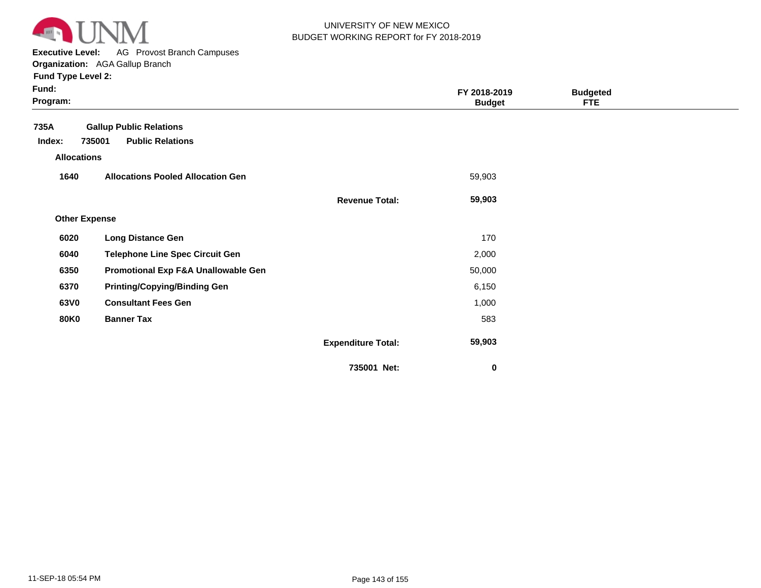

**Executive Level:** AG Provost Branch Campuses

| <b>Fund Type Level 2:</b> |  |
|---------------------------|--|
| Euradi                    |  |

| Fund:<br>Program:    |                                          |                           | FY 2018-2019<br><b>Budget</b> | <b>Budgeted</b><br><b>FTE</b> |  |
|----------------------|------------------------------------------|---------------------------|-------------------------------|-------------------------------|--|
| 735A                 | <b>Gallup Public Relations</b>           |                           |                               |                               |  |
| Index:               | <b>Public Relations</b><br>735001        |                           |                               |                               |  |
| <b>Allocations</b>   |                                          |                           |                               |                               |  |
| 1640                 | <b>Allocations Pooled Allocation Gen</b> |                           | 59,903                        |                               |  |
|                      |                                          | <b>Revenue Total:</b>     | 59,903                        |                               |  |
| <b>Other Expense</b> |                                          |                           |                               |                               |  |
| 6020                 | <b>Long Distance Gen</b>                 |                           | 170                           |                               |  |
| 6040                 | <b>Telephone Line Spec Circuit Gen</b>   |                           | 2,000                         |                               |  |
| 6350                 | Promotional Exp F&A Unallowable Gen      |                           | 50,000                        |                               |  |
| 6370                 | <b>Printing/Copying/Binding Gen</b>      |                           | 6,150                         |                               |  |
| 63V0                 | <b>Consultant Fees Gen</b>               |                           | 1,000                         |                               |  |
| <b>80K0</b>          | <b>Banner Tax</b>                        |                           | 583                           |                               |  |
|                      |                                          | <b>Expenditure Total:</b> | 59,903                        |                               |  |
|                      |                                          | 735001 Net:               | $\pmb{0}$                     |                               |  |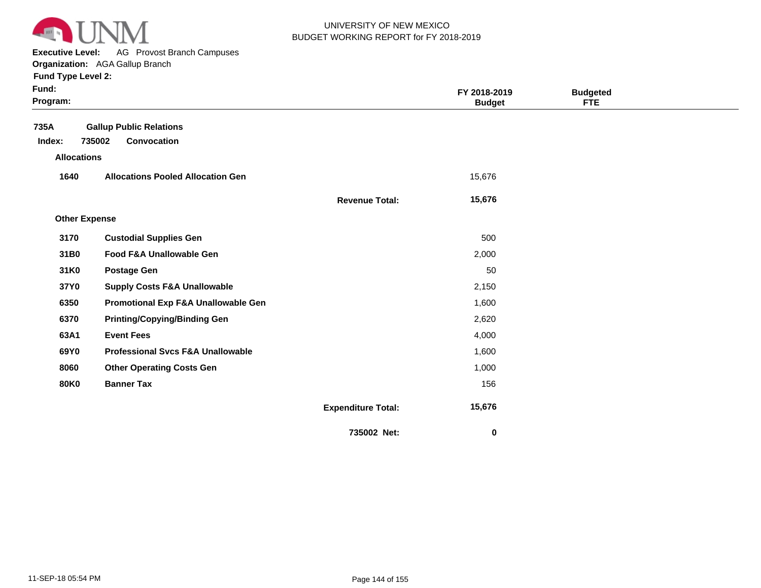

**Executive Level:** AG Provost Branch Campuses

**Organization:**  AGA Gallup Branch **Fund Type Level 2:**

| Fund:<br>Program:    |                                              |                           | FY 2018-2019<br><b>Budget</b> | <b>Budgeted</b><br><b>FTE</b> |  |
|----------------------|----------------------------------------------|---------------------------|-------------------------------|-------------------------------|--|
| 735A                 | <b>Gallup Public Relations</b>               |                           |                               |                               |  |
| Index:               | 735002<br>Convocation                        |                           |                               |                               |  |
| <b>Allocations</b>   |                                              |                           |                               |                               |  |
| 1640                 | <b>Allocations Pooled Allocation Gen</b>     |                           | 15,676                        |                               |  |
|                      |                                              | <b>Revenue Total:</b>     | 15,676                        |                               |  |
| <b>Other Expense</b> |                                              |                           |                               |                               |  |
| 3170                 | <b>Custodial Supplies Gen</b>                |                           | 500                           |                               |  |
| 31B0                 | Food F&A Unallowable Gen                     |                           | 2,000                         |                               |  |
| 31K0                 | <b>Postage Gen</b>                           |                           | 50                            |                               |  |
| 37Y0                 | <b>Supply Costs F&amp;A Unallowable</b>      |                           | 2,150                         |                               |  |
| 6350                 | Promotional Exp F&A Unallowable Gen          |                           | 1,600                         |                               |  |
| 6370                 | <b>Printing/Copying/Binding Gen</b>          |                           | 2,620                         |                               |  |
| 63A1                 | <b>Event Fees</b>                            |                           | 4,000                         |                               |  |
| 69Y0                 | <b>Professional Svcs F&amp;A Unallowable</b> |                           | 1,600                         |                               |  |
| 8060                 | <b>Other Operating Costs Gen</b>             |                           | 1,000                         |                               |  |
| <b>80K0</b>          | <b>Banner Tax</b>                            |                           | 156                           |                               |  |
|                      |                                              | <b>Expenditure Total:</b> | 15,676                        |                               |  |
|                      |                                              | 735002 Net:               | 0                             |                               |  |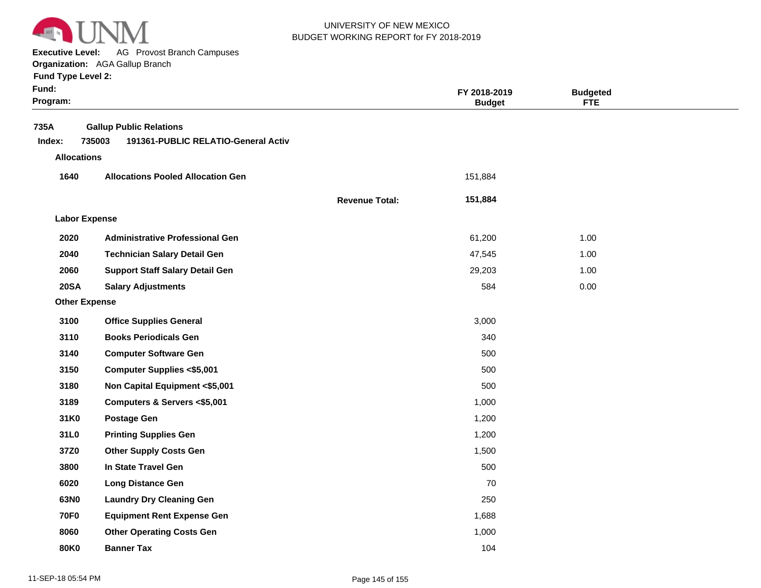

**Executive Level:** AG Provost Branch Campuses

#### **Organization:**  AGA Gallup Branch

| Fund:<br>Program:                    |                                                                                 |                       | FY 2018-2019<br><b>Budget</b> | <b>Budgeted</b><br><b>FTE</b> |  |
|--------------------------------------|---------------------------------------------------------------------------------|-----------------------|-------------------------------|-------------------------------|--|
| 735A<br>Index:<br><b>Allocations</b> | <b>Gallup Public Relations</b><br>735003<br>191361-PUBLIC RELATIO-General Activ |                       |                               |                               |  |
| 1640                                 | <b>Allocations Pooled Allocation Gen</b>                                        |                       | 151,884                       |                               |  |
|                                      |                                                                                 | <b>Revenue Total:</b> | 151,884                       |                               |  |
| <b>Labor Expense</b>                 |                                                                                 |                       |                               |                               |  |
| 2020                                 | <b>Administrative Professional Gen</b>                                          |                       | 61,200                        | 1.00                          |  |
| 2040                                 | <b>Technician Salary Detail Gen</b>                                             |                       | 47,545                        | 1.00                          |  |
| 2060                                 | <b>Support Staff Salary Detail Gen</b>                                          |                       | 29,203                        | 1.00                          |  |
| <b>20SA</b>                          | <b>Salary Adjustments</b>                                                       |                       | 584                           | 0.00                          |  |
| <b>Other Expense</b>                 |                                                                                 |                       |                               |                               |  |
| 3100                                 | <b>Office Supplies General</b>                                                  |                       | 3,000                         |                               |  |
| 3110                                 | <b>Books Periodicals Gen</b>                                                    |                       | 340                           |                               |  |
| 3140                                 | <b>Computer Software Gen</b>                                                    |                       | 500                           |                               |  |
| 3150                                 | <b>Computer Supplies &lt;\$5,001</b>                                            |                       | 500                           |                               |  |
| 3180                                 | Non Capital Equipment <\$5,001                                                  |                       | 500                           |                               |  |
| 3189                                 | Computers & Servers <\$5,001                                                    |                       | 1,000                         |                               |  |
| 31K0                                 | <b>Postage Gen</b>                                                              |                       | 1,200                         |                               |  |
| 31L0                                 | <b>Printing Supplies Gen</b>                                                    |                       | 1,200                         |                               |  |
| 37Z0                                 | <b>Other Supply Costs Gen</b>                                                   |                       | 1,500                         |                               |  |
| 3800                                 | In State Travel Gen                                                             |                       | 500                           |                               |  |
| 6020                                 | <b>Long Distance Gen</b>                                                        |                       | 70                            |                               |  |
| 63N0                                 | <b>Laundry Dry Cleaning Gen</b>                                                 |                       | 250                           |                               |  |
| <b>70F0</b>                          | <b>Equipment Rent Expense Gen</b>                                               |                       | 1,688                         |                               |  |
| 8060                                 | <b>Other Operating Costs Gen</b>                                                |                       | 1,000                         |                               |  |
| 80K0                                 | <b>Banner Tax</b>                                                               |                       | 104                           |                               |  |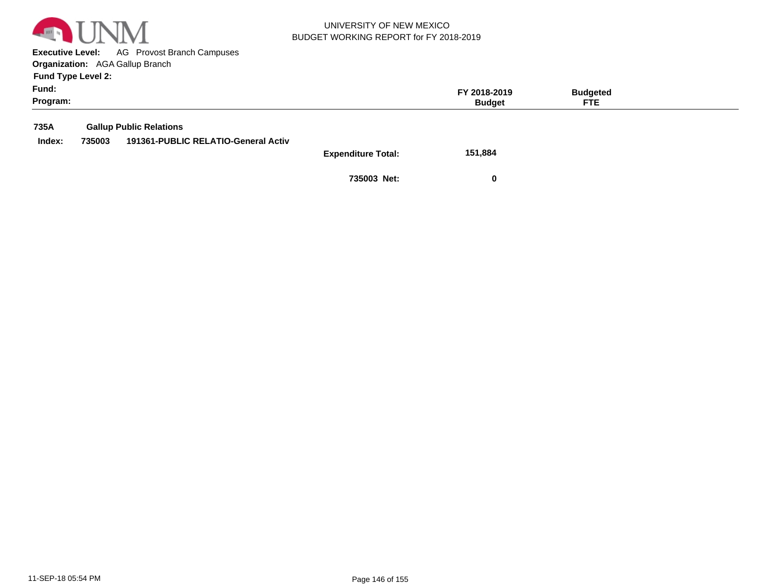

**Executive Level:** AG Provost Branch Campuses **Organization:**  AGA Gallup Branch

**Fund Type Level 2:**

| Fund:<br>Program: |        |                                                                       |                           | FY 2018-2019<br><b>Budget</b> | <b>Budgeted</b><br><b>FTE</b> |  |
|-------------------|--------|-----------------------------------------------------------------------|---------------------------|-------------------------------|-------------------------------|--|
| 735A<br>Index:    | 735003 | <b>Gallup Public Relations</b><br>191361-PUBLIC RELATIO-General Activ | <b>Expenditure Total:</b> | 151,884                       |                               |  |
|                   |        |                                                                       |                           |                               |                               |  |

**735003 Net: 0**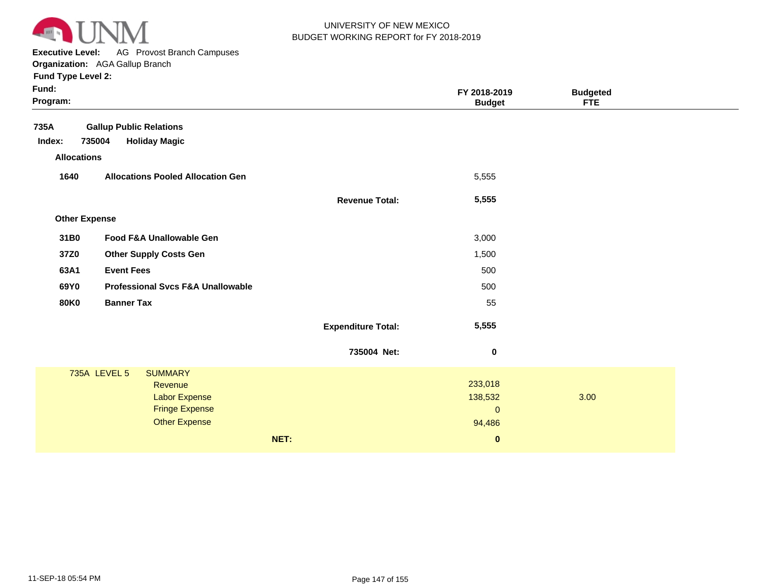

**Executive Level:** AG Provost Branch Campuses

| Fund:<br>Program:                                    |      | FY 2018-2019<br><b>Budget</b>      | <b>Budgeted</b><br><b>FTE</b> |  |
|------------------------------------------------------|------|------------------------------------|-------------------------------|--|
| 735A<br><b>Gallup Public Relations</b>               |      |                                    |                               |  |
| 735004<br><b>Holiday Magic</b><br>Index:             |      |                                    |                               |  |
| <b>Allocations</b>                                   |      |                                    |                               |  |
| 1640<br><b>Allocations Pooled Allocation Gen</b>     |      | 5,555                              |                               |  |
|                                                      |      | 5,555<br><b>Revenue Total:</b>     |                               |  |
| <b>Other Expense</b>                                 |      |                                    |                               |  |
| 31B0<br>Food F&A Unallowable Gen                     |      | 3,000                              |                               |  |
| 37Z0<br><b>Other Supply Costs Gen</b>                |      | 1,500                              |                               |  |
| <b>Event Fees</b><br>63A1                            |      | 500                                |                               |  |
| <b>Professional Svcs F&amp;A Unallowable</b><br>69Y0 |      | 500                                |                               |  |
| <b>Banner Tax</b><br><b>80K0</b>                     |      | 55                                 |                               |  |
|                                                      |      | 5,555<br><b>Expenditure Total:</b> |                               |  |
|                                                      |      | 735004 Net:<br>$\boldsymbol{0}$    |                               |  |
| 735A LEVEL 5<br><b>SUMMARY</b>                       |      |                                    |                               |  |
| Revenue                                              |      | 233,018                            |                               |  |
| Labor Expense<br><b>Fringe Expense</b>               |      | 138,532<br>$\mathbf{0}$            | 3.00                          |  |
| <b>Other Expense</b>                                 |      | 94,486                             |                               |  |
|                                                      | NET: | $\bf{0}$                           |                               |  |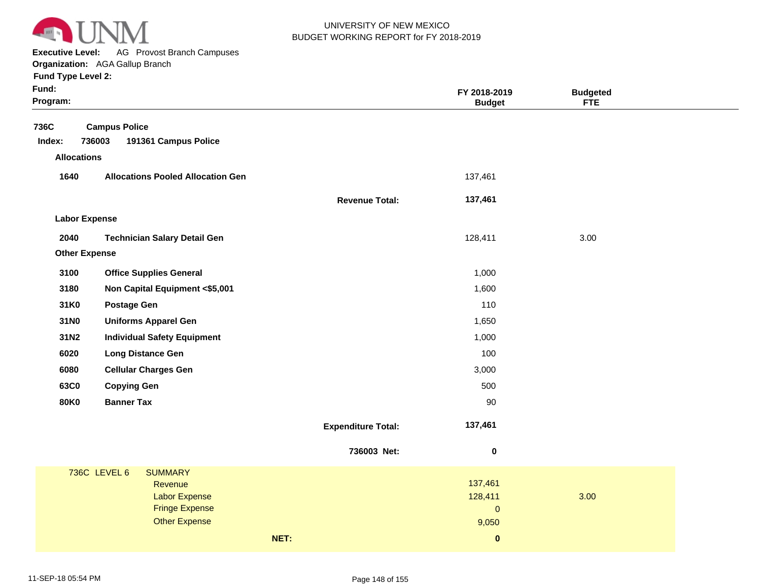

**Executive Level:** AG Provost Branch Campuses **Organization:**  AGA Gallup Branch

| Fund:<br>Program:    |                                                        |                           | FY 2018-2019<br><b>Budget</b> | <b>Budgeted</b><br><b>FTE</b> |
|----------------------|--------------------------------------------------------|---------------------------|-------------------------------|-------------------------------|
| 736C<br>Index:       | <b>Campus Police</b><br>736003<br>191361 Campus Police |                           |                               |                               |
| <b>Allocations</b>   |                                                        |                           |                               |                               |
| 1640                 | <b>Allocations Pooled Allocation Gen</b>               |                           | 137,461                       |                               |
|                      |                                                        | <b>Revenue Total:</b>     | 137,461                       |                               |
| <b>Labor Expense</b> |                                                        |                           |                               |                               |
| 2040                 | <b>Technician Salary Detail Gen</b>                    |                           | 128,411                       | 3.00                          |
| <b>Other Expense</b> |                                                        |                           |                               |                               |
| 3100                 | <b>Office Supplies General</b>                         |                           | 1,000                         |                               |
| 3180                 | Non Capital Equipment <\$5,001                         |                           | 1,600                         |                               |
| 31K0                 | <b>Postage Gen</b>                                     |                           | 110                           |                               |
| 31N0                 | <b>Uniforms Apparel Gen</b>                            |                           | 1,650                         |                               |
| 31N2                 | <b>Individual Safety Equipment</b>                     |                           | 1,000                         |                               |
| 6020                 | <b>Long Distance Gen</b>                               |                           | 100                           |                               |
| 6080                 | <b>Cellular Charges Gen</b>                            |                           | 3,000                         |                               |
| 63C0                 | <b>Copying Gen</b>                                     |                           | 500                           |                               |
| <b>80K0</b>          | <b>Banner Tax</b>                                      |                           | 90                            |                               |
|                      |                                                        | <b>Expenditure Total:</b> | 137,461                       |                               |
|                      |                                                        | 736003 Net:               | $\pmb{0}$                     |                               |
|                      | <b>736C LEVEL 6</b><br><b>SUMMARY</b>                  |                           |                               |                               |
|                      | Revenue                                                |                           | 137,461                       |                               |
|                      | <b>Labor Expense</b><br><b>Fringe Expense</b>          |                           | 128,411<br>$\pmb{0}$          | 3.00                          |
|                      | <b>Other Expense</b>                                   |                           | 9,050                         |                               |
|                      |                                                        | NET:                      | $\pmb{0}$                     |                               |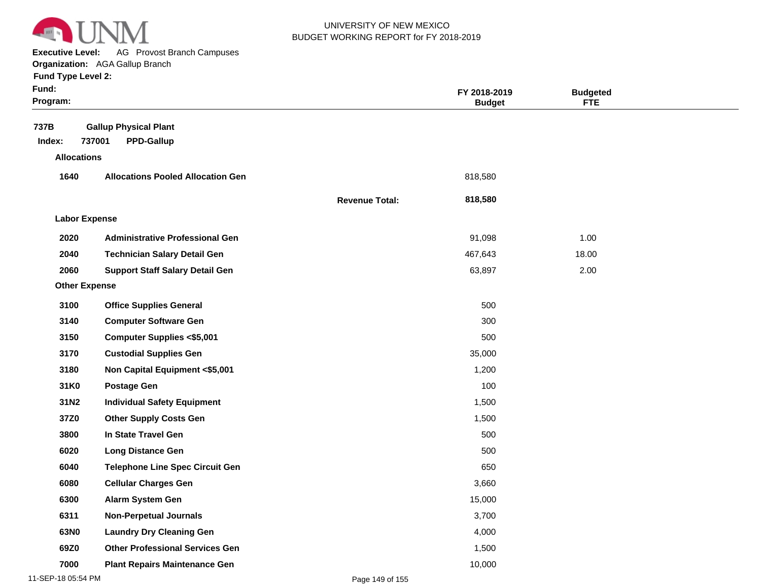

**Executive Level:** AG Provost Branch Campuses

| Fund:<br>Program:    |                                                             |                       | FY 2018-2019<br><b>Budget</b> | <b>Budgeted</b><br><b>FTE</b> |  |
|----------------------|-------------------------------------------------------------|-----------------------|-------------------------------|-------------------------------|--|
| 737B<br>Index:       | <b>Gallup Physical Plant</b><br>737001<br><b>PPD-Gallup</b> |                       |                               |                               |  |
| <b>Allocations</b>   |                                                             |                       |                               |                               |  |
| 1640                 | <b>Allocations Pooled Allocation Gen</b>                    |                       | 818,580                       |                               |  |
|                      |                                                             | <b>Revenue Total:</b> | 818,580                       |                               |  |
| <b>Labor Expense</b> |                                                             |                       |                               |                               |  |
| 2020                 | <b>Administrative Professional Gen</b>                      |                       | 91,098                        | 1.00                          |  |
| 2040                 | <b>Technician Salary Detail Gen</b>                         |                       | 467,643                       | 18.00                         |  |
| 2060                 | <b>Support Staff Salary Detail Gen</b>                      |                       | 63,897                        | 2.00                          |  |
| <b>Other Expense</b> |                                                             |                       |                               |                               |  |
| 3100                 | <b>Office Supplies General</b>                              |                       | 500                           |                               |  |
| 3140                 | <b>Computer Software Gen</b>                                |                       | 300                           |                               |  |
| 3150                 | <b>Computer Supplies &lt;\$5,001</b>                        |                       | 500                           |                               |  |
| 3170                 | <b>Custodial Supplies Gen</b>                               |                       | 35,000                        |                               |  |
| 3180                 | Non Capital Equipment <\$5,001                              |                       | 1,200                         |                               |  |
| 31K0                 | <b>Postage Gen</b>                                          |                       | 100                           |                               |  |
| 31N2                 | <b>Individual Safety Equipment</b>                          |                       | 1,500                         |                               |  |
| 37Z0                 | <b>Other Supply Costs Gen</b>                               |                       | 1,500                         |                               |  |
| 3800                 | In State Travel Gen                                         |                       | 500                           |                               |  |
| 6020                 | <b>Long Distance Gen</b>                                    |                       | 500                           |                               |  |
| 6040                 | <b>Telephone Line Spec Circuit Gen</b>                      |                       | 650                           |                               |  |
| 6080                 | <b>Cellular Charges Gen</b>                                 |                       | 3,660                         |                               |  |
| 6300                 | Alarm System Gen                                            |                       | 15,000                        |                               |  |
| 6311                 | <b>Non-Perpetual Journals</b>                               |                       | 3,700                         |                               |  |
| 63N0                 | <b>Laundry Dry Cleaning Gen</b>                             |                       | 4,000                         |                               |  |
| 69Z0                 | <b>Other Professional Services Gen</b>                      |                       | 1,500                         |                               |  |
| 7000                 | <b>Plant Repairs Maintenance Gen</b>                        |                       | 10,000                        |                               |  |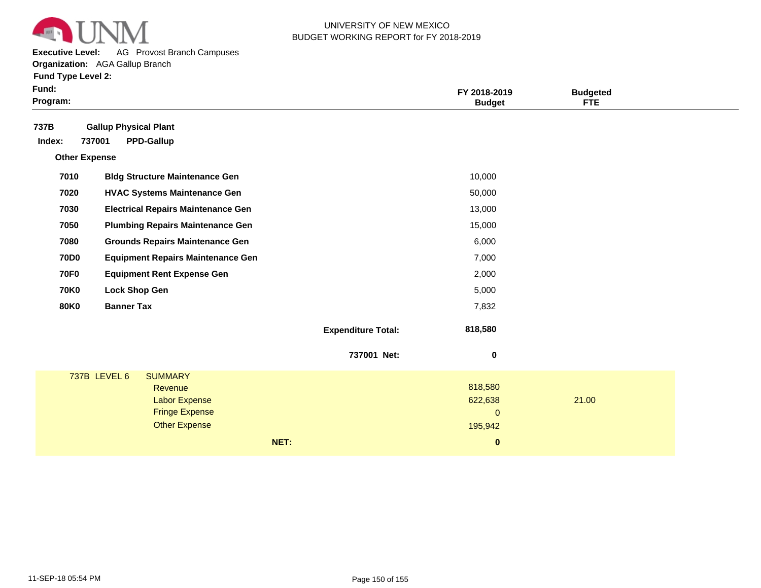

**Executive Level:** AG Provost Branch Campuses

| Fund:<br>Program:    |                              |                                               |      |                           | FY 2018-2019<br><b>Budget</b> | <b>Budgeted</b><br><b>FTE</b> |  |
|----------------------|------------------------------|-----------------------------------------------|------|---------------------------|-------------------------------|-------------------------------|--|
| 737B                 | <b>Gallup Physical Plant</b> |                                               |      |                           |                               |                               |  |
| Index:               | 737001                       | <b>PPD-Gallup</b>                             |      |                           |                               |                               |  |
| <b>Other Expense</b> |                              |                                               |      |                           |                               |                               |  |
| 7010                 |                              | <b>Bldg Structure Maintenance Gen</b>         |      |                           | 10,000                        |                               |  |
| 7020                 |                              | <b>HVAC Systems Maintenance Gen</b>           |      |                           | 50,000                        |                               |  |
| 7030                 |                              | <b>Electrical Repairs Maintenance Gen</b>     |      |                           | 13,000                        |                               |  |
| 7050                 |                              | <b>Plumbing Repairs Maintenance Gen</b>       |      |                           | 15,000                        |                               |  |
| 7080                 |                              | <b>Grounds Repairs Maintenance Gen</b>        |      |                           | 6,000                         |                               |  |
| <b>70D0</b>          |                              | <b>Equipment Repairs Maintenance Gen</b>      |      |                           | 7,000                         |                               |  |
| <b>70F0</b>          |                              | <b>Equipment Rent Expense Gen</b>             |      |                           | 2,000                         |                               |  |
| <b>70K0</b>          | <b>Lock Shop Gen</b>         |                                               |      |                           | 5,000                         |                               |  |
| <b>80K0</b>          | <b>Banner Tax</b>            |                                               |      |                           | 7,832                         |                               |  |
|                      |                              |                                               |      | <b>Expenditure Total:</b> | 818,580                       |                               |  |
|                      |                              |                                               |      | 737001 Net:               | 0                             |                               |  |
|                      | 737B LEVEL 6                 | <b>SUMMARY</b>                                |      |                           |                               |                               |  |
|                      |                              | Revenue                                       |      |                           | 818,580                       |                               |  |
|                      |                              | <b>Labor Expense</b><br><b>Fringe Expense</b> |      |                           | 622,638<br>$\mathbf{0}$       | 21.00                         |  |
|                      |                              | <b>Other Expense</b>                          |      |                           | 195,942                       |                               |  |
|                      |                              |                                               | NET: |                           | $\bf{0}$                      |                               |  |
|                      |                              |                                               |      |                           |                               |                               |  |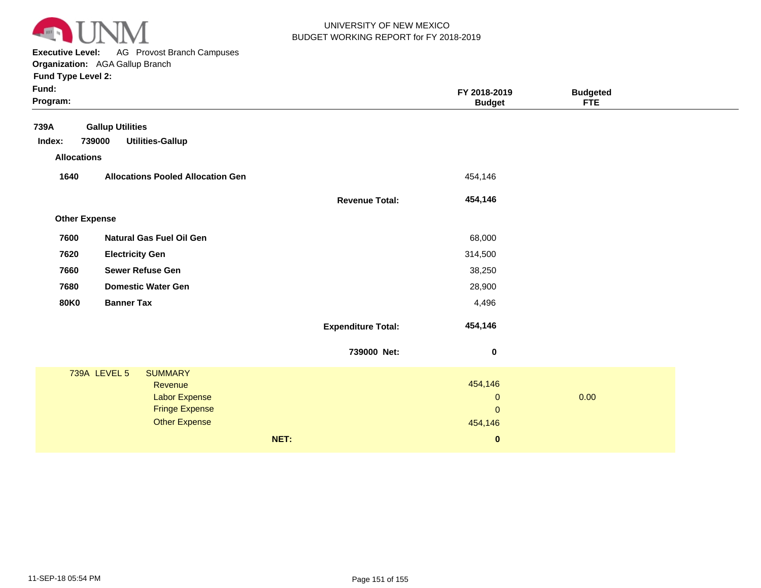

**Executive Level:** AG Provost Branch Campuses

| Fund:<br>Program:                    |                                                              |                           | FY 2018-2019<br><b>Budget</b> | <b>Budgeted</b><br><b>FTE</b> |  |
|--------------------------------------|--------------------------------------------------------------|---------------------------|-------------------------------|-------------------------------|--|
| 739A<br>Index:<br><b>Allocations</b> | <b>Gallup Utilities</b><br><b>Utilities-Gallup</b><br>739000 |                           |                               |                               |  |
| 1640                                 | <b>Allocations Pooled Allocation Gen</b>                     |                           | 454,146                       |                               |  |
|                                      |                                                              | <b>Revenue Total:</b>     | 454,146                       |                               |  |
| <b>Other Expense</b>                 |                                                              |                           |                               |                               |  |
| 7600                                 | <b>Natural Gas Fuel Oil Gen</b>                              |                           | 68,000                        |                               |  |
| 7620                                 | <b>Electricity Gen</b>                                       |                           | 314,500                       |                               |  |
| 7660                                 | <b>Sewer Refuse Gen</b>                                      |                           | 38,250                        |                               |  |
| 7680                                 | <b>Domestic Water Gen</b>                                    |                           | 28,900                        |                               |  |
| <b>80K0</b>                          | <b>Banner Tax</b>                                            |                           | 4,496                         |                               |  |
|                                      |                                                              | <b>Expenditure Total:</b> | 454,146                       |                               |  |
|                                      |                                                              | 739000 Net:               | $\bf{0}$                      |                               |  |
|                                      | <b>739A LEVEL 5</b><br><b>SUMMARY</b>                        |                           |                               |                               |  |
|                                      | Revenue<br><b>Labor Expense</b>                              |                           | 454,146<br>$\mathbf{0}$       | 0.00                          |  |
|                                      | <b>Fringe Expense</b>                                        |                           | $\mathbf{0}$                  |                               |  |
|                                      | <b>Other Expense</b>                                         |                           | 454,146                       |                               |  |
|                                      |                                                              | NET:                      | $\bf{0}$                      |                               |  |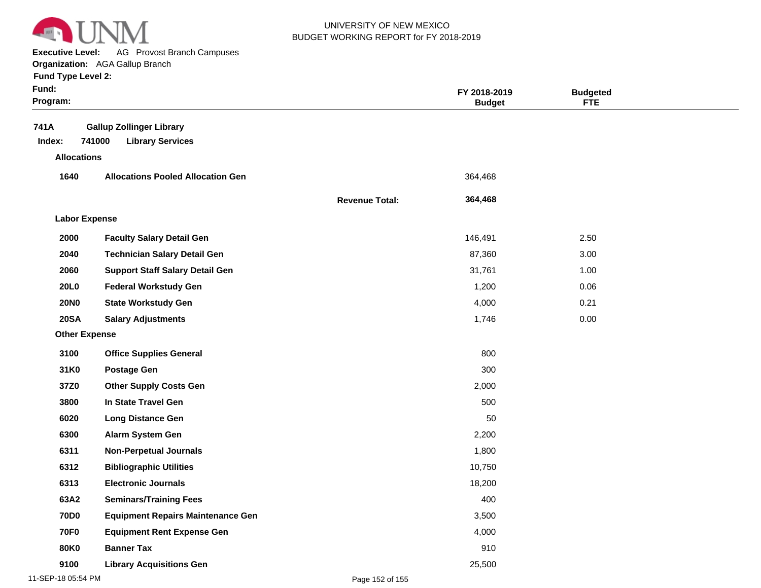

**Executive Level:** AG Provost Branch Campuses

| Fund:<br>Program:    |                                                                      |                       | FY 2018-2019<br><b>Budget</b> | <b>Budgeted</b><br><b>FTE</b> |  |
|----------------------|----------------------------------------------------------------------|-----------------------|-------------------------------|-------------------------------|--|
| 741A<br>Index:       | <b>Gallup Zollinger Library</b><br>741000<br><b>Library Services</b> |                       |                               |                               |  |
| <b>Allocations</b>   |                                                                      |                       |                               |                               |  |
| 1640                 | <b>Allocations Pooled Allocation Gen</b>                             |                       | 364,468                       |                               |  |
|                      |                                                                      | <b>Revenue Total:</b> | 364,468                       |                               |  |
| <b>Labor Expense</b> |                                                                      |                       |                               |                               |  |
| 2000                 | <b>Faculty Salary Detail Gen</b>                                     |                       | 146,491                       | 2.50                          |  |
| 2040                 | <b>Technician Salary Detail Gen</b>                                  |                       | 87,360                        | 3.00                          |  |
| 2060                 | <b>Support Staff Salary Detail Gen</b>                               |                       | 31,761                        | 1.00                          |  |
| 20L0                 | <b>Federal Workstudy Gen</b>                                         |                       | 1,200                         | 0.06                          |  |
| <b>20NO</b>          | <b>State Workstudy Gen</b>                                           |                       | 4,000                         | 0.21                          |  |
| <b>20SA</b>          | <b>Salary Adjustments</b>                                            |                       | 1,746                         | 0.00                          |  |
| <b>Other Expense</b> |                                                                      |                       |                               |                               |  |
| 3100                 | <b>Office Supplies General</b>                                       |                       | 800                           |                               |  |
| 31K0                 | <b>Postage Gen</b>                                                   |                       | 300                           |                               |  |
| 37Z0                 | <b>Other Supply Costs Gen</b>                                        |                       | 2,000                         |                               |  |
| 3800                 | In State Travel Gen                                                  |                       | 500                           |                               |  |
| 6020                 | <b>Long Distance Gen</b>                                             |                       | 50                            |                               |  |
| 6300                 | Alarm System Gen                                                     |                       | 2,200                         |                               |  |
| 6311                 | <b>Non-Perpetual Journals</b>                                        |                       | 1,800                         |                               |  |
| 6312                 | <b>Bibliographic Utilities</b>                                       |                       | 10,750                        |                               |  |
| 6313                 | <b>Electronic Journals</b>                                           |                       | 18,200                        |                               |  |
| 63A2                 | <b>Seminars/Training Fees</b>                                        |                       | 400                           |                               |  |
| <b>70D0</b>          | <b>Equipment Repairs Maintenance Gen</b>                             |                       | 3,500                         |                               |  |
| <b>70F0</b>          | <b>Equipment Rent Expense Gen</b>                                    |                       | 4,000                         |                               |  |
| <b>80K0</b>          | <b>Banner Tax</b>                                                    |                       | 910                           |                               |  |
| 9100                 | <b>Library Acquisitions Gen</b>                                      |                       | 25,500                        |                               |  |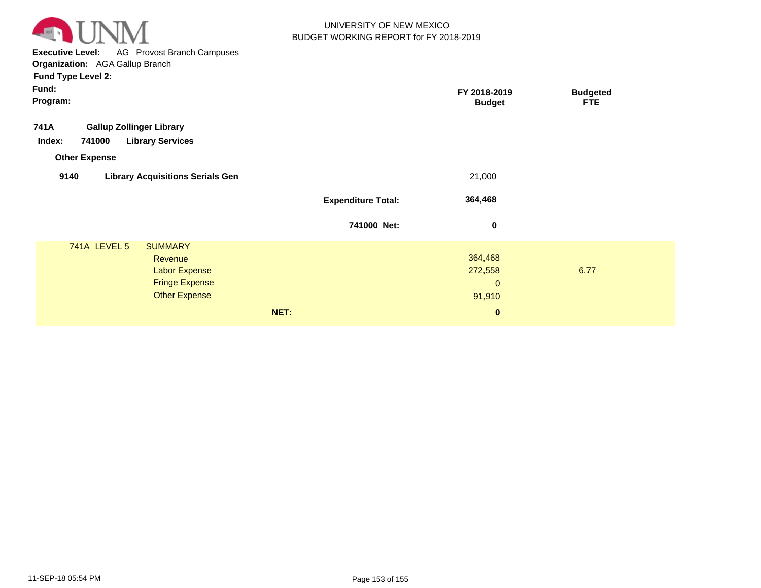

**Executive Level:** AG Provost Branch Campuses **Organization:**  AGA Gallup Branch

| Fund:<br>Program:                                                       |                           | FY 2018-2019<br><b>Budget</b> | <b>Budgeted</b><br><b>FTE</b> |
|-------------------------------------------------------------------------|---------------------------|-------------------------------|-------------------------------|
| 741A<br><b>Gallup Zollinger Library</b>                                 |                           |                               |                               |
| <b>Library Services</b><br>741000<br>Index:                             |                           |                               |                               |
| <b>Other Expense</b><br>9140<br><b>Library Acquisitions Serials Gen</b> |                           | 21,000                        |                               |
|                                                                         | <b>Expenditure Total:</b> | 364,468                       |                               |
|                                                                         |                           |                               |                               |
|                                                                         | 741000 Net:               | $\bf{0}$                      |                               |
| <b>741A LEVEL 5</b><br><b>SUMMARY</b><br>Revenue                        |                           | 364,468                       |                               |
| <b>Labor Expense</b>                                                    |                           | 272,558                       | 6.77                          |
| <b>Fringe Expense</b>                                                   |                           | $\mathbf{0}$                  |                               |
| <b>Other Expense</b>                                                    |                           | 91,910                        |                               |
|                                                                         | NET:                      | $\mathbf{0}$                  |                               |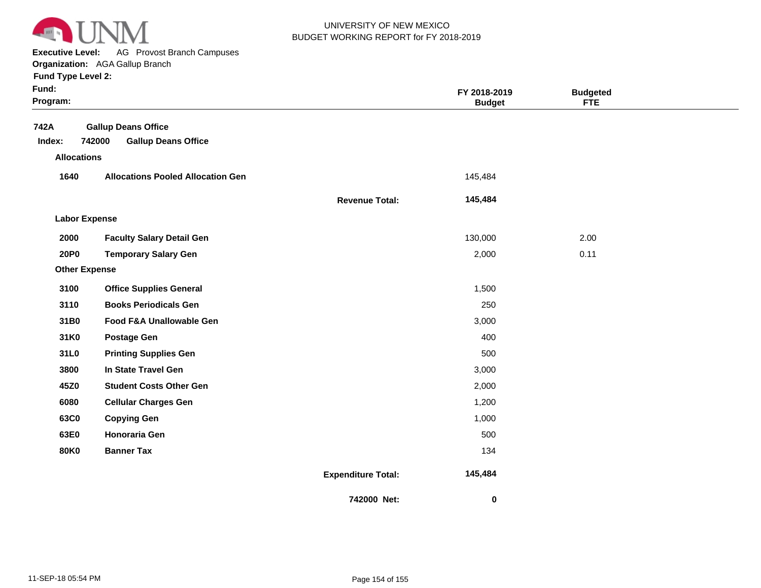

**Executive Level:** AG Provost Branch Campuses

**Organization:**  AGA Gallup Branch

| <b>Fund Type Level 2:</b> |  |
|---------------------------|--|
|---------------------------|--|

| Fund:<br>Program:    |                                          |                           | FY 2018-2019<br><b>Budget</b> | <b>Budgeted</b><br><b>FTE</b> |  |
|----------------------|------------------------------------------|---------------------------|-------------------------------|-------------------------------|--|
| 742A                 | <b>Gallup Deans Office</b>               |                           |                               |                               |  |
| Index:               | 742000<br><b>Gallup Deans Office</b>     |                           |                               |                               |  |
| <b>Allocations</b>   |                                          |                           |                               |                               |  |
| 1640                 | <b>Allocations Pooled Allocation Gen</b> |                           | 145,484                       |                               |  |
|                      |                                          | <b>Revenue Total:</b>     | 145,484                       |                               |  |
| <b>Labor Expense</b> |                                          |                           |                               |                               |  |
| 2000                 | <b>Faculty Salary Detail Gen</b>         |                           | 130,000                       | 2.00                          |  |
| 20P0                 | <b>Temporary Salary Gen</b>              |                           | 2,000                         | 0.11                          |  |
| <b>Other Expense</b> |                                          |                           |                               |                               |  |
| 3100                 | <b>Office Supplies General</b>           |                           | 1,500                         |                               |  |
| 3110                 | <b>Books Periodicals Gen</b>             |                           | 250                           |                               |  |
| 31B0                 | Food F&A Unallowable Gen                 |                           | 3,000                         |                               |  |
| 31K0                 | <b>Postage Gen</b>                       |                           | 400                           |                               |  |
| 31L0                 | <b>Printing Supplies Gen</b>             |                           | 500                           |                               |  |
| 3800                 | In State Travel Gen                      |                           | 3,000                         |                               |  |
| 45Z0                 | <b>Student Costs Other Gen</b>           |                           | 2,000                         |                               |  |
| 6080                 | <b>Cellular Charges Gen</b>              |                           | 1,200                         |                               |  |
| 63C0                 | <b>Copying Gen</b>                       |                           | 1,000                         |                               |  |
| 63E0                 | <b>Honoraria Gen</b>                     |                           | 500                           |                               |  |
| <b>80K0</b>          | <b>Banner Tax</b>                        |                           | 134                           |                               |  |
|                      |                                          | <b>Expenditure Total:</b> | 145,484                       |                               |  |
|                      |                                          | 742000 Net:               | $\pmb{0}$                     |                               |  |